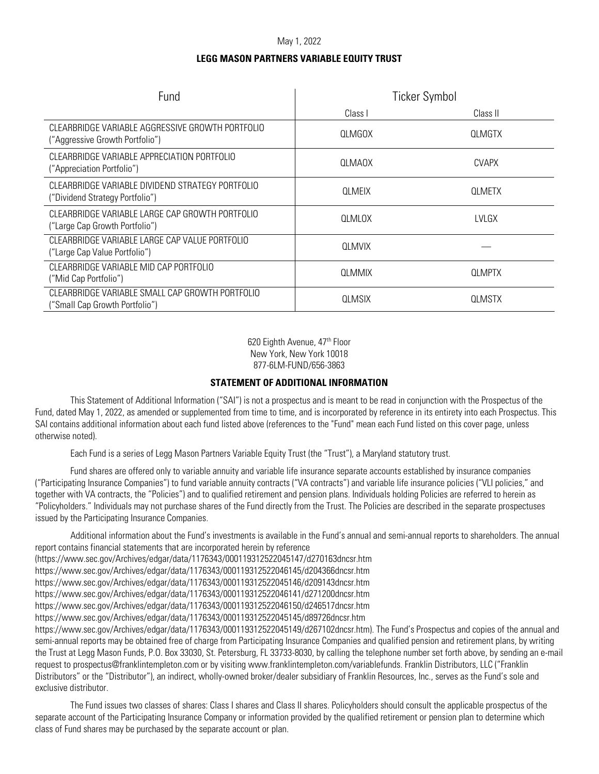# May 1, 2022

# **LEGG MASON PARTNERS VARIABLE EQUITY TRUST**

| Fund                                                                                | <b>Ticker Symbol</b> |               |
|-------------------------------------------------------------------------------------|----------------------|---------------|
|                                                                                     | Class I              | Class II      |
| CLEARBRIDGE VARIABLE AGGRESSIVE GROWTH PORTFOLIO<br>("Aggressive Growth Portfolio") | <b>QLMGOX</b>        | OLMGTX        |
| CLEARBRIDGE VARIABLE APPRECIATION PORTFOLIO<br>("Appreciation Portfolio")           | <b>QLMAOX</b>        | CVAPX         |
| CLEARBRIDGE VARIABLE DIVIDEND STRATEGY PORTFOLIO<br>("Dividend Strategy Portfolio") | OLMEIX               | <b>OLMETX</b> |
| CLEARBRIDGE VARIABLE LARGE CAP GROWTH PORTFOLIO<br>("Large Cap Growth Portfolio")   | OLMLOX               | LVLGX         |
| CLEARBRIDGE VARIABLE LARGE CAP VALUE PORTFOLIO<br>("Large Cap Value Portfolio")     | <b>QLMVIX</b>        |               |
| CLEARBRIDGE VARIABLE MID CAP PORTFOLIO<br>("Mid Cap Portfolio")                     | <b>QLMMIX</b>        | <b>OLMPTX</b> |
| CLEARBRIDGE VARIABLE SMALL CAP GROWTH PORTFOLIO<br>"Small Cap Growth Portfolio")    | <b>QLMSIX</b>        | <b>QLMSTX</b> |

620 Eighth Avenue, 47<sup>th</sup> Floor New York, New York 10018 877-6LM-FUND/656-3863

# **STATEMENT OF ADDITIONAL INFORMATION**

This Statement of Additional Information ("SAI") is not a prospectus and is meant to be read in conjunction with the Prospectus of the Fund, dated May 1, 2022, as amended or supplemented from time to time, and is incorporated by reference in its entirety into each Prospectus. This SAI contains additional information about each fund listed above (references to the "Fund" mean each Fund listed on this cover page, unless otherwise noted).

Each Fund is a series of Legg Mason Partners Variable Equity Trust (the "Trust"), a Maryland statutory trust.

Fund shares are offered only to variable annuity and variable life insurance separate accounts established by insurance companies ("Participating Insurance Companies") to fund variable annuity contracts ("VA contracts") and variable life insurance policies ("VLI policies," and together with VA contracts, the "Policies") and to qualified retirement and pension plans. Individuals holding Policies are referred to herein as "Policyholders." Individuals may not purchase shares of the Fund directly from the Trust. The Policies are described in the separate prospectuses issued by the Participating Insurance Companies.

 Additional information about the Fund's investments is available in the Fund's annual and semi-annual reports to shareholders. The annual report contains financial statements that are incorporated herein by reference

(https://www.sec.gov/Archives/edgar/data/1176343/000119312522045147/d270163dncsr.htm https://www.sec.gov/Archives/edgar/data/1176343/000119312522046145/d204366dncsr.htm https://www.sec.gov/Archives/edgar/data/1176343/000119312522045146/d209143dncsr.htm https://www.sec.gov/Archives/edgar/data/1176343/000119312522046141/d271200dncsr.htm https://www.sec.gov/Archives/edgar/data/1176343/000119312522046150/d246517dncsr.htm https://www.sec.gov/Archives/edgar/data/1176343/000119312522045145/d89726dncsr.htm https://www.sec.gov/Archives/edgar/data/1176343/000119312522045149/d267102dncsr.htm). The Fund's Prospectus and copies of the annual and

semi-annual reports may be obtained free of charge from Participating Insurance Companies and qualified pension and retirement plans, by writing the Trust at Legg Mason Funds, P.O. Box 33030, St. Petersburg, FL 33733-8030, by calling the telephone number set forth above, by sending an e-mail request to prospectus@franklintempleton.com or by visiting www.franklintempleton.com/variablefunds. Franklin Distributors, LLC ("Franklin Distributors" or the "Distributor"), an indirect, wholly-owned broker/dealer subsidiary of Franklin Resources, Inc., serves as the Fund's sole and exclusive distributor.

 The Fund issues two classes of shares: Class I shares and Class II shares. Policyholders should consult the applicable prospectus of the separate account of the Participating Insurance Company or information provided by the qualified retirement or pension plan to determine which class of Fund shares may be purchased by the separate account or plan.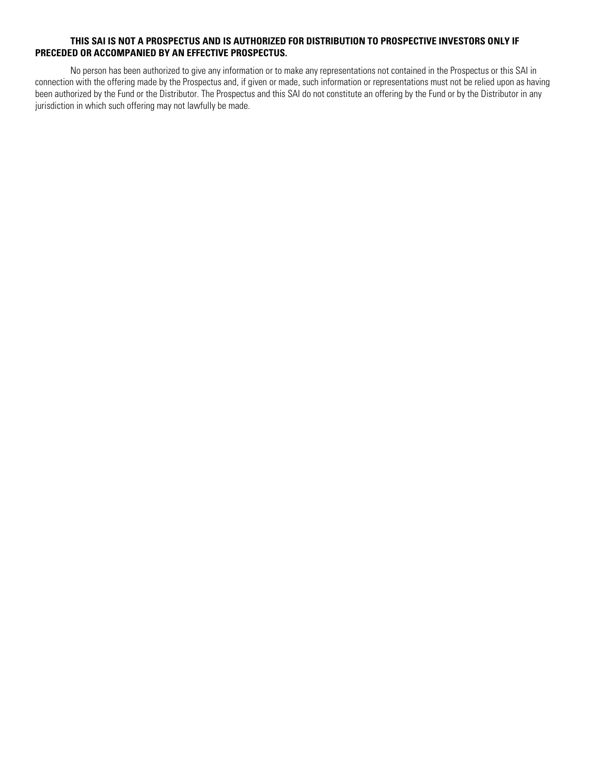# **THIS SAI IS NOT A PROSPECTUS AND IS AUTHORIZED FOR DISTRIBUTION TO PROSPECTIVE INVESTORS ONLY IF PRECEDED OR ACCOMPANIED BY AN EFFECTIVE PROSPECTUS.**

No person has been authorized to give any information or to make any representations not contained in the Prospectus or this SAI in connection with the offering made by the Prospectus and, if given or made, such information or representations must not be relied upon as having been authorized by the Fund or the Distributor. The Prospectus and this SAI do not constitute an offering by the Fund or by the Distributor in any jurisdiction in which such offering may not lawfully be made.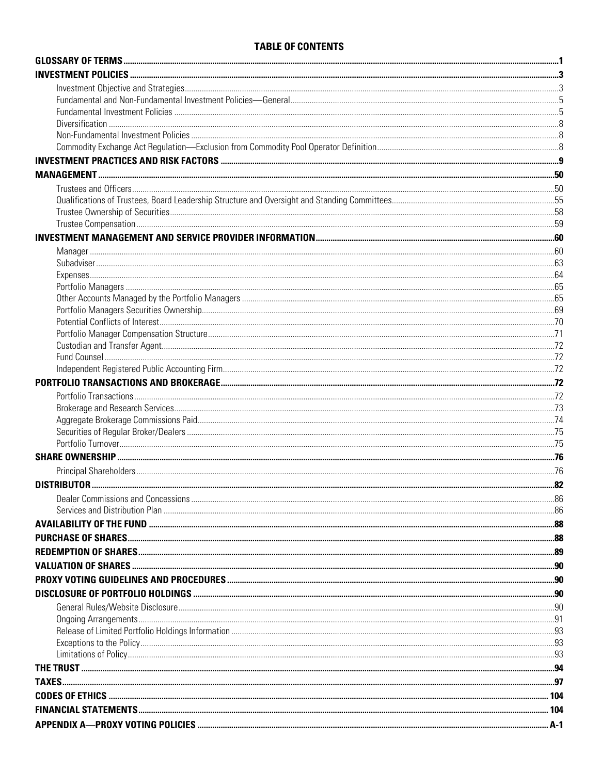# **TABLE OF CONTENTS**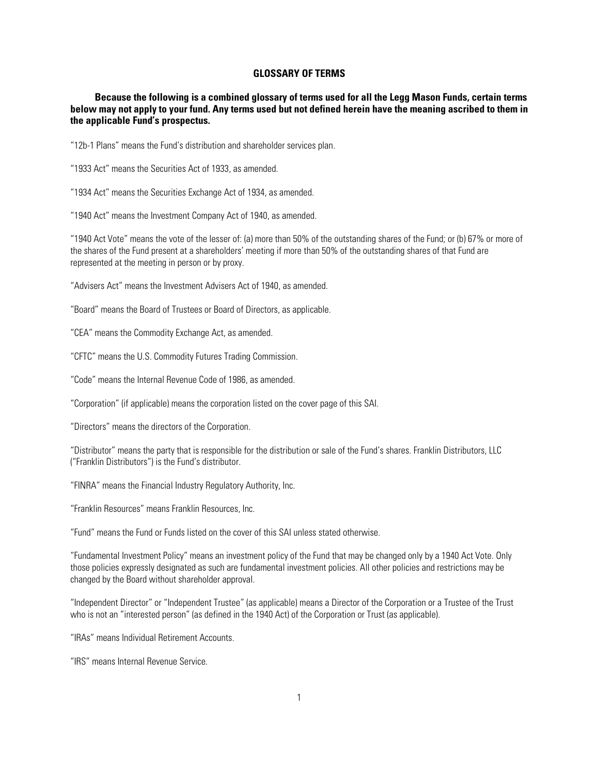#### **GLOSSARY OF TERMS**

**Because the following is a combined glossary of terms used for all the Legg Mason Funds, certain terms below may not apply to your fund. Any terms used but not defined herein have the meaning ascribed to them in the applicable Fund's prospectus.** 

"12b-1 Plans" means the Fund's distribution and shareholder services plan.

"1933 Act" means the Securities Act of 1933, as amended.

"1934 Act" means the Securities Exchange Act of 1934, as amended.

"1940 Act" means the Investment Company Act of 1940, as amended.

"1940 Act Vote" means the vote of the lesser of: (a) more than 50% of the outstanding shares of the Fund; or (b) 67% or more of the shares of the Fund present at a shareholders' meeting if more than 50% of the outstanding shares of that Fund are represented at the meeting in person or by proxy.

"Advisers Act" means the Investment Advisers Act of 1940, as amended.

"Board" means the Board of Trustees or Board of Directors, as applicable.

"CEA" means the Commodity Exchange Act, as amended.

"CFTC" means the U.S. Commodity Futures Trading Commission.

"Code" means the Internal Revenue Code of 1986, as amended.

"Corporation" (if applicable) means the corporation listed on the cover page of this SAI.

"Directors" means the directors of the Corporation.

"Distributor" means the party that is responsible for the distribution or sale of the Fund's shares. Franklin Distributors, LLC ("Franklin Distributors") is the Fund's distributor.

"FINRA" means the Financial Industry Regulatory Authority, Inc.

"Franklin Resources" means Franklin Resources, Inc.

"Fund" means the Fund or Funds listed on the cover of this SAI unless stated otherwise.

"Fundamental Investment Policy" means an investment policy of the Fund that may be changed only by a 1940 Act Vote. Only those policies expressly designated as such are fundamental investment policies. All other policies and restrictions may be changed by the Board without shareholder approval.

"Independent Director" or "Independent Trustee" (as applicable) means a Director of the Corporation or a Trustee of the Trust who is not an "interested person" (as defined in the 1940 Act) of the Corporation or Trust (as applicable).

"IRAs" means Individual Retirement Accounts.

"IRS" means Internal Revenue Service.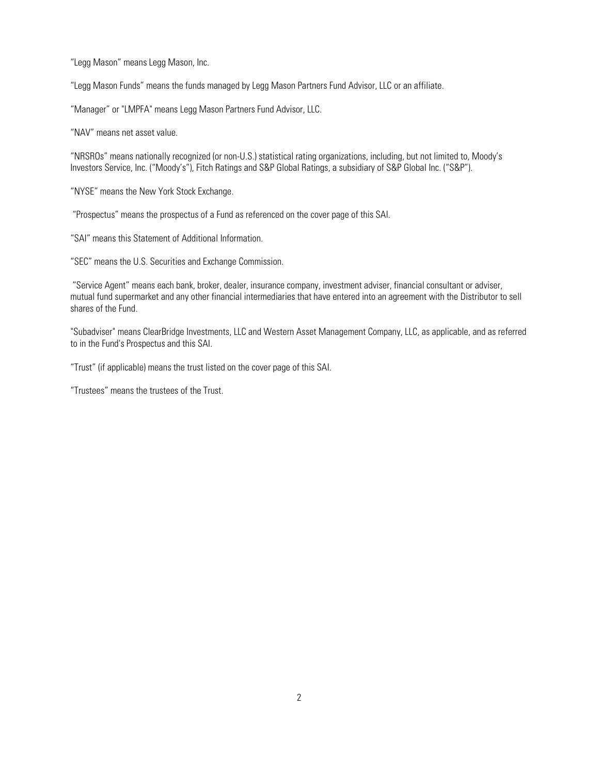"Legg Mason" means Legg Mason, Inc.

"Legg Mason Funds" means the funds managed by Legg Mason Partners Fund Advisor, LLC or an affiliate.

"Manager" or "LMPFA" means Legg Mason Partners Fund Advisor, LLC.

"NAV" means net asset value.

"NRSROs" means nationally recognized (or non-U.S.) statistical rating organizations, including, but not limited to, Moody's Investors Service, Inc. ("Moody's"), Fitch Ratings and S&P Global Ratings, a subsidiary of S&P Global Inc. ("S&P").

"NYSE" means the New York Stock Exchange.

"Prospectus" means the prospectus of a Fund as referenced on the cover page of this SAI.

"SAI" means this Statement of Additional Information.

"SEC" means the U.S. Securities and Exchange Commission.

 "Service Agent" means each bank, broker, dealer, insurance company, investment adviser, financial consultant or adviser, mutual fund supermarket and any other financial intermediaries that have entered into an agreement with the Distributor to sell shares of the Fund.

"Subadviser" means ClearBridge Investments, LLC and Western Asset Management Company, LLC, as applicable, and as referred to in the Fund's Prospectus and this SAI.

"Trust" (if applicable) means the trust listed on the cover page of this SAI.

"Trustees" means the trustees of the Trust.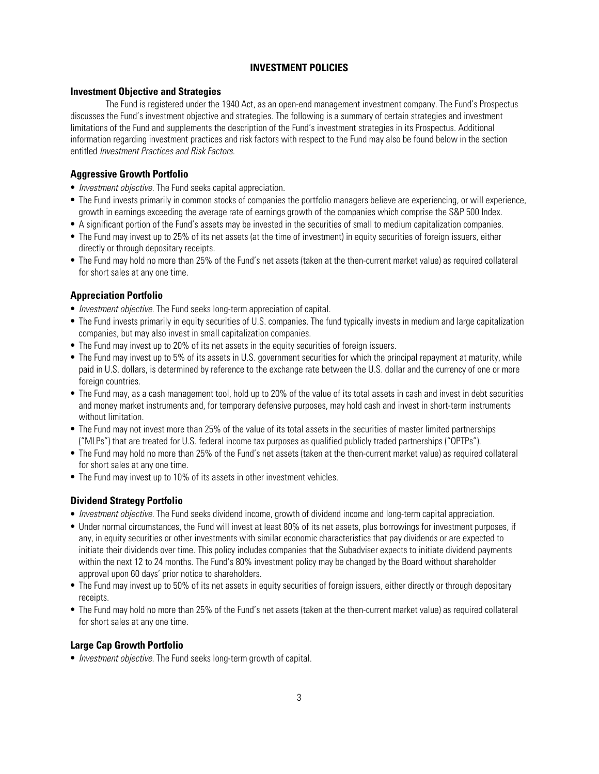# **INVESTMENT POLICIES**

### **Investment Objective and Strategies**

The Fund is registered under the 1940 Act, as an open-end management investment company. The Fund's Prospectus discusses the Fund's investment objective and strategies. The following is a summary of certain strategies and investment limitations of the Fund and supplements the description of the Fund's investment strategies in its Prospectus. Additional information regarding investment practices and risk factors with respect to the Fund may also be found below in the section entitled Investment Practices and Risk Factors.

# **Aggressive Growth Portfolio**

- *Investment objective*. The Fund seeks capital appreciation.
- The Fund invests primarily in common stocks of companies the portfolio managers believe are experiencing, or will experience, growth in earnings exceeding the average rate of earnings growth of the companies which comprise the S&P 500 Index.
- A significant portion of the Fund's assets may be invested in the securities of small to medium capitalization companies.
- The Fund may invest up to 25% of its net assets (at the time of investment) in equity securities of foreign issuers, either directly or through depositary receipts.
- The Fund may hold no more than 25% of the Fund's net assets (taken at the then-current market value) as required collateral for short sales at any one time.

# **Appreciation Portfolio**

- *Investment objective*. The Fund seeks long-term appreciation of capital.
- The Fund invests primarily in equity securities of U.S. companies. The fund typically invests in medium and large capitalization companies, but may also invest in small capitalization companies.
- The Fund may invest up to 20% of its net assets in the equity securities of foreign issuers.
- The Fund may invest up to 5% of its assets in U.S. government securities for which the principal repayment at maturity, while paid in U.S. dollars, is determined by reference to the exchange rate between the U.S. dollar and the currency of one or more foreign countries.
- The Fund may, as a cash management tool, hold up to 20% of the value of its total assets in cash and invest in debt securities and money market instruments and, for temporary defensive purposes, may hold cash and invest in short-term instruments without limitation.
- The Fund may not invest more than 25% of the value of its total assets in the securities of master limited partnerships ("MLPs") that are treated for U.S. federal income tax purposes as qualified publicly traded partnerships ("QPTPs").
- The Fund may hold no more than 25% of the Fund's net assets (taken at the then-current market value) as required collateral for short sales at any one time.
- The Fund may invest up to 10% of its assets in other investment vehicles.

# **Dividend Strategy Portfolio**

- Investment objective. The Fund seeks dividend income, growth of dividend income and long-term capital appreciation.
- Under normal circumstances, the Fund will invest at least 80% of its net assets, plus borrowings for investment purposes, if any, in equity securities or other investments with similar economic characteristics that pay dividends or are expected to initiate their dividends over time. This policy includes companies that the Subadviser expects to initiate dividend payments within the next 12 to 24 months. The Fund's 80% investment policy may be changed by the Board without shareholder approval upon 60 days' prior notice to shareholders.
- The Fund may invest up to 50% of its net assets in equity securities of foreign issuers, either directly or through depositary receipts.
- The Fund may hold no more than 25% of the Fund's net assets (taken at the then-current market value) as required collateral for short sales at any one time.

# **Large Cap Growth Portfolio**

• *Investment objective*. The Fund seeks long-term growth of capital.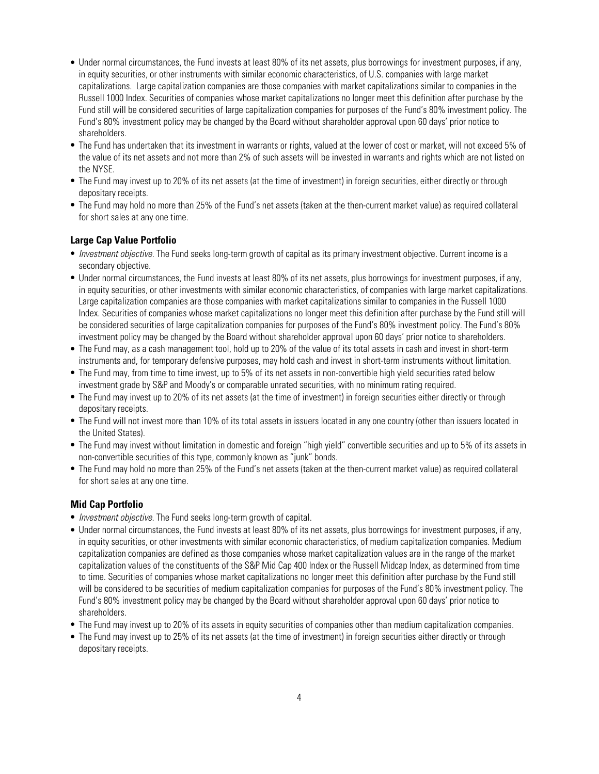- Under normal circumstances, the Fund invests at least 80% of its net assets, plus borrowings for investment purposes, if any, in equity securities, or other instruments with similar economic characteristics, of U.S. companies with large market capitalizations. Large capitalization companies are those companies with market capitalizations similar to companies in the Russell 1000 Index. Securities of companies whose market capitalizations no longer meet this definition after purchase by the Fund still will be considered securities of large capitalization companies for purposes of the Fund's 80% investment policy. The Fund's 80% investment policy may be changed by the Board without shareholder approval upon 60 days' prior notice to shareholders.
- The Fund has undertaken that its investment in warrants or rights, valued at the lower of cost or market, will not exceed 5% of the value of its net assets and not more than 2% of such assets will be invested in warrants and rights which are not listed on the NYSE.
- The Fund may invest up to 20% of its net assets (at the time of investment) in foreign securities, either directly or through depositary receipts.
- The Fund may hold no more than 25% of the Fund's net assets (taken at the then-current market value) as required collateral for short sales at any one time.

# **Large Cap Value Portfolio**

- Investment objective. The Fund seeks long-term growth of capital as its primary investment objective. Current income is a secondary objective.
- Under normal circumstances, the Fund invests at least 80% of its net assets, plus borrowings for investment purposes, if any, in equity securities, or other investments with similar economic characteristics, of companies with large market capitalizations. Large capitalization companies are those companies with market capitalizations similar to companies in the Russell 1000 Index. Securities of companies whose market capitalizations no longer meet this definition after purchase by the Fund still will be considered securities of large capitalization companies for purposes of the Fund's 80% investment policy. The Fund's 80% investment policy may be changed by the Board without shareholder approval upon 60 days' prior notice to shareholders.
- The Fund may, as a cash management tool, hold up to 20% of the value of its total assets in cash and invest in short-term instruments and, for temporary defensive purposes, may hold cash and invest in short-term instruments without limitation.
- The Fund may, from time to time invest, up to 5% of its net assets in non-convertible high yield securities rated below investment grade by S&P and Moody's or comparable unrated securities, with no minimum rating required.
- The Fund may invest up to 20% of its net assets (at the time of investment) in foreign securities either directly or through depositary receipts.
- The Fund will not invest more than 10% of its total assets in issuers located in any one country (other than issuers located in the United States).
- The Fund may invest without limitation in domestic and foreign "high yield" convertible securities and up to 5% of its assets in non-convertible securities of this type, commonly known as "junk" bonds.
- The Fund may hold no more than 25% of the Fund's net assets (taken at the then-current market value) as required collateral for short sales at any one time.

# **Mid Cap Portfolio**

- *Investment objective*. The Fund seeks long-term growth of capital.
- Under normal circumstances, the Fund invests at least 80% of its net assets, plus borrowings for investment purposes, if any, in equity securities, or other investments with similar economic characteristics, of medium capitalization companies. Medium capitalization companies are defined as those companies whose market capitalization values are in the range of the market capitalization values of the constituents of the S&P Mid Cap 400 Index or the Russell Midcap Index, as determined from time to time. Securities of companies whose market capitalizations no longer meet this definition after purchase by the Fund still will be considered to be securities of medium capitalization companies for purposes of the Fund's 80% investment policy. The Fund's 80% investment policy may be changed by the Board without shareholder approval upon 60 days' prior notice to shareholders.
- The Fund may invest up to 20% of its assets in equity securities of companies other than medium capitalization companies.
- The Fund may invest up to 25% of its net assets (at the time of investment) in foreign securities either directly or through depositary receipts.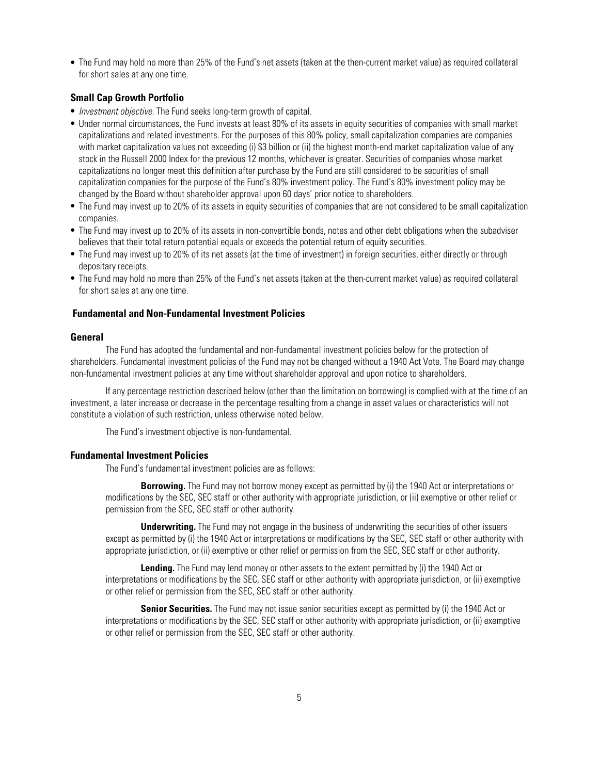• The Fund may hold no more than 25% of the Fund's net assets (taken at the then-current market value) as required collateral for short sales at any one time.

# **Small Cap Growth Portfolio**

- *Investment objective*. The Fund seeks long-term growth of capital.
- Under normal circumstances, the Fund invests at least 80% of its assets in equity securities of companies with small market capitalizations and related investments. For the purposes of this 80% policy, small capitalization companies are companies with market capitalization values not exceeding (i) \$3 billion or (ii) the highest month-end market capitalization value of any stock in the Russell 2000 Index for the previous 12 months, whichever is greater. Securities of companies whose market capitalizations no longer meet this definition after purchase by the Fund are still considered to be securities of small capitalization companies for the purpose of the Fund's 80% investment policy. The Fund's 80% investment policy may be changed by the Board without shareholder approval upon 60 days' prior notice to shareholders.
- The Fund may invest up to 20% of its assets in equity securities of companies that are not considered to be small capitalization companies.
- The Fund may invest up to 20% of its assets in non-convertible bonds, notes and other debt obligations when the subadviser believes that their total return potential equals or exceeds the potential return of equity securities.
- The Fund may invest up to 20% of its net assets (at the time of investment) in foreign securities, either directly or through depositary receipts.
- The Fund may hold no more than 25% of the Fund's net assets (taken at the then-current market value) as required collateral for short sales at any one time.

# **Fundamental and Non-Fundamental Investment Policies**

### **General**

The Fund has adopted the fundamental and non-fundamental investment policies below for the protection of shareholders. Fundamental investment policies of the Fund may not be changed without a 1940 Act Vote. The Board may change non-fundamental investment policies at any time without shareholder approval and upon notice to shareholders.

If any percentage restriction described below (other than the limitation on borrowing) is complied with at the time of an investment, a later increase or decrease in the percentage resulting from a change in asset values or characteristics will not constitute a violation of such restriction, unless otherwise noted below.

The Fund's investment objective is non-fundamental.

### **Fundamental Investment Policies**

The Fund's fundamental investment policies are as follows:

**Borrowing.** The Fund may not borrow money except as permitted by (i) the 1940 Act or interpretations or modifications by the SEC, SEC staff or other authority with appropriate jurisdiction, or (ii) exemptive or other relief or permission from the SEC, SEC staff or other authority.

**Underwriting.** The Fund may not engage in the business of underwriting the securities of other issuers except as permitted by (i) the 1940 Act or interpretations or modifications by the SEC, SEC staff or other authority with appropriate jurisdiction, or (ii) exemptive or other relief or permission from the SEC, SEC staff or other authority.

**Lending.** The Fund may lend money or other assets to the extent permitted by (i) the 1940 Act or interpretations or modifications by the SEC, SEC staff or other authority with appropriate jurisdiction, or (ii) exemptive or other relief or permission from the SEC, SEC staff or other authority.

**Senior Securities.** The Fund may not issue senior securities except as permitted by (i) the 1940 Act or interpretations or modifications by the SEC, SEC staff or other authority with appropriate jurisdiction, or (ii) exemptive or other relief or permission from the SEC, SEC staff or other authority.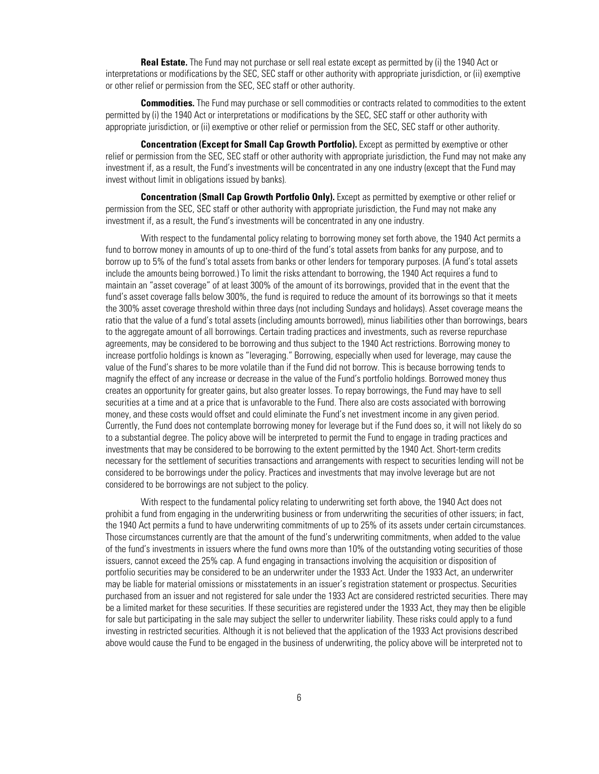**Real Estate.** The Fund may not purchase or sell real estate except as permitted by (i) the 1940 Act or interpretations or modifications by the SEC, SEC staff or other authority with appropriate jurisdiction, or (ii) exemptive or other relief or permission from the SEC, SEC staff or other authority.

**Commodities.** The Fund may purchase or sell commodities or contracts related to commodities to the extent permitted by (i) the 1940 Act or interpretations or modifications by the SEC, SEC staff or other authority with appropriate jurisdiction, or (ii) exemptive or other relief or permission from the SEC, SEC staff or other authority.

**Concentration (Except for Small Cap Growth Portfolio).** Except as permitted by exemptive or other relief or permission from the SEC, SEC staff or other authority with appropriate jurisdiction, the Fund may not make any investment if, as a result, the Fund's investments will be concentrated in any one industry (except that the Fund may invest without limit in obligations issued by banks).

**Concentration (Small Cap Growth Portfolio Only).** Except as permitted by exemptive or other relief or permission from the SEC, SEC staff or other authority with appropriate jurisdiction, the Fund may not make any investment if, as a result, the Fund's investments will be concentrated in any one industry.

With respect to the fundamental policy relating to borrowing money set forth above, the 1940 Act permits a fund to borrow money in amounts of up to one-third of the fund's total assets from banks for any purpose, and to borrow up to 5% of the fund's total assets from banks or other lenders for temporary purposes. (A fund's total assets include the amounts being borrowed.) To limit the risks attendant to borrowing, the 1940 Act requires a fund to maintain an "asset coverage" of at least 300% of the amount of its borrowings, provided that in the event that the fund's asset coverage falls below 300%, the fund is required to reduce the amount of its borrowings so that it meets the 300% asset coverage threshold within three days (not including Sundays and holidays). Asset coverage means the ratio that the value of a fund's total assets (including amounts borrowed), minus liabilities other than borrowings, bears to the aggregate amount of all borrowings. Certain trading practices and investments, such as reverse repurchase agreements, may be considered to be borrowing and thus subject to the 1940 Act restrictions. Borrowing money to increase portfolio holdings is known as "leveraging." Borrowing, especially when used for leverage, may cause the value of the Fund's shares to be more volatile than if the Fund did not borrow. This is because borrowing tends to magnify the effect of any increase or decrease in the value of the Fund's portfolio holdings. Borrowed money thus creates an opportunity for greater gains, but also greater losses. To repay borrowings, the Fund may have to sell securities at a time and at a price that is unfavorable to the Fund. There also are costs associated with borrowing money, and these costs would offset and could eliminate the Fund's net investment income in any given period. Currently, the Fund does not contemplate borrowing money for leverage but if the Fund does so, it will not likely do so to a substantial degree. The policy above will be interpreted to permit the Fund to engage in trading practices and investments that may be considered to be borrowing to the extent permitted by the 1940 Act. Short-term credits necessary for the settlement of securities transactions and arrangements with respect to securities lending will not be considered to be borrowings under the policy. Practices and investments that may involve leverage but are not considered to be borrowings are not subject to the policy.

With respect to the fundamental policy relating to underwriting set forth above, the 1940 Act does not prohibit a fund from engaging in the underwriting business or from underwriting the securities of other issuers; in fact, the 1940 Act permits a fund to have underwriting commitments of up to 25% of its assets under certain circumstances. Those circumstances currently are that the amount of the fund's underwriting commitments, when added to the value of the fund's investments in issuers where the fund owns more than 10% of the outstanding voting securities of those issuers, cannot exceed the 25% cap. A fund engaging in transactions involving the acquisition or disposition of portfolio securities may be considered to be an underwriter under the 1933 Act. Under the 1933 Act, an underwriter may be liable for material omissions or misstatements in an issuer's registration statement or prospectus. Securities purchased from an issuer and not registered for sale under the 1933 Act are considered restricted securities. There may be a limited market for these securities. If these securities are registered under the 1933 Act, they may then be eligible for sale but participating in the sale may subject the seller to underwriter liability. These risks could apply to a fund investing in restricted securities. Although it is not believed that the application of the 1933 Act provisions described above would cause the Fund to be engaged in the business of underwriting, the policy above will be interpreted not to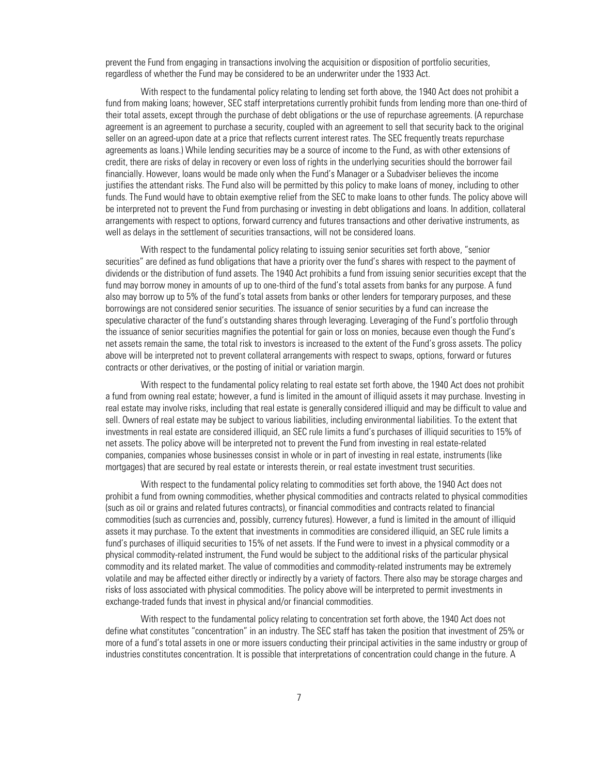prevent the Fund from engaging in transactions involving the acquisition or disposition of portfolio securities, regardless of whether the Fund may be considered to be an underwriter under the 1933 Act.

With respect to the fundamental policy relating to lending set forth above, the 1940 Act does not prohibit a fund from making loans; however, SEC staff interpretations currently prohibit funds from lending more than one-third of their total assets, except through the purchase of debt obligations or the use of repurchase agreements. (A repurchase agreement is an agreement to purchase a security, coupled with an agreement to sell that security back to the original seller on an agreed-upon date at a price that reflects current interest rates. The SEC frequently treats repurchase agreements as loans.) While lending securities may be a source of income to the Fund, as with other extensions of credit, there are risks of delay in recovery or even loss of rights in the underlying securities should the borrower fail financially. However, loans would be made only when the Fund's Manager or a Subadviser believes the income justifies the attendant risks. The Fund also will be permitted by this policy to make loans of money, including to other funds. The Fund would have to obtain exemptive relief from the SEC to make loans to other funds. The policy above will be interpreted not to prevent the Fund from purchasing or investing in debt obligations and loans. In addition, collateral arrangements with respect to options, forward currency and futures transactions and other derivative instruments, as well as delays in the settlement of securities transactions, will not be considered loans.

With respect to the fundamental policy relating to issuing senior securities set forth above, "senior securities" are defined as fund obligations that have a priority over the fund's shares with respect to the payment of dividends or the distribution of fund assets. The 1940 Act prohibits a fund from issuing senior securities except that the fund may borrow money in amounts of up to one-third of the fund's total assets from banks for any purpose. A fund also may borrow up to 5% of the fund's total assets from banks or other lenders for temporary purposes, and these borrowings are not considered senior securities. The issuance of senior securities by a fund can increase the speculative character of the fund's outstanding shares through leveraging. Leveraging of the Fund's portfolio through the issuance of senior securities magnifies the potential for gain or loss on monies, because even though the Fund's net assets remain the same, the total risk to investors is increased to the extent of the Fund's gross assets. The policy above will be interpreted not to prevent collateral arrangements with respect to swaps, options, forward or futures contracts or other derivatives, or the posting of initial or variation margin.

With respect to the fundamental policy relating to real estate set forth above, the 1940 Act does not prohibit a fund from owning real estate; however, a fund is limited in the amount of illiquid assets it may purchase. Investing in real estate may involve risks, including that real estate is generally considered illiquid and may be difficult to value and sell. Owners of real estate may be subject to various liabilities, including environmental liabilities. To the extent that investments in real estate are considered illiquid, an SEC rule limits a fund's purchases of illiquid securities to 15% of net assets. The policy above will be interpreted not to prevent the Fund from investing in real estate-related companies, companies whose businesses consist in whole or in part of investing in real estate, instruments (like mortgages) that are secured by real estate or interests therein, or real estate investment trust securities.

With respect to the fundamental policy relating to commodities set forth above, the 1940 Act does not prohibit a fund from owning commodities, whether physical commodities and contracts related to physical commodities (such as oil or grains and related futures contracts), or financial commodities and contracts related to financial commodities (such as currencies and, possibly, currency futures). However, a fund is limited in the amount of illiquid assets it may purchase. To the extent that investments in commodities are considered illiquid, an SEC rule limits a fund's purchases of illiquid securities to 15% of net assets. If the Fund were to invest in a physical commodity or a physical commodity-related instrument, the Fund would be subject to the additional risks of the particular physical commodity and its related market. The value of commodities and commodity-related instruments may be extremely volatile and may be affected either directly or indirectly by a variety of factors. There also may be storage charges and risks of loss associated with physical commodities. The policy above will be interpreted to permit investments in exchange-traded funds that invest in physical and/or financial commodities.

With respect to the fundamental policy relating to concentration set forth above, the 1940 Act does not define what constitutes "concentration" in an industry. The SEC staff has taken the position that investment of 25% or more of a fund's total assets in one or more issuers conducting their principal activities in the same industry or group of industries constitutes concentration. It is possible that interpretations of concentration could change in the future. A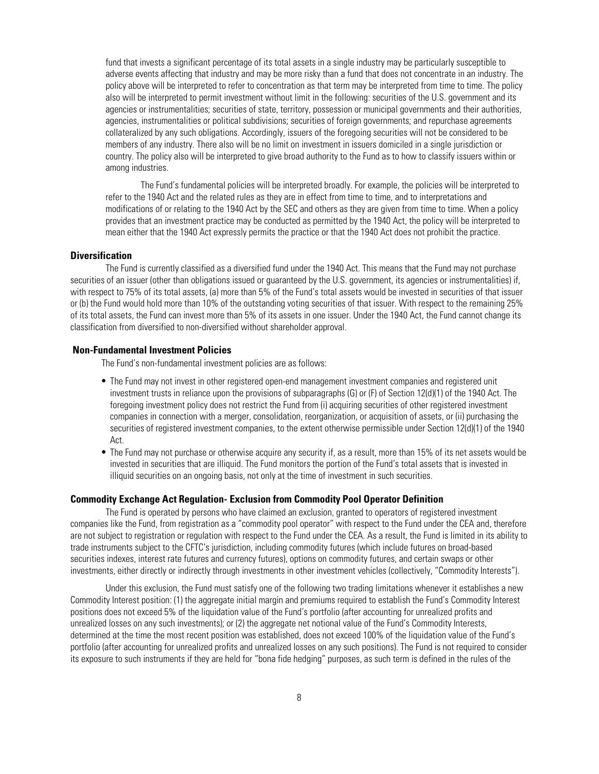fund that invests a significant percentage of its total assets in a single industry may be particularly susceptible to adverse events affecting that industry and may be more risky than a fund that does not concentrate in an industry. The policy above will be interpreted to refer to concentration as that term may be interpreted from time to time. The policy also will be interpreted to permit investment without limit in the following: securities of the U.S. government and its agencies or instrumentalities; securities of state, territory, possession or municipal governments and their authorities, agencies, instrumentalities or political subdivisions; securities of foreign governments; and repurchase agreements collateralized by any such obligations. Accordingly, issuers of the foregoing securities will not be considered to be members of any industry. There also will be no limit on investment in issuers domiciled in a single jurisdiction or country. The policy also will be interpreted to give broad authority to the Fund as to how to classify issuers within or among industries.

The Fund's fundamental policies will be interpreted broadly. For example, the policies will be interpreted to refer to the 1940 Act and the related rules as they are in effect from time to time, and to interpretations and modifications of or relating to the 1940 Act by the SEC and others as they are given from time to time. When a policy provides that an investment practice may be conducted as permitted by the 1940 Act, the policy will be interpreted to mean either that the 1940 Act expressly permits the practice or that the 1940 Act does not prohibit the practice.

#### **Diversification**

The Fund is currently classified as a diversified fund under the 1940 Act. This means that the Fund may not purchase securities of an issuer (other than obligations issued or guaranteed by the U.S. government, its agencies or instrumentalities) if, with respect to 75% of its total assets, (a) more than 5% of the Fund's total assets would be invested in securities of that issuer or (b) the Fund would hold more than 10% of the outstanding voting securities of that issuer. With respect to the remaining 25% of its total assets, the Fund can invest more than 5% of its assets in one issuer. Under the 1940 Act, the Fund cannot change its classification from diversified to non-diversified without shareholder approval.

#### **Non-Fundamental Investment Policies**

The Fund's non-fundamental investment policies are as follows:

- The Fund may not invest in other registered open-end management investment companies and registered unit investment trusts in reliance upon the provisions of subparagraphs (G) or (F) of Section 12(d)(1) of the 1940 Act. The foregoing investment policy does not restrict the Fund from (i) acquiring securities of other registered investment companies in connection with a merger, consolidation, reorganization, or acquisition of assets, or (ii) purchasing the securities of registered investment companies, to the extent otherwise permissible under Section 12(d)(1) of the 1940 Act.
- The Fund may not purchase or otherwise acquire any security if, as a result, more than 15% of its net assets would be invested in securities that are illiquid. The Fund monitors the portion of the Fund's total assets that is invested in illiquid securities on an ongoing basis, not only at the time of investment in such securities.

### **Commodity Exchange Act Regulation- Exclusion from Commodity Pool Operator Definition**

 The Fund is operated by persons who have claimed an exclusion, granted to operators of registered investment companies like the Fund, from registration as a "commodity pool operator" with respect to the Fund under the CEA and, therefore are not subject to registration or regulation with respect to the Fund under the CEA. As a result, the Fund is limited in its ability to trade instruments subject to the CFTC's jurisdiction, including commodity futures (which include futures on broad-based securities indexes, interest rate futures and currency futures), options on commodity futures, and certain swaps or other investments, either directly or indirectly through investments in other investment vehicles (collectively, "Commodity Interests").

 Under this exclusion, the Fund must satisfy one of the following two trading limitations whenever it establishes a new Commodity Interest position: (1) the aggregate initial margin and premiums required to establish the Fund's Commodity Interest positions does not exceed 5% of the liquidation value of the Fund's portfolio (after accounting for unrealized profits and unrealized losses on any such investments); or (2) the aggregate net notional value of the Fund's Commodity Interests, determined at the time the most recent position was established, does not exceed 100% of the liquidation value of the Fund's portfolio (after accounting for unrealized profits and unrealized losses on any such positions). The Fund is not required to consider its exposure to such instruments if they are held for "bona fide hedging" purposes, as such term is defined in the rules of the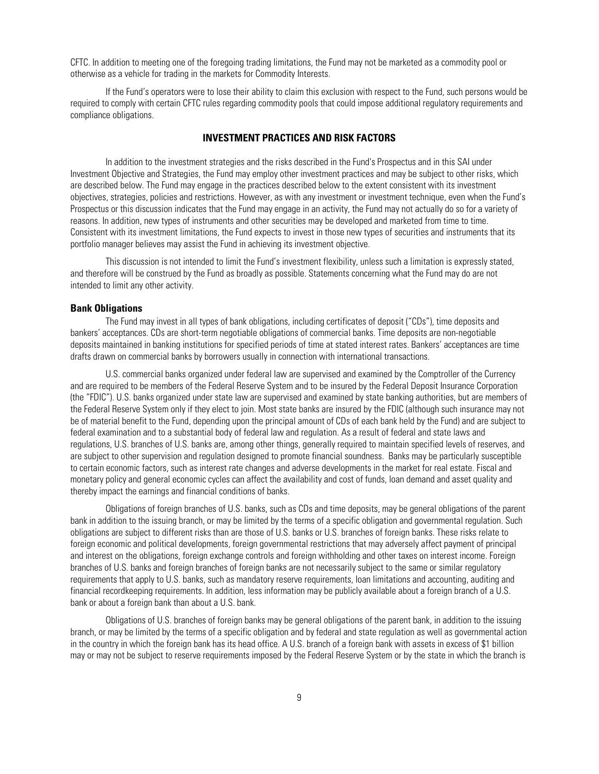CFTC. In addition to meeting one of the foregoing trading limitations, the Fund may not be marketed as a commodity pool or otherwise as a vehicle for trading in the markets for Commodity Interests.

 If the Fund's operators were to lose their ability to claim this exclusion with respect to the Fund, such persons would be required to comply with certain CFTC rules regarding commodity pools that could impose additional regulatory requirements and compliance obligations.

### **INVESTMENT PRACTICES AND RISK FACTORS**

 In addition to the investment strategies and the risks described in the Fund's Prospectus and in this SAI under Investment Objective and Strategies, the Fund may employ other investment practices and may be subject to other risks, which are described below. The Fund may engage in the practices described below to the extent consistent with its investment objectives, strategies, policies and restrictions. However, as with any investment or investment technique, even when the Fund's Prospectus or this discussion indicates that the Fund may engage in an activity, the Fund may not actually do so for a variety of reasons. In addition, new types of instruments and other securities may be developed and marketed from time to time. Consistent with its investment limitations, the Fund expects to invest in those new types of securities and instruments that its portfolio manager believes may assist the Fund in achieving its investment objective.

 This discussion is not intended to limit the Fund's investment flexibility, unless such a limitation is expressly stated, and therefore will be construed by the Fund as broadly as possible. Statements concerning what the Fund may do are not intended to limit any other activity.

#### **Bank Obligations**

The Fund may invest in all types of bank obligations, including certificates of deposit ("CDs"), time deposits and bankers' acceptances. CDs are short-term negotiable obligations of commercial banks. Time deposits are non-negotiable deposits maintained in banking institutions for specified periods of time at stated interest rates. Bankers' acceptances are time drafts drawn on commercial banks by borrowers usually in connection with international transactions.

U.S. commercial banks organized under federal law are supervised and examined by the Comptroller of the Currency and are required to be members of the Federal Reserve System and to be insured by the Federal Deposit Insurance Corporation (the "FDIC"). U.S. banks organized under state law are supervised and examined by state banking authorities, but are members of the Federal Reserve System only if they elect to join. Most state banks are insured by the FDIC (although such insurance may not be of material benefit to the Fund, depending upon the principal amount of CDs of each bank held by the Fund) and are subject to federal examination and to a substantial body of federal law and regulation. As a result of federal and state laws and regulations, U.S. branches of U.S. banks are, among other things, generally required to maintain specified levels of reserves, and are subject to other supervision and regulation designed to promote financial soundness. Banks may be particularly susceptible to certain economic factors, such as interest rate changes and adverse developments in the market for real estate. Fiscal and monetary policy and general economic cycles can affect the availability and cost of funds, loan demand and asset quality and thereby impact the earnings and financial conditions of banks.

Obligations of foreign branches of U.S. banks, such as CDs and time deposits, may be general obligations of the parent bank in addition to the issuing branch, or may be limited by the terms of a specific obligation and governmental regulation. Such obligations are subject to different risks than are those of U.S. banks or U.S. branches of foreign banks. These risks relate to foreign economic and political developments, foreign governmental restrictions that may adversely affect payment of principal and interest on the obligations, foreign exchange controls and foreign withholding and other taxes on interest income. Foreign branches of U.S. banks and foreign branches of foreign banks are not necessarily subject to the same or similar regulatory requirements that apply to U.S. banks, such as mandatory reserve requirements, loan limitations and accounting, auditing and financial recordkeeping requirements. In addition, less information may be publicly available about a foreign branch of a U.S. bank or about a foreign bank than about a U.S. bank.

Obligations of U.S. branches of foreign banks may be general obligations of the parent bank, in addition to the issuing branch, or may be limited by the terms of a specific obligation and by federal and state regulation as well as governmental action in the country in which the foreign bank has its head office. A U.S. branch of a foreign bank with assets in excess of \$1 billion may or may not be subject to reserve requirements imposed by the Federal Reserve System or by the state in which the branch is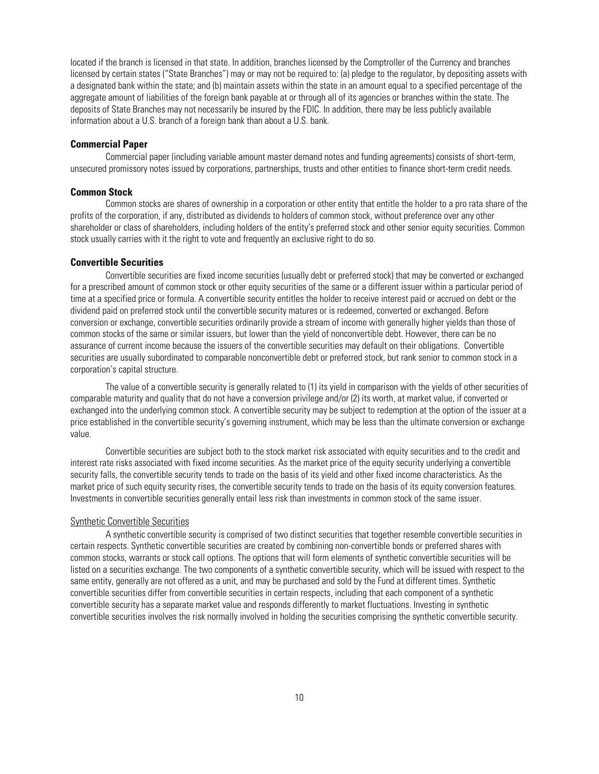located if the branch is licensed in that state. In addition, branches licensed by the Comptroller of the Currency and branches licensed by certain states ("State Branches") may or may not be required to: (a) pledge to the regulator, by depositing assets with a designated bank within the state; and (b) maintain assets within the state in an amount equal to a specified percentage of the aggregate amount of liabilities of the foreign bank payable at or through all of its agencies or branches within the state. The deposits of State Branches may not necessarily be insured by the FDIC. In addition, there may be less publicly available information about a U.S. branch of a foreign bank than about a U.S. bank.

### **Commercial Paper**

Commercial paper (including variable amount master demand notes and funding agreements) consists of short-term, unsecured promissory notes issued by corporations, partnerships, trusts and other entities to finance short-term credit needs.

#### **Common Stock**

 Common stocks are shares of ownership in a corporation or other entity that entitle the holder to a pro rata share of the profits of the corporation, if any, distributed as dividends to holders of common stock, without preference over any other shareholder or class of shareholders, including holders of the entity's preferred stock and other senior equity securities. Common stock usually carries with it the right to vote and frequently an exclusive right to do so.

#### **Convertible Securities**

Convertible securities are fixed income securities (usually debt or preferred stock) that may be converted or exchanged for a prescribed amount of common stock or other equity securities of the same or a different issuer within a particular period of time at a specified price or formula. A convertible security entitles the holder to receive interest paid or accrued on debt or the dividend paid on preferred stock until the convertible security matures or is redeemed, converted or exchanged. Before conversion or exchange, convertible securities ordinarily provide a stream of income with generally higher yields than those of common stocks of the same or similar issuers, but lower than the yield of nonconvertible debt. However, there can be no assurance of current income because the issuers of the convertible securities may default on their obligations. Convertible securities are usually subordinated to comparable nonconvertible debt or preferred stock, but rank senior to common stock in a corporation's capital structure.

The value of a convertible security is generally related to (1) its yield in comparison with the yields of other securities of comparable maturity and quality that do not have a conversion privilege and/or (2) its worth, at market value, if converted or exchanged into the underlying common stock. A convertible security may be subject to redemption at the option of the issuer at a price established in the convertible security's governing instrument, which may be less than the ultimate conversion or exchange value.

Convertible securities are subject both to the stock market risk associated with equity securities and to the credit and interest rate risks associated with fixed income securities. As the market price of the equity security underlying a convertible security falls, the convertible security tends to trade on the basis of its yield and other fixed income characteristics. As the market price of such equity security rises, the convertible security tends to trade on the basis of its equity conversion features. Investments in convertible securities generally entail less risk than investments in common stock of the same issuer.

#### Synthetic Convertible Securities

 A synthetic convertible security is comprised of two distinct securities that together resemble convertible securities in certain respects. Synthetic convertible securities are created by combining non-convertible bonds or preferred shares with common stocks, warrants or stock call options. The options that will form elements of synthetic convertible securities will be listed on a securities exchange. The two components of a synthetic convertible security, which will be issued with respect to the same entity, generally are not offered as a unit, and may be purchased and sold by the Fund at different times. Synthetic convertible securities differ from convertible securities in certain respects, including that each component of a synthetic convertible security has a separate market value and responds differently to market fluctuations. Investing in synthetic convertible securities involves the risk normally involved in holding the securities comprising the synthetic convertible security.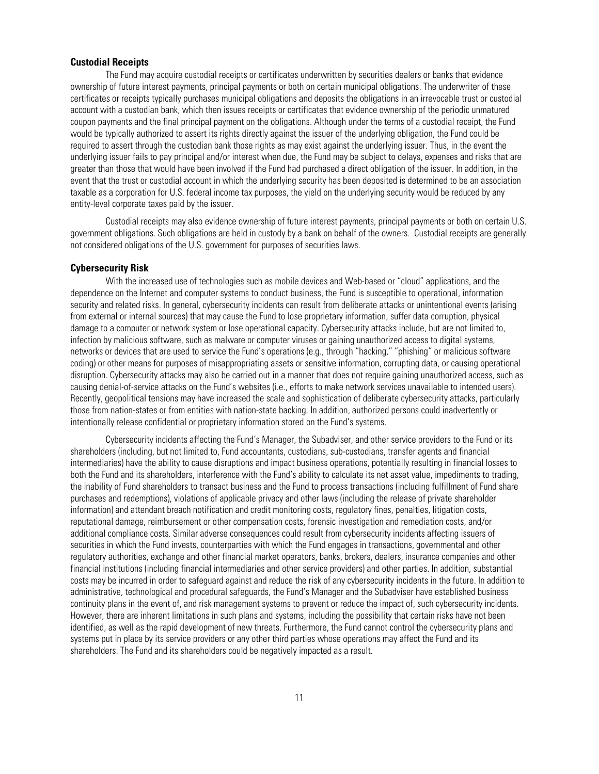#### **Custodial Receipts**

 The Fund may acquire custodial receipts or certificates underwritten by securities dealers or banks that evidence ownership of future interest payments, principal payments or both on certain municipal obligations. The underwriter of these certificates or receipts typically purchases municipal obligations and deposits the obligations in an irrevocable trust or custodial account with a custodian bank, which then issues receipts or certificates that evidence ownership of the periodic unmatured coupon payments and the final principal payment on the obligations. Although under the terms of a custodial receipt, the Fund would be typically authorized to assert its rights directly against the issuer of the underlying obligation, the Fund could be required to assert through the custodian bank those rights as may exist against the underlying issuer. Thus, in the event the underlying issuer fails to pay principal and/or interest when due, the Fund may be subject to delays, expenses and risks that are greater than those that would have been involved if the Fund had purchased a direct obligation of the issuer. In addition, in the event that the trust or custodial account in which the underlying security has been deposited is determined to be an association taxable as a corporation for U.S. federal income tax purposes, the yield on the underlying security would be reduced by any entity-level corporate taxes paid by the issuer.

 Custodial receipts may also evidence ownership of future interest payments, principal payments or both on certain U.S. government obligations. Such obligations are held in custody by a bank on behalf of the owners. Custodial receipts are generally not considered obligations of the U.S. government for purposes of securities laws.

#### **Cybersecurity Risk**

With the increased use of technologies such as mobile devices and Web-based or "cloud" applications, and the dependence on the Internet and computer systems to conduct business, the Fund is susceptible to operational, information security and related risks. In general, cybersecurity incidents can result from deliberate attacks or unintentional events (arising from external or internal sources) that may cause the Fund to lose proprietary information, suffer data corruption, physical damage to a computer or network system or lose operational capacity. Cybersecurity attacks include, but are not limited to, infection by malicious software, such as malware or computer viruses or gaining unauthorized access to digital systems, networks or devices that are used to service the Fund's operations (e.g., through "hacking," "phishing" or malicious software coding) or other means for purposes of misappropriating assets or sensitive information, corrupting data, or causing operational disruption. Cybersecurity attacks may also be carried out in a manner that does not require gaining unauthorized access, such as causing denial-of-service attacks on the Fund's websites (i.e., efforts to make network services unavailable to intended users). Recently, geopolitical tensions may have increased the scale and sophistication of deliberate cybersecurity attacks, particularly those from nation-states or from entities with nation-state backing. In addition, authorized persons could inadvertently or intentionally release confidential or proprietary information stored on the Fund's systems.

Cybersecurity incidents affecting the Fund's Manager, the Subadviser, and other service providers to the Fund or its shareholders (including, but not limited to, Fund accountants, custodians, sub-custodians, transfer agents and financial intermediaries) have the ability to cause disruptions and impact business operations, potentially resulting in financial losses to both the Fund and its shareholders, interference with the Fund's ability to calculate its net asset value, impediments to trading, the inability of Fund shareholders to transact business and the Fund to process transactions (including fulfillment of Fund share purchases and redemptions), violations of applicable privacy and other laws (including the release of private shareholder information) and attendant breach notification and credit monitoring costs, regulatory fines, penalties, litigation costs, reputational damage, reimbursement or other compensation costs, forensic investigation and remediation costs, and/or additional compliance costs. Similar adverse consequences could result from cybersecurity incidents affecting issuers of securities in which the Fund invests, counterparties with which the Fund engages in transactions, governmental and other regulatory authorities, exchange and other financial market operators, banks, brokers, dealers, insurance companies and other financial institutions (including financial intermediaries and other service providers) and other parties. In addition, substantial costs may be incurred in order to safeguard against and reduce the risk of any cybersecurity incidents in the future. In addition to administrative, technological and procedural safeguards, the Fund's Manager and the Subadviser have established business continuity plans in the event of, and risk management systems to prevent or reduce the impact of, such cybersecurity incidents. However, there are inherent limitations in such plans and systems, including the possibility that certain risks have not been identified, as well as the rapid development of new threats. Furthermore, the Fund cannot control the cybersecurity plans and systems put in place by its service providers or any other third parties whose operations may affect the Fund and its shareholders. The Fund and its shareholders could be negatively impacted as a result.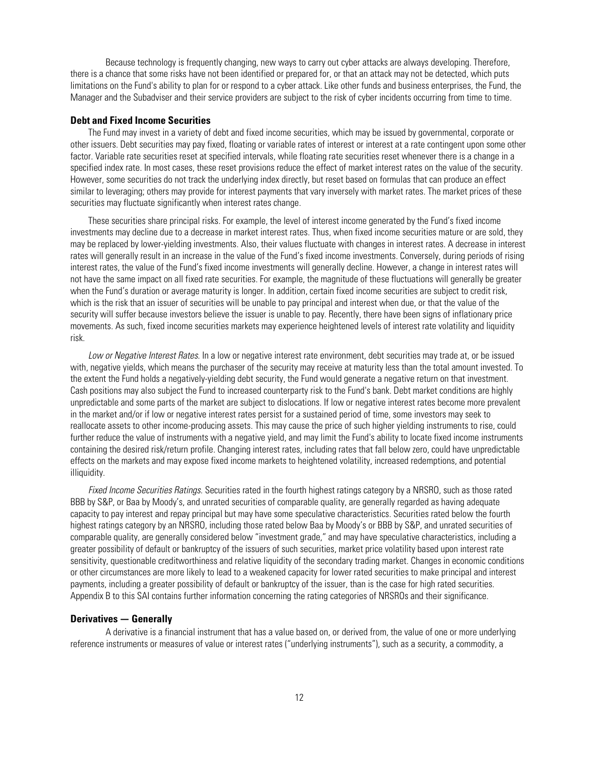Because technology is frequently changing, new ways to carry out cyber attacks are always developing. Therefore, there is a chance that some risks have not been identified or prepared for, or that an attack may not be detected, which puts limitations on the Fund's ability to plan for or respond to a cyber attack. Like other funds and business enterprises, the Fund, the Manager and the Subadviser and their service providers are subject to the risk of cyber incidents occurring from time to time.

### **Debt and Fixed Income Securities**

The Fund may invest in a variety of debt and fixed income securities, which may be issued by governmental, corporate or other issuers. Debt securities may pay fixed, floating or variable rates of interest or interest at a rate contingent upon some other factor. Variable rate securities reset at specified intervals, while floating rate securities reset whenever there is a change in a specified index rate. In most cases, these reset provisions reduce the effect of market interest rates on the value of the security. However, some securities do not track the underlying index directly, but reset based on formulas that can produce an effect similar to leveraging; others may provide for interest payments that vary inversely with market rates. The market prices of these securities may fluctuate significantly when interest rates change.

These securities share principal risks. For example, the level of interest income generated by the Fund's fixed income investments may decline due to a decrease in market interest rates. Thus, when fixed income securities mature or are sold, they may be replaced by lower-yielding investments. Also, their values fluctuate with changes in interest rates. A decrease in interest rates will generally result in an increase in the value of the Fund's fixed income investments. Conversely, during periods of rising interest rates, the value of the Fund's fixed income investments will generally decline. However, a change in interest rates will not have the same impact on all fixed rate securities. For example, the magnitude of these fluctuations will generally be greater when the Fund's duration or average maturity is longer. In addition, certain fixed income securities are subject to credit risk, which is the risk that an issuer of securities will be unable to pay principal and interest when due, or that the value of the security will suffer because investors believe the issuer is unable to pay. Recently, there have been signs of inflationary price movements. As such, fixed income securities markets may experience heightened levels of interest rate volatility and liquidity risk.

Low or Negative Interest Rates. In a low or negative interest rate environment, debt securities may trade at, or be issued with, negative yields, which means the purchaser of the security may receive at maturity less than the total amount invested. To the extent the Fund holds a negatively-yielding debt security, the Fund would generate a negative return on that investment. Cash positions may also subject the Fund to increased counterparty risk to the Fund's bank. Debt market conditions are highly unpredictable and some parts of the market are subject to dislocations. If low or negative interest rates become more prevalent in the market and/or if low or negative interest rates persist for a sustained period of time, some investors may seek to reallocate assets to other income-producing assets. This may cause the price of such higher yielding instruments to rise, could further reduce the value of instruments with a negative yield, and may limit the Fund's ability to locate fixed income instruments containing the desired risk/return profile. Changing interest rates, including rates that fall below zero, could have unpredictable effects on the markets and may expose fixed income markets to heightened volatility, increased redemptions, and potential illiquidity.

Fixed Income Securities Ratings. Securities rated in the fourth highest ratings category by a NRSRO, such as those rated BBB by S&P, or Baa by Moody's, and unrated securities of comparable quality, are generally regarded as having adequate capacity to pay interest and repay principal but may have some speculative characteristics. Securities rated below the fourth highest ratings category by an NRSRO, including those rated below Baa by Moody's or BBB by S&P, and unrated securities of comparable quality, are generally considered below "investment grade," and may have speculative characteristics, including a greater possibility of default or bankruptcy of the issuers of such securities, market price volatility based upon interest rate sensitivity, questionable creditworthiness and relative liquidity of the secondary trading market. Changes in economic conditions or other circumstances are more likely to lead to a weakened capacity for lower rated securities to make principal and interest payments, including a greater possibility of default or bankruptcy of the issuer, than is the case for high rated securities. Appendix B to this SAI contains further information concerning the rating categories of NRSROs and their significance.

#### **Derivatives — Generally**

A derivative is a financial instrument that has a value based on, or derived from, the value of one or more underlying reference instruments or measures of value or interest rates ("underlying instruments"), such as a security, a commodity, a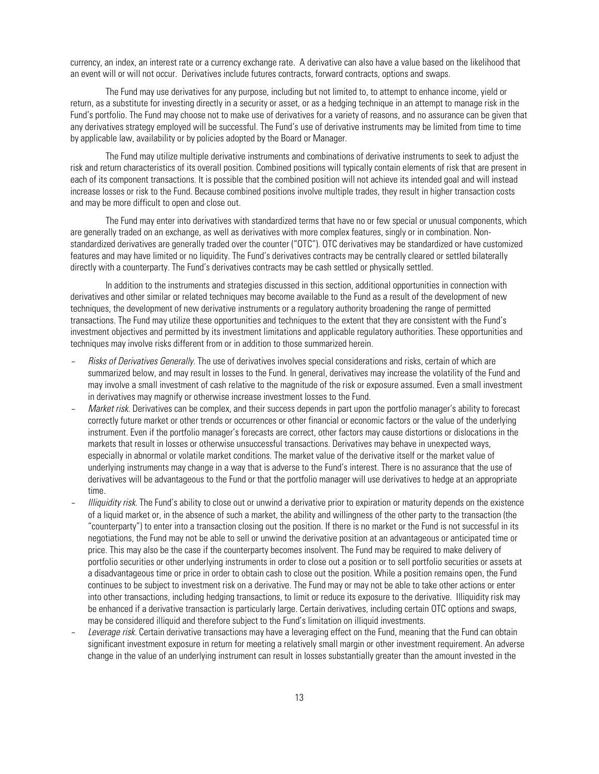currency, an index, an interest rate or a currency exchange rate. A derivative can also have a value based on the likelihood that an event will or will not occur. Derivatives include futures contracts, forward contracts, options and swaps.

The Fund may use derivatives for any purpose, including but not limited to, to attempt to enhance income, yield or return, as a substitute for investing directly in a security or asset, or as a hedging technique in an attempt to manage risk in the Fund's portfolio. The Fund may choose not to make use of derivatives for a variety of reasons, and no assurance can be given that any derivatives strategy employed will be successful. The Fund's use of derivative instruments may be limited from time to time by applicable law, availability or by policies adopted by the Board or Manager.

The Fund may utilize multiple derivative instruments and combinations of derivative instruments to seek to adjust the risk and return characteristics of its overall position. Combined positions will typically contain elements of risk that are present in each of its component transactions. It is possible that the combined position will not achieve its intended goal and will instead increase losses or risk to the Fund. Because combined positions involve multiple trades, they result in higher transaction costs and may be more difficult to open and close out.

The Fund may enter into derivatives with standardized terms that have no or few special or unusual components, which are generally traded on an exchange, as well as derivatives with more complex features, singly or in combination. Nonstandardized derivatives are generally traded over the counter ("OTC"). OTC derivatives may be standardized or have customized features and may have limited or no liquidity. The Fund's derivatives contracts may be centrally cleared or settled bilaterally directly with a counterparty. The Fund's derivatives contracts may be cash settled or physically settled.

In addition to the instruments and strategies discussed in this section, additional opportunities in connection with derivatives and other similar or related techniques may become available to the Fund as a result of the development of new techniques, the development of new derivative instruments or a regulatory authority broadening the range of permitted transactions. The Fund may utilize these opportunities and techniques to the extent that they are consistent with the Fund's investment objectives and permitted by its investment limitations and applicable regulatory authorities. These opportunities and techniques may involve risks different from or in addition to those summarized herein.

- Risks of Derivatives Generally. The use of derivatives involves special considerations and risks, certain of which are summarized below, and may result in losses to the Fund. In general, derivatives may increase the volatility of the Fund and may involve a small investment of cash relative to the magnitude of the risk or exposure assumed. Even a small investment in derivatives may magnify or otherwise increase investment losses to the Fund.
- Market risk. Derivatives can be complex, and their success depends in part upon the portfolio manager's ability to forecast correctly future market or other trends or occurrences or other financial or economic factors or the value of the underlying instrument. Even if the portfolio manager's forecasts are correct, other factors may cause distortions or dislocations in the markets that result in losses or otherwise unsuccessful transactions. Derivatives may behave in unexpected ways, especially in abnormal or volatile market conditions. The market value of the derivative itself or the market value of underlying instruments may change in a way that is adverse to the Fund's interest. There is no assurance that the use of derivatives will be advantageous to the Fund or that the portfolio manager will use derivatives to hedge at an appropriate time.
- *Illiquidity risk*. The Fund's ability to close out or unwind a derivative prior to expiration or maturity depends on the existence of a liquid market or, in the absence of such a market, the ability and willingness of the other party to the transaction (the "counterparty") to enter into a transaction closing out the position. If there is no market or the Fund is not successful in its negotiations, the Fund may not be able to sell or unwind the derivative position at an advantageous or anticipated time or price. This may also be the case if the counterparty becomes insolvent. The Fund may be required to make delivery of portfolio securities or other underlying instruments in order to close out a position or to sell portfolio securities or assets at a disadvantageous time or price in order to obtain cash to close out the position. While a position remains open, the Fund continues to be subject to investment risk on a derivative. The Fund may or may not be able to take other actions or enter into other transactions, including hedging transactions, to limit or reduce its exposure to the derivative. Illiquidity risk may be enhanced if a derivative transaction is particularly large. Certain derivatives, including certain OTC options and swaps, may be considered illiquid and therefore subject to the Fund's limitation on illiquid investments.
- Leverage risk. Certain derivative transactions may have a leveraging effect on the Fund, meaning that the Fund can obtain significant investment exposure in return for meeting a relatively small margin or other investment requirement. An adverse change in the value of an underlying instrument can result in losses substantially greater than the amount invested in the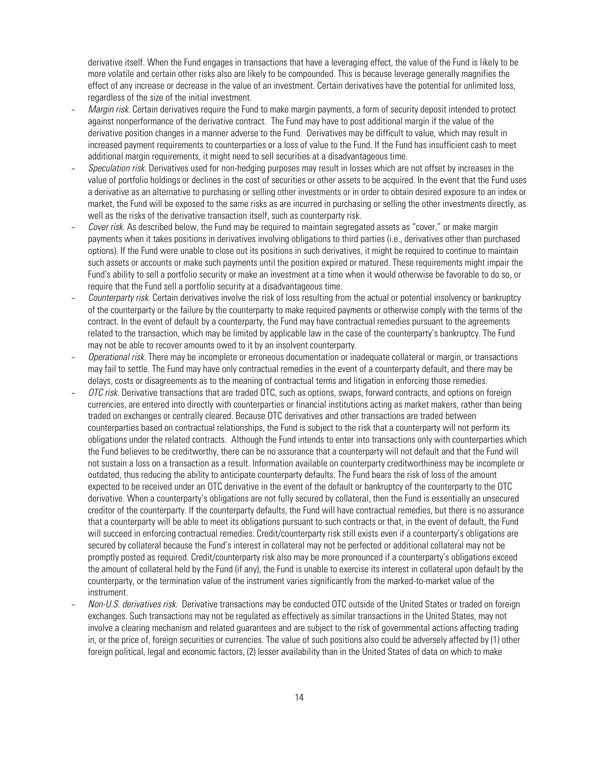derivative itself. When the Fund engages in transactions that have a leveraging effect, the value of the Fund is likely to be more volatile and certain other risks also are likely to be compounded. This is because leverage generally magnifies the effect of any increase or decrease in the value of an investment. Certain derivatives have the potential for unlimited loss, regardless of the size of the initial investment.

- Margin risk. Certain derivatives require the Fund to make margin payments, a form of security deposit intended to protect against nonperformance of the derivative contract. The Fund may have to post additional margin if the value of the derivative position changes in a manner adverse to the Fund. Derivatives may be difficult to value, which may result in increased payment requirements to counterparties or a loss of value to the Fund. If the Fund has insufficient cash to meet additional margin requirements, it might need to sell securities at a disadvantageous time.
- Speculation risk. Derivatives used for non-hedging purposes may result in losses which are not offset by increases in the value of portfolio holdings or declines in the cost of securities or other assets to be acquired. In the event that the Fund uses a derivative as an alternative to purchasing or selling other investments or in order to obtain desired exposure to an index or market, the Fund will be exposed to the same risks as are incurred in purchasing or selling the other investments directly, as well as the risks of the derivative transaction itself, such as counterparty risk.
- Cover risk. As described below, the Fund may be required to maintain segregated assets as "cover," or make margin payments when it takes positions in derivatives involving obligations to third parties (i.e., derivatives other than purchased options). If the Fund were unable to close out its positions in such derivatives, it might be required to continue to maintain such assets or accounts or make such payments until the position expired or matured. These requirements might impair the Fund's ability to sell a portfolio security or make an investment at a time when it would otherwise be favorable to do so, or require that the Fund sell a portfolio security at a disadvantageous time.
- Counterparty risk. Certain derivatives involve the risk of loss resulting from the actual or potential insolvency or bankruptcy of the counterparty or the failure by the counterparty to make required payments or otherwise comply with the terms of the contract. In the event of default by a counterparty, the Fund may have contractual remedies pursuant to the agreements related to the transaction, which may be limited by applicable law in the case of the counterparty's bankruptcy. The Fund may not be able to recover amounts owed to it by an insolvent counterparty.
- Operational risk. There may be incomplete or erroneous documentation or inadequate collateral or margin, or transactions may fail to settle. The Fund may have only contractual remedies in the event of a counterparty default, and there may be delays, costs or disagreements as to the meaning of contractual terms and litigation in enforcing those remedies.
- OTC risk. Derivative transactions that are traded OTC, such as options, swaps, forward contracts, and options on foreign currencies, are entered into directly with counterparties or financial institutions acting as market makers, rather than being traded on exchanges or centrally cleared. Because OTC derivatives and other transactions are traded between counterparties based on contractual relationships, the Fund is subject to the risk that a counterparty will not perform its obligations under the related contracts. Although the Fund intends to enter into transactions only with counterparties which the Fund believes to be creditworthy, there can be no assurance that a counterparty will not default and that the Fund will not sustain a loss on a transaction as a result. Information available on counterparty creditworthiness may be incomplete or outdated, thus reducing the ability to anticipate counterparty defaults. The Fund bears the risk of loss of the amount expected to be received under an OTC derivative in the event of the default or bankruptcy of the counterparty to the OTC derivative. When a counterparty's obligations are not fully secured by collateral, then the Fund is essentially an unsecured creditor of the counterparty. If the counterparty defaults, the Fund will have contractual remedies, but there is no assurance that a counterparty will be able to meet its obligations pursuant to such contracts or that, in the event of default, the Fund will succeed in enforcing contractual remedies. Credit/counterparty risk still exists even if a counterparty's obligations are secured by collateral because the Fund's interest in collateral may not be perfected or additional collateral may not be promptly posted as required. Credit/counterparty risk also may be more pronounced if a counterparty's obligations exceed the amount of collateral held by the Fund (if any), the Fund is unable to exercise its interest in collateral upon default by the counterparty, or the termination value of the instrument varies significantly from the marked-to-market value of the instrument.
- Non-U.S. derivatives risk. Derivative transactions may be conducted OTC outside of the United States or traded on foreign exchanges. Such transactions may not be regulated as effectively as similar transactions in the United States, may not involve a clearing mechanism and related guarantees and are subject to the risk of governmental actions affecting trading in, or the price of, foreign securities or currencies. The value of such positions also could be adversely affected by (1) other foreign political, legal and economic factors, (2) lesser availability than in the United States of data on which to make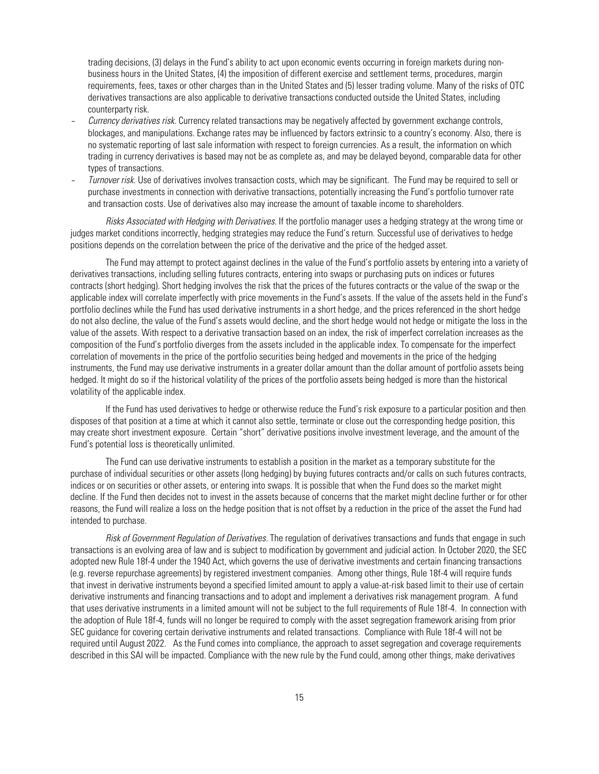trading decisions, (3) delays in the Fund's ability to act upon economic events occurring in foreign markets during nonbusiness hours in the United States, (4) the imposition of different exercise and settlement terms, procedures, margin requirements, fees, taxes or other charges than in the United States and (5) lesser trading volume. Many of the risks of OTC derivatives transactions are also applicable to derivative transactions conducted outside the United States, including counterparty risk.

- Currency derivatives risk. Currency related transactions may be negatively affected by government exchange controls, blockages, and manipulations. Exchange rates may be influenced by factors extrinsic to a country's economy. Also, there is no systematic reporting of last sale information with respect to foreign currencies. As a result, the information on which trading in currency derivatives is based may not be as complete as, and may be delayed beyond, comparable data for other types of transactions.
- Turnover risk. Use of derivatives involves transaction costs, which may be significant. The Fund may be required to sell or purchase investments in connection with derivative transactions, potentially increasing the Fund's portfolio turnover rate and transaction costs. Use of derivatives also may increase the amount of taxable income to shareholders.

Risks Associated with Hedging with Derivatives. If the portfolio manager uses a hedging strategy at the wrong time or judges market conditions incorrectly, hedging strategies may reduce the Fund's return. Successful use of derivatives to hedge positions depends on the correlation between the price of the derivative and the price of the hedged asset.

The Fund may attempt to protect against declines in the value of the Fund's portfolio assets by entering into a variety of derivatives transactions, including selling futures contracts, entering into swaps or purchasing puts on indices or futures contracts (short hedging). Short hedging involves the risk that the prices of the futures contracts or the value of the swap or the applicable index will correlate imperfectly with price movements in the Fund's assets. If the value of the assets held in the Fund's portfolio declines while the Fund has used derivative instruments in a short hedge, and the prices referenced in the short hedge do not also decline, the value of the Fund's assets would decline, and the short hedge would not hedge or mitigate the loss in the value of the assets. With respect to a derivative transaction based on an index, the risk of imperfect correlation increases as the composition of the Fund's portfolio diverges from the assets included in the applicable index. To compensate for the imperfect correlation of movements in the price of the portfolio securities being hedged and movements in the price of the hedging instruments, the Fund may use derivative instruments in a greater dollar amount than the dollar amount of portfolio assets being hedged. It might do so if the historical volatility of the prices of the portfolio assets being hedged is more than the historical volatility of the applicable index.

If the Fund has used derivatives to hedge or otherwise reduce the Fund's risk exposure to a particular position and then disposes of that position at a time at which it cannot also settle, terminate or close out the corresponding hedge position, this may create short investment exposure. Certain "short" derivative positions involve investment leverage, and the amount of the Fund's potential loss is theoretically unlimited.

The Fund can use derivative instruments to establish a position in the market as a temporary substitute for the purchase of individual securities or other assets (long hedging) by buying futures contracts and/or calls on such futures contracts, indices or on securities or other assets, or entering into swaps. It is possible that when the Fund does so the market might decline. If the Fund then decides not to invest in the assets because of concerns that the market might decline further or for other reasons, the Fund will realize a loss on the hedge position that is not offset by a reduction in the price of the asset the Fund had intended to purchase.

Risk of Government Regulation of Derivatives. The regulation of derivatives transactions and funds that engage in such transactions is an evolving area of law and is subject to modification by government and judicial action. In October 2020, the SEC adopted new Rule 18f-4 under the 1940 Act, which governs the use of derivative investments and certain financing transactions (e.g. reverse repurchase agreements) by registered investment companies. Among other things, Rule 18f-4 will require funds that invest in derivative instruments beyond a specified limited amount to apply a value-at-risk based limit to their use of certain derivative instruments and financing transactions and to adopt and implement a derivatives risk management program. A fund that uses derivative instruments in a limited amount will not be subject to the full requirements of Rule 18f-4. In connection with the adoption of Rule 18f-4, funds will no longer be required to comply with the asset segregation framework arising from prior SEC guidance for covering certain derivative instruments and related transactions. Compliance with Rule 18f-4 will not be required until August 2022. As the Fund comes into compliance, the approach to asset segregation and coverage requirements described in this SAI will be impacted. Compliance with the new rule by the Fund could, among other things, make derivatives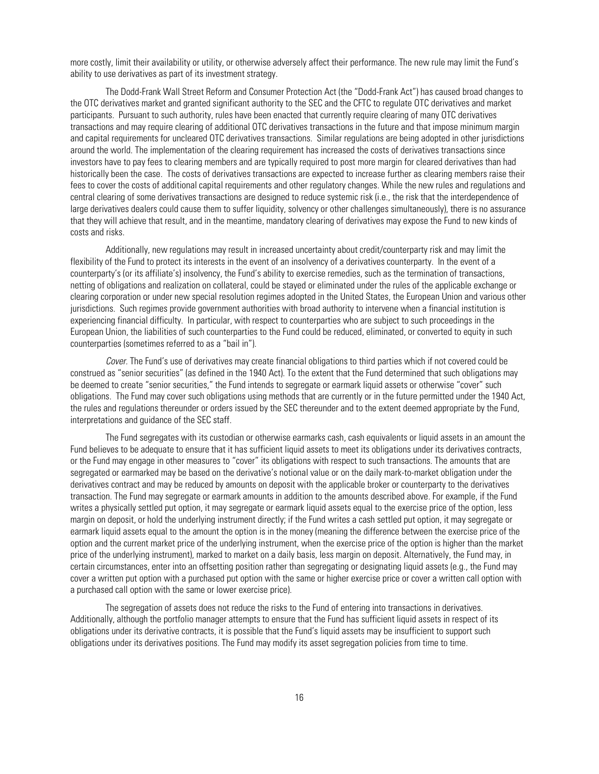more costly, limit their availability or utility, or otherwise adversely affect their performance. The new rule may limit the Fund's ability to use derivatives as part of its investment strategy.

The Dodd-Frank Wall Street Reform and Consumer Protection Act (the "Dodd-Frank Act") has caused broad changes to the OTC derivatives market and granted significant authority to the SEC and the CFTC to regulate OTC derivatives and market participants. Pursuant to such authority, rules have been enacted that currently require clearing of many OTC derivatives transactions and may require clearing of additional OTC derivatives transactions in the future and that impose minimum margin and capital requirements for uncleared OTC derivatives transactions. Similar regulations are being adopted in other jurisdictions around the world. The implementation of the clearing requirement has increased the costs of derivatives transactions since investors have to pay fees to clearing members and are typically required to post more margin for cleared derivatives than had historically been the case. The costs of derivatives transactions are expected to increase further as clearing members raise their fees to cover the costs of additional capital requirements and other regulatory changes. While the new rules and regulations and central clearing of some derivatives transactions are designed to reduce systemic risk (i.e., the risk that the interdependence of large derivatives dealers could cause them to suffer liquidity, solvency or other challenges simultaneously), there is no assurance that they will achieve that result, and in the meantime, mandatory clearing of derivatives may expose the Fund to new kinds of costs and risks.

Additionally, new regulations may result in increased uncertainty about credit/counterparty risk and may limit the flexibility of the Fund to protect its interests in the event of an insolvency of a derivatives counterparty. In the event of a counterparty's (or its affiliate's) insolvency, the Fund's ability to exercise remedies, such as the termination of transactions, netting of obligations and realization on collateral, could be stayed or eliminated under the rules of the applicable exchange or clearing corporation or under new special resolution regimes adopted in the United States, the European Union and various other jurisdictions. Such regimes provide government authorities with broad authority to intervene when a financial institution is experiencing financial difficulty. In particular, with respect to counterparties who are subject to such proceedings in the European Union, the liabilities of such counterparties to the Fund could be reduced, eliminated, or converted to equity in such counterparties (sometimes referred to as a "bail in").

Cover. The Fund's use of derivatives may create financial obligations to third parties which if not covered could be construed as "senior securities" (as defined in the 1940 Act). To the extent that the Fund determined that such obligations may be deemed to create "senior securities," the Fund intends to segregate or earmark liquid assets or otherwise "cover" such obligations. The Fund may cover such obligations using methods that are currently or in the future permitted under the 1940 Act, the rules and regulations thereunder or orders issued by the SEC thereunder and to the extent deemed appropriate by the Fund, interpretations and guidance of the SEC staff.

The Fund segregates with its custodian or otherwise earmarks cash, cash equivalents or liquid assets in an amount the Fund believes to be adequate to ensure that it has sufficient liquid assets to meet its obligations under its derivatives contracts, or the Fund may engage in other measures to "cover" its obligations with respect to such transactions. The amounts that are segregated or earmarked may be based on the derivative's notional value or on the daily mark-to-market obligation under the derivatives contract and may be reduced by amounts on deposit with the applicable broker or counterparty to the derivatives transaction. The Fund may segregate or earmark amounts in addition to the amounts described above. For example, if the Fund writes a physically settled put option, it may segregate or earmark liquid assets equal to the exercise price of the option, less margin on deposit, or hold the underlying instrument directly; if the Fund writes a cash settled put option, it may segregate or earmark liquid assets equal to the amount the option is in the money (meaning the difference between the exercise price of the option and the current market price of the underlying instrument, when the exercise price of the option is higher than the market price of the underlying instrument), marked to market on a daily basis, less margin on deposit. Alternatively, the Fund may, in certain circumstances, enter into an offsetting position rather than segregating or designating liquid assets (e.g., the Fund may cover a written put option with a purchased put option with the same or higher exercise price or cover a written call option with a purchased call option with the same or lower exercise price).

The segregation of assets does not reduce the risks to the Fund of entering into transactions in derivatives. Additionally, although the portfolio manager attempts to ensure that the Fund has sufficient liquid assets in respect of its obligations under its derivative contracts, it is possible that the Fund's liquid assets may be insufficient to support such obligations under its derivatives positions. The Fund may modify its asset segregation policies from time to time.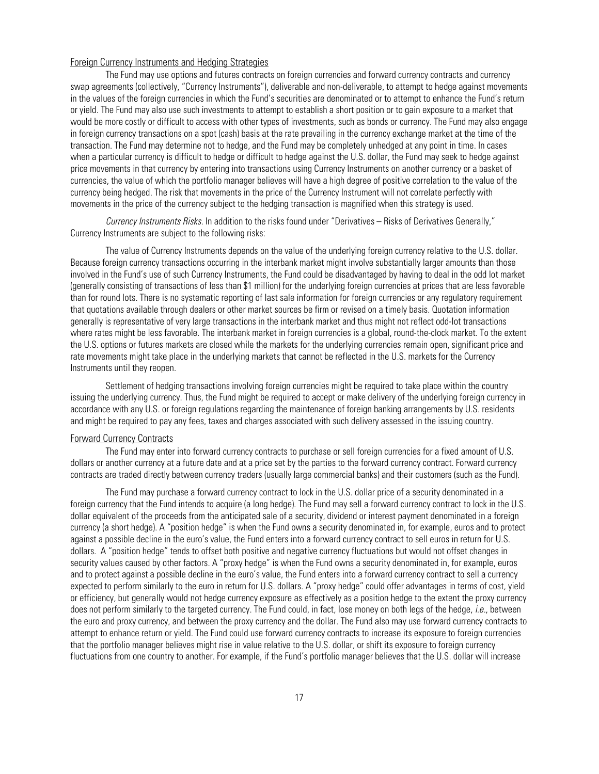#### Foreign Currency Instruments and Hedging Strategies

The Fund may use options and futures contracts on foreign currencies and forward currency contracts and currency swap agreements (collectively, "Currency Instruments"), deliverable and non-deliverable, to attempt to hedge against movements in the values of the foreign currencies in which the Fund's securities are denominated or to attempt to enhance the Fund's return or yield. The Fund may also use such investments to attempt to establish a short position or to gain exposure to a market that would be more costly or difficult to access with other types of investments, such as bonds or currency. The Fund may also engage in foreign currency transactions on a spot (cash) basis at the rate prevailing in the currency exchange market at the time of the transaction. The Fund may determine not to hedge, and the Fund may be completely unhedged at any point in time. In cases when a particular currency is difficult to hedge or difficult to hedge against the U.S. dollar, the Fund may seek to hedge against price movements in that currency by entering into transactions using Currency Instruments on another currency or a basket of currencies, the value of which the portfolio manager believes will have a high degree of positive correlation to the value of the currency being hedged. The risk that movements in the price of the Currency Instrument will not correlate perfectly with movements in the price of the currency subject to the hedging transaction is magnified when this strategy is used.

Currency Instruments Risks. In addition to the risks found under "Derivatives – Risks of Derivatives Generally," Currency Instruments are subject to the following risks:

The value of Currency Instruments depends on the value of the underlying foreign currency relative to the U.S. dollar. Because foreign currency transactions occurring in the interbank market might involve substantially larger amounts than those involved in the Fund's use of such Currency Instruments, the Fund could be disadvantaged by having to deal in the odd lot market (generally consisting of transactions of less than \$1 million) for the underlying foreign currencies at prices that are less favorable than for round lots. There is no systematic reporting of last sale information for foreign currencies or any regulatory requirement that quotations available through dealers or other market sources be firm or revised on a timely basis. Quotation information generally is representative of very large transactions in the interbank market and thus might not reflect odd-lot transactions where rates might be less favorable. The interbank market in foreign currencies is a global, round-the-clock market. To the extent the U.S. options or futures markets are closed while the markets for the underlying currencies remain open, significant price and rate movements might take place in the underlying markets that cannot be reflected in the U.S. markets for the Currency Instruments until they reopen.

Settlement of hedging transactions involving foreign currencies might be required to take place within the country issuing the underlying currency. Thus, the Fund might be required to accept or make delivery of the underlying foreign currency in accordance with any U.S. or foreign regulations regarding the maintenance of foreign banking arrangements by U.S. residents and might be required to pay any fees, taxes and charges associated with such delivery assessed in the issuing country.

### Forward Currency Contracts

 The Fund may enter into forward currency contracts to purchase or sell foreign currencies for a fixed amount of U.S. dollars or another currency at a future date and at a price set by the parties to the forward currency contract. Forward currency contracts are traded directly between currency traders (usually large commercial banks) and their customers (such as the Fund).

 The Fund may purchase a forward currency contract to lock in the U.S. dollar price of a security denominated in a foreign currency that the Fund intends to acquire (a long hedge). The Fund may sell a forward currency contract to lock in the U.S. dollar equivalent of the proceeds from the anticipated sale of a security, dividend or interest payment denominated in a foreign currency (a short hedge). A "position hedge" is when the Fund owns a security denominated in, for example, euros and to protect against a possible decline in the euro's value, the Fund enters into a forward currency contract to sell euros in return for U.S. dollars. A "position hedge" tends to offset both positive and negative currency fluctuations but would not offset changes in security values caused by other factors. A "proxy hedge" is when the Fund owns a security denominated in, for example, euros and to protect against a possible decline in the euro's value, the Fund enters into a forward currency contract to sell a currency expected to perform similarly to the euro in return for U.S. dollars. A "proxy hedge" could offer advantages in terms of cost, yield or efficiency, but generally would not hedge currency exposure as effectively as a position hedge to the extent the proxy currency does not perform similarly to the targeted currency. The Fund could, in fact, lose money on both legs of the hedge, *i.e.*, between the euro and proxy currency, and between the proxy currency and the dollar. The Fund also may use forward currency contracts to attempt to enhance return or yield. The Fund could use forward currency contracts to increase its exposure to foreign currencies that the portfolio manager believes might rise in value relative to the U.S. dollar, or shift its exposure to foreign currency fluctuations from one country to another. For example, if the Fund's portfolio manager believes that the U.S. dollar will increase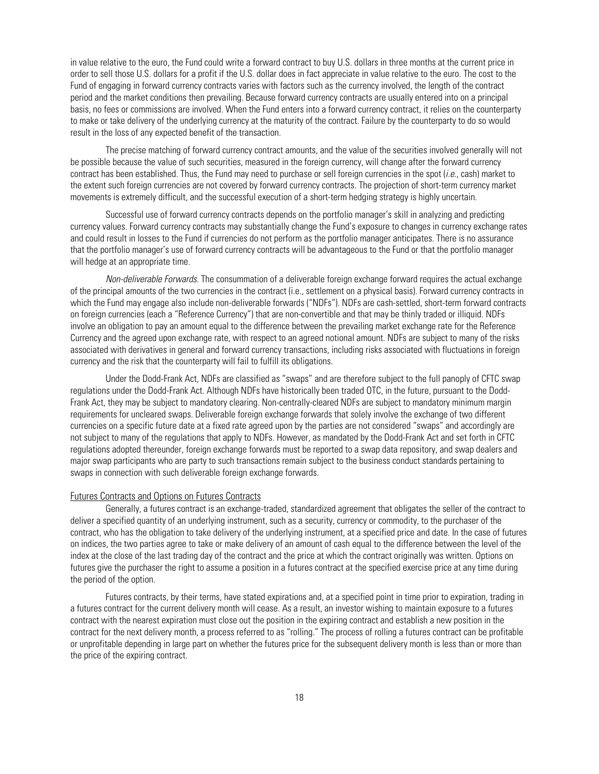in value relative to the euro, the Fund could write a forward contract to buy U.S. dollars in three months at the current price in order to sell those U.S. dollars for a profit if the U.S. dollar does in fact appreciate in value relative to the euro. The cost to the Fund of engaging in forward currency contracts varies with factors such as the currency involved, the length of the contract period and the market conditions then prevailing. Because forward currency contracts are usually entered into on a principal basis, no fees or commissions are involved. When the Fund enters into a forward currency contract, it relies on the counterparty to make or take delivery of the underlying currency at the maturity of the contract. Failure by the counterparty to do so would result in the loss of any expected benefit of the transaction.

 The precise matching of forward currency contract amounts, and the value of the securities involved generally will not be possible because the value of such securities, measured in the foreign currency, will change after the forward currency contract has been established. Thus, the Fund may need to purchase or sell foreign currencies in the spot (i.e., cash) market to the extent such foreign currencies are not covered by forward currency contracts. The projection of short-term currency market movements is extremely difficult, and the successful execution of a short-term hedging strategy is highly uncertain.

 Successful use of forward currency contracts depends on the portfolio manager's skill in analyzing and predicting currency values. Forward currency contracts may substantially change the Fund's exposure to changes in currency exchange rates and could result in losses to the Fund if currencies do not perform as the portfolio manager anticipates. There is no assurance that the portfolio manager's use of forward currency contracts will be advantageous to the Fund or that the portfolio manager will hedge at an appropriate time.

Non-deliverable Forwards. The consummation of a deliverable foreign exchange forward requires the actual exchange of the principal amounts of the two currencies in the contract (i.e., settlement on a physical basis). Forward currency contracts in which the Fund may engage also include non-deliverable forwards ("NDFs"). NDFs are cash-settled, short-term forward contracts on foreign currencies (each a "Reference Currency") that are non-convertible and that may be thinly traded or illiquid. NDFs involve an obligation to pay an amount equal to the difference between the prevailing market exchange rate for the Reference Currency and the agreed upon exchange rate, with respect to an agreed notional amount. NDFs are subject to many of the risks associated with derivatives in general and forward currency transactions, including risks associated with fluctuations in foreign currency and the risk that the counterparty will fail to fulfill its obligations.

 Under the Dodd-Frank Act, NDFs are classified as "swaps" and are therefore subject to the full panoply of CFTC swap regulations under the Dodd-Frank Act. Although NDFs have historically been traded OTC, in the future, pursuant to the Dodd-Frank Act, they may be subject to mandatory clearing. Non-centrally-cleared NDFs are subject to mandatory minimum margin requirements for uncleared swaps. Deliverable foreign exchange forwards that solely involve the exchange of two different currencies on a specific future date at a fixed rate agreed upon by the parties are not considered "swaps" and accordingly are not subject to many of the regulations that apply to NDFs. However, as mandated by the Dodd-Frank Act and set forth in CFTC regulations adopted thereunder, foreign exchange forwards must be reported to a swap data repository, and swap dealers and major swap participants who are party to such transactions remain subject to the business conduct standards pertaining to swaps in connection with such deliverable foreign exchange forwards.

### Futures Contracts and Options on Futures Contracts

Generally, a futures contract is an exchange-traded, standardized agreement that obligates the seller of the contract to deliver a specified quantity of an underlying instrument, such as a security, currency or commodity, to the purchaser of the contract, who has the obligation to take delivery of the underlying instrument, at a specified price and date. In the case of futures on indices, the two parties agree to take or make delivery of an amount of cash equal to the difference between the level of the index at the close of the last trading day of the contract and the price at which the contract originally was written. Options on futures give the purchaser the right to assume a position in a futures contract at the specified exercise price at any time during the period of the option.

Futures contracts, by their terms, have stated expirations and, at a specified point in time prior to expiration, trading in a futures contract for the current delivery month will cease. As a result, an investor wishing to maintain exposure to a futures contract with the nearest expiration must close out the position in the expiring contract and establish a new position in the contract for the next delivery month, a process referred to as "rolling." The process of rolling a futures contract can be profitable or unprofitable depending in large part on whether the futures price for the subsequent delivery month is less than or more than the price of the expiring contract.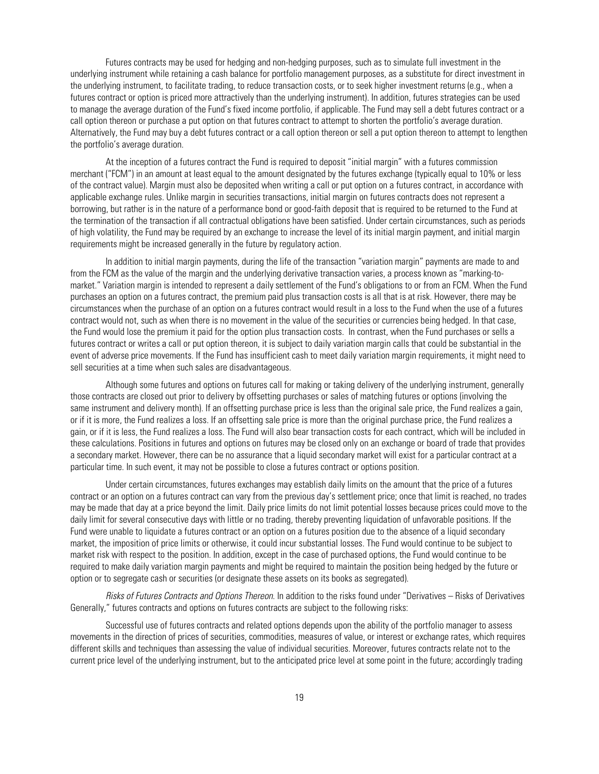Futures contracts may be used for hedging and non-hedging purposes, such as to simulate full investment in the underlying instrument while retaining a cash balance for portfolio management purposes, as a substitute for direct investment in the underlying instrument, to facilitate trading, to reduce transaction costs, or to seek higher investment returns (e.g., when a futures contract or option is priced more attractively than the underlying instrument). In addition, futures strategies can be used to manage the average duration of the Fund's fixed income portfolio, if applicable. The Fund may sell a debt futures contract or a call option thereon or purchase a put option on that futures contract to attempt to shorten the portfolio's average duration. Alternatively, the Fund may buy a debt futures contract or a call option thereon or sell a put option thereon to attempt to lengthen the portfolio's average duration.

At the inception of a futures contract the Fund is required to deposit "initial margin" with a futures commission merchant ("FCM") in an amount at least equal to the amount designated by the futures exchange (typically equal to 10% or less of the contract value). Margin must also be deposited when writing a call or put option on a futures contract, in accordance with applicable exchange rules. Unlike margin in securities transactions, initial margin on futures contracts does not represent a borrowing, but rather is in the nature of a performance bond or good-faith deposit that is required to be returned to the Fund at the termination of the transaction if all contractual obligations have been satisfied. Under certain circumstances, such as periods of high volatility, the Fund may be required by an exchange to increase the level of its initial margin payment, and initial margin requirements might be increased generally in the future by regulatory action.

In addition to initial margin payments, during the life of the transaction "variation margin" payments are made to and from the FCM as the value of the margin and the underlying derivative transaction varies, a process known as "marking-tomarket." Variation margin is intended to represent a daily settlement of the Fund's obligations to or from an FCM. When the Fund purchases an option on a futures contract, the premium paid plus transaction costs is all that is at risk. However, there may be circumstances when the purchase of an option on a futures contract would result in a loss to the Fund when the use of a futures contract would not, such as when there is no movement in the value of the securities or currencies being hedged. In that case, the Fund would lose the premium it paid for the option plus transaction costs. In contrast, when the Fund purchases or sells a futures contract or writes a call or put option thereon, it is subject to daily variation margin calls that could be substantial in the event of adverse price movements. If the Fund has insufficient cash to meet daily variation margin requirements, it might need to sell securities at a time when such sales are disadvantageous.

Although some futures and options on futures call for making or taking delivery of the underlying instrument, generally those contracts are closed out prior to delivery by offsetting purchases or sales of matching futures or options (involving the same instrument and delivery month). If an offsetting purchase price is less than the original sale price, the Fund realizes a gain, or if it is more, the Fund realizes a loss. If an offsetting sale price is more than the original purchase price, the Fund realizes a gain, or if it is less, the Fund realizes a loss. The Fund will also bear transaction costs for each contract, which will be included in these calculations. Positions in futures and options on futures may be closed only on an exchange or board of trade that provides a secondary market. However, there can be no assurance that a liquid secondary market will exist for a particular contract at a particular time. In such event, it may not be possible to close a futures contract or options position.

Under certain circumstances, futures exchanges may establish daily limits on the amount that the price of a futures contract or an option on a futures contract can vary from the previous day's settlement price; once that limit is reached, no trades may be made that day at a price beyond the limit. Daily price limits do not limit potential losses because prices could move to the daily limit for several consecutive days with little or no trading, thereby preventing liquidation of unfavorable positions. If the Fund were unable to liquidate a futures contract or an option on a futures position due to the absence of a liquid secondary market, the imposition of price limits or otherwise, it could incur substantial losses. The Fund would continue to be subject to market risk with respect to the position. In addition, except in the case of purchased options, the Fund would continue to be required to make daily variation margin payments and might be required to maintain the position being hedged by the future or option or to segregate cash or securities (or designate these assets on its books as segregated).

Risks of Futures Contracts and Options Thereon. In addition to the risks found under "Derivatives – Risks of Derivatives Generally," futures contracts and options on futures contracts are subject to the following risks:

Successful use of futures contracts and related options depends upon the ability of the portfolio manager to assess movements in the direction of prices of securities, commodities, measures of value, or interest or exchange rates, which requires different skills and techniques than assessing the value of individual securities. Moreover, futures contracts relate not to the current price level of the underlying instrument, but to the anticipated price level at some point in the future; accordingly trading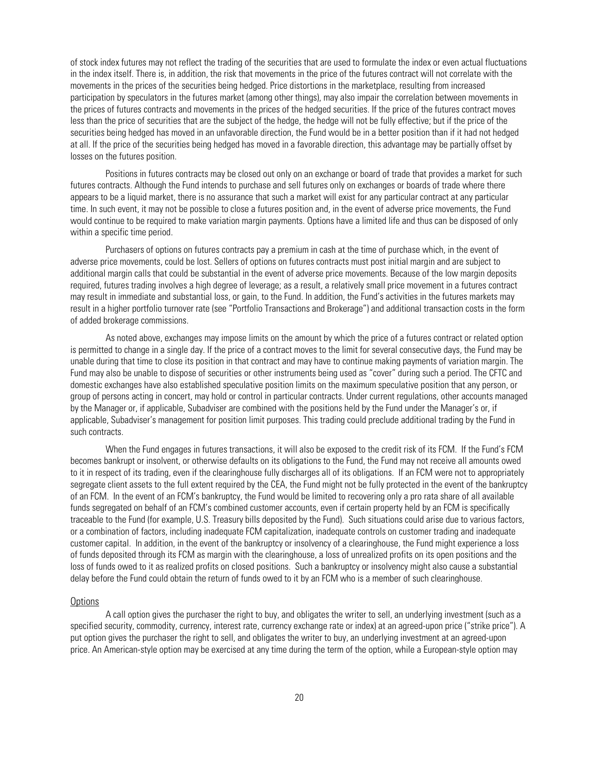of stock index futures may not reflect the trading of the securities that are used to formulate the index or even actual fluctuations in the index itself. There is, in addition, the risk that movements in the price of the futures contract will not correlate with the movements in the prices of the securities being hedged. Price distortions in the marketplace, resulting from increased participation by speculators in the futures market (among other things), may also impair the correlation between movements in the prices of futures contracts and movements in the prices of the hedged securities. If the price of the futures contract moves less than the price of securities that are the subject of the hedge, the hedge will not be fully effective; but if the price of the securities being hedged has moved in an unfavorable direction, the Fund would be in a better position than if it had not hedged at all. If the price of the securities being hedged has moved in a favorable direction, this advantage may be partially offset by losses on the futures position.

Positions in futures contracts may be closed out only on an exchange or board of trade that provides a market for such futures contracts. Although the Fund intends to purchase and sell futures only on exchanges or boards of trade where there appears to be a liquid market, there is no assurance that such a market will exist for any particular contract at any particular time. In such event, it may not be possible to close a futures position and, in the event of adverse price movements, the Fund would continue to be required to make variation margin payments. Options have a limited life and thus can be disposed of only within a specific time period.

Purchasers of options on futures contracts pay a premium in cash at the time of purchase which, in the event of adverse price movements, could be lost. Sellers of options on futures contracts must post initial margin and are subject to additional margin calls that could be substantial in the event of adverse price movements. Because of the low margin deposits required, futures trading involves a high degree of leverage; as a result, a relatively small price movement in a futures contract may result in immediate and substantial loss, or gain, to the Fund. In addition, the Fund's activities in the futures markets may result in a higher portfolio turnover rate (see "Portfolio Transactions and Brokerage") and additional transaction costs in the form of added brokerage commissions.

As noted above, exchanges may impose limits on the amount by which the price of a futures contract or related option is permitted to change in a single day. If the price of a contract moves to the limit for several consecutive days, the Fund may be unable during that time to close its position in that contract and may have to continue making payments of variation margin. The Fund may also be unable to dispose of securities or other instruments being used as "cover" during such a period. The CFTC and domestic exchanges have also established speculative position limits on the maximum speculative position that any person, or group of persons acting in concert, may hold or control in particular contracts. Under current regulations, other accounts managed by the Manager or, if applicable, Subadviser are combined with the positions held by the Fund under the Manager's or, if applicable, Subadviser's management for position limit purposes. This trading could preclude additional trading by the Fund in such contracts.

When the Fund engages in futures transactions, it will also be exposed to the credit risk of its FCM. If the Fund's FCM becomes bankrupt or insolvent, or otherwise defaults on its obligations to the Fund, the Fund may not receive all amounts owed to it in respect of its trading, even if the clearinghouse fully discharges all of its obligations. If an FCM were not to appropriately segregate client assets to the full extent required by the CEA, the Fund might not be fully protected in the event of the bankruptcy of an FCM. In the event of an FCM's bankruptcy, the Fund would be limited to recovering only a pro rata share of all available funds segregated on behalf of an FCM's combined customer accounts, even if certain property held by an FCM is specifically traceable to the Fund (for example, U.S. Treasury bills deposited by the Fund). Such situations could arise due to various factors, or a combination of factors, including inadequate FCM capitalization, inadequate controls on customer trading and inadequate customer capital. In addition, in the event of the bankruptcy or insolvency of a clearinghouse, the Fund might experience a loss of funds deposited through its FCM as margin with the clearinghouse, a loss of unrealized profits on its open positions and the loss of funds owed to it as realized profits on closed positions. Such a bankruptcy or insolvency might also cause a substantial delay before the Fund could obtain the return of funds owed to it by an FCM who is a member of such clearinghouse.

#### **Options**

A call option gives the purchaser the right to buy, and obligates the writer to sell, an underlying investment (such as a specified security, commodity, currency, interest rate, currency exchange rate or index) at an agreed-upon price ("strike price"). A put option gives the purchaser the right to sell, and obligates the writer to buy, an underlying investment at an agreed-upon price. An American-style option may be exercised at any time during the term of the option, while a European-style option may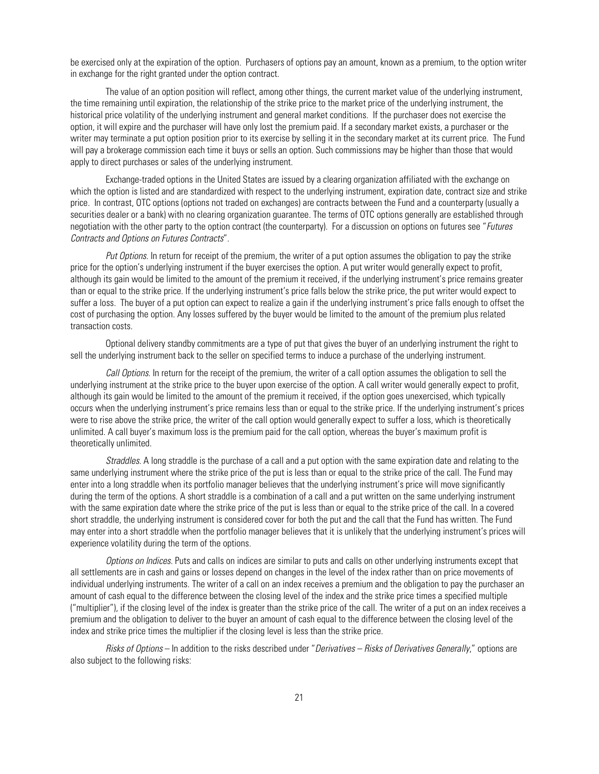be exercised only at the expiration of the option. Purchasers of options pay an amount, known as a premium, to the option writer in exchange for the right granted under the option contract.

The value of an option position will reflect, among other things, the current market value of the underlying instrument, the time remaining until expiration, the relationship of the strike price to the market price of the underlying instrument, the historical price volatility of the underlying instrument and general market conditions. If the purchaser does not exercise the option, it will expire and the purchaser will have only lost the premium paid. If a secondary market exists, a purchaser or the writer may terminate a put option position prior to its exercise by selling it in the secondary market at its current price. The Fund will pay a brokerage commission each time it buys or sells an option. Such commissions may be higher than those that would apply to direct purchases or sales of the underlying instrument.

Exchange-traded options in the United States are issued by a clearing organization affiliated with the exchange on which the option is listed and are standardized with respect to the underlying instrument, expiration date, contract size and strike price. In contrast, OTC options (options not traded on exchanges) are contracts between the Fund and a counterparty (usually a securities dealer or a bank) with no clearing organization guarantee. The terms of OTC options generally are established through negotiation with the other party to the option contract (the counterparty). For a discussion on options on futures see "Futures" Contracts and Options on Futures Contracts".

Put Options. In return for receipt of the premium, the writer of a put option assumes the obligation to pay the strike price for the option's underlying instrument if the buyer exercises the option. A put writer would generally expect to profit, although its gain would be limited to the amount of the premium it received, if the underlying instrument's price remains greater than or equal to the strike price. If the underlying instrument's price falls below the strike price, the put writer would expect to suffer a loss. The buyer of a put option can expect to realize a gain if the underlying instrument's price falls enough to offset the cost of purchasing the option. Any losses suffered by the buyer would be limited to the amount of the premium plus related transaction costs.

Optional delivery standby commitments are a type of put that gives the buyer of an underlying instrument the right to sell the underlying instrument back to the seller on specified terms to induce a purchase of the underlying instrument.

Call Options. In return for the receipt of the premium, the writer of a call option assumes the obligation to sell the underlying instrument at the strike price to the buyer upon exercise of the option. A call writer would generally expect to profit, although its gain would be limited to the amount of the premium it received, if the option goes unexercised, which typically occurs when the underlying instrument's price remains less than or equal to the strike price. If the underlying instrument's prices were to rise above the strike price, the writer of the call option would generally expect to suffer a loss, which is theoretically unlimited. A call buyer's maximum loss is the premium paid for the call option, whereas the buyer's maximum profit is theoretically unlimited.

Straddles. A long straddle is the purchase of a call and a put option with the same expiration date and relating to the same underlying instrument where the strike price of the put is less than or equal to the strike price of the call. The Fund may enter into a long straddle when its portfolio manager believes that the underlying instrument's price will move significantly during the term of the options. A short straddle is a combination of a call and a put written on the same underlying instrument with the same expiration date where the strike price of the put is less than or equal to the strike price of the call. In a covered short straddle, the underlying instrument is considered cover for both the put and the call that the Fund has written. The Fund may enter into a short straddle when the portfolio manager believes that it is unlikely that the underlying instrument's prices will experience volatility during the term of the options.

Options on Indices. Puts and calls on indices are similar to puts and calls on other underlying instruments except that all settlements are in cash and gains or losses depend on changes in the level of the index rather than on price movements of individual underlying instruments. The writer of a call on an index receives a premium and the obligation to pay the purchaser an amount of cash equal to the difference between the closing level of the index and the strike price times a specified multiple ("multiplier"), if the closing level of the index is greater than the strike price of the call. The writer of a put on an index receives a premium and the obligation to deliver to the buyer an amount of cash equal to the difference between the closing level of the index and strike price times the multiplier if the closing level is less than the strike price.

Risks of Options – In addition to the risks described under "Derivatives – Risks of Derivatives Generally," options are also subject to the following risks: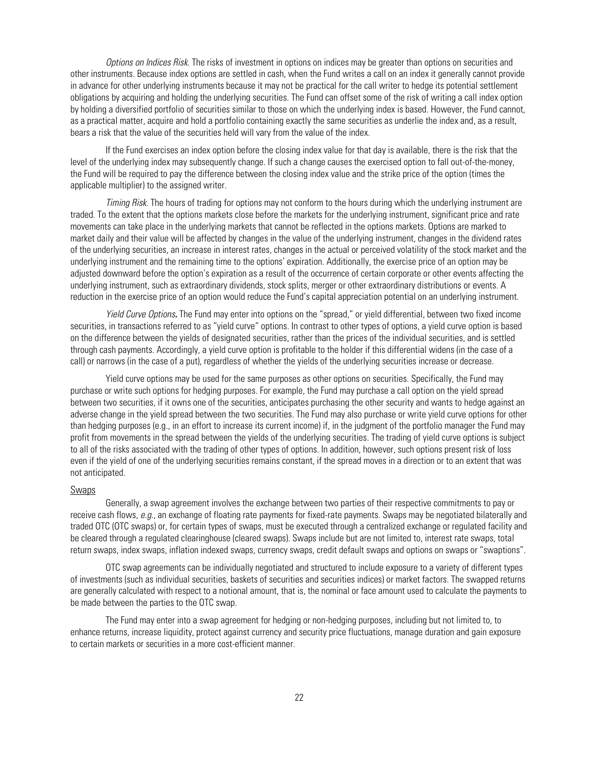Options on Indices Risk. The risks of investment in options on indices may be greater than options on securities and other instruments. Because index options are settled in cash, when the Fund writes a call on an index it generally cannot provide in advance for other underlying instruments because it may not be practical for the call writer to hedge its potential settlement obligations by acquiring and holding the underlying securities. The Fund can offset some of the risk of writing a call index option by holding a diversified portfolio of securities similar to those on which the underlying index is based. However, the Fund cannot, as a practical matter, acquire and hold a portfolio containing exactly the same securities as underlie the index and, as a result, bears a risk that the value of the securities held will vary from the value of the index.

If the Fund exercises an index option before the closing index value for that day is available, there is the risk that the level of the underlying index may subsequently change. If such a change causes the exercised option to fall out-of-the-money, the Fund will be required to pay the difference between the closing index value and the strike price of the option (times the applicable multiplier) to the assigned writer.

Timing Risk. The hours of trading for options may not conform to the hours during which the underlying instrument are traded. To the extent that the options markets close before the markets for the underlying instrument, significant price and rate movements can take place in the underlying markets that cannot be reflected in the options markets. Options are marked to market daily and their value will be affected by changes in the value of the underlying instrument, changes in the dividend rates of the underlying securities, an increase in interest rates, changes in the actual or perceived volatility of the stock market and the underlying instrument and the remaining time to the options' expiration. Additionally, the exercise price of an option may be adjusted downward before the option's expiration as a result of the occurrence of certain corporate or other events affecting the underlying instrument, such as extraordinary dividends, stock splits, merger or other extraordinary distributions or events. A reduction in the exercise price of an option would reduce the Fund's capital appreciation potential on an underlying instrument.

Yield Curve Options*.* The Fund may enter into options on the "spread," or yield differential, between two fixed income securities, in transactions referred to as "yield curve" options. In contrast to other types of options, a yield curve option is based on the difference between the yields of designated securities, rather than the prices of the individual securities, and is settled through cash payments. Accordingly, a yield curve option is profitable to the holder if this differential widens (in the case of a call) or narrows (in the case of a put), regardless of whether the yields of the underlying securities increase or decrease.

 Yield curve options may be used for the same purposes as other options on securities. Specifically, the Fund may purchase or write such options for hedging purposes. For example, the Fund may purchase a call option on the yield spread between two securities, if it owns one of the securities, anticipates purchasing the other security and wants to hedge against an adverse change in the yield spread between the two securities. The Fund may also purchase or write yield curve options for other than hedging purposes (e.g., in an effort to increase its current income) if, in the judgment of the portfolio manager the Fund may profit from movements in the spread between the yields of the underlying securities. The trading of yield curve options is subject to all of the risks associated with the trading of other types of options. In addition, however, such options present risk of loss even if the yield of one of the underlying securities remains constant, if the spread moves in a direction or to an extent that was not anticipated.

#### **Swaps**

 Generally, a swap agreement involves the exchange between two parties of their respective commitments to pay or receive cash flows, e.g., an exchange of floating rate payments for fixed-rate payments. Swaps may be negotiated bilaterally and traded OTC (OTC swaps) or, for certain types of swaps, must be executed through a centralized exchange or regulated facility and be cleared through a regulated clearinghouse (cleared swaps). Swaps include but are not limited to, interest rate swaps, total return swaps, index swaps, inflation indexed swaps, currency swaps, credit default swaps and options on swaps or "swaptions".

 OTC swap agreements can be individually negotiated and structured to include exposure to a variety of different types of investments (such as individual securities, baskets of securities and securities indices) or market factors. The swapped returns are generally calculated with respect to a notional amount, that is, the nominal or face amount used to calculate the payments to be made between the parties to the OTC swap.

 The Fund may enter into a swap agreement for hedging or non-hedging purposes, including but not limited to, to enhance returns, increase liquidity, protect against currency and security price fluctuations, manage duration and gain exposure to certain markets or securities in a more cost-efficient manner.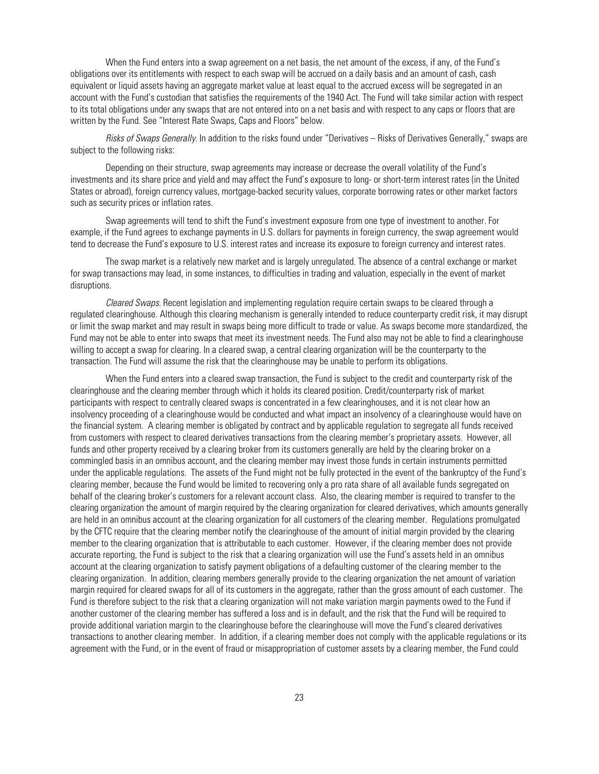When the Fund enters into a swap agreement on a net basis, the net amount of the excess, if any, of the Fund's obligations over its entitlements with respect to each swap will be accrued on a daily basis and an amount of cash, cash equivalent or liquid assets having an aggregate market value at least equal to the accrued excess will be segregated in an account with the Fund's custodian that satisfies the requirements of the 1940 Act. The Fund will take similar action with respect to its total obligations under any swaps that are not entered into on a net basis and with respect to any caps or floors that are written by the Fund. See "Interest Rate Swaps, Caps and Floors" below.

Risks of Swaps Generally. In addition to the risks found under "Derivatives – Risks of Derivatives Generally," swaps are subject to the following risks:

Depending on their structure, swap agreements may increase or decrease the overall volatility of the Fund's investments and its share price and yield and may affect the Fund's exposure to long- or short-term interest rates (in the United States or abroad), foreign currency values, mortgage-backed security values, corporate borrowing rates or other market factors such as security prices or inflation rates.

 Swap agreements will tend to shift the Fund's investment exposure from one type of investment to another. For example, if the Fund agrees to exchange payments in U.S. dollars for payments in foreign currency, the swap agreement would tend to decrease the Fund's exposure to U.S. interest rates and increase its exposure to foreign currency and interest rates.

 The swap market is a relatively new market and is largely unregulated. The absence of a central exchange or market for swap transactions may lead, in some instances, to difficulties in trading and valuation, especially in the event of market disruptions.

Cleared Swaps. Recent legislation and implementing regulation require certain swaps to be cleared through a regulated clearinghouse. Although this clearing mechanism is generally intended to reduce counterparty credit risk, it may disrupt or limit the swap market and may result in swaps being more difficult to trade or value. As swaps become more standardized, the Fund may not be able to enter into swaps that meet its investment needs. The Fund also may not be able to find a clearinghouse willing to accept a swap for clearing. In a cleared swap, a central clearing organization will be the counterparty to the transaction. The Fund will assume the risk that the clearinghouse may be unable to perform its obligations.

 When the Fund enters into a cleared swap transaction, the Fund is subject to the credit and counterparty risk of the clearinghouse and the clearing member through which it holds its cleared position. Credit/counterparty risk of market participants with respect to centrally cleared swaps is concentrated in a few clearinghouses, and it is not clear how an insolvency proceeding of a clearinghouse would be conducted and what impact an insolvency of a clearinghouse would have on the financial system. A clearing member is obligated by contract and by applicable regulation to segregate all funds received from customers with respect to cleared derivatives transactions from the clearing member's proprietary assets. However, all funds and other property received by a clearing broker from its customers generally are held by the clearing broker on a commingled basis in an omnibus account, and the clearing member may invest those funds in certain instruments permitted under the applicable regulations. The assets of the Fund might not be fully protected in the event of the bankruptcy of the Fund's clearing member, because the Fund would be limited to recovering only a pro rata share of all available funds segregated on behalf of the clearing broker's customers for a relevant account class. Also, the clearing member is required to transfer to the clearing organization the amount of margin required by the clearing organization for cleared derivatives, which amounts generally are held in an omnibus account at the clearing organization for all customers of the clearing member. Regulations promulgated by the CFTC require that the clearing member notify the clearinghouse of the amount of initial margin provided by the clearing member to the clearing organization that is attributable to each customer. However, if the clearing member does not provide accurate reporting, the Fund is subject to the risk that a clearing organization will use the Fund's assets held in an omnibus account at the clearing organization to satisfy payment obligations of a defaulting customer of the clearing member to the clearing organization. In addition, clearing members generally provide to the clearing organization the net amount of variation margin required for cleared swaps for all of its customers in the aggregate, rather than the gross amount of each customer. The Fund is therefore subject to the risk that a clearing organization will not make variation margin payments owed to the Fund if another customer of the clearing member has suffered a loss and is in default, and the risk that the Fund will be required to provide additional variation margin to the clearinghouse before the clearinghouse will move the Fund's cleared derivatives transactions to another clearing member. In addition, if a clearing member does not comply with the applicable regulations or its agreement with the Fund, or in the event of fraud or misappropriation of customer assets by a clearing member, the Fund could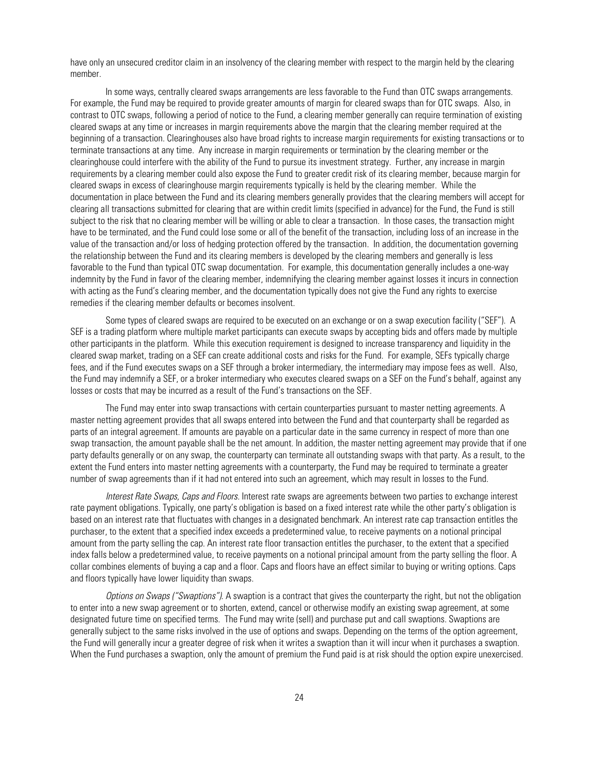have only an unsecured creditor claim in an insolvency of the clearing member with respect to the margin held by the clearing member.

 In some ways, centrally cleared swaps arrangements are less favorable to the Fund than OTC swaps arrangements. For example, the Fund may be required to provide greater amounts of margin for cleared swaps than for OTC swaps. Also, in contrast to OTC swaps, following a period of notice to the Fund, a clearing member generally can require termination of existing cleared swaps at any time or increases in margin requirements above the margin that the clearing member required at the beginning of a transaction. Clearinghouses also have broad rights to increase margin requirements for existing transactions or to terminate transactions at any time. Any increase in margin requirements or termination by the clearing member or the clearinghouse could interfere with the ability of the Fund to pursue its investment strategy. Further, any increase in margin requirements by a clearing member could also expose the Fund to greater credit risk of its clearing member, because margin for cleared swaps in excess of clearinghouse margin requirements typically is held by the clearing member. While the documentation in place between the Fund and its clearing members generally provides that the clearing members will accept for clearing all transactions submitted for clearing that are within credit limits (specified in advance) for the Fund, the Fund is still subject to the risk that no clearing member will be willing or able to clear a transaction. In those cases, the transaction might have to be terminated, and the Fund could lose some or all of the benefit of the transaction, including loss of an increase in the value of the transaction and/or loss of hedging protection offered by the transaction. In addition, the documentation governing the relationship between the Fund and its clearing members is developed by the clearing members and generally is less favorable to the Fund than typical OTC swap documentation. For example, this documentation generally includes a one-way indemnity by the Fund in favor of the clearing member, indemnifying the clearing member against losses it incurs in connection with acting as the Fund's clearing member, and the documentation typically does not give the Fund any rights to exercise remedies if the clearing member defaults or becomes insolvent.

Some types of cleared swaps are required to be executed on an exchange or on a swap execution facility ("SEF"). A SEF is a trading platform where multiple market participants can execute swaps by accepting bids and offers made by multiple other participants in the platform. While this execution requirement is designed to increase transparency and liquidity in the cleared swap market, trading on a SEF can create additional costs and risks for the Fund. For example, SEFs typically charge fees, and if the Fund executes swaps on a SEF through a broker intermediary, the intermediary may impose fees as well. Also, the Fund may indemnify a SEF, or a broker intermediary who executes cleared swaps on a SEF on the Fund's behalf, against any losses or costs that may be incurred as a result of the Fund's transactions on the SEF.

 The Fund may enter into swap transactions with certain counterparties pursuant to master netting agreements. A master netting agreement provides that all swaps entered into between the Fund and that counterparty shall be regarded as parts of an integral agreement. If amounts are payable on a particular date in the same currency in respect of more than one swap transaction, the amount payable shall be the net amount. In addition, the master netting agreement may provide that if one party defaults generally or on any swap, the counterparty can terminate all outstanding swaps with that party. As a result, to the extent the Fund enters into master netting agreements with a counterparty, the Fund may be required to terminate a greater number of swap agreements than if it had not entered into such an agreement, which may result in losses to the Fund.

Interest Rate Swaps, Caps and Floors. Interest rate swaps are agreements between two parties to exchange interest rate payment obligations. Typically, one party's obligation is based on a fixed interest rate while the other party's obligation is based on an interest rate that fluctuates with changes in a designated benchmark. An interest rate cap transaction entitles the purchaser, to the extent that a specified index exceeds a predetermined value, to receive payments on a notional principal amount from the party selling the cap. An interest rate floor transaction entitles the purchaser, to the extent that a specified index falls below a predetermined value, to receive payments on a notional principal amount from the party selling the floor. A collar combines elements of buying a cap and a floor. Caps and floors have an effect similar to buying or writing options. Caps and floors typically have lower liquidity than swaps.

Options on Swaps ("Swaptions"). A swaption is a contract that gives the counterparty the right, but not the obligation to enter into a new swap agreement or to shorten, extend, cancel or otherwise modify an existing swap agreement, at some designated future time on specified terms. The Fund may write (sell) and purchase put and call swaptions. Swaptions are generally subject to the same risks involved in the use of options and swaps. Depending on the terms of the option agreement, the Fund will generally incur a greater degree of risk when it writes a swaption than it will incur when it purchases a swaption. When the Fund purchases a swaption, only the amount of premium the Fund paid is at risk should the option expire unexercised.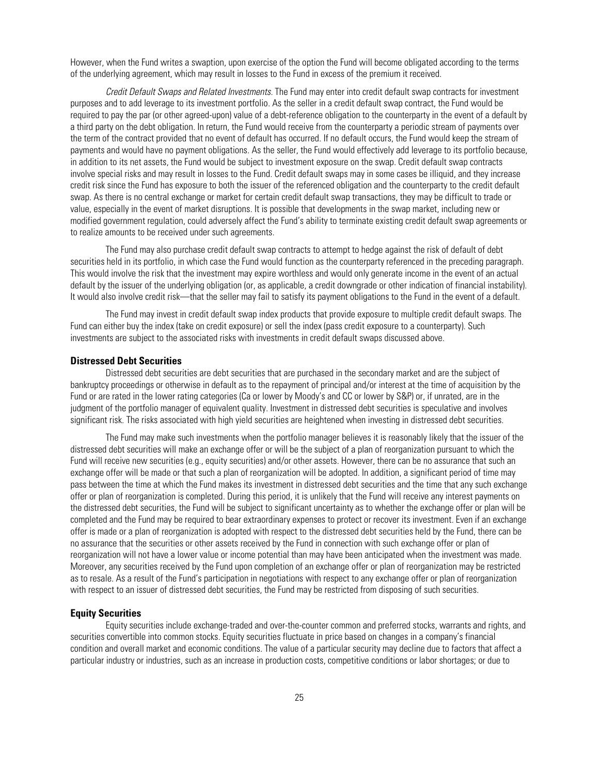However, when the Fund writes a swaption, upon exercise of the option the Fund will become obligated according to the terms of the underlying agreement, which may result in losses to the Fund in excess of the premium it received.

Credit Default Swaps and Related Investments. The Fund may enter into credit default swap contracts for investment purposes and to add leverage to its investment portfolio. As the seller in a credit default swap contract, the Fund would be required to pay the par (or other agreed-upon) value of a debt-reference obligation to the counterparty in the event of a default by a third party on the debt obligation. In return, the Fund would receive from the counterparty a periodic stream of payments over the term of the contract provided that no event of default has occurred. If no default occurs, the Fund would keep the stream of payments and would have no payment obligations. As the seller, the Fund would effectively add leverage to its portfolio because, in addition to its net assets, the Fund would be subject to investment exposure on the swap. Credit default swap contracts involve special risks and may result in losses to the Fund. Credit default swaps may in some cases be illiquid, and they increase credit risk since the Fund has exposure to both the issuer of the referenced obligation and the counterparty to the credit default swap. As there is no central exchange or market for certain credit default swap transactions, they may be difficult to trade or value, especially in the event of market disruptions. It is possible that developments in the swap market, including new or modified government regulation, could adversely affect the Fund's ability to terminate existing credit default swap agreements or to realize amounts to be received under such agreements.

 The Fund may also purchase credit default swap contracts to attempt to hedge against the risk of default of debt securities held in its portfolio, in which case the Fund would function as the counterparty referenced in the preceding paragraph. This would involve the risk that the investment may expire worthless and would only generate income in the event of an actual default by the issuer of the underlying obligation (or, as applicable, a credit downgrade or other indication of financial instability). It would also involve credit risk—that the seller may fail to satisfy its payment obligations to the Fund in the event of a default.

 The Fund may invest in credit default swap index products that provide exposure to multiple credit default swaps. The Fund can either buy the index (take on credit exposure) or sell the index (pass credit exposure to a counterparty). Such investments are subject to the associated risks with investments in credit default swaps discussed above.

#### **Distressed Debt Securities**

 Distressed debt securities are debt securities that are purchased in the secondary market and are the subject of bankruptcy proceedings or otherwise in default as to the repayment of principal and/or interest at the time of acquisition by the Fund or are rated in the lower rating categories (Ca or lower by Moody's and CC or lower by S&P) or, if unrated, are in the judgment of the portfolio manager of equivalent quality. Investment in distressed debt securities is speculative and involves significant risk. The risks associated with high yield securities are heightened when investing in distressed debt securities.

 The Fund may make such investments when the portfolio manager believes it is reasonably likely that the issuer of the distressed debt securities will make an exchange offer or will be the subject of a plan of reorganization pursuant to which the Fund will receive new securities (e.g., equity securities) and/or other assets. However, there can be no assurance that such an exchange offer will be made or that such a plan of reorganization will be adopted. In addition, a significant period of time may pass between the time at which the Fund makes its investment in distressed debt securities and the time that any such exchange offer or plan of reorganization is completed. During this period, it is unlikely that the Fund will receive any interest payments on the distressed debt securities, the Fund will be subject to significant uncertainty as to whether the exchange offer or plan will be completed and the Fund may be required to bear extraordinary expenses to protect or recover its investment. Even if an exchange offer is made or a plan of reorganization is adopted with respect to the distressed debt securities held by the Fund, there can be no assurance that the securities or other assets received by the Fund in connection with such exchange offer or plan of reorganization will not have a lower value or income potential than may have been anticipated when the investment was made. Moreover, any securities received by the Fund upon completion of an exchange offer or plan of reorganization may be restricted as to resale. As a result of the Fund's participation in negotiations with respect to any exchange offer or plan of reorganization with respect to an issuer of distressed debt securities, the Fund may be restricted from disposing of such securities.

### **Equity Securities**

 Equity securities include exchange-traded and over-the-counter common and preferred stocks, warrants and rights, and securities convertible into common stocks. Equity securities fluctuate in price based on changes in a company's financial condition and overall market and economic conditions. The value of a particular security may decline due to factors that affect a particular industry or industries, such as an increase in production costs, competitive conditions or labor shortages; or due to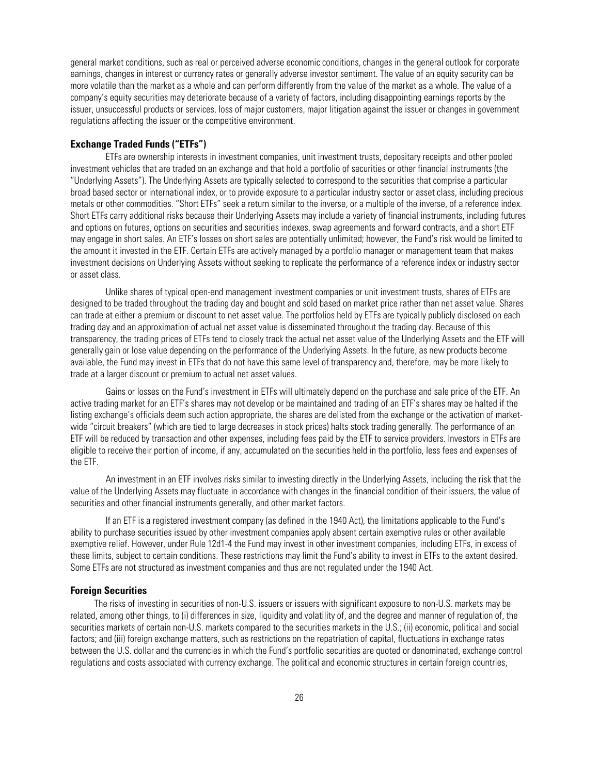general market conditions, such as real or perceived adverse economic conditions, changes in the general outlook for corporate earnings, changes in interest or currency rates or generally adverse investor sentiment. The value of an equity security can be more volatile than the market as a whole and can perform differently from the value of the market as a whole. The value of a company's equity securities may deteriorate because of a variety of factors, including disappointing earnings reports by the issuer, unsuccessful products or services, loss of major customers, major litigation against the issuer or changes in government regulations affecting the issuer or the competitive environment.

### **Exchange Traded Funds ("ETFs")**

ETFs are ownership interests in investment companies, unit investment trusts, depositary receipts and other pooled investment vehicles that are traded on an exchange and that hold a portfolio of securities or other financial instruments (the "Underlying Assets"). The Underlying Assets are typically selected to correspond to the securities that comprise a particular broad based sector or international index, or to provide exposure to a particular industry sector or asset class, including precious metals or other commodities. "Short ETFs" seek a return similar to the inverse, or a multiple of the inverse, of a reference index. Short ETFs carry additional risks because their Underlying Assets may include a variety of financial instruments, including futures and options on futures, options on securities and securities indexes, swap agreements and forward contracts, and a short ETF may engage in short sales. An ETF's losses on short sales are potentially unlimited; however, the Fund's risk would be limited to the amount it invested in the ETF. Certain ETFs are actively managed by a portfolio manager or management team that makes investment decisions on Underlying Assets without seeking to replicate the performance of a reference index or industry sector or asset class.

Unlike shares of typical open-end management investment companies or unit investment trusts, shares of ETFs are designed to be traded throughout the trading day and bought and sold based on market price rather than net asset value. Shares can trade at either a premium or discount to net asset value. The portfolios held by ETFs are typically publicly disclosed on each trading day and an approximation of actual net asset value is disseminated throughout the trading day. Because of this transparency, the trading prices of ETFs tend to closely track the actual net asset value of the Underlying Assets and the ETF will generally gain or lose value depending on the performance of the Underlying Assets. In the future, as new products become available, the Fund may invest in ETFs that do not have this same level of transparency and, therefore, may be more likely to trade at a larger discount or premium to actual net asset values.

Gains or losses on the Fund's investment in ETFs will ultimately depend on the purchase and sale price of the ETF. An active trading market for an ETF's shares may not develop or be maintained and trading of an ETF's shares may be halted if the listing exchange's officials deem such action appropriate, the shares are delisted from the exchange or the activation of marketwide "circuit breakers" (which are tied to large decreases in stock prices) halts stock trading generally. The performance of an ETF will be reduced by transaction and other expenses, including fees paid by the ETF to service providers. Investors in ETFs are eligible to receive their portion of income, if any, accumulated on the securities held in the portfolio, less fees and expenses of the ETF.

An investment in an ETF involves risks similar to investing directly in the Underlying Assets, including the risk that the value of the Underlying Assets may fluctuate in accordance with changes in the financial condition of their issuers, the value of securities and other financial instruments generally, and other market factors.

If an ETF is a registered investment company (as defined in the 1940 Act), the limitations applicable to the Fund's ability to purchase securities issued by other investment companies apply absent certain exemptive rules or other available exemptive relief. However, under Rule 12d1-4 the Fund may invest in other investment companies, including ETFs, in excess of these limits, subject to certain conditions. These restrictions may limit the Fund's ability to invest in ETFs to the extent desired. Some ETFs are not structured as investment companies and thus are not regulated under the 1940 Act.

### **Foreign Securities**

The risks of investing in securities of non-U.S. issuers or issuers with significant exposure to non-U.S. markets may be related, among other things, to (i) differences in size, liquidity and volatility of, and the degree and manner of regulation of, the securities markets of certain non-U.S. markets compared to the securities markets in the U.S.; (ii) economic, political and social factors; and (iii) foreign exchange matters, such as restrictions on the repatriation of capital, fluctuations in exchange rates between the U.S. dollar and the currencies in which the Fund's portfolio securities are quoted or denominated, exchange control regulations and costs associated with currency exchange. The political and economic structures in certain foreign countries,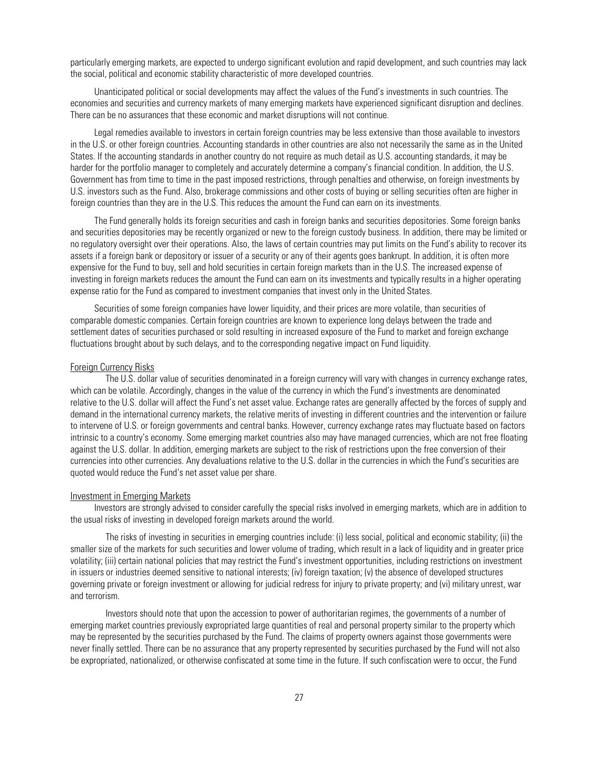particularly emerging markets, are expected to undergo significant evolution and rapid development, and such countries may lack the social, political and economic stability characteristic of more developed countries.

Unanticipated political or social developments may affect the values of the Fund's investments in such countries. The economies and securities and currency markets of many emerging markets have experienced significant disruption and declines. There can be no assurances that these economic and market disruptions will not continue.

Legal remedies available to investors in certain foreign countries may be less extensive than those available to investors in the U.S. or other foreign countries. Accounting standards in other countries are also not necessarily the same as in the United States. If the accounting standards in another country do not require as much detail as U.S. accounting standards, it may be harder for the portfolio manager to completely and accurately determine a company's financial condition. In addition, the U.S. Government has from time to time in the past imposed restrictions, through penalties and otherwise, on foreign investments by U.S. investors such as the Fund. Also, brokerage commissions and other costs of buying or selling securities often are higher in foreign countries than they are in the U.S. This reduces the amount the Fund can earn on its investments.

The Fund generally holds its foreign securities and cash in foreign banks and securities depositories. Some foreign banks and securities depositories may be recently organized or new to the foreign custody business. In addition, there may be limited or no regulatory oversight over their operations. Also, the laws of certain countries may put limits on the Fund's ability to recover its assets if a foreign bank or depository or issuer of a security or any of their agents goes bankrupt. In addition, it is often more expensive for the Fund to buy, sell and hold securities in certain foreign markets than in the U.S. The increased expense of investing in foreign markets reduces the amount the Fund can earn on its investments and typically results in a higher operating expense ratio for the Fund as compared to investment companies that invest only in the United States.

Securities of some foreign companies have lower liquidity, and their prices are more volatile, than securities of comparable domestic companies. Certain foreign countries are known to experience long delays between the trade and settlement dates of securities purchased or sold resulting in increased exposure of the Fund to market and foreign exchange fluctuations brought about by such delays, and to the corresponding negative impact on Fund liquidity.

#### Foreign Currency Risks

 The U.S. dollar value of securities denominated in a foreign currency will vary with changes in currency exchange rates, which can be volatile. Accordingly, changes in the value of the currency in which the Fund's investments are denominated relative to the U.S. dollar will affect the Fund's net asset value. Exchange rates are generally affected by the forces of supply and demand in the international currency markets, the relative merits of investing in different countries and the intervention or failure to intervene of U.S. or foreign governments and central banks. However, currency exchange rates may fluctuate based on factors intrinsic to a country's economy. Some emerging market countries also may have managed currencies, which are not free floating against the U.S. dollar. In addition, emerging markets are subject to the risk of restrictions upon the free conversion of their currencies into other currencies. Any devaluations relative to the U.S. dollar in the currencies in which the Fund's securities are quoted would reduce the Fund's net asset value per share.

#### **Investment in Emerging Markets**

Investors are strongly advised to consider carefully the special risks involved in emerging markets, which are in addition to the usual risks of investing in developed foreign markets around the world.

The risks of investing in securities in emerging countries include: (i) less social, political and economic stability; (ii) the smaller size of the markets for such securities and lower volume of trading, which result in a lack of liquidity and in greater price volatility; (iii) certain national policies that may restrict the Fund's investment opportunities, including restrictions on investment in issuers or industries deemed sensitive to national interests; (iv) foreign taxation; (v) the absence of developed structures governing private or foreign investment or allowing for judicial redress for injury to private property; and (vi) military unrest, war and terrorism.

Investors should note that upon the accession to power of authoritarian regimes, the governments of a number of emerging market countries previously expropriated large quantities of real and personal property similar to the property which may be represented by the securities purchased by the Fund. The claims of property owners against those governments were never finally settled. There can be no assurance that any property represented by securities purchased by the Fund will not also be expropriated, nationalized, or otherwise confiscated at some time in the future. If such confiscation were to occur, the Fund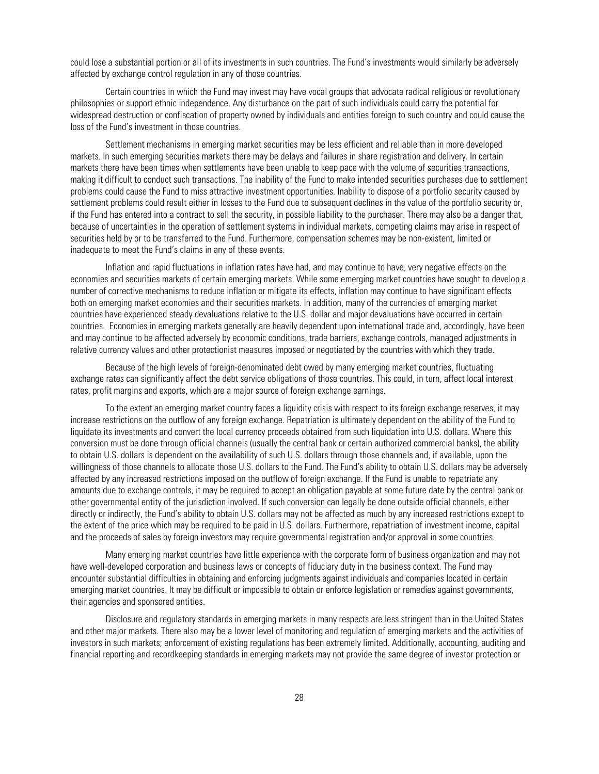could lose a substantial portion or all of its investments in such countries. The Fund's investments would similarly be adversely affected by exchange control regulation in any of those countries.

Certain countries in which the Fund may invest may have vocal groups that advocate radical religious or revolutionary philosophies or support ethnic independence. Any disturbance on the part of such individuals could carry the potential for widespread destruction or confiscation of property owned by individuals and entities foreign to such country and could cause the loss of the Fund's investment in those countries.

Settlement mechanisms in emerging market securities may be less efficient and reliable than in more developed markets. In such emerging securities markets there may be delays and failures in share registration and delivery. In certain markets there have been times when settlements have been unable to keep pace with the volume of securities transactions, making it difficult to conduct such transactions. The inability of the Fund to make intended securities purchases due to settlement problems could cause the Fund to miss attractive investment opportunities. Inability to dispose of a portfolio security caused by settlement problems could result either in losses to the Fund due to subsequent declines in the value of the portfolio security or, if the Fund has entered into a contract to sell the security, in possible liability to the purchaser. There may also be a danger that, because of uncertainties in the operation of settlement systems in individual markets, competing claims may arise in respect of securities held by or to be transferred to the Fund. Furthermore, compensation schemes may be non-existent, limited or inadequate to meet the Fund's claims in any of these events.

Inflation and rapid fluctuations in inflation rates have had, and may continue to have, very negative effects on the economies and securities markets of certain emerging markets. While some emerging market countries have sought to develop a number of corrective mechanisms to reduce inflation or mitigate its effects, inflation may continue to have significant effects both on emerging market economies and their securities markets. In addition, many of the currencies of emerging market countries have experienced steady devaluations relative to the U.S. dollar and major devaluations have occurred in certain countries. Economies in emerging markets generally are heavily dependent upon international trade and, accordingly, have been and may continue to be affected adversely by economic conditions, trade barriers, exchange controls, managed adjustments in relative currency values and other protectionist measures imposed or negotiated by the countries with which they trade.

Because of the high levels of foreign-denominated debt owed by many emerging market countries, fluctuating exchange rates can significantly affect the debt service obligations of those countries. This could, in turn, affect local interest rates, profit margins and exports, which are a major source of foreign exchange earnings.

To the extent an emerging market country faces a liquidity crisis with respect to its foreign exchange reserves, it may increase restrictions on the outflow of any foreign exchange. Repatriation is ultimately dependent on the ability of the Fund to liquidate its investments and convert the local currency proceeds obtained from such liquidation into U.S. dollars. Where this conversion must be done through official channels (usually the central bank or certain authorized commercial banks), the ability to obtain U.S. dollars is dependent on the availability of such U.S. dollars through those channels and, if available, upon the willingness of those channels to allocate those U.S. dollars to the Fund. The Fund's ability to obtain U.S. dollars may be adversely affected by any increased restrictions imposed on the outflow of foreign exchange. If the Fund is unable to repatriate any amounts due to exchange controls, it may be required to accept an obligation payable at some future date by the central bank or other governmental entity of the jurisdiction involved. If such conversion can legally be done outside official channels, either directly or indirectly, the Fund's ability to obtain U.S. dollars may not be affected as much by any increased restrictions except to the extent of the price which may be required to be paid in U.S. dollars. Furthermore, repatriation of investment income, capital and the proceeds of sales by foreign investors may require governmental registration and/or approval in some countries.

Many emerging market countries have little experience with the corporate form of business organization and may not have well-developed corporation and business laws or concepts of fiduciary duty in the business context. The Fund may encounter substantial difficulties in obtaining and enforcing judgments against individuals and companies located in certain emerging market countries. It may be difficult or impossible to obtain or enforce legislation or remedies against governments, their agencies and sponsored entities.

Disclosure and regulatory standards in emerging markets in many respects are less stringent than in the United States and other major markets. There also may be a lower level of monitoring and regulation of emerging markets and the activities of investors in such markets; enforcement of existing regulations has been extremely limited. Additionally, accounting, auditing and financial reporting and recordkeeping standards in emerging markets may not provide the same degree of investor protection or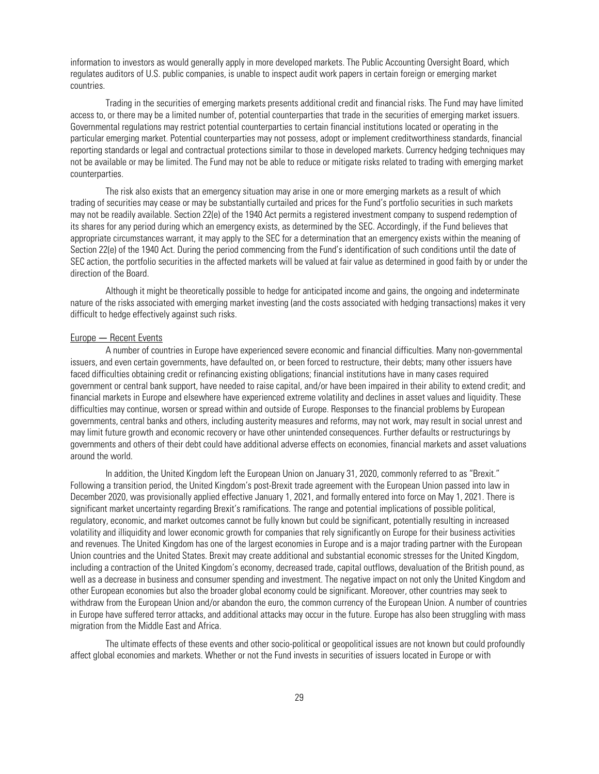information to investors as would generally apply in more developed markets. The Public Accounting Oversight Board, which regulates auditors of U.S. public companies, is unable to inspect audit work papers in certain foreign or emerging market countries.

Trading in the securities of emerging markets presents additional credit and financial risks. The Fund may have limited access to, or there may be a limited number of, potential counterparties that trade in the securities of emerging market issuers. Governmental regulations may restrict potential counterparties to certain financial institutions located or operating in the particular emerging market. Potential counterparties may not possess, adopt or implement creditworthiness standards, financial reporting standards or legal and contractual protections similar to those in developed markets. Currency hedging techniques may not be available or may be limited. The Fund may not be able to reduce or mitigate risks related to trading with emerging market counterparties.

The risk also exists that an emergency situation may arise in one or more emerging markets as a result of which trading of securities may cease or may be substantially curtailed and prices for the Fund's portfolio securities in such markets may not be readily available. Section 22(e) of the 1940 Act permits a registered investment company to suspend redemption of its shares for any period during which an emergency exists, as determined by the SEC. Accordingly, if the Fund believes that appropriate circumstances warrant, it may apply to the SEC for a determination that an emergency exists within the meaning of Section 22(e) of the 1940 Act. During the period commencing from the Fund's identification of such conditions until the date of SEC action, the portfolio securities in the affected markets will be valued at fair value as determined in good faith by or under the direction of the Board.

Although it might be theoretically possible to hedge for anticipated income and gains, the ongoing and indeterminate nature of the risks associated with emerging market investing (and the costs associated with hedging transactions) makes it very difficult to hedge effectively against such risks.

### Europe – Recent Events

A number of countries in Europe have experienced severe economic and financial difficulties. Many non-governmental issuers, and even certain governments, have defaulted on, or been forced to restructure, their debts; many other issuers have faced difficulties obtaining credit or refinancing existing obligations; financial institutions have in many cases required government or central bank support, have needed to raise capital, and/or have been impaired in their ability to extend credit; and financial markets in Europe and elsewhere have experienced extreme volatility and declines in asset values and liquidity. These difficulties may continue, worsen or spread within and outside of Europe. Responses to the financial problems by European governments, central banks and others, including austerity measures and reforms, may not work, may result in social unrest and may limit future growth and economic recovery or have other unintended consequences. Further defaults or restructurings by governments and others of their debt could have additional adverse effects on economies, financial markets and asset valuations around the world.

In addition, the United Kingdom left the European Union on January 31, 2020, commonly referred to as "Brexit." Following a transition period, the United Kingdom's post-Brexit trade agreement with the European Union passed into law in December 2020, was provisionally applied effective January 1, 2021, and formally entered into force on May 1, 2021. There is significant market uncertainty regarding Brexit's ramifications. The range and potential implications of possible political, regulatory, economic, and market outcomes cannot be fully known but could be significant, potentially resulting in increased volatility and illiquidity and lower economic growth for companies that rely significantly on Europe for their business activities and revenues. The United Kingdom has one of the largest economies in Europe and is a major trading partner with the European Union countries and the United States. Brexit may create additional and substantial economic stresses for the United Kingdom, including a contraction of the United Kingdom's economy, decreased trade, capital outflows, devaluation of the British pound, as well as a decrease in business and consumer spending and investment. The negative impact on not only the United Kingdom and other European economies but also the broader global economy could be significant. Moreover, other countries may seek to withdraw from the European Union and/or abandon the euro, the common currency of the European Union. A number of countries in Europe have suffered terror attacks, and additional attacks may occur in the future. Europe has also been struggling with mass migration from the Middle East and Africa.

The ultimate effects of these events and other socio-political or geopolitical issues are not known but could profoundly affect global economies and markets. Whether or not the Fund invests in securities of issuers located in Europe or with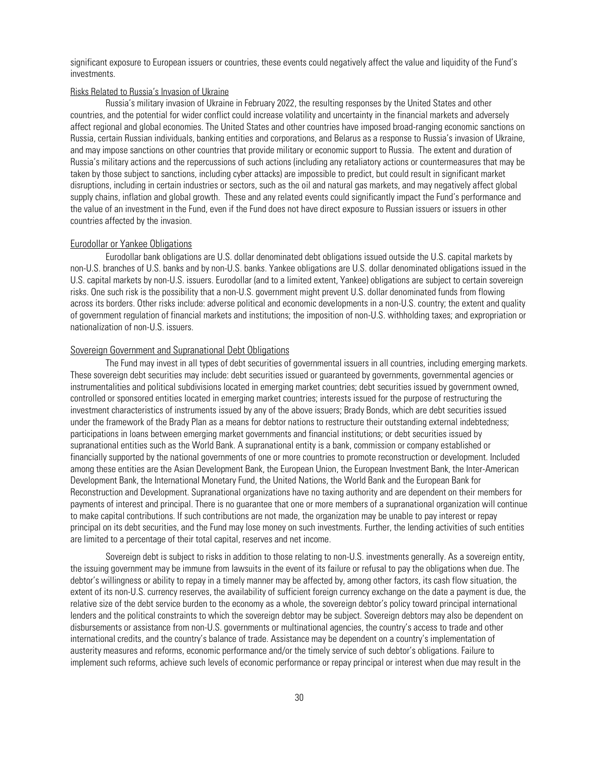significant exposure to European issuers or countries, these events could negatively affect the value and liquidity of the Fund's investments.

#### Risks Related to Russia's Invasion of Ukraine

Russia's military invasion of Ukraine in February 2022, the resulting responses by the United States and other countries, and the potential for wider conflict could increase volatility and uncertainty in the financial markets and adversely affect regional and global economies. The United States and other countries have imposed broad-ranging economic sanctions on Russia, certain Russian individuals, banking entities and corporations, and Belarus as a response to Russia's invasion of Ukraine, and may impose sanctions on other countries that provide military or economic support to Russia. The extent and duration of Russia's military actions and the repercussions of such actions (including any retaliatory actions or countermeasures that may be taken by those subject to sanctions, including cyber attacks) are impossible to predict, but could result in significant market disruptions, including in certain industries or sectors, such as the oil and natural gas markets, and may negatively affect global supply chains, inflation and global growth. These and any related events could significantly impact the Fund's performance and the value of an investment in the Fund, even if the Fund does not have direct exposure to Russian issuers or issuers in other countries affected by the invasion.

### Eurodollar or Yankee Obligations

Eurodollar bank obligations are U.S. dollar denominated debt obligations issued outside the U.S. capital markets by non-U.S. branches of U.S. banks and by non-U.S. banks. Yankee obligations are U.S. dollar denominated obligations issued in the U.S. capital markets by non-U.S. issuers. Eurodollar (and to a limited extent, Yankee) obligations are subject to certain sovereign risks. One such risk is the possibility that a non-U.S. government might prevent U.S. dollar denominated funds from flowing across its borders. Other risks include: adverse political and economic developments in a non-U.S. country; the extent and quality of government regulation of financial markets and institutions; the imposition of non-U.S. withholding taxes; and expropriation or nationalization of non-U.S. issuers.

#### Sovereign Government and Supranational Debt Obligations

The Fund may invest in all types of debt securities of governmental issuers in all countries, including emerging markets. These sovereign debt securities may include: debt securities issued or guaranteed by governments, governmental agencies or instrumentalities and political subdivisions located in emerging market countries; debt securities issued by government owned, controlled or sponsored entities located in emerging market countries; interests issued for the purpose of restructuring the investment characteristics of instruments issued by any of the above issuers; Brady Bonds, which are debt securities issued under the framework of the Brady Plan as a means for debtor nations to restructure their outstanding external indebtedness; participations in loans between emerging market governments and financial institutions; or debt securities issued by supranational entities such as the World Bank. A supranational entity is a bank, commission or company established or financially supported by the national governments of one or more countries to promote reconstruction or development. Included among these entities are the Asian Development Bank, the European Union, the European Investment Bank, the Inter-American Development Bank, the International Monetary Fund, the United Nations, the World Bank and the European Bank for Reconstruction and Development. Supranational organizations have no taxing authority and are dependent on their members for payments of interest and principal. There is no guarantee that one or more members of a supranational organization will continue to make capital contributions. If such contributions are not made, the organization may be unable to pay interest or repay principal on its debt securities, and the Fund may lose money on such investments. Further, the lending activities of such entities are limited to a percentage of their total capital, reserves and net income.

Sovereign debt is subject to risks in addition to those relating to non-U.S. investments generally. As a sovereign entity, the issuing government may be immune from lawsuits in the event of its failure or refusal to pay the obligations when due. The debtor's willingness or ability to repay in a timely manner may be affected by, among other factors, its cash flow situation, the extent of its non-U.S. currency reserves, the availability of sufficient foreign currency exchange on the date a payment is due, the relative size of the debt service burden to the economy as a whole, the sovereign debtor's policy toward principal international lenders and the political constraints to which the sovereign debtor may be subject. Sovereign debtors may also be dependent on disbursements or assistance from non-U.S. governments or multinational agencies, the country's access to trade and other international credits, and the country's balance of trade. Assistance may be dependent on a country's implementation of austerity measures and reforms, economic performance and/or the timely service of such debtor's obligations. Failure to implement such reforms, achieve such levels of economic performance or repay principal or interest when due may result in the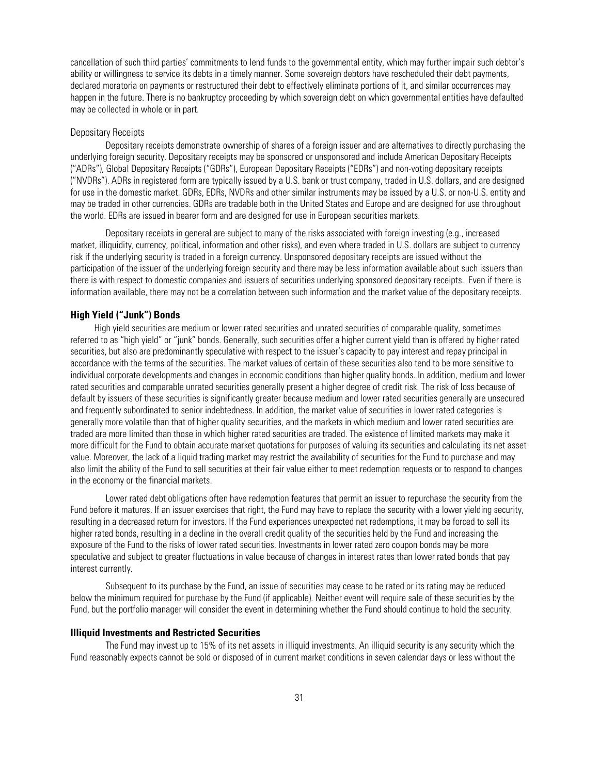cancellation of such third parties' commitments to lend funds to the governmental entity, which may further impair such debtor's ability or willingness to service its debts in a timely manner. Some sovereign debtors have rescheduled their debt payments, declared moratoria on payments or restructured their debt to effectively eliminate portions of it, and similar occurrences may happen in the future. There is no bankruptcy proceeding by which sovereign debt on which governmental entities have defaulted may be collected in whole or in part.

#### **Depositary Receipts**

Depositary receipts demonstrate ownership of shares of a foreign issuer and are alternatives to directly purchasing the underlying foreign security. Depositary receipts may be sponsored or unsponsored and include American Depositary Receipts ("ADRs"), Global Depositary Receipts ("GDRs"), European Depositary Receipts ("EDRs") and non-voting depositary receipts ("NVDRs"). ADRs in registered form are typically issued by a U.S. bank or trust company, traded in U.S. dollars, and are designed for use in the domestic market. GDRs, EDRs, NVDRs and other similar instruments may be issued by a U.S. or non-U.S. entity and may be traded in other currencies. GDRs are tradable both in the United States and Europe and are designed for use throughout the world. EDRs are issued in bearer form and are designed for use in European securities markets.

Depositary receipts in general are subject to many of the risks associated with foreign investing (e.g., increased market, illiquidity, currency, political, information and other risks), and even where traded in U.S. dollars are subject to currency risk if the underlying security is traded in a foreign currency. Unsponsored depositary receipts are issued without the participation of the issuer of the underlying foreign security and there may be less information available about such issuers than there is with respect to domestic companies and issuers of securities underlying sponsored depositary receipts. Even if there is information available, there may not be a correlation between such information and the market value of the depositary receipts.

### **High Yield ("Junk") Bonds**

High yield securities are medium or lower rated securities and unrated securities of comparable quality, sometimes referred to as "high yield" or "junk" bonds. Generally, such securities offer a higher current yield than is offered by higher rated securities, but also are predominantly speculative with respect to the issuer's capacity to pay interest and repay principal in accordance with the terms of the securities. The market values of certain of these securities also tend to be more sensitive to individual corporate developments and changes in economic conditions than higher quality bonds. In addition, medium and lower rated securities and comparable unrated securities generally present a higher degree of credit risk. The risk of loss because of default by issuers of these securities is significantly greater because medium and lower rated securities generally are unsecured and frequently subordinated to senior indebtedness. In addition, the market value of securities in lower rated categories is generally more volatile than that of higher quality securities, and the markets in which medium and lower rated securities are traded are more limited than those in which higher rated securities are traded. The existence of limited markets may make it more difficult for the Fund to obtain accurate market quotations for purposes of valuing its securities and calculating its net asset value. Moreover, the lack of a liquid trading market may restrict the availability of securities for the Fund to purchase and may also limit the ability of the Fund to sell securities at their fair value either to meet redemption requests or to respond to changes in the economy or the financial markets.

Lower rated debt obligations often have redemption features that permit an issuer to repurchase the security from the Fund before it matures. If an issuer exercises that right, the Fund may have to replace the security with a lower yielding security, resulting in a decreased return for investors. If the Fund experiences unexpected net redemptions, it may be forced to sell its higher rated bonds, resulting in a decline in the overall credit quality of the securities held by the Fund and increasing the exposure of the Fund to the risks of lower rated securities. Investments in lower rated zero coupon bonds may be more speculative and subject to greater fluctuations in value because of changes in interest rates than lower rated bonds that pay interest currently.

Subsequent to its purchase by the Fund, an issue of securities may cease to be rated or its rating may be reduced below the minimum required for purchase by the Fund (if applicable). Neither event will require sale of these securities by the Fund, but the portfolio manager will consider the event in determining whether the Fund should continue to hold the security.

### **Illiquid Investments and Restricted Securities**

The Fund may invest up to 15% of its net assets in illiquid investments. An illiquid security is any security which the Fund reasonably expects cannot be sold or disposed of in current market conditions in seven calendar days or less without the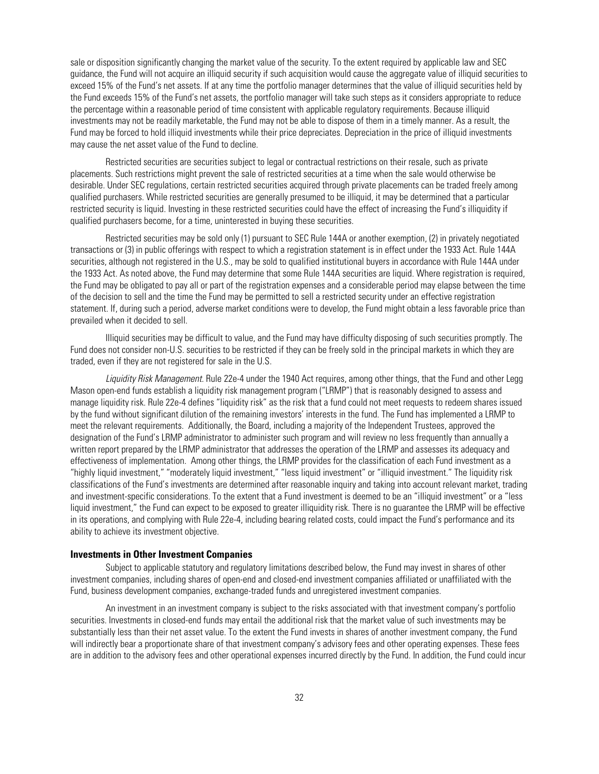sale or disposition significantly changing the market value of the security. To the extent required by applicable law and SEC guidance, the Fund will not acquire an illiquid security if such acquisition would cause the aggregate value of illiquid securities to exceed 15% of the Fund's net assets. If at any time the portfolio manager determines that the value of illiquid securities held by the Fund exceeds 15% of the Fund's net assets, the portfolio manager will take such steps as it considers appropriate to reduce the percentage within a reasonable period of time consistent with applicable regulatory requirements. Because illiquid investments may not be readily marketable, the Fund may not be able to dispose of them in a timely manner. As a result, the Fund may be forced to hold illiquid investments while their price depreciates. Depreciation in the price of illiquid investments may cause the net asset value of the Fund to decline.

Restricted securities are securities subject to legal or contractual restrictions on their resale, such as private placements. Such restrictions might prevent the sale of restricted securities at a time when the sale would otherwise be desirable. Under SEC regulations, certain restricted securities acquired through private placements can be traded freely among qualified purchasers. While restricted securities are generally presumed to be illiquid, it may be determined that a particular restricted security is liquid. Investing in these restricted securities could have the effect of increasing the Fund's illiquidity if qualified purchasers become, for a time, uninterested in buying these securities.

Restricted securities may be sold only (1) pursuant to SEC Rule 144A or another exemption, (2) in privately negotiated transactions or (3) in public offerings with respect to which a registration statement is in effect under the 1933 Act. Rule 144A securities, although not registered in the U.S., may be sold to qualified institutional buyers in accordance with Rule 144A under the 1933 Act. As noted above, the Fund may determine that some Rule 144A securities are liquid. Where registration is required, the Fund may be obligated to pay all or part of the registration expenses and a considerable period may elapse between the time of the decision to sell and the time the Fund may be permitted to sell a restricted security under an effective registration statement. If, during such a period, adverse market conditions were to develop, the Fund might obtain a less favorable price than prevailed when it decided to sell.

Illiquid securities may be difficult to value, and the Fund may have difficulty disposing of such securities promptly. The Fund does not consider non-U.S. securities to be restricted if they can be freely sold in the principal markets in which they are traded, even if they are not registered for sale in the U.S.

Liquidity Risk Management. Rule 22e-4 under the 1940 Act requires, among other things, that the Fund and other Legg Mason open-end funds establish a liquidity risk management program ("LRMP") that is reasonably designed to assess and manage liquidity risk. Rule 22e-4 defines "liquidity risk" as the risk that a fund could not meet requests to redeem shares issued by the fund without significant dilution of the remaining investors' interests in the fund. The Fund has implemented a LRMP to meet the relevant requirements. Additionally, the Board, including a majority of the Independent Trustees, approved the designation of the Fund's LRMP administrator to administer such program and will review no less frequently than annually a written report prepared by the LRMP administrator that addresses the operation of the LRMP and assesses its adequacy and effectiveness of implementation. Among other things, the LRMP provides for the classification of each Fund investment as a "highly liquid investment," "moderately liquid investment," "less liquid investment" or "illiquid investment." The liquidity risk classifications of the Fund's investments are determined after reasonable inquiry and taking into account relevant market, trading and investment-specific considerations. To the extent that a Fund investment is deemed to be an "illiquid investment" or a "less liquid investment," the Fund can expect to be exposed to greater illiquidity risk. There is no guarantee the LRMP will be effective in its operations, and complying with Rule 22e-4, including bearing related costs, could impact the Fund's performance and its ability to achieve its investment objective.

#### **Investments in Other Investment Companies**

Subject to applicable statutory and regulatory limitations described below, the Fund may invest in shares of other investment companies, including shares of open-end and closed-end investment companies affiliated or unaffiliated with the Fund, business development companies, exchange-traded funds and unregistered investment companies.

An investment in an investment company is subject to the risks associated with that investment company's portfolio securities. Investments in closed-end funds may entail the additional risk that the market value of such investments may be substantially less than their net asset value. To the extent the Fund invests in shares of another investment company, the Fund will indirectly bear a proportionate share of that investment company's advisory fees and other operating expenses. These fees are in addition to the advisory fees and other operational expenses incurred directly by the Fund. In addition, the Fund could incur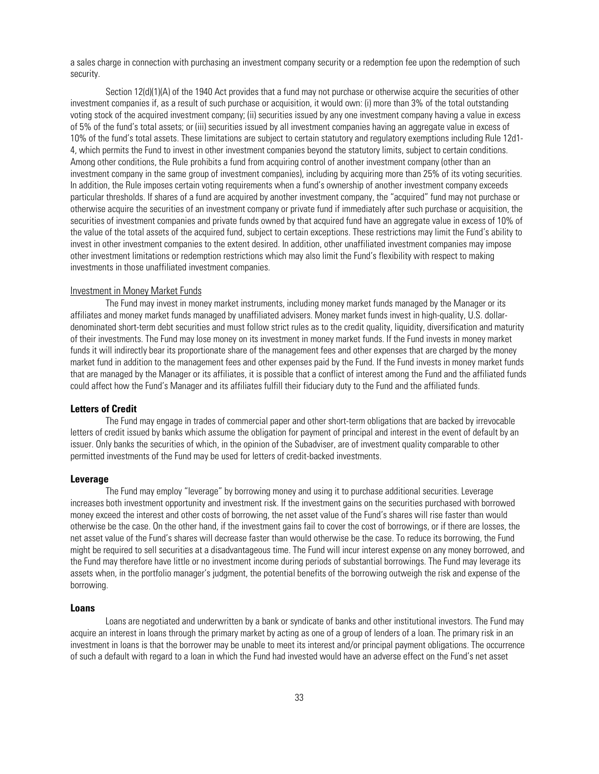a sales charge in connection with purchasing an investment company security or a redemption fee upon the redemption of such security.

Section 12(d)(1)(A) of the 1940 Act provides that a fund may not purchase or otherwise acquire the securities of other investment companies if, as a result of such purchase or acquisition, it would own: (i) more than 3% of the total outstanding voting stock of the acquired investment company; (ii) securities issued by any one investment company having a value in excess of 5% of the fund's total assets; or (iii) securities issued by all investment companies having an aggregate value in excess of 10% of the fund's total assets. These limitations are subject to certain statutory and regulatory exemptions including Rule 12d1- 4, which permits the Fund to invest in other investment companies beyond the statutory limits, subject to certain conditions. Among other conditions, the Rule prohibits a fund from acquiring control of another investment company (other than an investment company in the same group of investment companies), including by acquiring more than 25% of its voting securities. In addition, the Rule imposes certain voting requirements when a fund's ownership of another investment company exceeds particular thresholds. If shares of a fund are acquired by another investment company, the "acquired" fund may not purchase or otherwise acquire the securities of an investment company or private fund if immediately after such purchase or acquisition, the securities of investment companies and private funds owned by that acquired fund have an aggregate value in excess of 10% of the value of the total assets of the acquired fund, subject to certain exceptions. These restrictions may limit the Fund's ability to invest in other investment companies to the extent desired. In addition, other unaffiliated investment companies may impose other investment limitations or redemption restrictions which may also limit the Fund's flexibility with respect to making investments in those unaffiliated investment companies.

#### **Investment in Money Market Funds**

 The Fund may invest in money market instruments, including money market funds managed by the Manager or its affiliates and money market funds managed by unaffiliated advisers. Money market funds invest in high-quality, U.S. dollardenominated short-term debt securities and must follow strict rules as to the credit quality, liquidity, diversification and maturity of their investments. The Fund may lose money on its investment in money market funds. If the Fund invests in money market funds it will indirectly bear its proportionate share of the management fees and other expenses that are charged by the money market fund in addition to the management fees and other expenses paid by the Fund. If the Fund invests in money market funds that are managed by the Manager or its affiliates, it is possible that a conflict of interest among the Fund and the affiliated funds could affect how the Fund's Manager and its affiliates fulfill their fiduciary duty to the Fund and the affiliated funds.

#### **Letters of Credit**

 The Fund may engage in trades of commercial paper and other short-term obligations that are backed by irrevocable letters of credit issued by banks which assume the obligation for payment of principal and interest in the event of default by an issuer. Only banks the securities of which, in the opinion of the Subadviser, are of investment quality comparable to other permitted investments of the Fund may be used for letters of credit-backed investments.

### **Leverage**

 The Fund may employ "leverage" by borrowing money and using it to purchase additional securities. Leverage increases both investment opportunity and investment risk. If the investment gains on the securities purchased with borrowed money exceed the interest and other costs of borrowing, the net asset value of the Fund's shares will rise faster than would otherwise be the case. On the other hand, if the investment gains fail to cover the cost of borrowings, or if there are losses, the net asset value of the Fund's shares will decrease faster than would otherwise be the case. To reduce its borrowing, the Fund might be required to sell securities at a disadvantageous time. The Fund will incur interest expense on any money borrowed, and the Fund may therefore have little or no investment income during periods of substantial borrowings. The Fund may leverage its assets when, in the portfolio manager's judgment, the potential benefits of the borrowing outweigh the risk and expense of the borrowing.

#### **Loans**

Loans are negotiated and underwritten by a bank or syndicate of banks and other institutional investors. The Fund may acquire an interest in loans through the primary market by acting as one of a group of lenders of a loan. The primary risk in an investment in loans is that the borrower may be unable to meet its interest and/or principal payment obligations. The occurrence of such a default with regard to a loan in which the Fund had invested would have an adverse effect on the Fund's net asset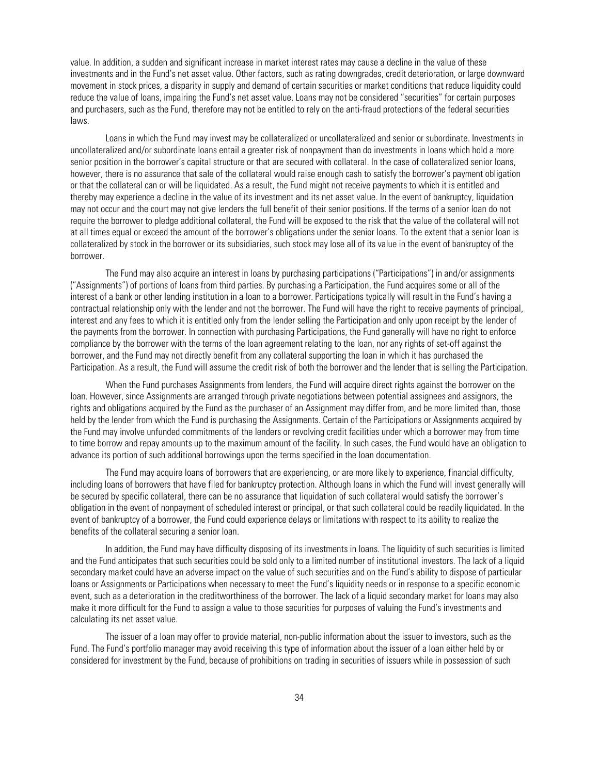value. In addition, a sudden and significant increase in market interest rates may cause a decline in the value of these investments and in the Fund's net asset value. Other factors, such as rating downgrades, credit deterioration, or large downward movement in stock prices, a disparity in supply and demand of certain securities or market conditions that reduce liquidity could reduce the value of loans, impairing the Fund's net asset value. Loans may not be considered "securities" for certain purposes and purchasers, such as the Fund, therefore may not be entitled to rely on the anti-fraud protections of the federal securities laws.

Loans in which the Fund may invest may be collateralized or uncollateralized and senior or subordinate. Investments in uncollateralized and/or subordinate loans entail a greater risk of nonpayment than do investments in loans which hold a more senior position in the borrower's capital structure or that are secured with collateral. In the case of collateralized senior loans, however, there is no assurance that sale of the collateral would raise enough cash to satisfy the borrower's payment obligation or that the collateral can or will be liquidated. As a result, the Fund might not receive payments to which it is entitled and thereby may experience a decline in the value of its investment and its net asset value. In the event of bankruptcy, liquidation may not occur and the court may not give lenders the full benefit of their senior positions. If the terms of a senior loan do not require the borrower to pledge additional collateral, the Fund will be exposed to the risk that the value of the collateral will not at all times equal or exceed the amount of the borrower's obligations under the senior loans. To the extent that a senior loan is collateralized by stock in the borrower or its subsidiaries, such stock may lose all of its value in the event of bankruptcy of the borrower.

The Fund may also acquire an interest in loans by purchasing participations ("Participations") in and/or assignments ("Assignments") of portions of loans from third parties. By purchasing a Participation, the Fund acquires some or all of the interest of a bank or other lending institution in a loan to a borrower. Participations typically will result in the Fund's having a contractual relationship only with the lender and not the borrower. The Fund will have the right to receive payments of principal, interest and any fees to which it is entitled only from the lender selling the Participation and only upon receipt by the lender of the payments from the borrower. In connection with purchasing Participations, the Fund generally will have no right to enforce compliance by the borrower with the terms of the loan agreement relating to the loan, nor any rights of set-off against the borrower, and the Fund may not directly benefit from any collateral supporting the loan in which it has purchased the Participation. As a result, the Fund will assume the credit risk of both the borrower and the lender that is selling the Participation.

When the Fund purchases Assignments from lenders, the Fund will acquire direct rights against the borrower on the loan. However, since Assignments are arranged through private negotiations between potential assignees and assignors, the rights and obligations acquired by the Fund as the purchaser of an Assignment may differ from, and be more limited than, those held by the lender from which the Fund is purchasing the Assignments. Certain of the Participations or Assignments acquired by the Fund may involve unfunded commitments of the lenders or revolving credit facilities under which a borrower may from time to time borrow and repay amounts up to the maximum amount of the facility. In such cases, the Fund would have an obligation to advance its portion of such additional borrowings upon the terms specified in the loan documentation.

The Fund may acquire loans of borrowers that are experiencing, or are more likely to experience, financial difficulty, including loans of borrowers that have filed for bankruptcy protection. Although loans in which the Fund will invest generally will be secured by specific collateral, there can be no assurance that liquidation of such collateral would satisfy the borrower's obligation in the event of nonpayment of scheduled interest or principal, or that such collateral could be readily liquidated. In the event of bankruptcy of a borrower, the Fund could experience delays or limitations with respect to its ability to realize the benefits of the collateral securing a senior loan.

In addition, the Fund may have difficulty disposing of its investments in loans. The liquidity of such securities is limited and the Fund anticipates that such securities could be sold only to a limited number of institutional investors. The lack of a liquid secondary market could have an adverse impact on the value of such securities and on the Fund's ability to dispose of particular loans or Assignments or Participations when necessary to meet the Fund's liquidity needs or in response to a specific economic event, such as a deterioration in the creditworthiness of the borrower. The lack of a liquid secondary market for loans may also make it more difficult for the Fund to assign a value to those securities for purposes of valuing the Fund's investments and calculating its net asset value.

The issuer of a loan may offer to provide material, non-public information about the issuer to investors, such as the Fund. The Fund's portfolio manager may avoid receiving this type of information about the issuer of a loan either held by or considered for investment by the Fund, because of prohibitions on trading in securities of issuers while in possession of such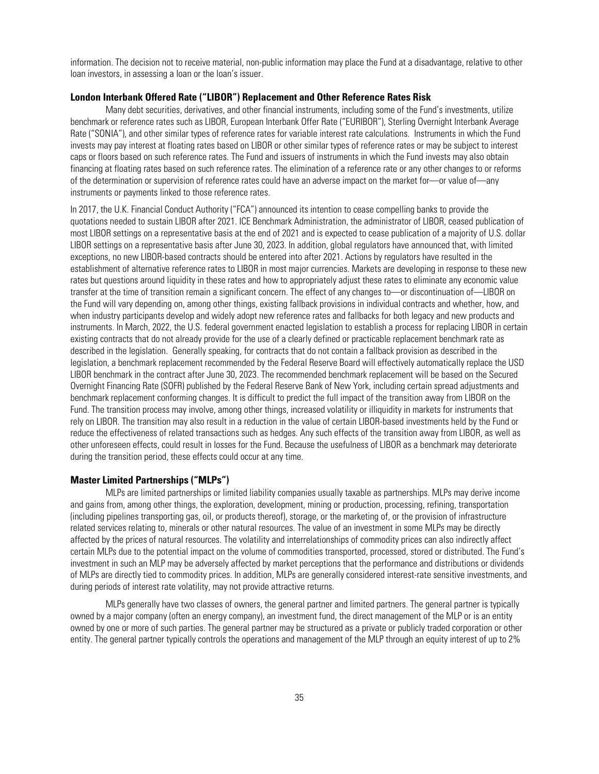information. The decision not to receive material, non-public information may place the Fund at a disadvantage, relative to other loan investors, in assessing a loan or the loan's issuer.

# **London Interbank Offered Rate ("LIBOR") Replacement and Other Reference Rates Risk**

Many debt securities, derivatives, and other financial instruments, including some of the Fund's investments, utilize benchmark or reference rates such as LIBOR, European Interbank Offer Rate ("EURIBOR"), Sterling Overnight Interbank Average Rate ("SONIA"), and other similar types of reference rates for variable interest rate calculations. Instruments in which the Fund invests may pay interest at floating rates based on LIBOR or other similar types of reference rates or may be subject to interest caps or floors based on such reference rates. The Fund and issuers of instruments in which the Fund invests may also obtain financing at floating rates based on such reference rates. The elimination of a reference rate or any other changes to or reforms of the determination or supervision of reference rates could have an adverse impact on the market for—or value of—any instruments or payments linked to those reference rates.

In 2017, the U.K. Financial Conduct Authority ("FCA") announced its intention to cease compelling banks to provide the quotations needed to sustain LIBOR after 2021. ICE Benchmark Administration, the administrator of LIBOR, ceased publication of most LIBOR settings on a representative basis at the end of 2021 and is expected to cease publication of a majority of U.S. dollar LIBOR settings on a representative basis after June 30, 2023. In addition, global regulators have announced that, with limited exceptions, no new LIBOR-based contracts should be entered into after 2021. Actions by regulators have resulted in the establishment of alternative reference rates to LIBOR in most major currencies. Markets are developing in response to these new rates but questions around liquidity in these rates and how to appropriately adjust these rates to eliminate any economic value transfer at the time of transition remain a significant concern. The effect of any changes to—or discontinuation of—LIBOR on the Fund will vary depending on, among other things, existing fallback provisions in individual contracts and whether, how, and when industry participants develop and widely adopt new reference rates and fallbacks for both legacy and new products and instruments. In March, 2022, the U.S. federal government enacted legislation to establish a process for replacing LIBOR in certain existing contracts that do not already provide for the use of a clearly defined or practicable replacement benchmark rate as described in the legislation. Generally speaking, for contracts that do not contain a fallback provision as described in the legislation, a benchmark replacement recommended by the Federal Reserve Board will effectively automatically replace the USD LIBOR benchmark in the contract after June 30, 2023. The recommended benchmark replacement will be based on the Secured Overnight Financing Rate (SOFR) published by the Federal Reserve Bank of New York, including certain spread adjustments and benchmark replacement conforming changes. It is difficult to predict the full impact of the transition away from LIBOR on the Fund. The transition process may involve, among other things, increased volatility or illiquidity in markets for instruments that rely on LIBOR. The transition may also result in a reduction in the value of certain LIBOR-based investments held by the Fund or reduce the effectiveness of related transactions such as hedges. Any such effects of the transition away from LIBOR, as well as other unforeseen effects, could result in losses for the Fund. Because the usefulness of LIBOR as a benchmark may deteriorate during the transition period, these effects could occur at any time.

### **Master Limited Partnerships ("MLPs")**

MLPs are limited partnerships or limited liability companies usually taxable as partnerships. MLPs may derive income and gains from, among other things, the exploration, development, mining or production, processing, refining, transportation (including pipelines transporting gas, oil, or products thereof), storage, or the marketing of, or the provision of infrastructure related services relating to, minerals or other natural resources. The value of an investment in some MLPs may be directly affected by the prices of natural resources. The volatility and interrelationships of commodity prices can also indirectly affect certain MLPs due to the potential impact on the volume of commodities transported, processed, stored or distributed. The Fund's investment in such an MLP may be adversely affected by market perceptions that the performance and distributions or dividends of MLPs are directly tied to commodity prices. In addition, MLPs are generally considered interest-rate sensitive investments, and during periods of interest rate volatility, may not provide attractive returns.

MLPs generally have two classes of owners, the general partner and limited partners. The general partner is typically owned by a major company (often an energy company), an investment fund, the direct management of the MLP or is an entity owned by one or more of such parties. The general partner may be structured as a private or publicly traded corporation or other entity. The general partner typically controls the operations and management of the MLP through an equity interest of up to 2%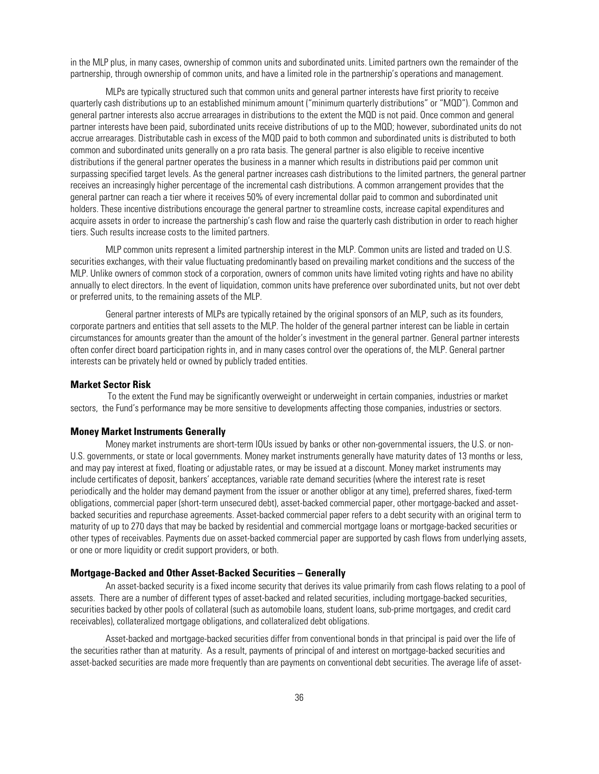in the MLP plus, in many cases, ownership of common units and subordinated units. Limited partners own the remainder of the partnership, through ownership of common units, and have a limited role in the partnership's operations and management.

MLPs are typically structured such that common units and general partner interests have first priority to receive quarterly cash distributions up to an established minimum amount ("minimum quarterly distributions" or "MQD"). Common and general partner interests also accrue arrearages in distributions to the extent the MQD is not paid. Once common and general partner interests have been paid, subordinated units receive distributions of up to the MQD; however, subordinated units do not accrue arrearages. Distributable cash in excess of the MQD paid to both common and subordinated units is distributed to both common and subordinated units generally on a pro rata basis. The general partner is also eligible to receive incentive distributions if the general partner operates the business in a manner which results in distributions paid per common unit surpassing specified target levels. As the general partner increases cash distributions to the limited partners, the general partner receives an increasingly higher percentage of the incremental cash distributions. A common arrangement provides that the general partner can reach a tier where it receives 50% of every incremental dollar paid to common and subordinated unit holders. These incentive distributions encourage the general partner to streamline costs, increase capital expenditures and acquire assets in order to increase the partnership's cash flow and raise the quarterly cash distribution in order to reach higher tiers. Such results increase costs to the limited partners.

MLP common units represent a limited partnership interest in the MLP. Common units are listed and traded on U.S. securities exchanges, with their value fluctuating predominantly based on prevailing market conditions and the success of the MLP. Unlike owners of common stock of a corporation, owners of common units have limited voting rights and have no ability annually to elect directors. In the event of liquidation, common units have preference over subordinated units, but not over debt or preferred units, to the remaining assets of the MLP.

General partner interests of MLPs are typically retained by the original sponsors of an MLP, such as its founders, corporate partners and entities that sell assets to the MLP. The holder of the general partner interest can be liable in certain circumstances for amounts greater than the amount of the holder's investment in the general partner. General partner interests often confer direct board participation rights in, and in many cases control over the operations of, the MLP. General partner interests can be privately held or owned by publicly traded entities.

#### **Market Sector Risk**

 To the extent the Fund may be significantly overweight or underweight in certain companies, industries or market sectors, the Fund's performance may be more sensitive to developments affecting those companies, industries or sectors.

### **Money Market Instruments Generally**

Money market instruments are short-term IOUs issued by banks or other non-governmental issuers, the U.S. or non-U.S. governments, or state or local governments. Money market instruments generally have maturity dates of 13 months or less, and may pay interest at fixed, floating or adjustable rates, or may be issued at a discount. Money market instruments may include certificates of deposit, bankers' acceptances, variable rate demand securities (where the interest rate is reset periodically and the holder may demand payment from the issuer or another obligor at any time), preferred shares, fixed-term obligations, commercial paper (short-term unsecured debt), asset-backed commercial paper, other mortgage-backed and assetbacked securities and repurchase agreements. Asset-backed commercial paper refers to a debt security with an original term to maturity of up to 270 days that may be backed by residential and commercial mortgage loans or mortgage-backed securities or other types of receivables. Payments due on asset-backed commercial paper are supported by cash flows from underlying assets, or one or more liquidity or credit support providers, or both.

## **Mortgage-Backed and Other Asset-Backed Securities – Generally**

An asset-backed security is a fixed income security that derives its value primarily from cash flows relating to a pool of assets. There are a number of different types of asset-backed and related securities, including mortgage-backed securities, securities backed by other pools of collateral (such as automobile loans, student loans, sub-prime mortgages, and credit card receivables), collateralized mortgage obligations, and collateralized debt obligations.

Asset-backed and mortgage-backed securities differ from conventional bonds in that principal is paid over the life of the securities rather than at maturity. As a result, payments of principal of and interest on mortgage-backed securities and asset-backed securities are made more frequently than are payments on conventional debt securities. The average life of asset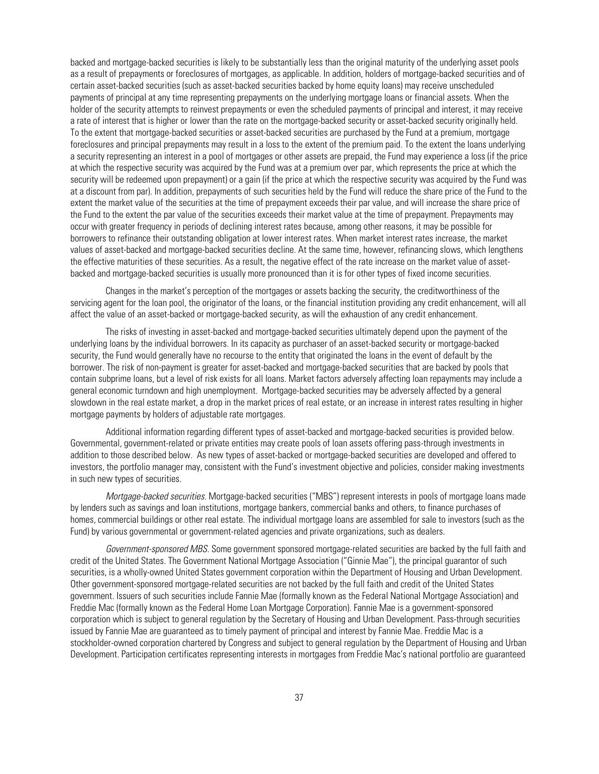backed and mortgage-backed securities is likely to be substantially less than the original maturity of the underlying asset pools as a result of prepayments or foreclosures of mortgages, as applicable. In addition, holders of mortgage-backed securities and of certain asset-backed securities (such as asset-backed securities backed by home equity loans) may receive unscheduled payments of principal at any time representing prepayments on the underlying mortgage loans or financial assets. When the holder of the security attempts to reinvest prepayments or even the scheduled payments of principal and interest, it may receive a rate of interest that is higher or lower than the rate on the mortgage-backed security or asset-backed security originally held. To the extent that mortgage-backed securities or asset-backed securities are purchased by the Fund at a premium, mortgage foreclosures and principal prepayments may result in a loss to the extent of the premium paid. To the extent the loans underlying a security representing an interest in a pool of mortgages or other assets are prepaid, the Fund may experience a loss (if the price at which the respective security was acquired by the Fund was at a premium over par, which represents the price at which the security will be redeemed upon prepayment) or a gain (if the price at which the respective security was acquired by the Fund was at a discount from par). In addition, prepayments of such securities held by the Fund will reduce the share price of the Fund to the extent the market value of the securities at the time of prepayment exceeds their par value, and will increase the share price of the Fund to the extent the par value of the securities exceeds their market value at the time of prepayment. Prepayments may occur with greater frequency in periods of declining interest rates because, among other reasons, it may be possible for borrowers to refinance their outstanding obligation at lower interest rates. When market interest rates increase, the market values of asset-backed and mortgage-backed securities decline. At the same time, however, refinancing slows, which lengthens the effective maturities of these securities. As a result, the negative effect of the rate increase on the market value of assetbacked and mortgage-backed securities is usually more pronounced than it is for other types of fixed income securities.

Changes in the market's perception of the mortgages or assets backing the security, the creditworthiness of the servicing agent for the loan pool, the originator of the loans, or the financial institution providing any credit enhancement, will all affect the value of an asset-backed or mortgage-backed security, as will the exhaustion of any credit enhancement.

The risks of investing in asset-backed and mortgage-backed securities ultimately depend upon the payment of the underlying loans by the individual borrowers. In its capacity as purchaser of an asset-backed security or mortgage-backed security, the Fund would generally have no recourse to the entity that originated the loans in the event of default by the borrower. The risk of non-payment is greater for asset-backed and mortgage-backed securities that are backed by pools that contain subprime loans, but a level of risk exists for all loans. Market factors adversely affecting loan repayments may include a general economic turndown and high unemployment. Mortgage-backed securities may be adversely affected by a general slowdown in the real estate market, a drop in the market prices of real estate, or an increase in interest rates resulting in higher mortgage payments by holders of adjustable rate mortgages.

Additional information regarding different types of asset-backed and mortgage-backed securities is provided below. Governmental, government-related or private entities may create pools of loan assets offering pass-through investments in addition to those described below. As new types of asset-backed or mortgage-backed securities are developed and offered to investors, the portfolio manager may, consistent with the Fund's investment objective and policies, consider making investments in such new types of securities.

Mortgage-backed securities. Mortgage-backed securities ("MBS") represent interests in pools of mortgage loans made by lenders such as savings and loan institutions, mortgage bankers, commercial banks and others, to finance purchases of homes, commercial buildings or other real estate. The individual mortgage loans are assembled for sale to investors (such as the Fund) by various governmental or government-related agencies and private organizations, such as dealers.

Government-sponsored MBS. Some government sponsored mortgage-related securities are backed by the full faith and credit of the United States. The Government National Mortgage Association ("Ginnie Mae"), the principal guarantor of such securities, is a wholly-owned United States government corporation within the Department of Housing and Urban Development. Other government-sponsored mortgage-related securities are not backed by the full faith and credit of the United States government. Issuers of such securities include Fannie Mae (formally known as the Federal National Mortgage Association) and Freddie Mac (formally known as the Federal Home Loan Mortgage Corporation). Fannie Mae is a government-sponsored corporation which is subject to general regulation by the Secretary of Housing and Urban Development. Pass-through securities issued by Fannie Mae are guaranteed as to timely payment of principal and interest by Fannie Mae. Freddie Mac is a stockholder-owned corporation chartered by Congress and subject to general regulation by the Department of Housing and Urban Development. Participation certificates representing interests in mortgages from Freddie Mac's national portfolio are guaranteed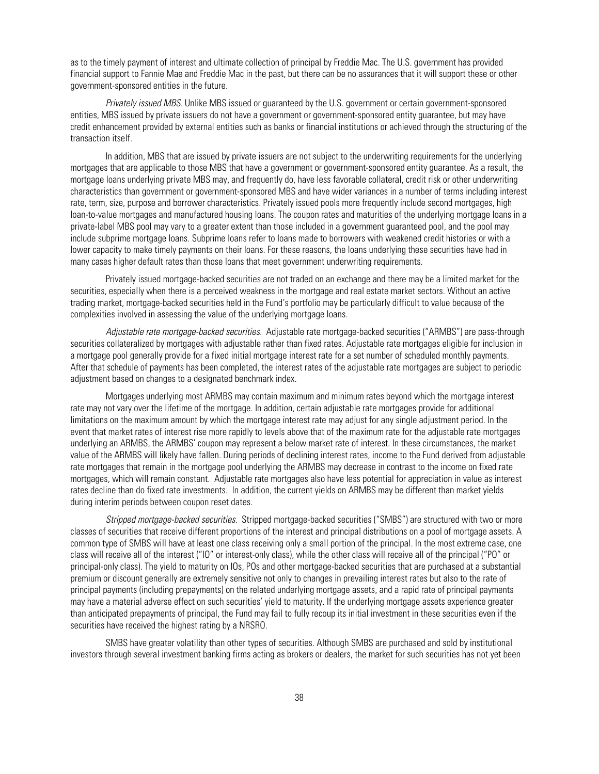as to the timely payment of interest and ultimate collection of principal by Freddie Mac. The U.S. government has provided financial support to Fannie Mae and Freddie Mac in the past, but there can be no assurances that it will support these or other government-sponsored entities in the future.

Privately issued MBS. Unlike MBS issued or quaranteed by the U.S. government or certain government-sponsored entities, MBS issued by private issuers do not have a government or government-sponsored entity guarantee, but may have credit enhancement provided by external entities such as banks or financial institutions or achieved through the structuring of the transaction itself.

In addition, MBS that are issued by private issuers are not subject to the underwriting requirements for the underlying mortgages that are applicable to those MBS that have a government or government-sponsored entity guarantee. As a result, the mortgage loans underlying private MBS may, and frequently do, have less favorable collateral, credit risk or other underwriting characteristics than government or government-sponsored MBS and have wider variances in a number of terms including interest rate, term, size, purpose and borrower characteristics. Privately issued pools more frequently include second mortgages, high loan-to-value mortgages and manufactured housing loans. The coupon rates and maturities of the underlying mortgage loans in a private-label MBS pool may vary to a greater extent than those included in a government guaranteed pool, and the pool may include subprime mortgage loans. Subprime loans refer to loans made to borrowers with weakened credit histories or with a lower capacity to make timely payments on their loans. For these reasons, the loans underlying these securities have had in many cases higher default rates than those loans that meet government underwriting requirements.

Privately issued mortgage-backed securities are not traded on an exchange and there may be a limited market for the securities, especially when there is a perceived weakness in the mortgage and real estate market sectors. Without an active trading market, mortgage-backed securities held in the Fund's portfolio may be particularly difficult to value because of the complexities involved in assessing the value of the underlying mortgage loans.

Adjustable rate mortgage-backed securities. Adjustable rate mortgage-backed securities ("ARMBS") are pass-through securities collateralized by mortgages with adjustable rather than fixed rates. Adjustable rate mortgages eligible for inclusion in a mortgage pool generally provide for a fixed initial mortgage interest rate for a set number of scheduled monthly payments. After that schedule of payments has been completed, the interest rates of the adjustable rate mortgages are subject to periodic adjustment based on changes to a designated benchmark index.

Mortgages underlying most ARMBS may contain maximum and minimum rates beyond which the mortgage interest rate may not vary over the lifetime of the mortgage. In addition, certain adjustable rate mortgages provide for additional limitations on the maximum amount by which the mortgage interest rate may adjust for any single adjustment period. In the event that market rates of interest rise more rapidly to levels above that of the maximum rate for the adjustable rate mortgages underlying an ARMBS, the ARMBS' coupon may represent a below market rate of interest. In these circumstances, the market value of the ARMBS will likely have fallen. During periods of declining interest rates, income to the Fund derived from adjustable rate mortgages that remain in the mortgage pool underlying the ARMBS may decrease in contrast to the income on fixed rate mortgages, which will remain constant. Adjustable rate mortgages also have less potential for appreciation in value as interest rates decline than do fixed rate investments. In addition, the current yields on ARMBS may be different than market yields during interim periods between coupon reset dates.

Stripped mortgage-backed securities. Stripped mortgage-backed securities ("SMBS") are structured with two or more classes of securities that receive different proportions of the interest and principal distributions on a pool of mortgage assets. A common type of SMBS will have at least one class receiving only a small portion of the principal. In the most extreme case, one class will receive all of the interest ("IO" or interest-only class), while the other class will receive all of the principal ("PO" or principal-only class). The yield to maturity on IOs, POs and other mortgage-backed securities that are purchased at a substantial premium or discount generally are extremely sensitive not only to changes in prevailing interest rates but also to the rate of principal payments (including prepayments) on the related underlying mortgage assets, and a rapid rate of principal payments may have a material adverse effect on such securities' yield to maturity. If the underlying mortgage assets experience greater than anticipated prepayments of principal, the Fund may fail to fully recoup its initial investment in these securities even if the securities have received the highest rating by a NRSRO.

SMBS have greater volatility than other types of securities. Although SMBS are purchased and sold by institutional investors through several investment banking firms acting as brokers or dealers, the market for such securities has not yet been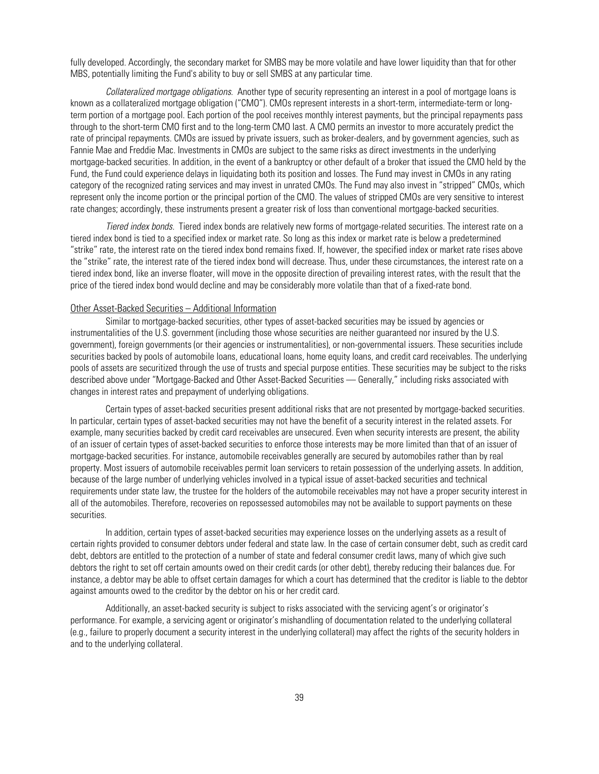fully developed. Accordingly, the secondary market for SMBS may be more volatile and have lower liquidity than that for other MBS, potentially limiting the Fund's ability to buy or sell SMBS at any particular time.

Collateralized mortgage obligations. Another type of security representing an interest in a pool of mortgage loans is known as a collateralized mortgage obligation ("CMO"). CMOs represent interests in a short-term, intermediate-term or longterm portion of a mortgage pool. Each portion of the pool receives monthly interest payments, but the principal repayments pass through to the short-term CMO first and to the long-term CMO last. A CMO permits an investor to more accurately predict the rate of principal repayments. CMOs are issued by private issuers, such as broker-dealers, and by government agencies, such as Fannie Mae and Freddie Mac. Investments in CMOs are subject to the same risks as direct investments in the underlying mortgage-backed securities. In addition, in the event of a bankruptcy or other default of a broker that issued the CMO held by the Fund, the Fund could experience delays in liquidating both its position and losses. The Fund may invest in CMOs in any rating category of the recognized rating services and may invest in unrated CMOs. The Fund may also invest in "stripped" CMOs, which represent only the income portion or the principal portion of the CMO. The values of stripped CMOs are very sensitive to interest rate changes; accordingly, these instruments present a greater risk of loss than conventional mortgage-backed securities.

Tiered index bonds. Tiered index bonds are relatively new forms of mortgage-related securities. The interest rate on a tiered index bond is tied to a specified index or market rate. So long as this index or market rate is below a predetermined "strike" rate, the interest rate on the tiered index bond remains fixed. If, however, the specified index or market rate rises above the "strike" rate, the interest rate of the tiered index bond will decrease. Thus, under these circumstances, the interest rate on a tiered index bond, like an inverse floater, will move in the opposite direction of prevailing interest rates, with the result that the price of the tiered index bond would decline and may be considerably more volatile than that of a fixed-rate bond.

# Other Asset-Backed Securities – Additional Information

Similar to mortgage-backed securities, other types of asset-backed securities may be issued by agencies or instrumentalities of the U.S. government (including those whose securities are neither guaranteed nor insured by the U.S. government), foreign governments (or their agencies or instrumentalities), or non-governmental issuers. These securities include securities backed by pools of automobile loans, educational loans, home equity loans, and credit card receivables. The underlying pools of assets are securitized through the use of trusts and special purpose entities. These securities may be subject to the risks described above under "Mortgage-Backed and Other Asset-Backed Securities — Generally," including risks associated with changes in interest rates and prepayment of underlying obligations.

Certain types of asset-backed securities present additional risks that are not presented by mortgage-backed securities. In particular, certain types of asset-backed securities may not have the benefit of a security interest in the related assets. For example, many securities backed by credit card receivables are unsecured. Even when security interests are present, the ability of an issuer of certain types of asset-backed securities to enforce those interests may be more limited than that of an issuer of mortgage-backed securities. For instance, automobile receivables generally are secured by automobiles rather than by real property. Most issuers of automobile receivables permit loan servicers to retain possession of the underlying assets. In addition, because of the large number of underlying vehicles involved in a typical issue of asset-backed securities and technical requirements under state law, the trustee for the holders of the automobile receivables may not have a proper security interest in all of the automobiles. Therefore, recoveries on repossessed automobiles may not be available to support payments on these securities.

In addition, certain types of asset-backed securities may experience losses on the underlying assets as a result of certain rights provided to consumer debtors under federal and state law. In the case of certain consumer debt, such as credit card debt, debtors are entitled to the protection of a number of state and federal consumer credit laws, many of which give such debtors the right to set off certain amounts owed on their credit cards (or other debt), thereby reducing their balances due. For instance, a debtor may be able to offset certain damages for which a court has determined that the creditor is liable to the debtor against amounts owed to the creditor by the debtor on his or her credit card.

Additionally, an asset-backed security is subject to risks associated with the servicing agent's or originator's performance. For example, a servicing agent or originator's mishandling of documentation related to the underlying collateral (e.g., failure to properly document a security interest in the underlying collateral) may affect the rights of the security holders in and to the underlying collateral.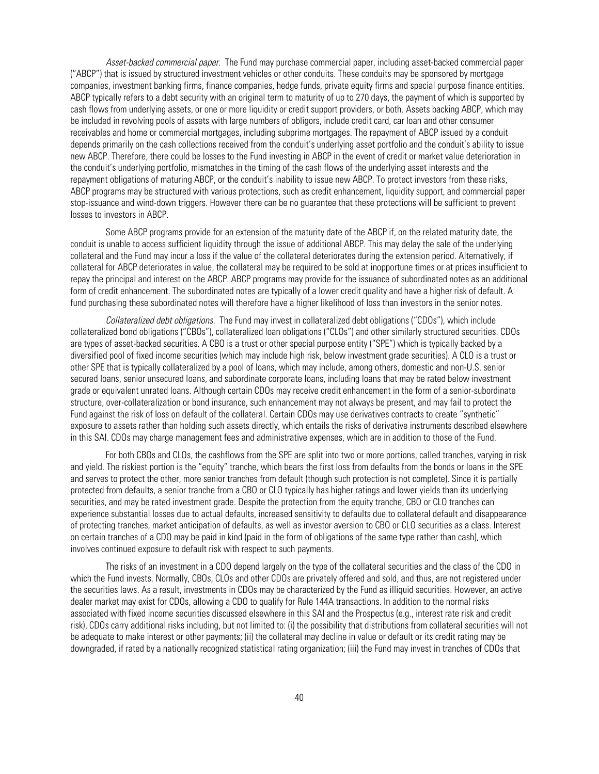Asset-backed commercial paper. The Fund may purchase commercial paper, including asset-backed commercial paper ("ABCP") that is issued by structured investment vehicles or other conduits. These conduits may be sponsored by mortgage companies, investment banking firms, finance companies, hedge funds, private equity firms and special purpose finance entities. ABCP typically refers to a debt security with an original term to maturity of up to 270 days, the payment of which is supported by cash flows from underlying assets, or one or more liquidity or credit support providers, or both. Assets backing ABCP, which may be included in revolving pools of assets with large numbers of obligors, include credit card, car loan and other consumer receivables and home or commercial mortgages, including subprime mortgages. The repayment of ABCP issued by a conduit depends primarily on the cash collections received from the conduit's underlying asset portfolio and the conduit's ability to issue new ABCP. Therefore, there could be losses to the Fund investing in ABCP in the event of credit or market value deterioration in the conduit's underlying portfolio, mismatches in the timing of the cash flows of the underlying asset interests and the repayment obligations of maturing ABCP, or the conduit's inability to issue new ABCP. To protect investors from these risks, ABCP programs may be structured with various protections, such as credit enhancement, liquidity support, and commercial paper stop-issuance and wind-down triggers. However there can be no guarantee that these protections will be sufficient to prevent losses to investors in ABCP.

Some ABCP programs provide for an extension of the maturity date of the ABCP if, on the related maturity date, the conduit is unable to access sufficient liquidity through the issue of additional ABCP. This may delay the sale of the underlying collateral and the Fund may incur a loss if the value of the collateral deteriorates during the extension period. Alternatively, if collateral for ABCP deteriorates in value, the collateral may be required to be sold at inopportune times or at prices insufficient to repay the principal and interest on the ABCP. ABCP programs may provide for the issuance of subordinated notes as an additional form of credit enhancement. The subordinated notes are typically of a lower credit quality and have a higher risk of default. A fund purchasing these subordinated notes will therefore have a higher likelihood of loss than investors in the senior notes.

Collateralized debt obligations. The Fund may invest in collateralized debt obligations ("CDOs"), which include collateralized bond obligations ("CBOs"), collateralized loan obligations ("CLOs") and other similarly structured securities. CDOs are types of asset-backed securities. A CBO is a trust or other special purpose entity ("SPE") which is typically backed by a diversified pool of fixed income securities (which may include high risk, below investment grade securities). A CLO is a trust or other SPE that is typically collateralized by a pool of loans, which may include, among others, domestic and non-U.S. senior secured loans, senior unsecured loans, and subordinate corporate loans, including loans that may be rated below investment grade or equivalent unrated loans. Although certain CDOs may receive credit enhancement in the form of a senior-subordinate structure, over-collateralization or bond insurance, such enhancement may not always be present, and may fail to protect the Fund against the risk of loss on default of the collateral. Certain CDOs may use derivatives contracts to create "synthetic" exposure to assets rather than holding such assets directly, which entails the risks of derivative instruments described elsewhere in this SAI. CDOs may charge management fees and administrative expenses, which are in addition to those of the Fund.

For both CBOs and CLOs, the cashflows from the SPE are split into two or more portions, called tranches, varying in risk and yield. The riskiest portion is the "equity" tranche, which bears the first loss from defaults from the bonds or loans in the SPE and serves to protect the other, more senior tranches from default (though such protection is not complete). Since it is partially protected from defaults, a senior tranche from a CBO or CLO typically has higher ratings and lower yields than its underlying securities, and may be rated investment grade. Despite the protection from the equity tranche, CBO or CLO tranches can experience substantial losses due to actual defaults, increased sensitivity to defaults due to collateral default and disappearance of protecting tranches, market anticipation of defaults, as well as investor aversion to CBO or CLO securities as a class. Interest on certain tranches of a CDO may be paid in kind (paid in the form of obligations of the same type rather than cash), which involves continued exposure to default risk with respect to such payments.

The risks of an investment in a CDO depend largely on the type of the collateral securities and the class of the CDO in which the Fund invests. Normally, CBOs, CLOs and other CDOs are privately offered and sold, and thus, are not registered under the securities laws. As a result, investments in CDOs may be characterized by the Fund as illiquid securities. However, an active dealer market may exist for CDOs, allowing a CDO to qualify for Rule 144A transactions. In addition to the normal risks associated with fixed income securities discussed elsewhere in this SAI and the Prospectus (e.g., interest rate risk and credit risk), CDOs carry additional risks including, but not limited to: (i) the possibility that distributions from collateral securities will not be adequate to make interest or other payments; (ii) the collateral may decline in value or default or its credit rating may be downgraded, if rated by a nationally recognized statistical rating organization; (iii) the Fund may invest in tranches of CDOs that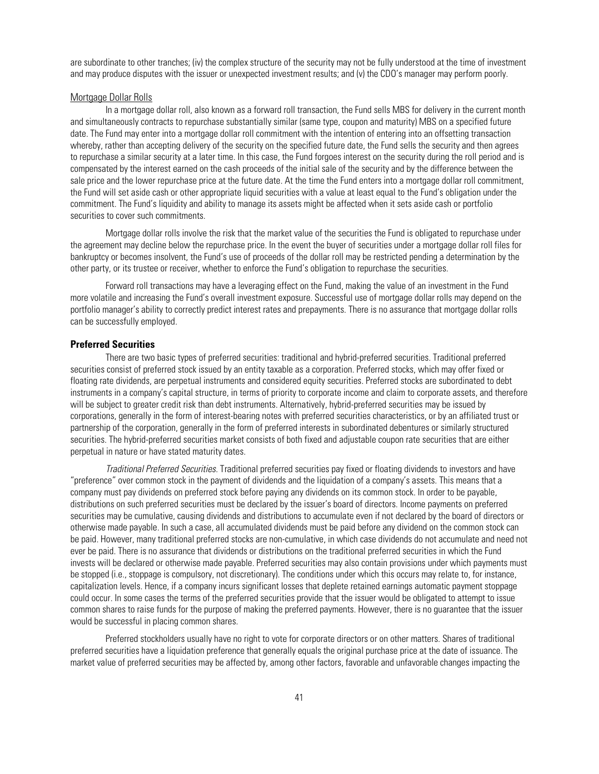are subordinate to other tranches; (iv) the complex structure of the security may not be fully understood at the time of investment and may produce disputes with the issuer or unexpected investment results; and (v) the CDO's manager may perform poorly.

#### Mortgage Dollar Rolls

 In a mortgage dollar roll, also known as a forward roll transaction, the Fund sells MBS for delivery in the current month and simultaneously contracts to repurchase substantially similar (same type, coupon and maturity) MBS on a specified future date. The Fund may enter into a mortgage dollar roll commitment with the intention of entering into an offsetting transaction whereby, rather than accepting delivery of the security on the specified future date, the Fund sells the security and then agrees to repurchase a similar security at a later time. In this case, the Fund forgoes interest on the security during the roll period and is compensated by the interest earned on the cash proceeds of the initial sale of the security and by the difference between the sale price and the lower repurchase price at the future date. At the time the Fund enters into a mortgage dollar roll commitment, the Fund will set aside cash or other appropriate liquid securities with a value at least equal to the Fund's obligation under the commitment. The Fund's liquidity and ability to manage its assets might be affected when it sets aside cash or portfolio securities to cover such commitments.

 Mortgage dollar rolls involve the risk that the market value of the securities the Fund is obligated to repurchase under the agreement may decline below the repurchase price. In the event the buyer of securities under a mortgage dollar roll files for bankruptcy or becomes insolvent, the Fund's use of proceeds of the dollar roll may be restricted pending a determination by the other party, or its trustee or receiver, whether to enforce the Fund's obligation to repurchase the securities.

 Forward roll transactions may have a leveraging effect on the Fund, making the value of an investment in the Fund more volatile and increasing the Fund's overall investment exposure. Successful use of mortgage dollar rolls may depend on the portfolio manager's ability to correctly predict interest rates and prepayments. There is no assurance that mortgage dollar rolls can be successfully employed.

# **Preferred Securities**

There are two basic types of preferred securities: traditional and hybrid-preferred securities. Traditional preferred securities consist of preferred stock issued by an entity taxable as a corporation. Preferred stocks, which may offer fixed or floating rate dividends, are perpetual instruments and considered equity securities. Preferred stocks are subordinated to debt instruments in a company's capital structure, in terms of priority to corporate income and claim to corporate assets, and therefore will be subject to greater credit risk than debt instruments. Alternatively, hybrid-preferred securities may be issued by corporations, generally in the form of interest-bearing notes with preferred securities characteristics, or by an affiliated trust or partnership of the corporation, generally in the form of preferred interests in subordinated debentures or similarly structured securities. The hybrid-preferred securities market consists of both fixed and adjustable coupon rate securities that are either perpetual in nature or have stated maturity dates.

Traditional Preferred Securities. Traditional preferred securities pay fixed or floating dividends to investors and have "preference" over common stock in the payment of dividends and the liquidation of a company's assets. This means that a company must pay dividends on preferred stock before paying any dividends on its common stock. In order to be payable, distributions on such preferred securities must be declared by the issuer's board of directors. Income payments on preferred securities may be cumulative, causing dividends and distributions to accumulate even if not declared by the board of directors or otherwise made payable. In such a case, all accumulated dividends must be paid before any dividend on the common stock can be paid. However, many traditional preferred stocks are non-cumulative, in which case dividends do not accumulate and need not ever be paid. There is no assurance that dividends or distributions on the traditional preferred securities in which the Fund invests will be declared or otherwise made payable. Preferred securities may also contain provisions under which payments must be stopped (i.e., stoppage is compulsory, not discretionary). The conditions under which this occurs may relate to, for instance, capitalization levels. Hence, if a company incurs significant losses that deplete retained earnings automatic payment stoppage could occur. In some cases the terms of the preferred securities provide that the issuer would be obligated to attempt to issue common shares to raise funds for the purpose of making the preferred payments. However, there is no guarantee that the issuer would be successful in placing common shares.

Preferred stockholders usually have no right to vote for corporate directors or on other matters. Shares of traditional preferred securities have a liquidation preference that generally equals the original purchase price at the date of issuance. The market value of preferred securities may be affected by, among other factors, favorable and unfavorable changes impacting the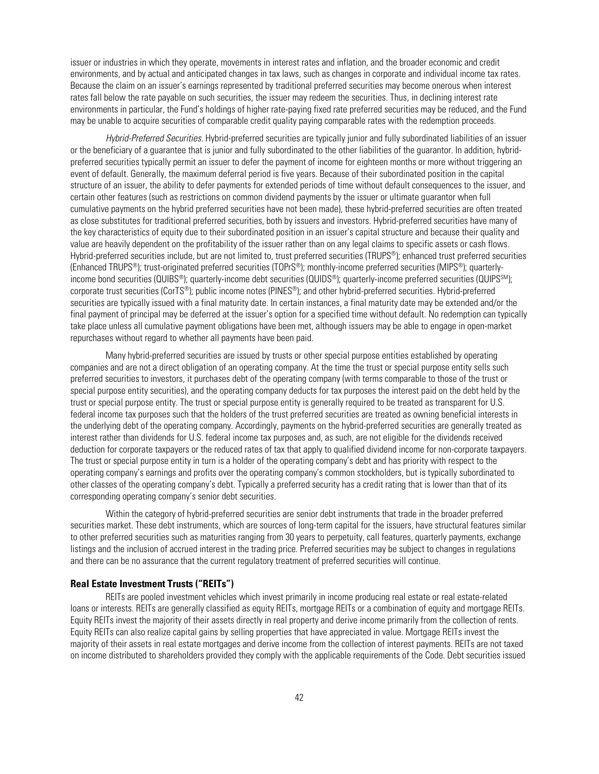issuer or industries in which they operate, movements in interest rates and inflation, and the broader economic and credit environments, and by actual and anticipated changes in tax laws, such as changes in corporate and individual income tax rates. Because the claim on an issuer's earnings represented by traditional preferred securities may become onerous when interest rates fall below the rate payable on such securities, the issuer may redeem the securities. Thus, in declining interest rate environments in particular, the Fund's holdings of higher rate-paying fixed rate preferred securities may be reduced, and the Fund may be unable to acquire securities of comparable credit quality paying comparable rates with the redemption proceeds.

Hybrid-Preferred Securities. Hybrid-preferred securities are typically junior and fully subordinated liabilities of an issuer or the beneficiary of a guarantee that is junior and fully subordinated to the other liabilities of the guarantor. In addition, hybridpreferred securities typically permit an issuer to defer the payment of income for eighteen months or more without triggering an event of default. Generally, the maximum deferral period is five years. Because of their subordinated position in the capital structure of an issuer, the ability to defer payments for extended periods of time without default consequences to the issuer, and certain other features (such as restrictions on common dividend payments by the issuer or ultimate guarantor when full cumulative payments on the hybrid preferred securities have not been made), these hybrid-preferred securities are often treated as close substitutes for traditional preferred securities, both by issuers and investors. Hybrid-preferred securities have many of the key characteristics of equity due to their subordinated position in an issuer's capital structure and because their quality and value are heavily dependent on the profitability of the issuer rather than on any legal claims to specific assets or cash flows. Hybrid-preferred securities include, but are not limited to, trust preferred securities (TRUPS®); enhanced trust preferred securities (Enhanced TRUPS®); trust-originated preferred securities (TOPrS®); monthly-income preferred securities (MIPS®); quarterlyincome bond securities (QUIBS®); quarterly-income debt securities (QUIDS®); quarterly-income preferred securities (QUIPS<sup>SM</sup>); corporate trust securities (CorTS®); public income notes (PINES®); and other hybrid-preferred securities. Hybrid-preferred securities are typically issued with a final maturity date. In certain instances, a final maturity date may be extended and/or the final payment of principal may be deferred at the issuer's option for a specified time without default. No redemption can typically take place unless all cumulative payment obligations have been met, although issuers may be able to engage in open-market repurchases without regard to whether all payments have been paid.

Many hybrid-preferred securities are issued by trusts or other special purpose entities established by operating companies and are not a direct obligation of an operating company. At the time the trust or special purpose entity sells such preferred securities to investors, it purchases debt of the operating company (with terms comparable to those of the trust or special purpose entity securities), and the operating company deducts for tax purposes the interest paid on the debt held by the trust or special purpose entity. The trust or special purpose entity is generally required to be treated as transparent for U.S. federal income tax purposes such that the holders of the trust preferred securities are treated as owning beneficial interests in the underlying debt of the operating company. Accordingly, payments on the hybrid-preferred securities are generally treated as interest rather than dividends for U.S. federal income tax purposes and, as such, are not eligible for the dividends received deduction for corporate taxpayers or the reduced rates of tax that apply to qualified dividend income for non-corporate taxpayers. The trust or special purpose entity in turn is a holder of the operating company's debt and has priority with respect to the operating company's earnings and profits over the operating company's common stockholders, but is typically subordinated to other classes of the operating company's debt. Typically a preferred security has a credit rating that is lower than that of its corresponding operating company's senior debt securities.

Within the category of hybrid-preferred securities are senior debt instruments that trade in the broader preferred securities market. These debt instruments, which are sources of long-term capital for the issuers, have structural features similar to other preferred securities such as maturities ranging from 30 years to perpetuity, call features, quarterly payments, exchange listings and the inclusion of accrued interest in the trading price. Preferred securities may be subject to changes in regulations and there can be no assurance that the current regulatory treatment of preferred securities will continue.

## **Real Estate Investment Trusts ("REITs")**

REITs are pooled investment vehicles which invest primarily in income producing real estate or real estate-related loans or interests. REITs are generally classified as equity REITs, mortgage REITs or a combination of equity and mortgage REITs. Equity REITs invest the majority of their assets directly in real property and derive income primarily from the collection of rents. Equity REITs can also realize capital gains by selling properties that have appreciated in value. Mortgage REITs invest the majority of their assets in real estate mortgages and derive income from the collection of interest payments. REITs are not taxed on income distributed to shareholders provided they comply with the applicable requirements of the Code. Debt securities issued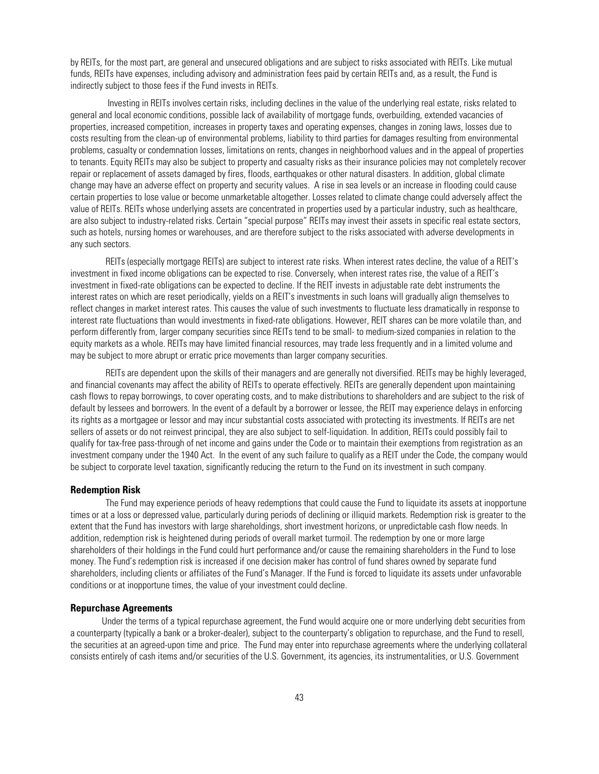by REITs, for the most part, are general and unsecured obligations and are subject to risks associated with REITs. Like mutual funds, REITs have expenses, including advisory and administration fees paid by certain REITs and, as a result, the Fund is indirectly subject to those fees if the Fund invests in REITs.

 Investing in REITs involves certain risks, including declines in the value of the underlying real estate, risks related to general and local economic conditions, possible lack of availability of mortgage funds, overbuilding, extended vacancies of properties, increased competition, increases in property taxes and operating expenses, changes in zoning laws, losses due to costs resulting from the clean-up of environmental problems, liability to third parties for damages resulting from environmental problems, casualty or condemnation losses, limitations on rents, changes in neighborhood values and in the appeal of properties to tenants. Equity REITs may also be subject to property and casualty risks as their insurance policies may not completely recover repair or replacement of assets damaged by fires, floods, earthquakes or other natural disasters. In addition, global climate change may have an adverse effect on property and security values. A rise in sea levels or an increase in flooding could cause certain properties to lose value or become unmarketable altogether. Losses related to climate change could adversely affect the value of REITs. REITs whose underlying assets are concentrated in properties used by a particular industry, such as healthcare, are also subject to industry-related risks. Certain "special purpose" REITs may invest their assets in specific real estate sectors, such as hotels, nursing homes or warehouses, and are therefore subject to the risks associated with adverse developments in any such sectors.

REITs (especially mortgage REITs) are subject to interest rate risks. When interest rates decline, the value of a REIT's investment in fixed income obligations can be expected to rise. Conversely, when interest rates rise, the value of a REIT's investment in fixed-rate obligations can be expected to decline. If the REIT invests in adjustable rate debt instruments the interest rates on which are reset periodically, yields on a REIT's investments in such loans will gradually align themselves to reflect changes in market interest rates. This causes the value of such investments to fluctuate less dramatically in response to interest rate fluctuations than would investments in fixed-rate obligations. However, REIT shares can be more volatile than, and perform differently from, larger company securities since REITs tend to be small- to medium-sized companies in relation to the equity markets as a whole. REITs may have limited financial resources, may trade less frequently and in a limited volume and may be subject to more abrupt or erratic price movements than larger company securities.

REITs are dependent upon the skills of their managers and are generally not diversified. REITs may be highly leveraged, and financial covenants may affect the ability of REITs to operate effectively. REITs are generally dependent upon maintaining cash flows to repay borrowings, to cover operating costs, and to make distributions to shareholders and are subject to the risk of default by lessees and borrowers. In the event of a default by a borrower or lessee, the REIT may experience delays in enforcing its rights as a mortgagee or lessor and may incur substantial costs associated with protecting its investments. If REITs are net sellers of assets or do not reinvest principal, they are also subject to self-liquidation. In addition, REITs could possibly fail to qualify for tax-free pass-through of net income and gains under the Code or to maintain their exemptions from registration as an investment company under the 1940 Act. In the event of any such failure to qualify as a REIT under the Code, the company would be subject to corporate level taxation, significantly reducing the return to the Fund on its investment in such company.

### **Redemption Risk**

The Fund may experience periods of heavy redemptions that could cause the Fund to liquidate its assets at inopportune times or at a loss or depressed value, particularly during periods of declining or illiquid markets. Redemption risk is greater to the extent that the Fund has investors with large shareholdings, short investment horizons, or unpredictable cash flow needs. In addition, redemption risk is heightened during periods of overall market turmoil. The redemption by one or more large shareholders of their holdings in the Fund could hurt performance and/or cause the remaining shareholders in the Fund to lose money. The Fund's redemption risk is increased if one decision maker has control of fund shares owned by separate fund shareholders, including clients or affiliates of the Fund's Manager. If the Fund is forced to liquidate its assets under unfavorable conditions or at inopportune times, the value of your investment could decline.

## **Repurchase Agreements**

Under the terms of a typical repurchase agreement, the Fund would acquire one or more underlying debt securities from a counterparty (typically a bank or a broker-dealer), subject to the counterparty's obligation to repurchase, and the Fund to resell, the securities at an agreed-upon time and price. The Fund may enter into repurchase agreements where the underlying collateral consists entirely of cash items and/or securities of the U.S. Government, its agencies, its instrumentalities, or U.S. Government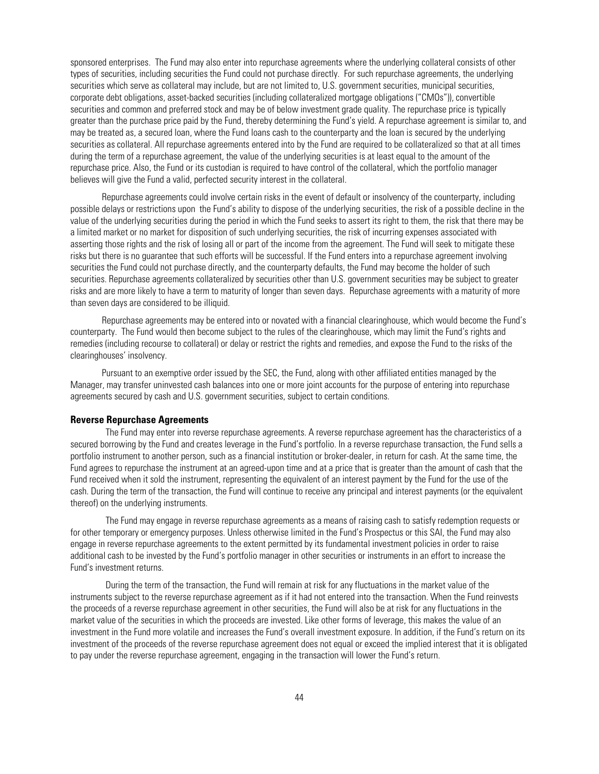sponsored enterprises. The Fund may also enter into repurchase agreements where the underlying collateral consists of other types of securities, including securities the Fund could not purchase directly. For such repurchase agreements, the underlying securities which serve as collateral may include, but are not limited to, U.S. government securities, municipal securities, corporate debt obligations, asset-backed securities (including collateralized mortgage obligations ("CMOs")), convertible securities and common and preferred stock and may be of below investment grade quality. The repurchase price is typically greater than the purchase price paid by the Fund, thereby determining the Fund's yield. A repurchase agreement is similar to, and may be treated as, a secured loan, where the Fund loans cash to the counterparty and the loan is secured by the underlying securities as collateral. All repurchase agreements entered into by the Fund are required to be collateralized so that at all times during the term of a repurchase agreement, the value of the underlying securities is at least equal to the amount of the repurchase price. Also, the Fund or its custodian is required to have control of the collateral, which the portfolio manager believes will give the Fund a valid, perfected security interest in the collateral.

Repurchase agreements could involve certain risks in the event of default or insolvency of the counterparty, including possible delays or restrictions upon the Fund's ability to dispose of the underlying securities, the risk of a possible decline in the value of the underlying securities during the period in which the Fund seeks to assert its right to them, the risk that there may be a limited market or no market for disposition of such underlying securities, the risk of incurring expenses associated with asserting those rights and the risk of losing all or part of the income from the agreement. The Fund will seek to mitigate these risks but there is no guarantee that such efforts will be successful. If the Fund enters into a repurchase agreement involving securities the Fund could not purchase directly, and the counterparty defaults, the Fund may become the holder of such securities. Repurchase agreements collateralized by securities other than U.S. government securities may be subject to greater risks and are more likely to have a term to maturity of longer than seven days. Repurchase agreements with a maturity of more than seven days are considered to be illiquid.

Repurchase agreements may be entered into or novated with a financial clearinghouse, which would become the Fund's counterparty. The Fund would then become subject to the rules of the clearinghouse, which may limit the Fund's rights and remedies (including recourse to collateral) or delay or restrict the rights and remedies, and expose the Fund to the risks of the clearinghouses' insolvency.

Pursuant to an exemptive order issued by the SEC, the Fund, along with other affiliated entities managed by the Manager, may transfer uninvested cash balances into one or more joint accounts for the purpose of entering into repurchase agreements secured by cash and U.S. government securities, subject to certain conditions.

### **Reverse Repurchase Agreements**

The Fund may enter into reverse repurchase agreements. A reverse repurchase agreement has the characteristics of a secured borrowing by the Fund and creates leverage in the Fund's portfolio. In a reverse repurchase transaction, the Fund sells a portfolio instrument to another person, such as a financial institution or broker-dealer, in return for cash. At the same time, the Fund agrees to repurchase the instrument at an agreed-upon time and at a price that is greater than the amount of cash that the Fund received when it sold the instrument, representing the equivalent of an interest payment by the Fund for the use of the cash. During the term of the transaction, the Fund will continue to receive any principal and interest payments (or the equivalent thereof) on the underlying instruments.

The Fund may engage in reverse repurchase agreements as a means of raising cash to satisfy redemption requests or for other temporary or emergency purposes. Unless otherwise limited in the Fund's Prospectus or this SAI, the Fund may also engage in reverse repurchase agreements to the extent permitted by its fundamental investment policies in order to raise additional cash to be invested by the Fund's portfolio manager in other securities or instruments in an effort to increase the Fund's investment returns.

During the term of the transaction, the Fund will remain at risk for any fluctuations in the market value of the instruments subject to the reverse repurchase agreement as if it had not entered into the transaction. When the Fund reinvests the proceeds of a reverse repurchase agreement in other securities, the Fund will also be at risk for any fluctuations in the market value of the securities in which the proceeds are invested. Like other forms of leverage, this makes the value of an investment in the Fund more volatile and increases the Fund's overall investment exposure. In addition, if the Fund's return on its investment of the proceeds of the reverse repurchase agreement does not equal or exceed the implied interest that it is obligated to pay under the reverse repurchase agreement, engaging in the transaction will lower the Fund's return.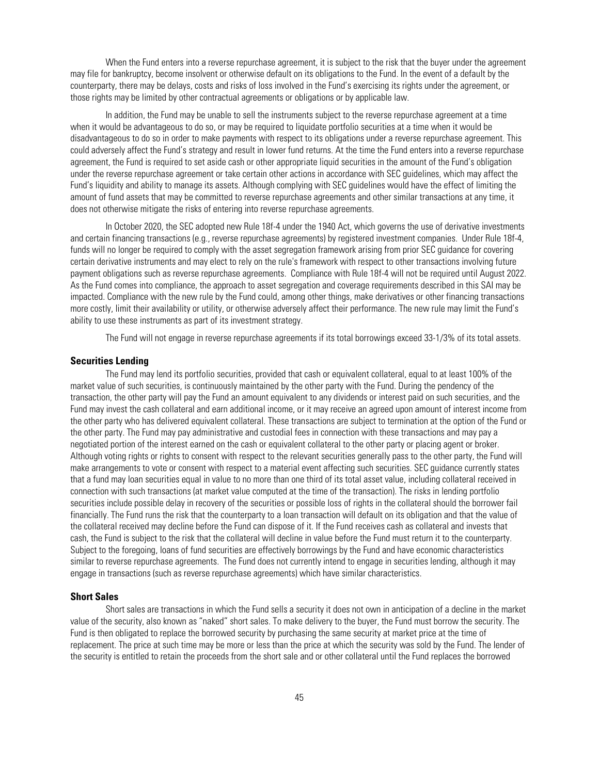When the Fund enters into a reverse repurchase agreement, it is subject to the risk that the buyer under the agreement may file for bankruptcy, become insolvent or otherwise default on its obligations to the Fund. In the event of a default by the counterparty, there may be delays, costs and risks of loss involved in the Fund's exercising its rights under the agreement, or those rights may be limited by other contractual agreements or obligations or by applicable law.

In addition, the Fund may be unable to sell the instruments subject to the reverse repurchase agreement at a time when it would be advantageous to do so, or may be required to liquidate portfolio securities at a time when it would be disadvantageous to do so in order to make payments with respect to its obligations under a reverse repurchase agreement. This could adversely affect the Fund's strategy and result in lower fund returns. At the time the Fund enters into a reverse repurchase agreement, the Fund is required to set aside cash or other appropriate liquid securities in the amount of the Fund's obligation under the reverse repurchase agreement or take certain other actions in accordance with SEC guidelines, which may affect the Fund's liquidity and ability to manage its assets. Although complying with SEC guidelines would have the effect of limiting the amount of fund assets that may be committed to reverse repurchase agreements and other similar transactions at any time, it does not otherwise mitigate the risks of entering into reverse repurchase agreements.

In October 2020, the SEC adopted new Rule 18f-4 under the 1940 Act, which governs the use of derivative investments and certain financing transactions (e.g., reverse repurchase agreements) by registered investment companies. Under Rule 18f-4, funds will no longer be required to comply with the asset segregation framework arising from prior SEC guidance for covering certain derivative instruments and may elect to rely on the rule's framework with respect to other transactions involving future payment obligations such as reverse repurchase agreements. Compliance with Rule 18f-4 will not be required until August 2022. As the Fund comes into compliance, the approach to asset segregation and coverage requirements described in this SAI may be impacted. Compliance with the new rule by the Fund could, among other things, make derivatives or other financing transactions more costly, limit their availability or utility, or otherwise adversely affect their performance. The new rule may limit the Fund's ability to use these instruments as part of its investment strategy.

The Fund will not engage in reverse repurchase agreements if its total borrowings exceed 33-1/3% of its total assets.

## **Securities Lending**

The Fund may lend its portfolio securities, provided that cash or equivalent collateral, equal to at least 100% of the market value of such securities, is continuously maintained by the other party with the Fund. During the pendency of the transaction, the other party will pay the Fund an amount equivalent to any dividends or interest paid on such securities, and the Fund may invest the cash collateral and earn additional income, or it may receive an agreed upon amount of interest income from the other party who has delivered equivalent collateral. These transactions are subject to termination at the option of the Fund or the other party. The Fund may pay administrative and custodial fees in connection with these transactions and may pay a negotiated portion of the interest earned on the cash or equivalent collateral to the other party or placing agent or broker. Although voting rights or rights to consent with respect to the relevant securities generally pass to the other party, the Fund will make arrangements to vote or consent with respect to a material event affecting such securities. SEC guidance currently states that a fund may loan securities equal in value to no more than one third of its total asset value, including collateral received in connection with such transactions (at market value computed at the time of the transaction). The risks in lending portfolio securities include possible delay in recovery of the securities or possible loss of rights in the collateral should the borrower fail financially. The Fund runs the risk that the counterparty to a loan transaction will default on its obligation and that the value of the collateral received may decline before the Fund can dispose of it. If the Fund receives cash as collateral and invests that cash, the Fund is subject to the risk that the collateral will decline in value before the Fund must return it to the counterparty. Subject to the foregoing, loans of fund securities are effectively borrowings by the Fund and have economic characteristics similar to reverse repurchase agreements. The Fund does not currently intend to engage in securities lending, although it may engage in transactions (such as reverse repurchase agreements) which have similar characteristics.

## **Short Sales**

Short sales are transactions in which the Fund sells a security it does not own in anticipation of a decline in the market value of the security, also known as "naked" short sales. To make delivery to the buyer, the Fund must borrow the security. The Fund is then obligated to replace the borrowed security by purchasing the same security at market price at the time of replacement. The price at such time may be more or less than the price at which the security was sold by the Fund. The lender of the security is entitled to retain the proceeds from the short sale and or other collateral until the Fund replaces the borrowed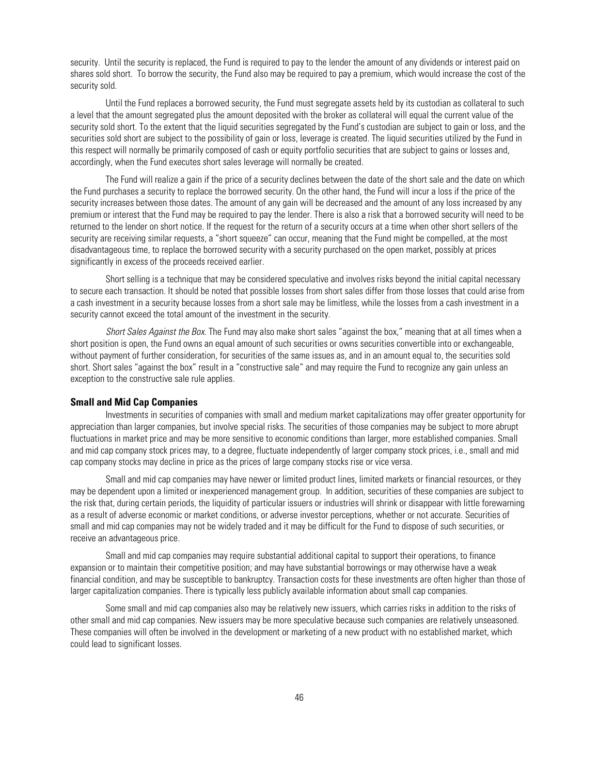security. Until the security is replaced, the Fund is required to pay to the lender the amount of any dividends or interest paid on shares sold short. To borrow the security, the Fund also may be required to pay a premium, which would increase the cost of the security sold.

Until the Fund replaces a borrowed security, the Fund must segregate assets held by its custodian as collateral to such a level that the amount segregated plus the amount deposited with the broker as collateral will equal the current value of the security sold short. To the extent that the liquid securities segregated by the Fund's custodian are subject to gain or loss, and the securities sold short are subject to the possibility of gain or loss, leverage is created. The liquid securities utilized by the Fund in this respect will normally be primarily composed of cash or equity portfolio securities that are subject to gains or losses and, accordingly, when the Fund executes short sales leverage will normally be created.

The Fund will realize a gain if the price of a security declines between the date of the short sale and the date on which the Fund purchases a security to replace the borrowed security. On the other hand, the Fund will incur a loss if the price of the security increases between those dates. The amount of any gain will be decreased and the amount of any loss increased by any premium or interest that the Fund may be required to pay the lender. There is also a risk that a borrowed security will need to be returned to the lender on short notice. If the request for the return of a security occurs at a time when other short sellers of the security are receiving similar requests, a "short squeeze" can occur, meaning that the Fund might be compelled, at the most disadvantageous time, to replace the borrowed security with a security purchased on the open market, possibly at prices significantly in excess of the proceeds received earlier.

Short selling is a technique that may be considered speculative and involves risks beyond the initial capital necessary to secure each transaction. It should be noted that possible losses from short sales differ from those losses that could arise from a cash investment in a security because losses from a short sale may be limitless, while the losses from a cash investment in a security cannot exceed the total amount of the investment in the security.

Short Sales Against the Box. The Fund may also make short sales "against the box," meaning that at all times when a short position is open, the Fund owns an equal amount of such securities or owns securities convertible into or exchangeable, without payment of further consideration, for securities of the same issues as, and in an amount equal to, the securities sold short. Short sales "against the box" result in a "constructive sale" and may require the Fund to recognize any gain unless an exception to the constructive sale rule applies.

## **Small and Mid Cap Companies**

Investments in securities of companies with small and medium market capitalizations may offer greater opportunity for appreciation than larger companies, but involve special risks. The securities of those companies may be subject to more abrupt fluctuations in market price and may be more sensitive to economic conditions than larger, more established companies. Small and mid cap company stock prices may, to a degree, fluctuate independently of larger company stock prices, i.e., small and mid cap company stocks may decline in price as the prices of large company stocks rise or vice versa.

Small and mid cap companies may have newer or limited product lines, limited markets or financial resources, or they may be dependent upon a limited or inexperienced management group. In addition, securities of these companies are subject to the risk that, during certain periods, the liquidity of particular issuers or industries will shrink or disappear with little forewarning as a result of adverse economic or market conditions, or adverse investor perceptions, whether or not accurate. Securities of small and mid cap companies may not be widely traded and it may be difficult for the Fund to dispose of such securities, or receive an advantageous price.

Small and mid cap companies may require substantial additional capital to support their operations, to finance expansion or to maintain their competitive position; and may have substantial borrowings or may otherwise have a weak financial condition, and may be susceptible to bankruptcy. Transaction costs for these investments are often higher than those of larger capitalization companies. There is typically less publicly available information about small cap companies.

Some small and mid cap companies also may be relatively new issuers, which carries risks in addition to the risks of other small and mid cap companies. New issuers may be more speculative because such companies are relatively unseasoned. These companies will often be involved in the development or marketing of a new product with no established market, which could lead to significant losses.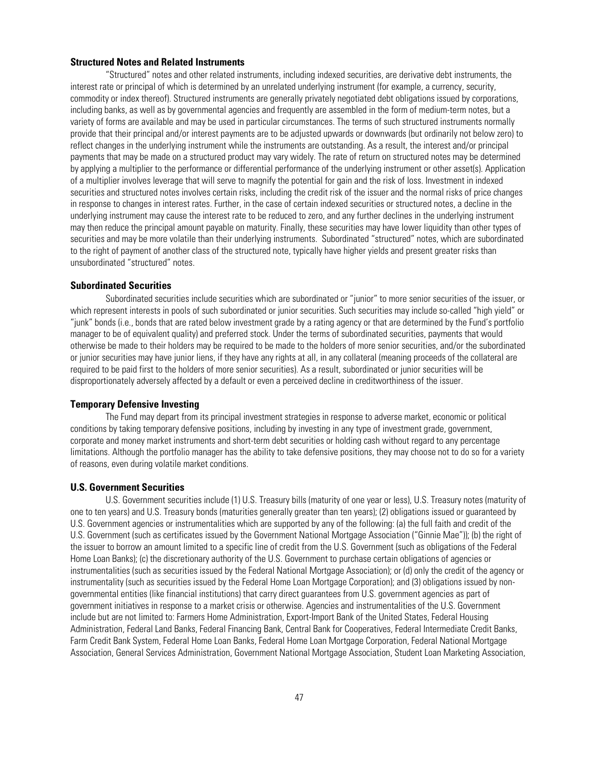## **Structured Notes and Related Instruments**

 "Structured" notes and other related instruments, including indexed securities, are derivative debt instruments, the interest rate or principal of which is determined by an unrelated underlying instrument (for example, a currency, security, commodity or index thereof). Structured instruments are generally privately negotiated debt obligations issued by corporations, including banks, as well as by governmental agencies and frequently are assembled in the form of medium-term notes, but a variety of forms are available and may be used in particular circumstances. The terms of such structured instruments normally provide that their principal and/or interest payments are to be adjusted upwards or downwards (but ordinarily not below zero) to reflect changes in the underlying instrument while the instruments are outstanding. As a result, the interest and/or principal payments that may be made on a structured product may vary widely. The rate of return on structured notes may be determined by applying a multiplier to the performance or differential performance of the underlying instrument or other asset(s). Application of a multiplier involves leverage that will serve to magnify the potential for gain and the risk of loss. Investment in indexed securities and structured notes involves certain risks, including the credit risk of the issuer and the normal risks of price changes in response to changes in interest rates. Further, in the case of certain indexed securities or structured notes, a decline in the underlying instrument may cause the interest rate to be reduced to zero, and any further declines in the underlying instrument may then reduce the principal amount payable on maturity. Finally, these securities may have lower liquidity than other types of securities and may be more volatile than their underlying instruments. Subordinated "structured" notes, which are subordinated to the right of payment of another class of the structured note, typically have higher yields and present greater risks than unsubordinated "structured" notes.

#### **Subordinated Securities**

Subordinated securities include securities which are subordinated or "junior" to more senior securities of the issuer, or which represent interests in pools of such subordinated or junior securities. Such securities may include so-called "high yield" or "junk" bonds (i.e., bonds that are rated below investment grade by a rating agency or that are determined by the Fund's portfolio manager to be of equivalent quality) and preferred stock. Under the terms of subordinated securities, payments that would otherwise be made to their holders may be required to be made to the holders of more senior securities, and/or the subordinated or junior securities may have junior liens, if they have any rights at all, in any collateral (meaning proceeds of the collateral are required to be paid first to the holders of more senior securities). As a result, subordinated or junior securities will be disproportionately adversely affected by a default or even a perceived decline in creditworthiness of the issuer.

#### **Temporary Defensive Investing**

The Fund may depart from its principal investment strategies in response to adverse market, economic or political conditions by taking temporary defensive positions, including by investing in any type of investment grade, government, corporate and money market instruments and short-term debt securities or holding cash without regard to any percentage limitations. Although the portfolio manager has the ability to take defensive positions, they may choose not to do so for a variety of reasons, even during volatile market conditions.

#### **U.S. Government Securities**

U.S. Government securities include (1) U.S. Treasury bills (maturity of one year or less), U.S. Treasury notes (maturity of one to ten years) and U.S. Treasury bonds (maturities generally greater than ten years); (2) obligations issued or guaranteed by U.S. Government agencies or instrumentalities which are supported by any of the following: (a) the full faith and credit of the U.S. Government (such as certificates issued by the Government National Mortgage Association ("Ginnie Mae")); (b) the right of the issuer to borrow an amount limited to a specific line of credit from the U.S. Government (such as obligations of the Federal Home Loan Banks); (c) the discretionary authority of the U.S. Government to purchase certain obligations of agencies or instrumentalities (such as securities issued by the Federal National Mortgage Association); or (d) only the credit of the agency or instrumentality (such as securities issued by the Federal Home Loan Mortgage Corporation); and (3) obligations issued by nongovernmental entities (like financial institutions) that carry direct guarantees from U.S. government agencies as part of government initiatives in response to a market crisis or otherwise. Agencies and instrumentalities of the U.S. Government include but are not limited to: Farmers Home Administration, Export-Import Bank of the United States, Federal Housing Administration, Federal Land Banks, Federal Financing Bank, Central Bank for Cooperatives, Federal Intermediate Credit Banks, Farm Credit Bank System, Federal Home Loan Banks, Federal Home Loan Mortgage Corporation, Federal National Mortgage Association, General Services Administration, Government National Mortgage Association, Student Loan Marketing Association,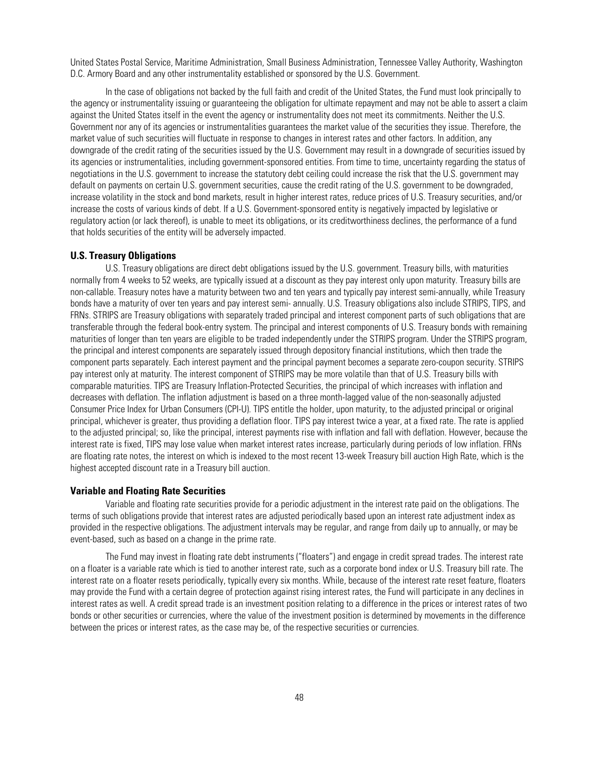United States Postal Service, Maritime Administration, Small Business Administration, Tennessee Valley Authority, Washington D.C. Armory Board and any other instrumentality established or sponsored by the U.S. Government.

In the case of obligations not backed by the full faith and credit of the United States, the Fund must look principally to the agency or instrumentality issuing or guaranteeing the obligation for ultimate repayment and may not be able to assert a claim against the United States itself in the event the agency or instrumentality does not meet its commitments. Neither the U.S. Government nor any of its agencies or instrumentalities guarantees the market value of the securities they issue. Therefore, the market value of such securities will fluctuate in response to changes in interest rates and other factors. In addition, any downgrade of the credit rating of the securities issued by the U.S. Government may result in a downgrade of securities issued by its agencies or instrumentalities, including government-sponsored entities. From time to time, uncertainty regarding the status of negotiations in the U.S. government to increase the statutory debt ceiling could increase the risk that the U.S. government may default on payments on certain U.S. government securities, cause the credit rating of the U.S. government to be downgraded, increase volatility in the stock and bond markets, result in higher interest rates, reduce prices of U.S. Treasury securities, and/or increase the costs of various kinds of debt. If a U.S. Government-sponsored entity is negatively impacted by legislative or regulatory action (or lack thereof), is unable to meet its obligations, or its creditworthiness declines, the performance of a fund that holds securities of the entity will be adversely impacted.

# **U.S. Treasury Obligations**

U.S. Treasury obligations are direct debt obligations issued by the U.S. government. Treasury bills, with maturities normally from 4 weeks to 52 weeks, are typically issued at a discount as they pay interest only upon maturity. Treasury bills are non-callable. Treasury notes have a maturity between two and ten years and typically pay interest semi-annually, while Treasury bonds have a maturity of over ten years and pay interest semi- annually. U.S. Treasury obligations also include STRIPS, TIPS, and FRNs. STRIPS are Treasury obligations with separately traded principal and interest component parts of such obligations that are transferable through the federal book-entry system. The principal and interest components of U.S. Treasury bonds with remaining maturities of longer than ten years are eligible to be traded independently under the STRIPS program. Under the STRIPS program, the principal and interest components are separately issued through depository financial institutions, which then trade the component parts separately. Each interest payment and the principal payment becomes a separate zero-coupon security. STRIPS pay interest only at maturity. The interest component of STRIPS may be more volatile than that of U.S. Treasury bills with comparable maturities. TIPS are Treasury Inflation-Protected Securities, the principal of which increases with inflation and decreases with deflation. The inflation adjustment is based on a three month-lagged value of the non-seasonally adjusted Consumer Price Index for Urban Consumers (CPI-U). TIPS entitle the holder, upon maturity, to the adjusted principal or original principal, whichever is greater, thus providing a deflation floor. TIPS pay interest twice a year, at a fixed rate. The rate is applied to the adjusted principal; so, like the principal, interest payments rise with inflation and fall with deflation. However, because the interest rate is fixed, TIPS may lose value when market interest rates increase, particularly during periods of low inflation. FRNs are floating rate notes, the interest on which is indexed to the most recent 13-week Treasury bill auction High Rate, which is the highest accepted discount rate in a Treasury bill auction.

### **Variable and Floating Rate Securities**

Variable and floating rate securities provide for a periodic adjustment in the interest rate paid on the obligations. The terms of such obligations provide that interest rates are adjusted periodically based upon an interest rate adjustment index as provided in the respective obligations. The adjustment intervals may be regular, and range from daily up to annually, or may be event-based, such as based on a change in the prime rate.

The Fund may invest in floating rate debt instruments ("floaters") and engage in credit spread trades. The interest rate on a floater is a variable rate which is tied to another interest rate, such as a corporate bond index or U.S. Treasury bill rate. The interest rate on a floater resets periodically, typically every six months. While, because of the interest rate reset feature, floaters may provide the Fund with a certain degree of protection against rising interest rates, the Fund will participate in any declines in interest rates as well. A credit spread trade is an investment position relating to a difference in the prices or interest rates of two bonds or other securities or currencies, where the value of the investment position is determined by movements in the difference between the prices or interest rates, as the case may be, of the respective securities or currencies.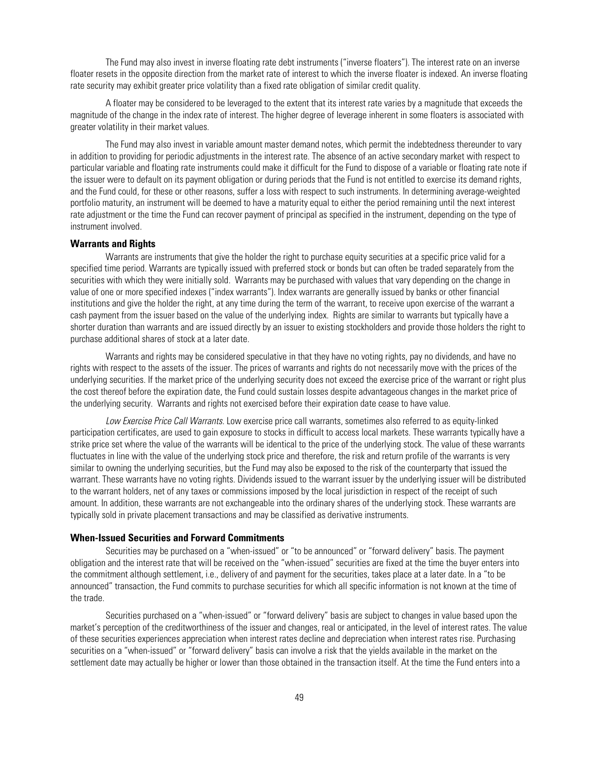The Fund may also invest in inverse floating rate debt instruments ("inverse floaters"). The interest rate on an inverse floater resets in the opposite direction from the market rate of interest to which the inverse floater is indexed. An inverse floating rate security may exhibit greater price volatility than a fixed rate obligation of similar credit quality.

A floater may be considered to be leveraged to the extent that its interest rate varies by a magnitude that exceeds the magnitude of the change in the index rate of interest. The higher degree of leverage inherent in some floaters is associated with greater volatility in their market values.

The Fund may also invest in variable amount master demand notes, which permit the indebtedness thereunder to vary in addition to providing for periodic adjustments in the interest rate. The absence of an active secondary market with respect to particular variable and floating rate instruments could make it difficult for the Fund to dispose of a variable or floating rate note if the issuer were to default on its payment obligation or during periods that the Fund is not entitled to exercise its demand rights, and the Fund could, for these or other reasons, suffer a loss with respect to such instruments. In determining average-weighted portfolio maturity, an instrument will be deemed to have a maturity equal to either the period remaining until the next interest rate adjustment or the time the Fund can recover payment of principal as specified in the instrument, depending on the type of instrument involved.

#### **Warrants and Rights**

Warrants are instruments that give the holder the right to purchase equity securities at a specific price valid for a specified time period. Warrants are typically issued with preferred stock or bonds but can often be traded separately from the securities with which they were initially sold. Warrants may be purchased with values that vary depending on the change in value of one or more specified indexes ("index warrants"). Index warrants are generally issued by banks or other financial institutions and give the holder the right, at any time during the term of the warrant, to receive upon exercise of the warrant a cash payment from the issuer based on the value of the underlying index. Rights are similar to warrants but typically have a shorter duration than warrants and are issued directly by an issuer to existing stockholders and provide those holders the right to purchase additional shares of stock at a later date.

Warrants and rights may be considered speculative in that they have no voting rights, pay no dividends, and have no rights with respect to the assets of the issuer. The prices of warrants and rights do not necessarily move with the prices of the underlying securities. If the market price of the underlying security does not exceed the exercise price of the warrant or right plus the cost thereof before the expiration date, the Fund could sustain losses despite advantageous changes in the market price of the underlying security. Warrants and rights not exercised before their expiration date cease to have value.

Low Exercise Price Call Warrants. Low exercise price call warrants, sometimes also referred to as equity-linked participation certificates, are used to gain exposure to stocks in difficult to access local markets. These warrants typically have a strike price set where the value of the warrants will be identical to the price of the underlying stock. The value of these warrants fluctuates in line with the value of the underlying stock price and therefore, the risk and return profile of the warrants is very similar to owning the underlying securities, but the Fund may also be exposed to the risk of the counterparty that issued the warrant. These warrants have no voting rights. Dividends issued to the warrant issuer by the underlying issuer will be distributed to the warrant holders, net of any taxes or commissions imposed by the local jurisdiction in respect of the receipt of such amount. In addition, these warrants are not exchangeable into the ordinary shares of the underlying stock. These warrants are typically sold in private placement transactions and may be classified as derivative instruments.

### **When-Issued Securities and Forward Commitments**

Securities may be purchased on a "when-issued" or "to be announced" or "forward delivery" basis. The payment obligation and the interest rate that will be received on the "when-issued" securities are fixed at the time the buyer enters into the commitment although settlement, i.e., delivery of and payment for the securities, takes place at a later date. In a "to be announced" transaction, the Fund commits to purchase securities for which all specific information is not known at the time of the trade.

Securities purchased on a "when-issued" or "forward delivery" basis are subject to changes in value based upon the market's perception of the creditworthiness of the issuer and changes, real or anticipated, in the level of interest rates. The value of these securities experiences appreciation when interest rates decline and depreciation when interest rates rise. Purchasing securities on a "when-issued" or "forward delivery" basis can involve a risk that the yields available in the market on the settlement date may actually be higher or lower than those obtained in the transaction itself. At the time the Fund enters into a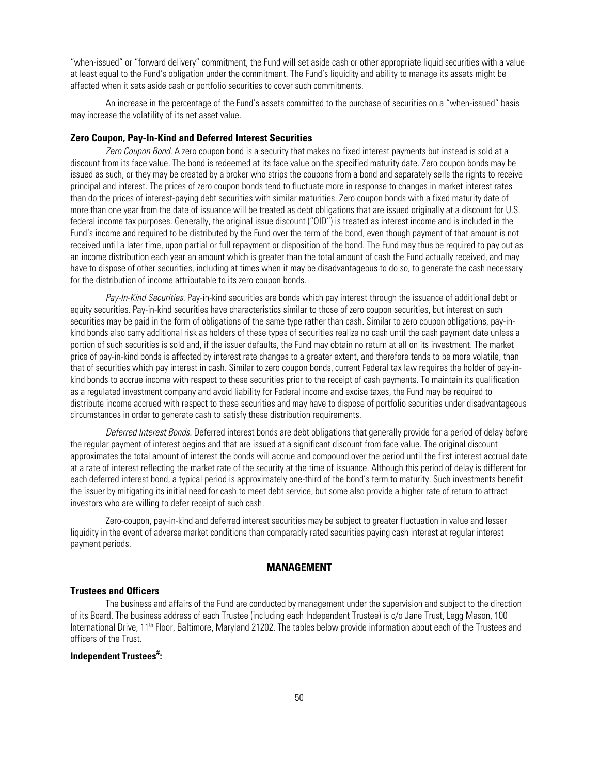"when-issued" or "forward delivery" commitment, the Fund will set aside cash or other appropriate liquid securities with a value at least equal to the Fund's obligation under the commitment. The Fund's liquidity and ability to manage its assets might be affected when it sets aside cash or portfolio securities to cover such commitments.

An increase in the percentage of the Fund's assets committed to the purchase of securities on a "when-issued" basis may increase the volatility of its net asset value.

## **Zero Coupon, Pay-In-Kind and Deferred Interest Securities**

Zero Coupon Bond. A zero coupon bond is a security that makes no fixed interest payments but instead is sold at a discount from its face value. The bond is redeemed at its face value on the specified maturity date. Zero coupon bonds may be issued as such, or they may be created by a broker who strips the coupons from a bond and separately sells the rights to receive principal and interest. The prices of zero coupon bonds tend to fluctuate more in response to changes in market interest rates than do the prices of interest-paying debt securities with similar maturities. Zero coupon bonds with a fixed maturity date of more than one year from the date of issuance will be treated as debt obligations that are issued originally at a discount for U.S. federal income tax purposes. Generally, the original issue discount ("OID") is treated as interest income and is included in the Fund's income and required to be distributed by the Fund over the term of the bond, even though payment of that amount is not received until a later time, upon partial or full repayment or disposition of the bond. The Fund may thus be required to pay out as an income distribution each year an amount which is greater than the total amount of cash the Fund actually received, and may have to dispose of other securities, including at times when it may be disadvantageous to do so, to generate the cash necessary for the distribution of income attributable to its zero coupon bonds.

Pay-In-Kind Securities. Pay-in-kind securities are bonds which pay interest through the issuance of additional debt or equity securities. Pay-in-kind securities have characteristics similar to those of zero coupon securities, but interest on such securities may be paid in the form of obligations of the same type rather than cash. Similar to zero coupon obligations, pay-inkind bonds also carry additional risk as holders of these types of securities realize no cash until the cash payment date unless a portion of such securities is sold and, if the issuer defaults, the Fund may obtain no return at all on its investment. The market price of pay-in-kind bonds is affected by interest rate changes to a greater extent, and therefore tends to be more volatile, than that of securities which pay interest in cash. Similar to zero coupon bonds, current Federal tax law requires the holder of pay-inkind bonds to accrue income with respect to these securities prior to the receipt of cash payments. To maintain its qualification as a regulated investment company and avoid liability for Federal income and excise taxes, the Fund may be required to distribute income accrued with respect to these securities and may have to dispose of portfolio securities under disadvantageous circumstances in order to generate cash to satisfy these distribution requirements.

Deferred Interest Bonds. Deferred interest bonds are debt obligations that generally provide for a period of delay before the regular payment of interest begins and that are issued at a significant discount from face value. The original discount approximates the total amount of interest the bonds will accrue and compound over the period until the first interest accrual date at a rate of interest reflecting the market rate of the security at the time of issuance. Although this period of delay is different for each deferred interest bond, a typical period is approximately one-third of the bond's term to maturity. Such investments benefit the issuer by mitigating its initial need for cash to meet debt service, but some also provide a higher rate of return to attract investors who are willing to defer receipt of such cash.

Zero-coupon, pay-in-kind and deferred interest securities may be subject to greater fluctuation in value and lesser liquidity in the event of adverse market conditions than comparably rated securities paying cash interest at regular interest payment periods.

# **MANAGEMENT**

#### **Trustees and Officers**

The business and affairs of the Fund are conducted by management under the supervision and subject to the direction of its Board. The business address of each Trustee (including each Independent Trustee) is c/o Jane Trust, Legg Mason, 100 International Drive, 11<sup>th</sup> Floor, Baltimore, Maryland 21202. The tables below provide information about each of the Trustees and officers of the Trust.

# **Independent Trustees# :**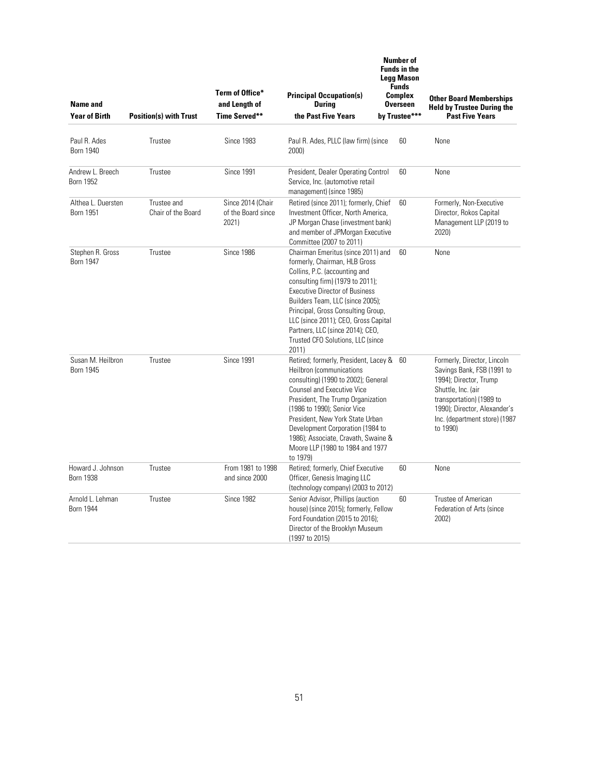| <b>Name and</b>                        |                                   | Term of Office*<br>and Length of                 | <b>Principal Occupation(s)</b><br><b>During</b>                                                                                                                                                                                                                                                                                                                                       | <b>Number of</b><br><b>Funds in the</b><br>Legg Mason<br><b>Funds</b><br><b>Complex</b><br><b>Overseen</b> | <b>Other Board Memberships</b><br><b>Held by Trustee During the</b>                                                                                                                                                 |
|----------------------------------------|-----------------------------------|--------------------------------------------------|---------------------------------------------------------------------------------------------------------------------------------------------------------------------------------------------------------------------------------------------------------------------------------------------------------------------------------------------------------------------------------------|------------------------------------------------------------------------------------------------------------|---------------------------------------------------------------------------------------------------------------------------------------------------------------------------------------------------------------------|
| <b>Year of Birth</b>                   | <b>Position(s) with Trust</b>     | Time Served**                                    | the Past Five Years                                                                                                                                                                                                                                                                                                                                                                   | by Trustee***                                                                                              | <b>Past Five Years</b>                                                                                                                                                                                              |
| Paul R. Ades<br><b>Born 1940</b>       | Trustee                           | <b>Since 1983</b>                                | Paul R. Ades, PLLC (law firm) (since<br>2000)                                                                                                                                                                                                                                                                                                                                         | 60                                                                                                         | None                                                                                                                                                                                                                |
| Andrew L. Breech<br>Born 1952          | Trustee                           | Since 1991                                       | President, Dealer Operating Control<br>Service, Inc. (automotive retail<br>management) (since 1985)                                                                                                                                                                                                                                                                                   | 60                                                                                                         | None                                                                                                                                                                                                                |
| Althea L. Duersten<br><b>Born 1951</b> | Trustee and<br>Chair of the Board | Since 2014 (Chair<br>of the Board since<br>2021) | Retired (since 2011); formerly, Chief<br>Investment Officer, North America,<br>JP Morgan Chase (investment bank)<br>and member of JPMorgan Executive<br>Committee (2007 to 2011)                                                                                                                                                                                                      | 60                                                                                                         | Formerly, Non-Executive<br>Director, Rokos Capital<br>Management LLP (2019 to<br>2020)                                                                                                                              |
| Stephen R. Gross<br><b>Born 1947</b>   | Trustee                           | Since 1986                                       | Chairman Emeritus (since 2011) and<br>formerly, Chairman, HLB Gross<br>Collins, P.C. (accounting and<br>consulting firm) (1979 to 2011);<br><b>Executive Director of Business</b><br>Builders Team, LLC (since 2005);<br>Principal, Gross Consulting Group,<br>LLC (since 2011); CEO, Gross Capital<br>Partners, LLC (since 2014); CEO,<br>Trusted CFO Solutions, LLC (since<br>2011) | 60                                                                                                         | None                                                                                                                                                                                                                |
| Susan M. Heilbron<br><b>Born 1945</b>  | Trustee                           | Since 1991                                       | Retired; formerly, President, Lacey &<br>Heilbron (communications<br>consulting) (1990 to 2002); General<br><b>Counsel and Executive Vice</b><br>President, The Trump Organization<br>(1986 to 1990); Senior Vice<br>President, New York State Urban<br>Development Corporation (1984 to<br>1986); Associate, Cravath, Swaine &<br>Moore LLP (1980 to 1984 and 1977<br>to 1979)       | 60                                                                                                         | Formerly, Director, Lincoln<br>Savings Bank, FSB (1991 to<br>1994); Director, Trump<br>Shuttle, Inc. (air<br>transportation) (1989 to<br>1990); Director, Alexander's<br>Inc. (department store) (1987)<br>to 1990) |
| Howard J. Johnson<br><b>Born 1938</b>  | Trustee                           | From 1981 to 1998<br>and since 2000              | Retired; formerly, Chief Executive<br>Officer, Genesis Imaging LLC<br>(technology company) (2003 to 2012)                                                                                                                                                                                                                                                                             | 60                                                                                                         | None                                                                                                                                                                                                                |
| Arnold L. Lehman<br><b>Born 1944</b>   | Trustee                           | Since 1982                                       | Senior Advisor, Phillips (auction<br>house) (since 2015); formerly, Fellow<br>Ford Foundation (2015 to 2016);<br>Director of the Brooklyn Museum<br>(1997 to 2015)                                                                                                                                                                                                                    | 60                                                                                                         | Trustee of American<br>Federation of Arts (since<br>2002)                                                                                                                                                           |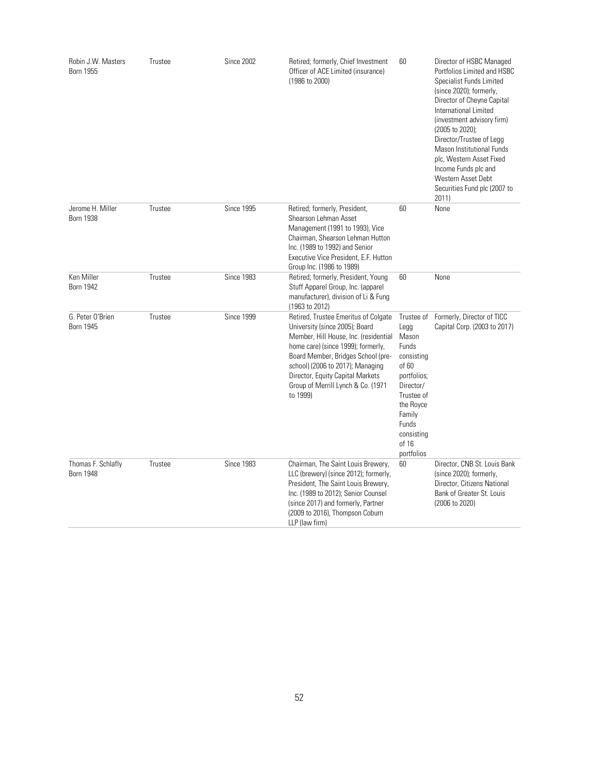| Robin J.W. Masters<br><b>Born 1955</b> | Trustee | Since 2002        | Retired; formerly, Chief Investment<br>Officer of ACE Limited (insurance)<br>(1986 to 2000)                                                                                                                                                                                                                           | 60                                                                                                                                                                         | Director of HSBC Managed<br>Portfolios Limited and HSBC<br>Specialist Funds Limited<br>(since 2020); formerly,<br>Director of Cheyne Capital<br>International Limited<br>(investment advisory firm)<br>(2005 to 2020);<br>Director/Trustee of Legg<br>Mason Institutional Funds<br>plc, Western Asset Fixed<br>Income Funds plc and<br>Western Asset Debt<br>Securities Fund plc (2007 to<br>2011) |
|----------------------------------------|---------|-------------------|-----------------------------------------------------------------------------------------------------------------------------------------------------------------------------------------------------------------------------------------------------------------------------------------------------------------------|----------------------------------------------------------------------------------------------------------------------------------------------------------------------------|----------------------------------------------------------------------------------------------------------------------------------------------------------------------------------------------------------------------------------------------------------------------------------------------------------------------------------------------------------------------------------------------------|
| Jerome H. Miller<br><b>Born 1938</b>   | Trustee | Since 1995        | Retired; formerly, President,<br>Shearson Lehman Asset<br>Management (1991 to 1993), Vice<br>Chairman, Shearson Lehman Hutton<br>Inc. (1989 to 1992) and Senior<br>Executive Vice President, E.F. Hutton<br>Group Inc. (1986 to 1989)                                                                                 | 60                                                                                                                                                                         | None                                                                                                                                                                                                                                                                                                                                                                                               |
| Ken Miller<br><b>Born 1942</b>         | Trustee | Since 1983        | Retired; formerly, President, Young<br>Stuff Apparel Group, Inc. (apparel<br>manufacturer), division of Li & Fung<br>(1963 to 2012)                                                                                                                                                                                   | 60                                                                                                                                                                         | None                                                                                                                                                                                                                                                                                                                                                                                               |
| G. Peter O'Brien<br><b>Born 1945</b>   | Trustee | Since 1999        | Retired, Trustee Emeritus of Colgate<br>University (since 2005); Board<br>Member, Hill House, Inc. (residential<br>home care) (since 1999); formerly,<br>Board Member, Bridges School (pre-<br>school) (2006 to 2017); Managing<br>Director, Equity Capital Markets<br>Group of Merrill Lynch & Co. (1971<br>to 1999) | Trustee of<br>Legg<br>Mason<br>Funds<br>consisting<br>of 60<br>portfolios;<br>Director/<br>Trustee of<br>the Royce<br>Family<br>Funds<br>consisting<br>of 16<br>portfolios | Formerly, Director of TICC<br>Capital Corp. (2003 to 2017)                                                                                                                                                                                                                                                                                                                                         |
| Thomas F. Schlafly<br><b>Born 1948</b> | Trustee | <b>Since 1983</b> | Chairman, The Saint Louis Brewery,<br>LLC (brewery) (since 2012); formerly,<br>President, The Saint Louis Brewery,<br>Inc. (1989 to 2012); Senior Counsel<br>(since 2017) and formerly, Partner<br>(2009 to 2016), Thompson Coburn<br>LLP (law firm)                                                                  | 60                                                                                                                                                                         | Director, CNB St. Louis Bank<br>(since 2020); formerly,<br>Director, Citizens National<br>Bank of Greater St. Louis<br>(2006 to 2020)                                                                                                                                                                                                                                                              |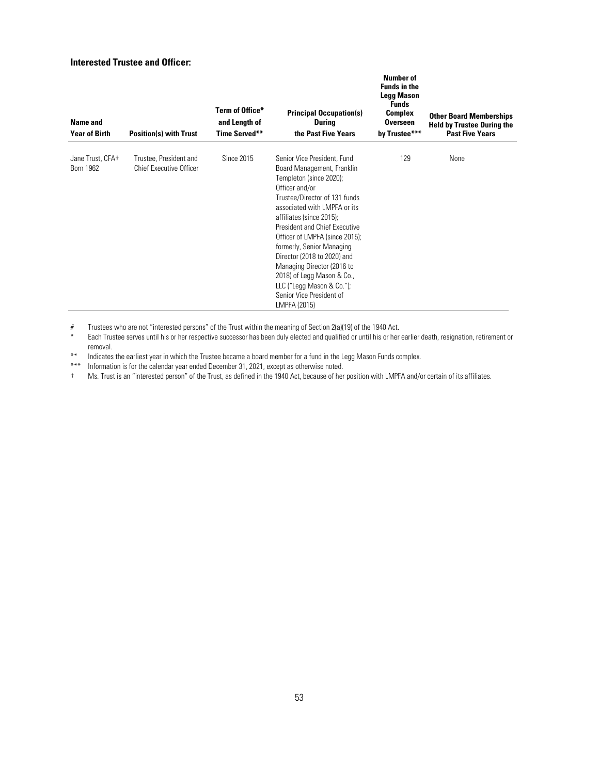# **Interested Trustee and Officer:**

| <b>Name and</b><br><b>Year of Birth</b> | <b>Position(s) with Trust</b>                            | Term of Office*<br>and Length of<br>Time Served** | <b>Principal Occupation(s)</b><br><b>During</b><br>the Past Five Years                                                                                                                                                                                                                                                                                                                                                                                                  | <b>Number of</b><br><b>Funds in the</b><br><b>Legg Mason</b><br><b>Funds</b><br><b>Complex</b><br><b>Overseen</b><br>by Trustee*** | <b>Other Board Memberships</b><br><b>Held by Trustee During the</b><br><b>Past Five Years</b> |
|-----------------------------------------|----------------------------------------------------------|---------------------------------------------------|-------------------------------------------------------------------------------------------------------------------------------------------------------------------------------------------------------------------------------------------------------------------------------------------------------------------------------------------------------------------------------------------------------------------------------------------------------------------------|------------------------------------------------------------------------------------------------------------------------------------|-----------------------------------------------------------------------------------------------|
| Jane Trust, CFA+<br><b>Born 1962</b>    | Trustee, President and<br><b>Chief Executive Officer</b> | <b>Since 2015</b>                                 | Senior Vice President, Fund<br>Board Management, Franklin<br>Templeton (since 2020);<br>Officer and/or<br>Trustee/Director of 131 funds<br>associated with LMPFA or its<br>affiliates (since 2015);<br>President and Chief Executive<br>Officer of LMPFA (since 2015);<br>formerly, Senior Managing<br>Director (2018 to 2020) and<br>Managing Director (2016 to<br>2018) of Legg Mason & Co.,<br>LLC ("Legg Mason & Co.");<br>Senior Vice President of<br>LMPFA (2015) | 129                                                                                                                                | None                                                                                          |

# Trustees who are not "interested persons" of the Trust within the meaning of Section 2(a)(19) of the 1940 Act.

\* Each Trustee serves until his or her respective successor has been duly elected and qualified or until his or her earlier death, resignation, retirement or removal.

\*\* Indicates the earliest year in which the Trustee became a board member for a fund in the Legg Mason Funds complex.

\*\*\* Information is for the calendar year ended December 31, 2021, except as otherwise noted.

† Ms. Trust is an "interested person" of the Trust, as defined in the 1940 Act, because of her position with LMPFA and/or certain of its affiliates.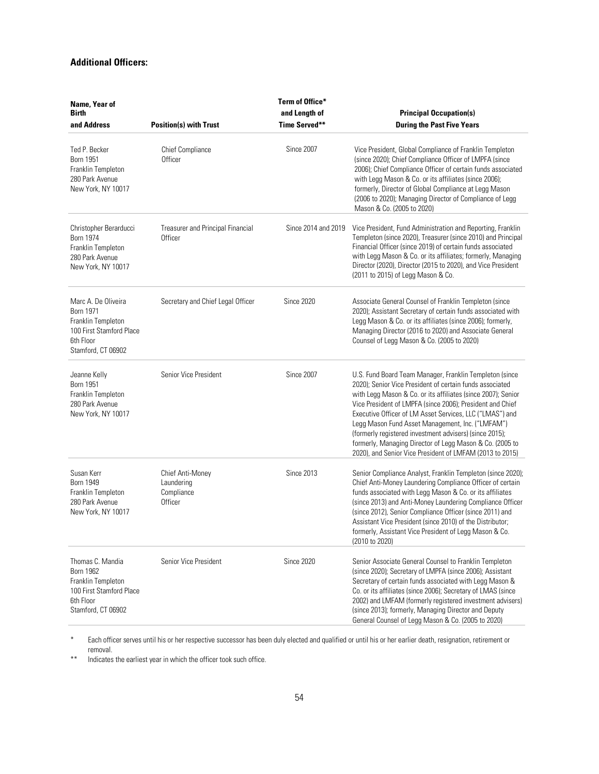# **Additional Officers:**

| Name, Year of<br><b>Birth</b>                                                                                                |                                                         | Term of Office*<br>and Length of | <b>Principal Occupation(s)</b>                                                                                                                                                                                                                                                                                                                                                                                                                                                                                                                      |
|------------------------------------------------------------------------------------------------------------------------------|---------------------------------------------------------|----------------------------------|-----------------------------------------------------------------------------------------------------------------------------------------------------------------------------------------------------------------------------------------------------------------------------------------------------------------------------------------------------------------------------------------------------------------------------------------------------------------------------------------------------------------------------------------------------|
| and Address                                                                                                                  | <b>Position(s) with Trust</b>                           | Time Served**                    | <b>During the Past Five Years</b>                                                                                                                                                                                                                                                                                                                                                                                                                                                                                                                   |
| Ted P. Becker<br><b>Born 1951</b><br>Franklin Templeton<br>280 Park Avenue<br>New York, NY 10017                             | <b>Chief Compliance</b><br><b>Officer</b>               | <b>Since 2007</b>                | Vice President, Global Compliance of Franklin Templeton<br>(since 2020); Chief Compliance Officer of LMPFA (since<br>2006); Chief Compliance Officer of certain funds associated<br>with Legg Mason & Co. or its affiliates (since 2006);<br>formerly, Director of Global Compliance at Legg Mason<br>(2006 to 2020); Managing Director of Compliance of Legg<br>Mason & Co. (2005 to 2020)                                                                                                                                                         |
| Christopher Berarducci<br><b>Born 1974</b><br>Franklin Templeton<br>280 Park Avenue<br>New York, NY 10017                    | <b>Treasurer and Principal Financial</b><br>Officer     | Since 2014 and 2019              | Vice President, Fund Administration and Reporting, Franklin<br>Templeton (since 2020), Treasurer (since 2010) and Principal<br>Financial Officer (since 2019) of certain funds associated<br>with Legg Mason & Co. or its affiliates; formerly, Managing<br>Director (2020), Director (2015 to 2020), and Vice President<br>(2011 to 2015) of Legg Mason & Co.                                                                                                                                                                                      |
| Marc A. De Oliveira<br><b>Born 1971</b><br>Franklin Templeton<br>100 First Stamford Place<br>6th Floor<br>Stamford, CT 06902 | Secretary and Chief Legal Officer                       | <b>Since 2020</b>                | Associate General Counsel of Franklin Templeton (since<br>2020); Assistant Secretary of certain funds associated with<br>Legg Mason & Co. or its affiliates (since 2006); formerly,<br>Managing Director (2016 to 2020) and Associate General<br>Counsel of Legg Mason & Co. (2005 to 2020)                                                                                                                                                                                                                                                         |
| Jeanne Kelly<br><b>Born 1951</b><br>Franklin Templeton<br>280 Park Avenue<br>New York, NY 10017                              | Senior Vice President                                   | <b>Since 2007</b>                | U.S. Fund Board Team Manager, Franklin Templeton (since<br>2020); Senior Vice President of certain funds associated<br>with Legg Mason & Co. or its affiliates (since 2007); Senior<br>Vice President of LMPFA (since 2006); President and Chief<br>Executive Officer of LM Asset Services, LLC ("LMAS") and<br>Legg Mason Fund Asset Management, Inc. ("LMFAM")<br>(formerly registered investment advisers) (since 2015);<br>formerly, Managing Director of Legg Mason & Co. (2005 to<br>2020), and Senior Vice President of LMFAM (2013 to 2015) |
| Susan Kerr<br><b>Born 1949</b><br>Franklin Templeton<br>280 Park Avenue<br>New York, NY 10017                                | Chief Anti-Money<br>Laundering<br>Compliance<br>Officer | Since 2013                       | Senior Compliance Analyst, Franklin Templeton (since 2020);<br>Chief Anti-Money Laundering Compliance Officer of certain<br>funds associated with Legg Mason & Co. or its affiliates<br>(since 2013) and Anti-Money Laundering Compliance Officer<br>(since 2012), Senior Compliance Officer (since 2011) and<br>Assistant Vice President (since 2010) of the Distributor;<br>formerly, Assistant Vice President of Legg Mason & Co.<br>(2010 to 2020)                                                                                              |
| Thomas C. Mandia<br><b>Born 1962</b><br>Franklin Templeton<br>100 First Stamford Place<br>6th Floor<br>Stamford, CT 06902    | Senior Vice President                                   | <b>Since 2020</b>                | Senior Associate General Counsel to Franklin Templeton<br>(since 2020); Secretary of LMPFA (since 2006); Assistant<br>Secretary of certain funds associated with Legg Mason &<br>Co. or its affiliates (since 2006); Secretary of LMAS (since<br>2002) and LMFAM (formerly registered investment advisers)<br>(since 2013); formerly, Managing Director and Deputy<br>General Counsel of Legg Mason & Co. (2005 to 2020)                                                                                                                            |

\* Each officer serves until his or her respective successor has been duly elected and qualified or until his or her earlier death, resignation, retirement or removal.

\*\* Indicates the earliest year in which the officer took such office.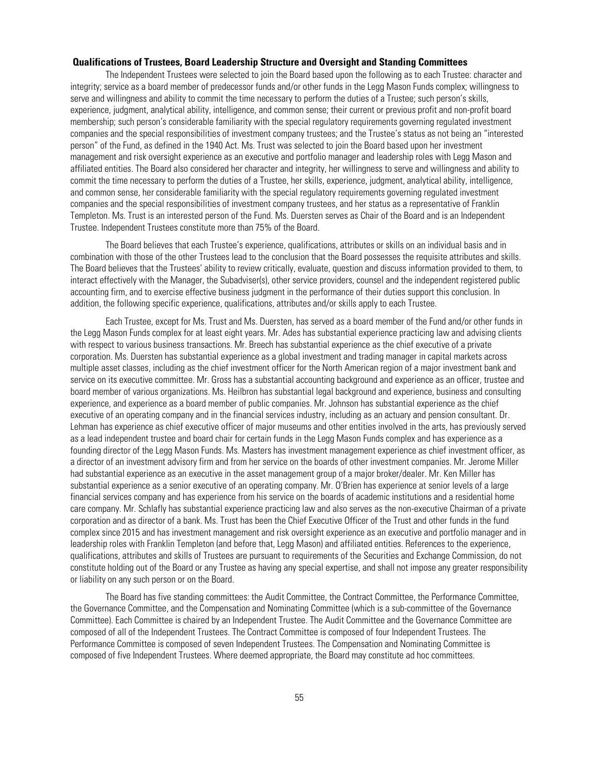## **Qualifications of Trustees, Board Leadership Structure and Oversight and Standing Committees**

The Independent Trustees were selected to join the Board based upon the following as to each Trustee: character and integrity; service as a board member of predecessor funds and/or other funds in the Legg Mason Funds complex; willingness to serve and willingness and ability to commit the time necessary to perform the duties of a Trustee; such person's skills, experience, judgment, analytical ability, intelligence, and common sense; their current or previous profit and non-profit board membership; such person's considerable familiarity with the special regulatory requirements governing regulated investment companies and the special responsibilities of investment company trustees; and the Trustee's status as not being an "interested person" of the Fund, as defined in the 1940 Act. Ms. Trust was selected to join the Board based upon her investment management and risk oversight experience as an executive and portfolio manager and leadership roles with Legg Mason and affiliated entities. The Board also considered her character and integrity, her willingness to serve and willingness and ability to commit the time necessary to perform the duties of a Trustee, her skills, experience, judgment, analytical ability, intelligence, and common sense, her considerable familiarity with the special regulatory requirements governing regulated investment companies and the special responsibilities of investment company trustees, and her status as a representative of Franklin Templeton. Ms. Trust is an interested person of the Fund. Ms. Duersten serves as Chair of the Board and is an Independent Trustee. Independent Trustees constitute more than 75% of the Board.

The Board believes that each Trustee's experience, qualifications, attributes or skills on an individual basis and in combination with those of the other Trustees lead to the conclusion that the Board possesses the requisite attributes and skills. The Board believes that the Trustees' ability to review critically, evaluate, question and discuss information provided to them, to interact effectively with the Manager, the Subadviser(s), other service providers, counsel and the independent registered public accounting firm, and to exercise effective business judgment in the performance of their duties support this conclusion. In addition, the following specific experience, qualifications, attributes and/or skills apply to each Trustee.

Each Trustee, except for Ms. Trust and Ms. Duersten, has served as a board member of the Fund and/or other funds in the Legg Mason Funds complex for at least eight years. Mr. Ades has substantial experience practicing law and advising clients with respect to various business transactions. Mr. Breech has substantial experience as the chief executive of a private corporation. Ms. Duersten has substantial experience as a global investment and trading manager in capital markets across multiple asset classes, including as the chief investment officer for the North American region of a major investment bank and service on its executive committee. Mr. Gross has a substantial accounting background and experience as an officer, trustee and board member of various organizations. Ms. Heilbron has substantial legal background and experience, business and consulting experience, and experience as a board member of public companies. Mr. Johnson has substantial experience as the chief executive of an operating company and in the financial services industry, including as an actuary and pension consultant. Dr. Lehman has experience as chief executive officer of major museums and other entities involved in the arts, has previously served as a lead independent trustee and board chair for certain funds in the Legg Mason Funds complex and has experience as a founding director of the Legg Mason Funds. Ms. Masters has investment management experience as chief investment officer, as a director of an investment advisory firm and from her service on the boards of other investment companies. Mr. Jerome Miller had substantial experience as an executive in the asset management group of a major broker/dealer. Mr. Ken Miller has substantial experience as a senior executive of an operating company. Mr. O'Brien has experience at senior levels of a large financial services company and has experience from his service on the boards of academic institutions and a residential home care company. Mr. Schlafly has substantial experience practicing law and also serves as the non-executive Chairman of a private corporation and as director of a bank. Ms. Trust has been the Chief Executive Officer of the Trust and other funds in the fund complex since 2015 and has investment management and risk oversight experience as an executive and portfolio manager and in leadership roles with Franklin Templeton (and before that, Legg Mason) and affiliated entities. References to the experience, qualifications, attributes and skills of Trustees are pursuant to requirements of the Securities and Exchange Commission, do not constitute holding out of the Board or any Trustee as having any special expertise, and shall not impose any greater responsibility or liability on any such person or on the Board.

The Board has five standing committees: the Audit Committee, the Contract Committee, the Performance Committee, the Governance Committee, and the Compensation and Nominating Committee (which is a sub-committee of the Governance Committee). Each Committee is chaired by an Independent Trustee. The Audit Committee and the Governance Committee are composed of all of the Independent Trustees. The Contract Committee is composed of four Independent Trustees. The Performance Committee is composed of seven Independent Trustees. The Compensation and Nominating Committee is composed of five Independent Trustees. Where deemed appropriate, the Board may constitute ad hoc committees.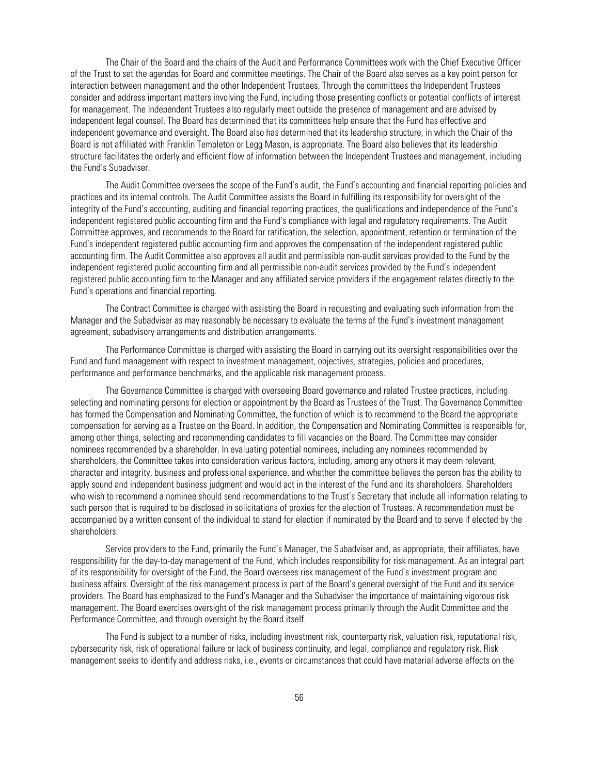The Chair of the Board and the chairs of the Audit and Performance Committees work with the Chief Executive Officer of the Trust to set the agendas for Board and committee meetings. The Chair of the Board also serves as a key point person for interaction between management and the other Independent Trustees. Through the committees the Independent Trustees consider and address important matters involving the Fund, including those presenting conflicts or potential conflicts of interest for management. The Independent Trustees also regularly meet outside the presence of management and are advised by independent legal counsel. The Board has determined that its committees help ensure that the Fund has effective and independent governance and oversight. The Board also has determined that its leadership structure, in which the Chair of the Board is not affiliated with Franklin Templeton or Legg Mason, is appropriate. The Board also believes that its leadership structure facilitates the orderly and efficient flow of information between the Independent Trustees and management, including the Fund's Subadviser.

The Audit Committee oversees the scope of the Fund's audit, the Fund's accounting and financial reporting policies and practices and its internal controls. The Audit Committee assists the Board in fulfilling its responsibility for oversight of the integrity of the Fund's accounting, auditing and financial reporting practices, the qualifications and independence of the Fund's independent registered public accounting firm and the Fund's compliance with legal and regulatory requirements. The Audit Committee approves, and recommends to the Board for ratification, the selection, appointment, retention or termination of the Fund's independent registered public accounting firm and approves the compensation of the independent registered public accounting firm. The Audit Committee also approves all audit and permissible non-audit services provided to the Fund by the independent registered public accounting firm and all permissible non-audit services provided by the Fund's independent registered public accounting firm to the Manager and any affiliated service providers if the engagement relates directly to the Fund's operations and financial reporting.

The Contract Committee is charged with assisting the Board in requesting and evaluating such information from the Manager and the Subadviser as may reasonably be necessary to evaluate the terms of the Fund's investment management agreement, subadvisory arrangements and distribution arrangements.

The Performance Committee is charged with assisting the Board in carrying out its oversight responsibilities over the Fund and fund management with respect to investment management, objectives, strategies, policies and procedures, performance and performance benchmarks, and the applicable risk management process.

The Governance Committee is charged with overseeing Board governance and related Trustee practices, including selecting and nominating persons for election or appointment by the Board as Trustees of the Trust. The Governance Committee has formed the Compensation and Nominating Committee, the function of which is to recommend to the Board the appropriate compensation for serving as a Trustee on the Board. In addition, the Compensation and Nominating Committee is responsible for, among other things, selecting and recommending candidates to fill vacancies on the Board. The Committee may consider nominees recommended by a shareholder. In evaluating potential nominees, including any nominees recommended by shareholders, the Committee takes into consideration various factors, including, among any others it may deem relevant, character and integrity, business and professional experience, and whether the committee believes the person has the ability to apply sound and independent business judgment and would act in the interest of the Fund and its shareholders. Shareholders who wish to recommend a nominee should send recommendations to the Trust's Secretary that include all information relating to such person that is required to be disclosed in solicitations of proxies for the election of Trustees. A recommendation must be accompanied by a written consent of the individual to stand for election if nominated by the Board and to serve if elected by the shareholders.

Service providers to the Fund, primarily the Fund's Manager, the Subadviser and, as appropriate, their affiliates, have responsibility for the day-to-day management of the Fund, which includes responsibility for risk management. As an integral part of its responsibility for oversight of the Fund, the Board oversees risk management of the Fund's investment program and business affairs. Oversight of the risk management process is part of the Board's general oversight of the Fund and its service providers. The Board has emphasized to the Fund's Manager and the Subadviser the importance of maintaining vigorous risk management. The Board exercises oversight of the risk management process primarily through the Audit Committee and the Performance Committee, and through oversight by the Board itself.

The Fund is subject to a number of risks, including investment risk, counterparty risk, valuation risk, reputational risk, cybersecurity risk, risk of operational failure or lack of business continuity, and legal, compliance and regulatory risk. Risk management seeks to identify and address risks, i.e., events or circumstances that could have material adverse effects on the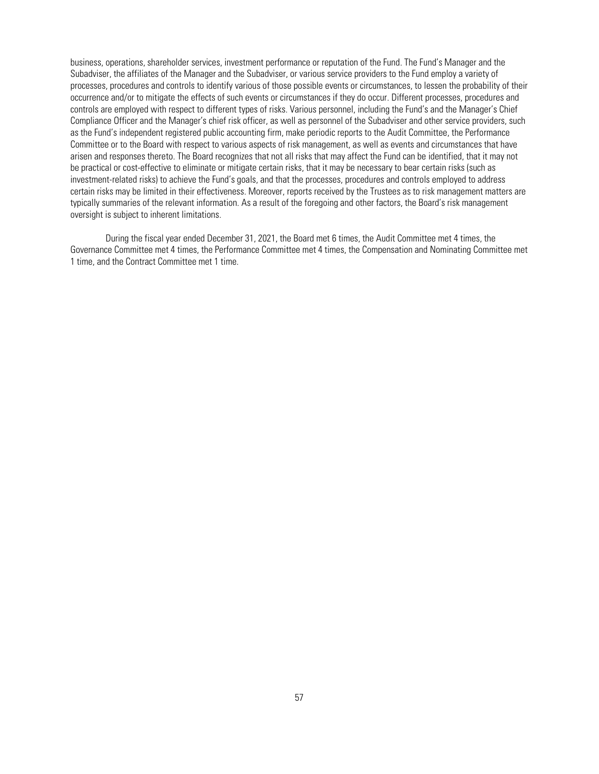business, operations, shareholder services, investment performance or reputation of the Fund. The Fund's Manager and the Subadviser, the affiliates of the Manager and the Subadviser, or various service providers to the Fund employ a variety of processes, procedures and controls to identify various of those possible events or circumstances, to lessen the probability of their occurrence and/or to mitigate the effects of such events or circumstances if they do occur. Different processes, procedures and controls are employed with respect to different types of risks. Various personnel, including the Fund's and the Manager's Chief Compliance Officer and the Manager's chief risk officer, as well as personnel of the Subadviser and other service providers, such as the Fund's independent registered public accounting firm, make periodic reports to the Audit Committee, the Performance Committee or to the Board with respect to various aspects of risk management, as well as events and circumstances that have arisen and responses thereto. The Board recognizes that not all risks that may affect the Fund can be identified, that it may not be practical or cost-effective to eliminate or mitigate certain risks, that it may be necessary to bear certain risks (such as investment-related risks) to achieve the Fund's goals, and that the processes, procedures and controls employed to address certain risks may be limited in their effectiveness. Moreover, reports received by the Trustees as to risk management matters are typically summaries of the relevant information. As a result of the foregoing and other factors, the Board's risk management oversight is subject to inherent limitations.

 During the fiscal year ended December 31, 2021, the Board met 6 times, the Audit Committee met 4 times, the Governance Committee met 4 times, the Performance Committee met 4 times, the Compensation and Nominating Committee met 1 time, and the Contract Committee met 1 time.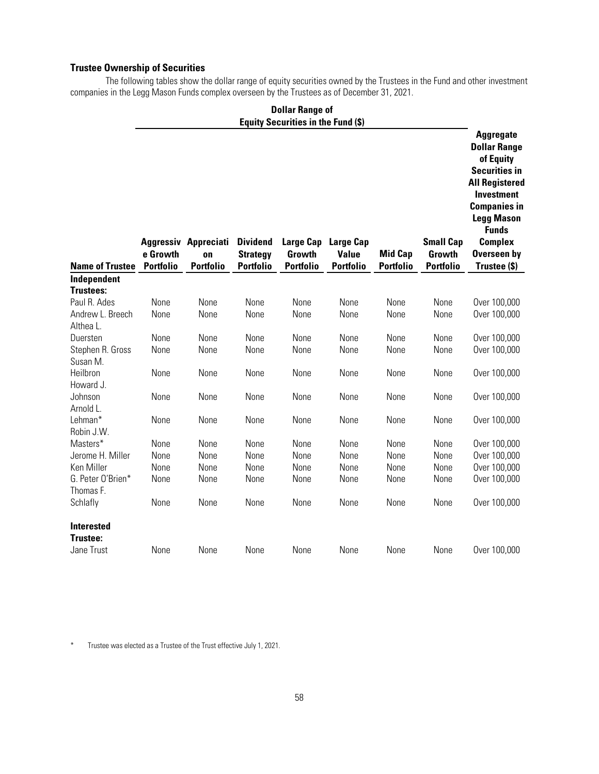# **Trustee Ownership of Securities**

The following tables show the dollar range of equity securities owned by the Trustees in the Fund and other investment companies in the Legg Mason Funds complex overseen by the Trustees as of December 31, 2021.

|                                             | <b>EQUILY SECUTILIES III LIIE FUIIU (9)</b> |                                             |                                                        |                                                |                                                      |                                    |                                                       |                                                                                                                                                                                                                                         |
|---------------------------------------------|---------------------------------------------|---------------------------------------------|--------------------------------------------------------|------------------------------------------------|------------------------------------------------------|------------------------------------|-------------------------------------------------------|-----------------------------------------------------------------------------------------------------------------------------------------------------------------------------------------------------------------------------------------|
| <b>Name of Trustee</b>                      | Aggressiv<br>e Growth<br><b>Portfolio</b>   | <b>Appreciati</b><br>on<br><b>Portfolio</b> | <b>Dividend</b><br><b>Strategy</b><br><b>Portfolio</b> | Large Cap<br><b>Growth</b><br><b>Portfolio</b> | <b>Large Cap</b><br><b>Value</b><br><b>Portfolio</b> | <b>Mid Cap</b><br><b>Portfolio</b> | <b>Small Cap</b><br><b>Growth</b><br><b>Portfolio</b> | <b>Aggregate</b><br><b>Dollar Range</b><br>of Equity<br><b>Securities in</b><br><b>All Registered</b><br><b>Investment</b><br><b>Companies in</b><br><b>Legg Mason</b><br><b>Funds</b><br><b>Complex</b><br>Overseen by<br>Trustee (\$) |
| Independent                                 |                                             |                                             |                                                        |                                                |                                                      |                                    |                                                       |                                                                                                                                                                                                                                         |
| <b>Trustees:</b>                            |                                             |                                             |                                                        |                                                |                                                      |                                    |                                                       |                                                                                                                                                                                                                                         |
| Paul R. Ades                                | None                                        | None                                        | None                                                   | None                                           | None                                                 | None                               | None                                                  | Over 100,000                                                                                                                                                                                                                            |
| Andrew L. Breech                            | None                                        | None                                        | None                                                   | None                                           | None                                                 | None                               | None                                                  | Over 100,000                                                                                                                                                                                                                            |
| Althea L.                                   |                                             |                                             |                                                        |                                                |                                                      |                                    |                                                       |                                                                                                                                                                                                                                         |
| Duersten                                    | None                                        | None                                        | None                                                   | None                                           | None                                                 | None                               | None                                                  | Over 100,000                                                                                                                                                                                                                            |
| Stephen R. Gross                            | None                                        | None                                        | None                                                   | None                                           | None                                                 | None                               | None                                                  | Over 100,000                                                                                                                                                                                                                            |
| Susan M.                                    |                                             |                                             |                                                        |                                                |                                                      |                                    |                                                       |                                                                                                                                                                                                                                         |
| Heilbron                                    | None                                        | None                                        | None                                                   | None                                           | None                                                 | None                               | None                                                  | Over 100,000                                                                                                                                                                                                                            |
| Howard J.                                   |                                             |                                             |                                                        |                                                |                                                      |                                    |                                                       |                                                                                                                                                                                                                                         |
| Johnson                                     | None                                        | None                                        | None                                                   | None                                           | None                                                 | None                               | None                                                  | Over 100,000                                                                                                                                                                                                                            |
| Arnold L.                                   |                                             |                                             |                                                        |                                                |                                                      |                                    |                                                       |                                                                                                                                                                                                                                         |
| Lehman*                                     | None                                        | None                                        | None                                                   | None                                           | None                                                 | None                               | None                                                  | Over 100,000                                                                                                                                                                                                                            |
| Robin J.W.                                  |                                             |                                             |                                                        |                                                |                                                      |                                    |                                                       |                                                                                                                                                                                                                                         |
| Masters*                                    | None                                        | None                                        | None                                                   | None                                           | None                                                 | None                               | None                                                  | Over 100,000                                                                                                                                                                                                                            |
| Jerome H. Miller                            | None                                        | None                                        | None                                                   | None                                           | None                                                 | None                               | None                                                  | Over 100,000                                                                                                                                                                                                                            |
| <b>Ken Miller</b>                           | None                                        | None                                        | None                                                   | None                                           | None                                                 | None                               | None                                                  | Over 100,000                                                                                                                                                                                                                            |
| G. Peter O'Brien*                           | None                                        | None                                        | None                                                   | None                                           | None                                                 | None                               | None                                                  | Over 100,000                                                                                                                                                                                                                            |
| Thomas F.                                   |                                             |                                             |                                                        |                                                |                                                      |                                    |                                                       |                                                                                                                                                                                                                                         |
| Schlafly                                    | None                                        | None                                        | None                                                   | None                                           | None                                                 | None                               | None                                                  | Over 100,000                                                                                                                                                                                                                            |
| <b>Interested</b><br>Trustee:<br>Jane Trust | None                                        | None                                        | None                                                   | None                                           | None                                                 | None                               | None                                                  | Over 100,000                                                                                                                                                                                                                            |
|                                             |                                             |                                             |                                                        |                                                |                                                      |                                    |                                                       |                                                                                                                                                                                                                                         |

# **Dollar Range of Equity Securities in the Fund (\$)**

\* Trustee was elected as a Trustee of the Trust effective July 1, 2021.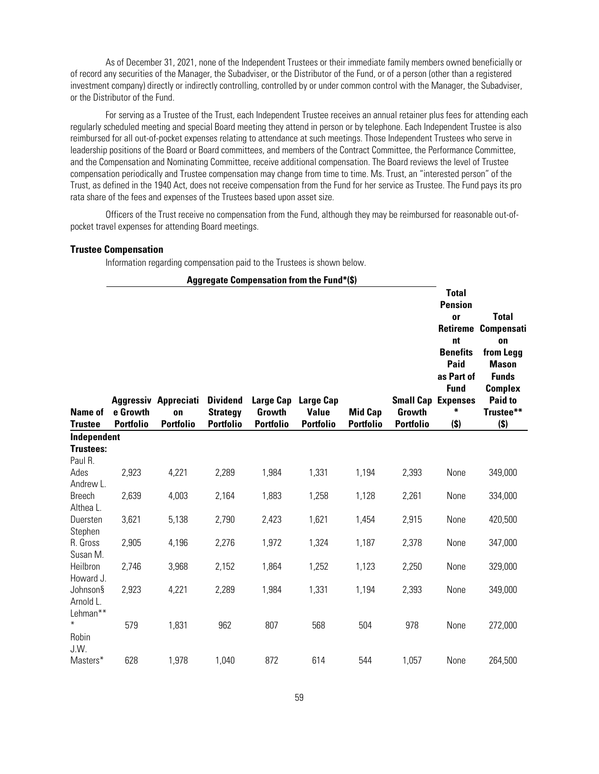As of December 31, 2021, none of the Independent Trustees or their immediate family members owned beneficially or of record any securities of the Manager, the Subadviser, or the Distributor of the Fund, or of a person (other than a registered investment company) directly or indirectly controlling, controlled by or under common control with the Manager, the Subadviser, or the Distributor of the Fund.

For serving as a Trustee of the Trust, each Independent Trustee receives an annual retainer plus fees for attending each regularly scheduled meeting and special Board meeting they attend in person or by telephone. Each Independent Trustee is also reimbursed for all out-of-pocket expenses relating to attendance at such meetings. Those Independent Trustees who serve in leadership positions of the Board or Board committees, and members of the Contract Committee, the Performance Committee, and the Compensation and Nominating Committee, receive additional compensation. The Board reviews the level of Trustee compensation periodically and Trustee compensation may change from time to time. Ms. Trust, an "interested person" of the Trust, as defined in the 1940 Act, does not receive compensation from the Fund for her service as Trustee. The Fund pays its pro rata share of the fees and expenses of the Trustees based upon asset size.

Officers of the Trust receive no compensation from the Fund, although they may be reimbursed for reasonable out-ofpocket travel expenses for attending Board meetings.

## **Trustee Compensation**

Information regarding compensation paid to the Trustees is shown below.

|                                  | <b>Aggregate Compensation from the Fund*(\$)</b> |                                                       |                                                        |                                                |                                                      |                                    |                                                         |                                                                                                                                           |                                                                                                                                       |
|----------------------------------|--------------------------------------------------|-------------------------------------------------------|--------------------------------------------------------|------------------------------------------------|------------------------------------------------------|------------------------------------|---------------------------------------------------------|-------------------------------------------------------------------------------------------------------------------------------------------|---------------------------------------------------------------------------------------------------------------------------------------|
| <b>Name of</b><br><b>Trustee</b> | e Growth<br><b>Portfolio</b>                     | <b>Aggressiv Appreciati</b><br>on<br><b>Portfolio</b> | <b>Dividend</b><br><b>Strategy</b><br><b>Portfolio</b> | <b>Large Cap</b><br>Growth<br><b>Portfolio</b> | <b>Large Cap</b><br><b>Value</b><br><b>Portfolio</b> | <b>Mid Cap</b><br><b>Portfolio</b> | <b>Small Cap Expenses</b><br>Growth<br><b>Portfolio</b> | <b>Total</b><br><b>Pension</b><br><b>or</b><br><b>Retireme</b><br>nt<br><b>Benefits</b><br>Paid<br>as Part of<br><b>Fund</b><br>₩<br>(\$) | <b>Total</b><br><b>Compensati</b><br>on<br>from Legg<br><b>Mason</b><br><b>Funds</b><br><b>Complex</b><br>Paid to<br>Trustee**<br>(S) |
| Independent                      |                                                  |                                                       |                                                        |                                                |                                                      |                                    |                                                         |                                                                                                                                           |                                                                                                                                       |
| <b>Trustees:</b>                 |                                                  |                                                       |                                                        |                                                |                                                      |                                    |                                                         |                                                                                                                                           |                                                                                                                                       |
| Paul R.                          |                                                  |                                                       |                                                        |                                                |                                                      |                                    |                                                         |                                                                                                                                           |                                                                                                                                       |
| Ades                             | 2,923                                            | 4,221                                                 | 2,289                                                  | 1,984                                          | 1,331                                                | 1,194                              | 2,393                                                   | None                                                                                                                                      | 349,000                                                                                                                               |
| Andrew L.<br><b>Breech</b>       | 2,639                                            | 4,003                                                 | 2,164                                                  | 1,883                                          | 1,258                                                | 1,128                              | 2,261                                                   | None                                                                                                                                      | 334,000                                                                                                                               |
| Althea L.                        |                                                  |                                                       |                                                        |                                                |                                                      |                                    |                                                         |                                                                                                                                           |                                                                                                                                       |
| Duersten                         | 3,621                                            | 5,138                                                 | 2,790                                                  | 2,423                                          | 1,621                                                | 1,454                              | 2,915                                                   | None                                                                                                                                      | 420,500                                                                                                                               |
| Stephen                          |                                                  |                                                       |                                                        |                                                |                                                      |                                    |                                                         |                                                                                                                                           |                                                                                                                                       |
| R. Gross                         | 2,905                                            | 4,196                                                 | 2,276                                                  | 1,972                                          | 1,324                                                | 1,187                              | 2,378                                                   | None                                                                                                                                      | 347,000                                                                                                                               |
| Susan M.                         |                                                  |                                                       |                                                        |                                                |                                                      |                                    |                                                         |                                                                                                                                           |                                                                                                                                       |
| Heilbron                         | 2,746                                            | 3,968                                                 | 2,152                                                  | 1,864                                          | 1,252                                                | 1,123                              | 2,250                                                   | None                                                                                                                                      | 329,000                                                                                                                               |
| Howard J.<br>Johnson§            | 2,923                                            | 4,221                                                 | 2,289                                                  | 1,984                                          | 1,331                                                | 1,194                              | 2,393                                                   | None                                                                                                                                      | 349,000                                                                                                                               |
| Arnold L.                        |                                                  |                                                       |                                                        |                                                |                                                      |                                    |                                                         |                                                                                                                                           |                                                                                                                                       |
| Lehman**                         |                                                  |                                                       |                                                        |                                                |                                                      |                                    |                                                         |                                                                                                                                           |                                                                                                                                       |
| $\ast$                           | 579                                              | 1,831                                                 | 962                                                    | 807                                            | 568                                                  | 504                                | 978                                                     | None                                                                                                                                      | 272,000                                                                                                                               |
| Robin<br>J.W.                    |                                                  |                                                       |                                                        |                                                |                                                      |                                    |                                                         |                                                                                                                                           |                                                                                                                                       |
| Masters*                         | 628                                              | 1,978                                                 | 1,040                                                  | 872                                            | 614                                                  | 544                                | 1,057                                                   | None                                                                                                                                      | 264,500                                                                                                                               |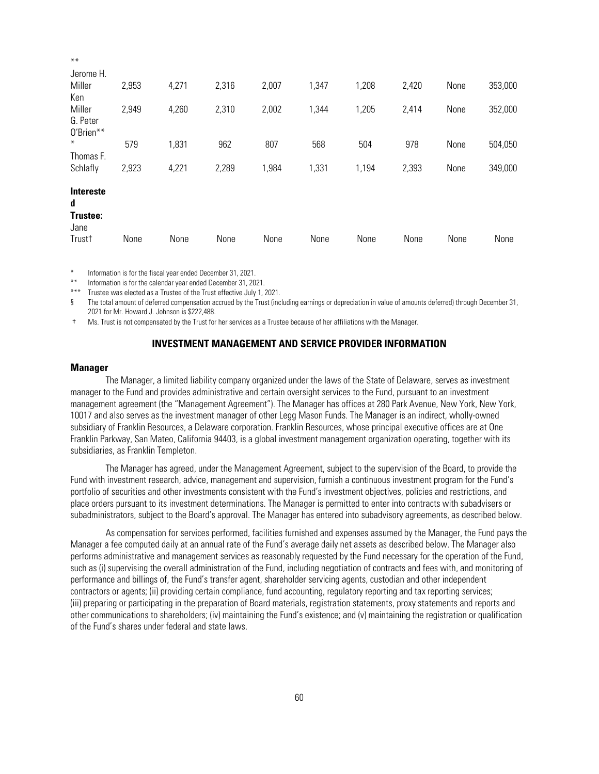| $***$                                     |       |       |       |       |       |       |       |      |         |
|-------------------------------------------|-------|-------|-------|-------|-------|-------|-------|------|---------|
| Jerome H.<br>Miller                       | 2,953 | 4,271 | 2,316 | 2,007 | 1,347 | 1,208 | 2,420 | None | 353,000 |
| Ken<br>Miller<br>G. Peter                 | 2,949 | 4,260 | 2,310 | 2,002 | 1,344 | 1,205 | 2,414 | None | 352,000 |
| 0'Brien**<br>$\ast$<br>Thomas F.          | 579   | 1,831 | 962   | 807   | 568   | 504   | 978   | None | 504,050 |
| Schlafly                                  | 2,923 | 4,221 | 2,289 | 1,984 | 1,331 | 1,194 | 2,393 | None | 349,000 |
| <b>Intereste</b><br>d<br>Trustee:<br>Jane |       |       |       |       |       |       |       |      |         |
| <b>Trustt</b>                             | None  | None  | None  | None  | None  | None  | None  | None | None    |

Information is for the fiscal year ended December 31, 2021.

\*\* Information is for the calendar year ended December 31, 2021.

\*\*\* Trustee was elected as a Trustee of the Trust effective July 1, 2021.

§ The total amount of deferred compensation accrued by the Trust (including earnings or depreciation in value of amounts deferred) through December 31, 2021 for Mr. Howard J. Johnson is \$222,488.

† Ms. Trust is not compensated by the Trust for her services as a Trustee because of her affiliations with the Manager.

# **INVESTMENT MANAGEMENT AND SERVICE PROVIDER INFORMATION**

### **Manager**

The Manager, a limited liability company organized under the laws of the State of Delaware, serves as investment manager to the Fund and provides administrative and certain oversight services to the Fund, pursuant to an investment management agreement (the "Management Agreement"). The Manager has offices at 280 Park Avenue, New York, New York, 10017 and also serves as the investment manager of other Legg Mason Funds. The Manager is an indirect, wholly-owned subsidiary of Franklin Resources, a Delaware corporation. Franklin Resources, whose principal executive offices are at One Franklin Parkway, San Mateo, California 94403, is a global investment management organization operating, together with its subsidiaries, as Franklin Templeton.

The Manager has agreed, under the Management Agreement, subject to the supervision of the Board, to provide the Fund with investment research, advice, management and supervision, furnish a continuous investment program for the Fund's portfolio of securities and other investments consistent with the Fund's investment objectives, policies and restrictions, and place orders pursuant to its investment determinations. The Manager is permitted to enter into contracts with subadvisers or subadministrators, subject to the Board's approval. The Manager has entered into subadvisory agreements, as described below.

As compensation for services performed, facilities furnished and expenses assumed by the Manager, the Fund pays the Manager a fee computed daily at an annual rate of the Fund's average daily net assets as described below. The Manager also performs administrative and management services as reasonably requested by the Fund necessary for the operation of the Fund, such as (i) supervising the overall administration of the Fund, including negotiation of contracts and fees with, and monitoring of performance and billings of, the Fund's transfer agent, shareholder servicing agents, custodian and other independent contractors or agents; (ii) providing certain compliance, fund accounting, regulatory reporting and tax reporting services; (iii) preparing or participating in the preparation of Board materials, registration statements, proxy statements and reports and other communications to shareholders; (iv) maintaining the Fund's existence; and (v) maintaining the registration or qualification of the Fund's shares under federal and state laws.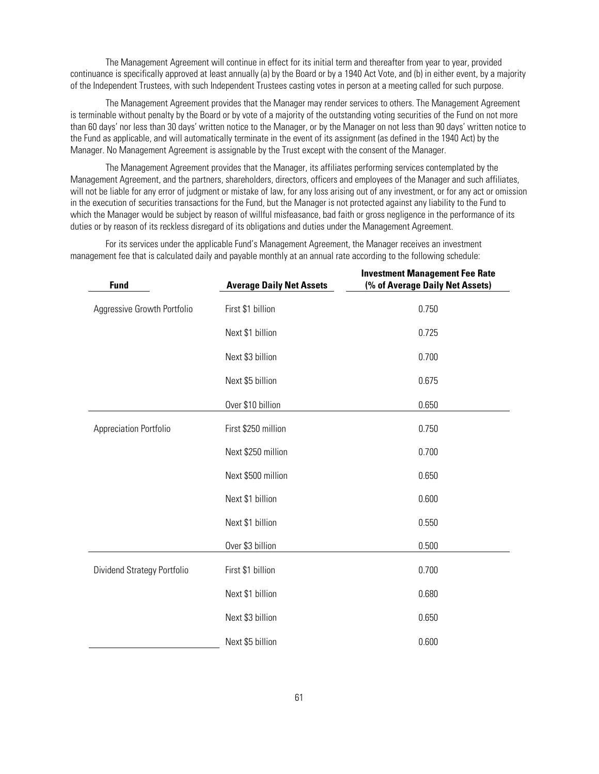The Management Agreement will continue in effect for its initial term and thereafter from year to year, provided continuance is specifically approved at least annually (a) by the Board or by a 1940 Act Vote, and (b) in either event, by a majority of the Independent Trustees, with such Independent Trustees casting votes in person at a meeting called for such purpose.

The Management Agreement provides that the Manager may render services to others. The Management Agreement is terminable without penalty by the Board or by vote of a majority of the outstanding voting securities of the Fund on not more than 60 days' nor less than 30 days' written notice to the Manager, or by the Manager on not less than 90 days' written notice to the Fund as applicable, and will automatically terminate in the event of its assignment (as defined in the 1940 Act) by the Manager. No Management Agreement is assignable by the Trust except with the consent of the Manager.

The Management Agreement provides that the Manager, its affiliates performing services contemplated by the Management Agreement, and the partners, shareholders, directors, officers and employees of the Manager and such affiliates, will not be liable for any error of judgment or mistake of law, for any loss arising out of any investment, or for any act or omission in the execution of securities transactions for the Fund, but the Manager is not protected against any liability to the Fund to which the Manager would be subject by reason of willful misfeasance, bad faith or gross negligence in the performance of its duties or by reason of its reckless disregard of its obligations and duties under the Management Agreement.

For its services under the applicable Fund's Management Agreement, the Manager receives an investment management fee that is calculated daily and payable monthly at an annual rate according to the following schedule:

| <b>Fund</b>                 | <b>Average Daily Net Assets</b> | <b>Investment Management Fee Rate</b><br>(% of Average Daily Net Assets) |
|-----------------------------|---------------------------------|--------------------------------------------------------------------------|
| Aggressive Growth Portfolio | First \$1 billion               | 0.750                                                                    |
|                             | Next \$1 billion                | 0.725                                                                    |
|                             | Next \$3 billion                | 0.700                                                                    |
|                             | Next \$5 billion                | 0.675                                                                    |
|                             | Over \$10 billion               | 0.650                                                                    |
| Appreciation Portfolio      | First \$250 million             | 0.750                                                                    |
|                             | Next \$250 million              | 0.700                                                                    |
|                             | Next \$500 million              | 0.650                                                                    |
|                             | Next \$1 billion                | 0.600                                                                    |
|                             | Next \$1 billion                | 0.550                                                                    |
|                             | Over \$3 billion                | 0.500                                                                    |
| Dividend Strategy Portfolio | First \$1 billion               | 0.700                                                                    |
|                             | Next \$1 billion                | 0.680                                                                    |
|                             | Next \$3 billion                | 0.650                                                                    |
|                             | Next \$5 billion                | 0.600                                                                    |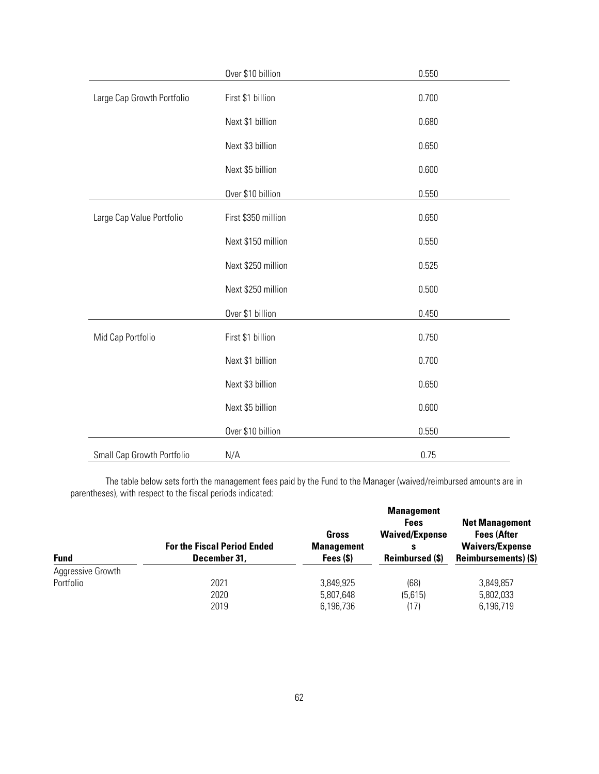|                            | Over \$10 billion   | 0.550 |
|----------------------------|---------------------|-------|
| Large Cap Growth Portfolio | First \$1 billion   | 0.700 |
|                            | Next \$1 billion    | 0.680 |
|                            | Next \$3 billion    | 0.650 |
|                            | Next \$5 billion    | 0.600 |
|                            | Over \$10 billion   | 0.550 |
| Large Cap Value Portfolio  | First \$350 million | 0.650 |
|                            | Next \$150 million  | 0.550 |
|                            | Next \$250 million  | 0.525 |
|                            | Next \$250 million  | 0.500 |
|                            | Over \$1 billion    | 0.450 |
| Mid Cap Portfolio          | First \$1 billion   | 0.750 |
|                            | Next \$1 billion    | 0.700 |
|                            | Next \$3 billion    | 0.650 |
|                            | Next \$5 billion    | 0.600 |
|                            | Over \$10 billion   | 0.550 |
| Small Cap Growth Portfolio | N/A                 | 0.75  |

The table below sets forth the management fees paid by the Fund to the Manager (waived/reimbursed amounts are in parentheses), with respect to the fiscal periods indicated:

| <b>Fund</b>       | <b>For the Fiscal Period Ended</b><br>December 31, | Gross<br><b>Management</b><br>Fees $(§)$ | <b>Management</b><br><b>Fees</b><br><b>Waived/Expense</b><br>s<br><b>Reimbursed (\$)</b> | <b>Net Management</b><br><b>Fees (After</b><br><b>Waivers/Expense</b><br>Reimbursements) (\$) |
|-------------------|----------------------------------------------------|------------------------------------------|------------------------------------------------------------------------------------------|-----------------------------------------------------------------------------------------------|
| Aggressive Growth |                                                    |                                          |                                                                                          |                                                                                               |
| Portfolio         | 2021                                               | 3,849,925                                | (68)                                                                                     | 3,849,857                                                                                     |
|                   | 2020                                               | 5,807,648                                | (5,615)                                                                                  | 5,802,033                                                                                     |
|                   | 2019                                               | 6,196,736                                | (17)                                                                                     | 6,196,719                                                                                     |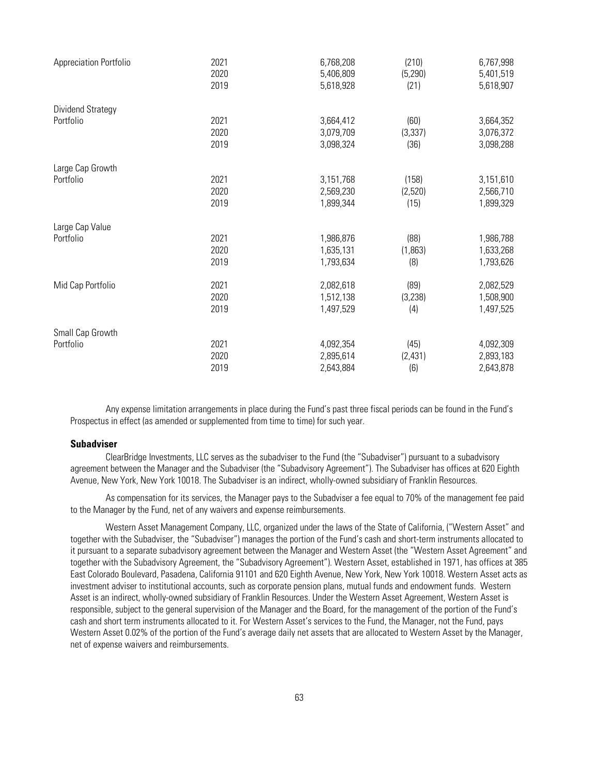| <b>Appreciation Portfolio</b> | 2021 | 6,768,208 | (210)    | 6,767,998 |
|-------------------------------|------|-----------|----------|-----------|
|                               | 2020 | 5,406,809 | (5, 290) | 5,401,519 |
|                               | 2019 | 5,618,928 | (21)     | 5,618,907 |
| Dividend Strategy             |      |           |          |           |
| Portfolio                     | 2021 | 3,664,412 | (60)     | 3,664,352 |
|                               | 2020 | 3,079,709 | (3, 337) | 3,076,372 |
|                               | 2019 | 3,098,324 | (36)     | 3,098,288 |
| Large Cap Growth              |      |           |          |           |
| Portfolio                     | 2021 | 3,151,768 | (158)    | 3,151,610 |
|                               | 2020 | 2,569,230 | (2,520)  | 2,566,710 |
|                               | 2019 | 1,899,344 | (15)     | 1,899,329 |
| Large Cap Value               |      |           |          |           |
| Portfolio                     | 2021 | 1,986,876 | (88)     | 1,986,788 |
|                               | 2020 | 1,635,131 | (1,863)  | 1,633,268 |
|                               | 2019 | 1,793,634 | (8)      | 1,793,626 |
| Mid Cap Portfolio             | 2021 | 2,082,618 | (89)     | 2,082,529 |
|                               | 2020 | 1,512,138 | (3, 238) | 1,508,900 |
|                               | 2019 | 1,497,529 | (4)      | 1,497,525 |
| Small Cap Growth              |      |           |          |           |
| Portfolio                     | 2021 | 4,092,354 | (45)     | 4,092,309 |
|                               | 2020 | 2,895,614 | (2, 431) | 2,893,183 |
|                               | 2019 | 2,643,884 | (6)      | 2,643,878 |

Any expense limitation arrangements in place during the Fund's past three fiscal periods can be found in the Fund's Prospectus in effect (as amended or supplemented from time to time) for such year.

#### **Subadviser**

ClearBridge Investments, LLC serves as the subadviser to the Fund (the "Subadviser") pursuant to a subadvisory agreement between the Manager and the Subadviser (the "Subadvisory Agreement"). The Subadviser has offices at 620 Eighth Avenue, New York, New York 10018. The Subadviser is an indirect, wholly-owned subsidiary of Franklin Resources.

As compensation for its services, the Manager pays to the Subadviser a fee equal to 70% of the management fee paid to the Manager by the Fund, net of any waivers and expense reimbursements.

Western Asset Management Company, LLC, organized under the laws of the State of California, ("Western Asset" and together with the Subadviser, the "Subadviser") manages the portion of the Fund's cash and short-term instruments allocated to it pursuant to a separate subadvisory agreement between the Manager and Western Asset (the "Western Asset Agreement" and together with the Subadvisory Agreement, the "Subadvisory Agreement"). Western Asset, established in 1971, has offices at 385 East Colorado Boulevard, Pasadena, California 91101 and 620 Eighth Avenue, New York, New York 10018. Western Asset acts as investment adviser to institutional accounts, such as corporate pension plans, mutual funds and endowment funds. Western Asset is an indirect, wholly-owned subsidiary of Franklin Resources. Under the Western Asset Agreement, Western Asset is responsible, subject to the general supervision of the Manager and the Board, for the management of the portion of the Fund's cash and short term instruments allocated to it. For Western Asset's services to the Fund, the Manager, not the Fund, pays Western Asset 0.02% of the portion of the Fund's average daily net assets that are allocated to Western Asset by the Manager, net of expense waivers and reimbursements.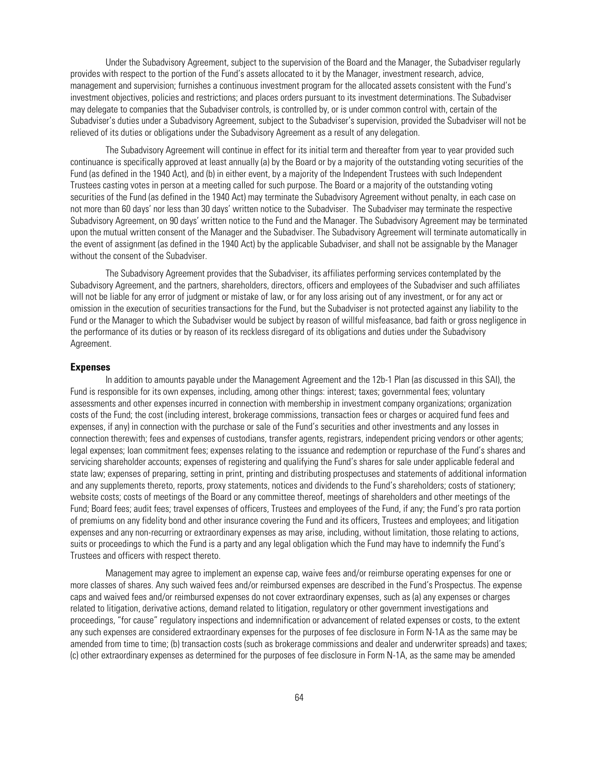Under the Subadvisory Agreement, subject to the supervision of the Board and the Manager, the Subadviser regularly provides with respect to the portion of the Fund's assets allocated to it by the Manager, investment research, advice, management and supervision; furnishes a continuous investment program for the allocated assets consistent with the Fund's investment objectives, policies and restrictions; and places orders pursuant to its investment determinations. The Subadviser may delegate to companies that the Subadviser controls, is controlled by, or is under common control with, certain of the Subadviser's duties under a Subadvisory Agreement, subject to the Subadviser's supervision, provided the Subadviser will not be relieved of its duties or obligations under the Subadvisory Agreement as a result of any delegation.

The Subadvisory Agreement will continue in effect for its initial term and thereafter from year to year provided such continuance is specifically approved at least annually (a) by the Board or by a majority of the outstanding voting securities of the Fund (as defined in the 1940 Act), and (b) in either event, by a majority of the Independent Trustees with such Independent Trustees casting votes in person at a meeting called for such purpose. The Board or a majority of the outstanding voting securities of the Fund (as defined in the 1940 Act) may terminate the Subadvisory Agreement without penalty, in each case on not more than 60 days' nor less than 30 days' written notice to the Subadviser. The Subadviser may terminate the respective Subadvisory Agreement, on 90 days' written notice to the Fund and the Manager. The Subadvisory Agreement may be terminated upon the mutual written consent of the Manager and the Subadviser. The Subadvisory Agreement will terminate automatically in the event of assignment (as defined in the 1940 Act) by the applicable Subadviser, and shall not be assignable by the Manager without the consent of the Subadviser.

The Subadvisory Agreement provides that the Subadviser, its affiliates performing services contemplated by the Subadvisory Agreement, and the partners, shareholders, directors, officers and employees of the Subadviser and such affiliates will not be liable for any error of judgment or mistake of law, or for any loss arising out of any investment, or for any act or omission in the execution of securities transactions for the Fund, but the Subadviser is not protected against any liability to the Fund or the Manager to which the Subadviser would be subject by reason of willful misfeasance, bad faith or gross negligence in the performance of its duties or by reason of its reckless disregard of its obligations and duties under the Subadvisory Agreement.

### **Expenses**

In addition to amounts payable under the Management Agreement and the 12b-1 Plan (as discussed in this SAI), the Fund is responsible for its own expenses, including, among other things: interest; taxes; governmental fees; voluntary assessments and other expenses incurred in connection with membership in investment company organizations; organization costs of the Fund; the cost (including interest, brokerage commissions, transaction fees or charges or acquired fund fees and expenses, if any) in connection with the purchase or sale of the Fund's securities and other investments and any losses in connection therewith; fees and expenses of custodians, transfer agents, registrars, independent pricing vendors or other agents; legal expenses; loan commitment fees; expenses relating to the issuance and redemption or repurchase of the Fund's shares and servicing shareholder accounts; expenses of registering and qualifying the Fund's shares for sale under applicable federal and state law; expenses of preparing, setting in print, printing and distributing prospectuses and statements of additional information and any supplements thereto, reports, proxy statements, notices and dividends to the Fund's shareholders; costs of stationery; website costs; costs of meetings of the Board or any committee thereof, meetings of shareholders and other meetings of the Fund; Board fees; audit fees; travel expenses of officers, Trustees and employees of the Fund, if any; the Fund's pro rata portion of premiums on any fidelity bond and other insurance covering the Fund and its officers, Trustees and employees; and litigation expenses and any non-recurring or extraordinary expenses as may arise, including, without limitation, those relating to actions, suits or proceedings to which the Fund is a party and any legal obligation which the Fund may have to indemnify the Fund's Trustees and officers with respect thereto.

Management may agree to implement an expense cap, waive fees and/or reimburse operating expenses for one or more classes of shares. Any such waived fees and/or reimbursed expenses are described in the Fund's Prospectus. The expense caps and waived fees and/or reimbursed expenses do not cover extraordinary expenses, such as (a) any expenses or charges related to litigation, derivative actions, demand related to litigation, regulatory or other government investigations and proceedings, "for cause" regulatory inspections and indemnification or advancement of related expenses or costs, to the extent any such expenses are considered extraordinary expenses for the purposes of fee disclosure in Form N-1A as the same may be amended from time to time; (b) transaction costs (such as brokerage commissions and dealer and underwriter spreads) and taxes; (c) other extraordinary expenses as determined for the purposes of fee disclosure in Form N-1A, as the same may be amended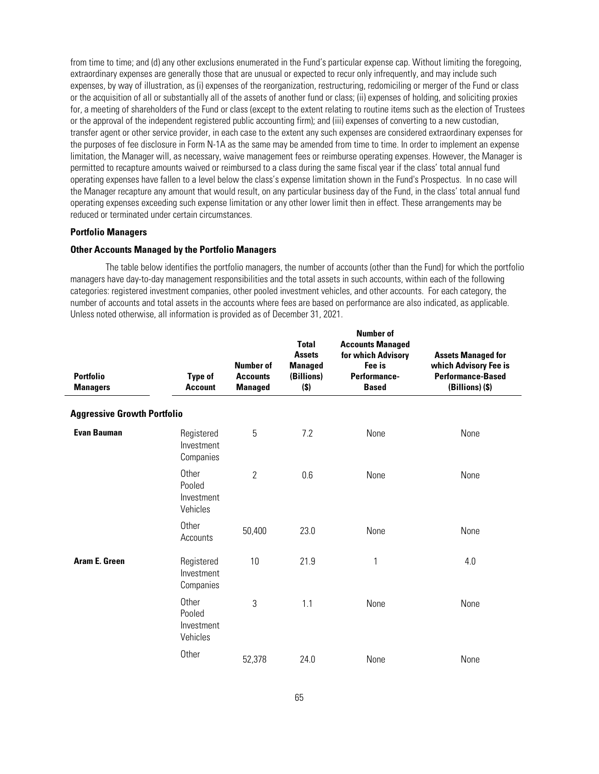from time to time; and (d) any other exclusions enumerated in the Fund's particular expense cap. Without limiting the foregoing, extraordinary expenses are generally those that are unusual or expected to recur only infrequently, and may include such expenses, by way of illustration, as (i) expenses of the reorganization, restructuring, redomiciling or merger of the Fund or class or the acquisition of all or substantially all of the assets of another fund or class; (ii) expenses of holding, and soliciting proxies for, a meeting of shareholders of the Fund or class (except to the extent relating to routine items such as the election of Trustees or the approval of the independent registered public accounting firm); and (iii) expenses of converting to a new custodian, transfer agent or other service provider, in each case to the extent any such expenses are considered extraordinary expenses for the purposes of fee disclosure in Form N-1A as the same may be amended from time to time. In order to implement an expense limitation, the Manager will, as necessary, waive management fees or reimburse operating expenses. However, the Manager is permitted to recapture amounts waived or reimbursed to a class during the same fiscal year if the class' total annual fund operating expenses have fallen to a level below the class's expense limitation shown in the Fund's Prospectus. In no case will the Manager recapture any amount that would result, on any particular business day of the Fund, in the class' total annual fund operating expenses exceeding such expense limitation or any other lower limit then in effect. These arrangements may be reduced or terminated under certain circumstances.

### **Portfolio Managers**

## **Other Accounts Managed by the Portfolio Managers**

The table below identifies the portfolio managers, the number of accounts (other than the Fund) for which the portfolio managers have day-to-day management responsibilities and the total assets in such accounts, within each of the following categories: registered investment companies, other pooled investment vehicles, and other accounts. For each category, the number of accounts and total assets in the accounts where fees are based on performance are also indicated, as applicable. Unless noted otherwise, all information is provided as of December 31, 2021.

| <b>Portfolio</b><br><b>Managers</b> | <b>Type of</b><br><b>Account</b>          | <b>Number of</b><br><b>Accounts</b><br><b>Managed</b> | <b>Total</b><br><b>Assets</b><br><b>Managed</b><br>(Billions)<br>$($ \$) | <b>Number of</b><br><b>Accounts Managed</b><br>for which Advisory<br>Fee is<br>Performance-<br><b>Based</b> | <b>Assets Managed for</b><br>which Advisory Fee is<br><b>Performance-Based</b><br>(Billions) (\$) |
|-------------------------------------|-------------------------------------------|-------------------------------------------------------|--------------------------------------------------------------------------|-------------------------------------------------------------------------------------------------------------|---------------------------------------------------------------------------------------------------|
| <b>Aggressive Growth Portfolio</b>  |                                           |                                                       |                                                                          |                                                                                                             |                                                                                                   |
| <b>Evan Bauman</b>                  | Registered<br>Investment<br>Companies     | 5                                                     | 7.2                                                                      | None                                                                                                        | None                                                                                              |
|                                     | Other<br>Pooled<br>Investment<br>Vehicles | $\overline{2}$                                        | 0.6                                                                      | None                                                                                                        | None                                                                                              |
|                                     | Other<br>Accounts                         | 50,400                                                | 23.0                                                                     | None                                                                                                        | None                                                                                              |
| <b>Aram E. Green</b>                | Registered<br>Investment<br>Companies     | 10                                                    | 21.9                                                                     | 1                                                                                                           | 4.0                                                                                               |
|                                     | Other<br>Pooled<br>Investment<br>Vehicles | 3                                                     | 1.1                                                                      | None                                                                                                        | None                                                                                              |
|                                     | Other                                     | 52,378                                                | 24.0                                                                     | None                                                                                                        | None                                                                                              |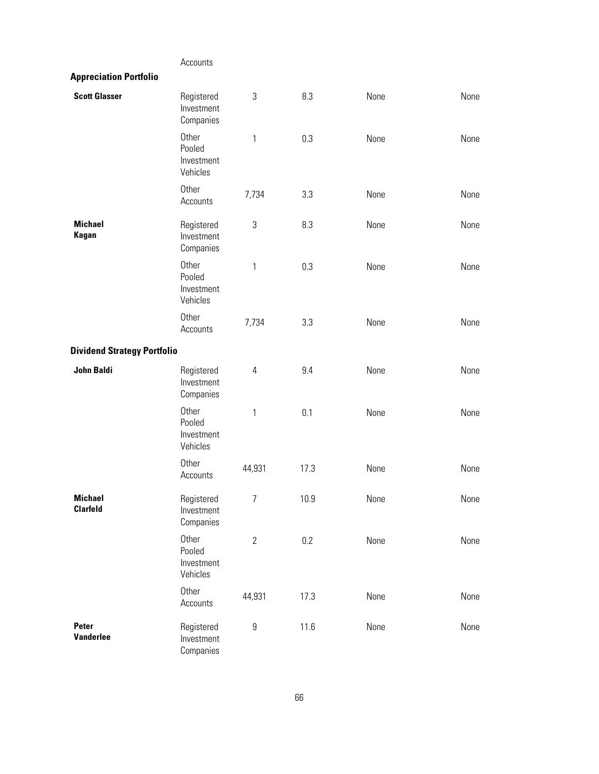|                                    | Accounts                                  |                  |      |      |      |
|------------------------------------|-------------------------------------------|------------------|------|------|------|
| <b>Appreciation Portfolio</b>      |                                           |                  |      |      |      |
| <b>Scott Glasser</b>               | Registered<br>Investment<br>Companies     | 3                | 8.3  | None | None |
|                                    | Other<br>Pooled<br>Investment<br>Vehicles | 1                | 0.3  | None | None |
|                                    | Other<br>Accounts                         | 7,734            | 3.3  | None | None |
| <b>Michael</b><br><b>Kagan</b>     | Registered<br>Investment<br>Companies     | 3                | 8.3  | None | None |
|                                    | Other<br>Pooled<br>Investment<br>Vehicles | 1                | 0.3  | None | None |
|                                    | Other<br>Accounts                         | 7,734            | 3.3  | None | None |
| <b>Dividend Strategy Portfolio</b> |                                           |                  |      |      |      |
| <b>John Baldi</b>                  | Registered<br>Investment<br>Companies     | $\overline{4}$   | 9.4  | None | None |
|                                    | Other<br>Pooled<br>Investment<br>Vehicles | 1                | 0.1  | None | None |
|                                    | Other<br>Accounts                         | 44,931           | 17.3 | None | None |
| <b>Michael</b><br><b>Clarfeld</b>  | Registered<br>Investment<br>Companies     | $\overline{7}$   | 10.9 | None | None |
|                                    | Other<br>Pooled<br>Investment<br>Vehicles | $\overline{2}$   | 0.2  | None | None |
|                                    | Other<br>Accounts                         | 44,931           | 17.3 | None | None |
| <b>Peter</b><br><b>Vanderlee</b>   | Registered<br>Investment<br>Companies     | $\boldsymbol{9}$ | 11.6 | None | None |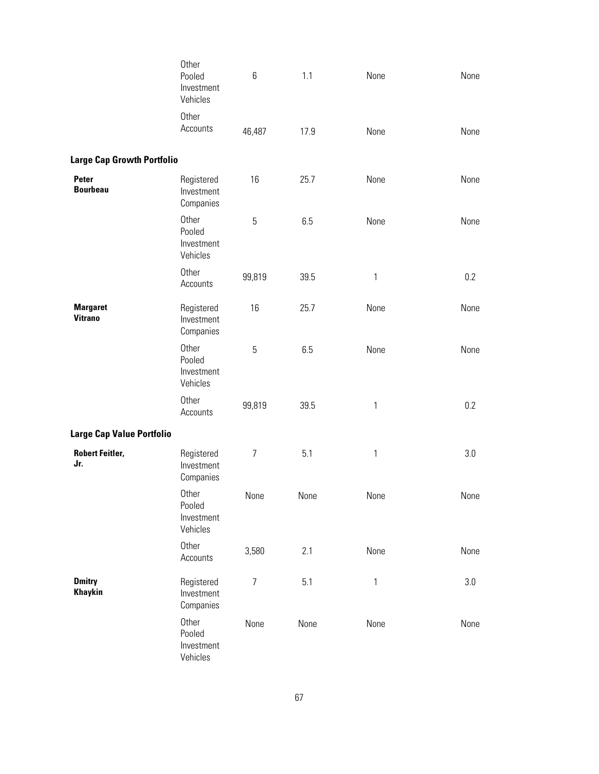|                                   | Other<br>Pooled<br>Investment<br>Vehicles | 6              | 1.1  | None         | None    |
|-----------------------------------|-------------------------------------------|----------------|------|--------------|---------|
|                                   | Other<br>Accounts                         | 46,487         | 17.9 | None         | None    |
| <b>Large Cap Growth Portfolio</b> |                                           |                |      |              |         |
| <b>Peter</b><br><b>Bourbeau</b>   | Registered<br>Investment<br>Companies     | 16             | 25.7 | None         | None    |
|                                   | Other<br>Pooled<br>Investment<br>Vehicles | 5              | 6.5  | None         | None    |
|                                   | Other<br>Accounts                         | 99,819         | 39.5 | $\mathbf{1}$ | 0.2     |
| <b>Margaret</b><br><b>Vitrano</b> | Registered<br>Investment<br>Companies     | 16             | 25.7 | None         | None    |
|                                   | Other<br>Pooled<br>Investment<br>Vehicles | 5              | 6.5  | None         | None    |
|                                   | Other<br>Accounts                         | 99,819         | 39.5 | 1            | 0.2     |
| <b>Large Cap Value Portfolio</b>  |                                           |                |      |              |         |
| <b>Robert Feitler,</b><br>Jr.     | Registered<br>Investment<br>Companies     | 7              | 5.1  | $\mathbf{1}$ | 3.0     |
|                                   | Other<br>Pooled<br>Investment<br>Vehicles | None           | None | None         | None    |
|                                   | Other<br>Accounts                         | 3,580          | 2.1  | None         | None    |
| <b>Dmitry</b><br>Khaykin          | Registered<br>Investment<br>Companies     | $\overline{7}$ | 5.1  | 1            | $3.0\,$ |
|                                   | Other<br>Pooled<br>Investment<br>Vehicles | None           | None | None         | None    |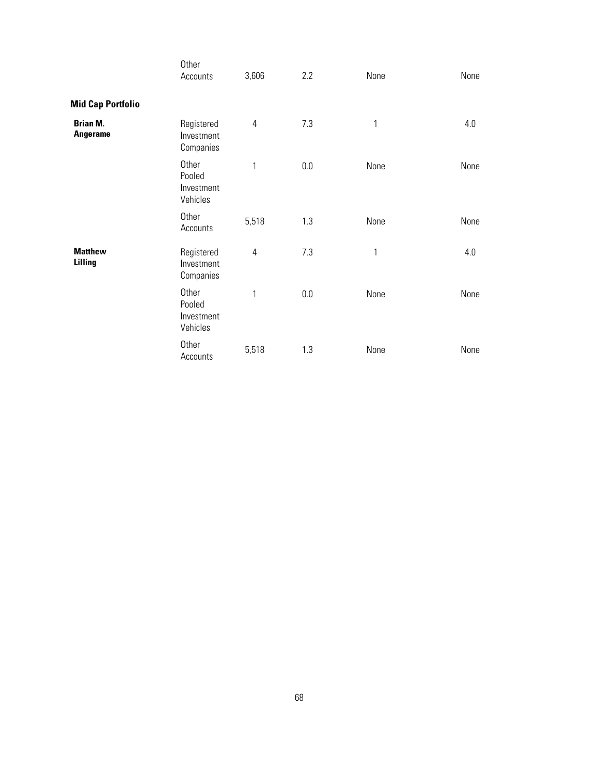|                             | Other<br>Accounts                         | 3,606          | 2.2 | None | None |
|-----------------------------|-------------------------------------------|----------------|-----|------|------|
| <b>Mid Cap Portfolio</b>    |                                           |                |     |      |      |
| <b>Brian M.</b><br>Angerame | Registered<br>Investment<br>Companies     | $\overline{4}$ | 7.3 | 1    | 4.0  |
|                             | Other<br>Pooled<br>Investment<br>Vehicles | 1              | 0.0 | None | None |
|                             | Other<br>Accounts                         | 5,518          | 1.3 | None | None |
| <b>Matthew</b><br>Lilling   | Registered<br>Investment<br>Companies     | $\overline{4}$ | 7.3 | 1    | 4.0  |
|                             | Other<br>Pooled<br>Investment<br>Vehicles | $\mathbf{1}$   | 0.0 | None | None |
|                             | Other<br>Accounts                         | 5,518          | 1.3 | None | None |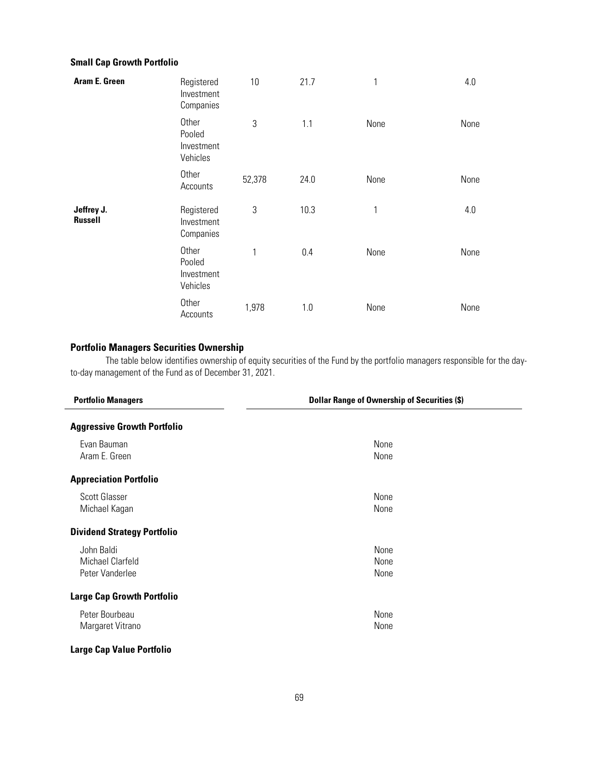# **Small Cap Growth Portfolio**

| <b>Aram E. Green</b>         | Registered<br>Investment<br>Companies     | 10     | 21.7 | 1    | 4.0  |
|------------------------------|-------------------------------------------|--------|------|------|------|
|                              | Other<br>Pooled<br>Investment<br>Vehicles | 3      | 1.1  | None | None |
|                              | Other<br>Accounts                         | 52,378 | 24.0 | None | None |
| Jeffrey J.<br><b>Russell</b> | Registered<br>Investment<br>Companies     | 3      | 10.3 | 1    | 4.0  |
|                              | Other<br>Pooled<br>Investment<br>Vehicles | 1      | 0.4  | None | None |
|                              | Other<br>Accounts                         | 1,978  | 1.0  | None | None |

# **Portfolio Managers Securities Ownership**

The table below identifies ownership of equity securities of the Fund by the portfolio managers responsible for the dayto-day management of the Fund as of December 31, 2021.

| <b>Portfolio Managers</b>          | <b>Dollar Range of Ownership of Securities (\$)</b> |  |
|------------------------------------|-----------------------------------------------------|--|
| <b>Aggressive Growth Portfolio</b> |                                                     |  |
| Evan Bauman                        | None                                                |  |
| Aram E. Green                      | None                                                |  |
| <b>Appreciation Portfolio</b>      |                                                     |  |
| Scott Glasser                      | None                                                |  |
| Michael Kagan                      | None                                                |  |
| <b>Dividend Strategy Portfolio</b> |                                                     |  |
| John Baldi                         | None                                                |  |
| Michael Clarfeld                   | None                                                |  |
| Peter Vanderlee                    | None                                                |  |
| <b>Large Cap Growth Portfolio</b>  |                                                     |  |
| Peter Bourbeau                     | None                                                |  |
| Margaret Vitrano                   | None                                                |  |
| <b>Large Cap Value Portfolio</b>   |                                                     |  |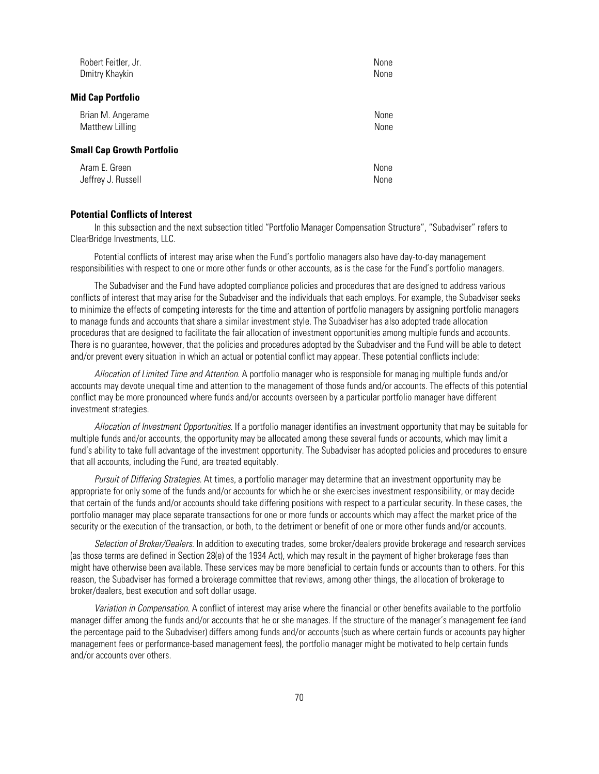| Robert Feitler, Jr.               | None |
|-----------------------------------|------|
| Dmitry Khaykin                    | None |
| <b>Mid Cap Portfolio</b>          |      |
| Brian M. Angerame                 | None |
| Matthew Lilling                   | None |
| <b>Small Cap Growth Portfolio</b> |      |
| Aram E. Green                     | None |
| Jeffrey J. Russell                | None |
|                                   |      |

# **Potential Conflicts of Interest**

In this subsection and the next subsection titled "Portfolio Manager Compensation Structure", "Subadviser" refers to ClearBridge Investments, LLC.

Potential conflicts of interest may arise when the Fund's portfolio managers also have day-to-day management responsibilities with respect to one or more other funds or other accounts, as is the case for the Fund's portfolio managers.

The Subadviser and the Fund have adopted compliance policies and procedures that are designed to address various conflicts of interest that may arise for the Subadviser and the individuals that each employs. For example, the Subadviser seeks to minimize the effects of competing interests for the time and attention of portfolio managers by assigning portfolio managers to manage funds and accounts that share a similar investment style. The Subadviser has also adopted trade allocation procedures that are designed to facilitate the fair allocation of investment opportunities among multiple funds and accounts. There is no guarantee, however, that the policies and procedures adopted by the Subadviser and the Fund will be able to detect and/or prevent every situation in which an actual or potential conflict may appear. These potential conflicts include:

Allocation of Limited Time and Attention. A portfolio manager who is responsible for managing multiple funds and/or accounts may devote unequal time and attention to the management of those funds and/or accounts. The effects of this potential conflict may be more pronounced where funds and/or accounts overseen by a particular portfolio manager have different investment strategies.

Allocation of Investment Opportunities. If a portfolio manager identifies an investment opportunity that may be suitable for multiple funds and/or accounts, the opportunity may be allocated among these several funds or accounts, which may limit a fund's ability to take full advantage of the investment opportunity. The Subadviser has adopted policies and procedures to ensure that all accounts, including the Fund, are treated equitably.

Pursuit of Differing Strategies. At times, a portfolio manager may determine that an investment opportunity may be appropriate for only some of the funds and/or accounts for which he or she exercises investment responsibility, or may decide that certain of the funds and/or accounts should take differing positions with respect to a particular security. In these cases, the portfolio manager may place separate transactions for one or more funds or accounts which may affect the market price of the security or the execution of the transaction, or both, to the detriment or benefit of one or more other funds and/or accounts.

Selection of Broker/Dealers. In addition to executing trades, some broker/dealers provide brokerage and research services (as those terms are defined in Section 28(e) of the 1934 Act), which may result in the payment of higher brokerage fees than might have otherwise been available. These services may be more beneficial to certain funds or accounts than to others. For this reason, the Subadviser has formed a brokerage committee that reviews, among other things, the allocation of brokerage to broker/dealers, best execution and soft dollar usage.

Variation in Compensation. A conflict of interest may arise where the financial or other benefits available to the portfolio manager differ among the funds and/or accounts that he or she manages. If the structure of the manager's management fee (and the percentage paid to the Subadviser) differs among funds and/or accounts (such as where certain funds or accounts pay higher management fees or performance-based management fees), the portfolio manager might be motivated to help certain funds and/or accounts over others.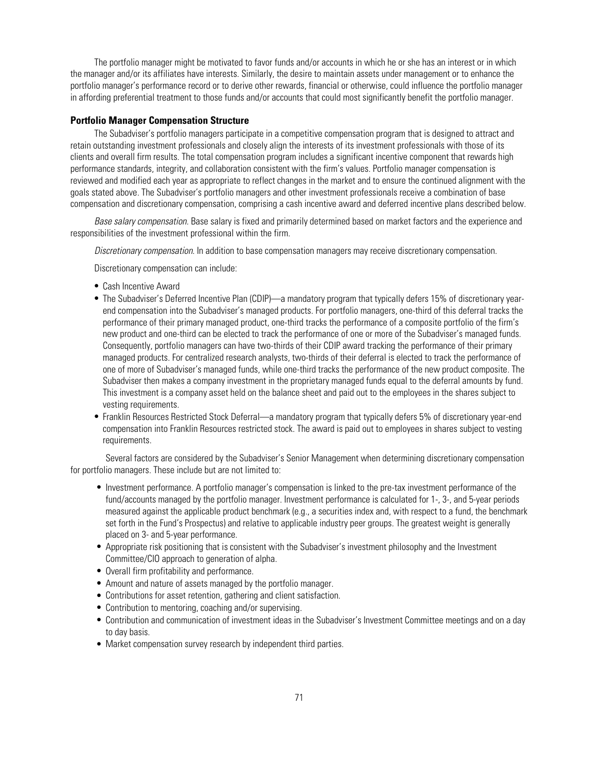The portfolio manager might be motivated to favor funds and/or accounts in which he or she has an interest or in which the manager and/or its affiliates have interests. Similarly, the desire to maintain assets under management or to enhance the portfolio manager's performance record or to derive other rewards, financial or otherwise, could influence the portfolio manager in affording preferential treatment to those funds and/or accounts that could most significantly benefit the portfolio manager.

#### **Portfolio Manager Compensation Structure**

The Subadviser's portfolio managers participate in a competitive compensation program that is designed to attract and retain outstanding investment professionals and closely align the interests of its investment professionals with those of its clients and overall firm results. The total compensation program includes a significant incentive component that rewards high performance standards, integrity, and collaboration consistent with the firm's values. Portfolio manager compensation is reviewed and modified each year as appropriate to reflect changes in the market and to ensure the continued alignment with the goals stated above. The Subadviser's portfolio managers and other investment professionals receive a combination of base compensation and discretionary compensation, comprising a cash incentive award and deferred incentive plans described below.

Base salary compensation. Base salary is fixed and primarily determined based on market factors and the experience and responsibilities of the investment professional within the firm.

Discretionary compensation. In addition to base compensation managers may receive discretionary compensation.

Discretionary compensation can include:

- Cash Incentive Award
- The Subadviser's Deferred Incentive Plan (CDIP)—a mandatory program that typically defers 15% of discretionary yearend compensation into the Subadviser's managed products. For portfolio managers, one-third of this deferral tracks the performance of their primary managed product, one-third tracks the performance of a composite portfolio of the firm's new product and one-third can be elected to track the performance of one or more of the Subadviser's managed funds. Consequently, portfolio managers can have two-thirds of their CDIP award tracking the performance of their primary managed products. For centralized research analysts, two-thirds of their deferral is elected to track the performance of one of more of Subadviser's managed funds, while one-third tracks the performance of the new product composite. The Subadviser then makes a company investment in the proprietary managed funds equal to the deferral amounts by fund. This investment is a company asset held on the balance sheet and paid out to the employees in the shares subject to vesting requirements.
- Franklin Resources Restricted Stock Deferral—a mandatory program that typically defers 5% of discretionary year-end compensation into Franklin Resources restricted stock. The award is paid out to employees in shares subject to vesting requirements.

Several factors are considered by the Subadviser's Senior Management when determining discretionary compensation for portfolio managers. These include but are not limited to:

- Investment performance. A portfolio manager's compensation is linked to the pre-tax investment performance of the fund/accounts managed by the portfolio manager. Investment performance is calculated for 1-, 3-, and 5-year periods measured against the applicable product benchmark (e.g., a securities index and, with respect to a fund, the benchmark set forth in the Fund's Prospectus) and relative to applicable industry peer groups. The greatest weight is generally placed on 3- and 5-year performance.
- Appropriate risk positioning that is consistent with the Subadviser's investment philosophy and the Investment Committee/CIO approach to generation of alpha.
- Overall firm profitability and performance.
- Amount and nature of assets managed by the portfolio manager.
- Contributions for asset retention, gathering and client satisfaction.
- Contribution to mentoring, coaching and/or supervising.
- Contribution and communication of investment ideas in the Subadviser's Investment Committee meetings and on a day to day basis.
- Market compensation survey research by independent third parties.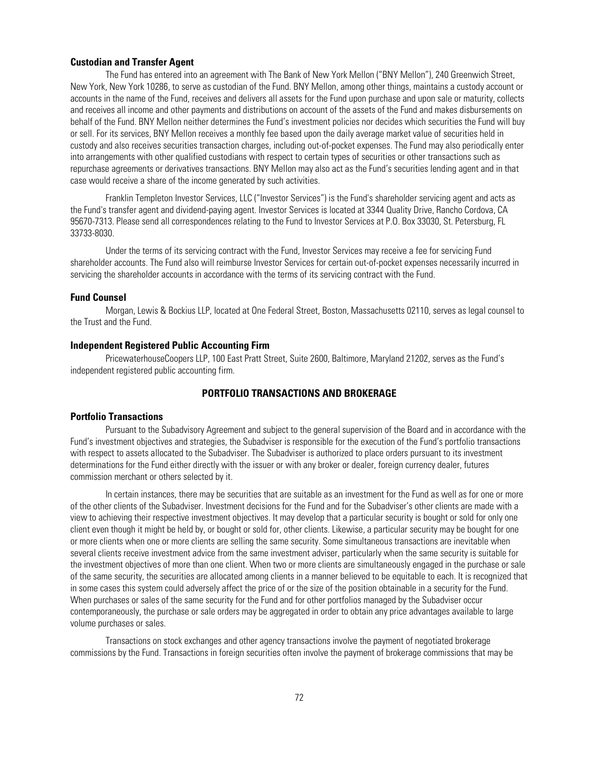### **Custodian and Transfer Agent**

The Fund has entered into an agreement with The Bank of New York Mellon ("BNY Mellon"), 240 Greenwich Street, New York, New York 10286, to serve as custodian of the Fund. BNY Mellon, among other things, maintains a custody account or accounts in the name of the Fund, receives and delivers all assets for the Fund upon purchase and upon sale or maturity, collects and receives all income and other payments and distributions on account of the assets of the Fund and makes disbursements on behalf of the Fund. BNY Mellon neither determines the Fund's investment policies nor decides which securities the Fund will buy or sell. For its services, BNY Mellon receives a monthly fee based upon the daily average market value of securities held in custody and also receives securities transaction charges, including out-of-pocket expenses. The Fund may also periodically enter into arrangements with other qualified custodians with respect to certain types of securities or other transactions such as repurchase agreements or derivatives transactions. BNY Mellon may also act as the Fund's securities lending agent and in that case would receive a share of the income generated by such activities.

Franklin Templeton Investor Services, LLC ("Investor Services") is the Fund's shareholder servicing agent and acts as the Fund's transfer agent and dividend-paying agent. Investor Services is located at 3344 Quality Drive, Rancho Cordova, CA 95670-7313. Please send all correspondences relating to the Fund to Investor Services at P.O. Box 33030, St. Petersburg, FL 33733-8030.

Under the terms of its servicing contract with the Fund, Investor Services may receive a fee for servicing Fund shareholder accounts. The Fund also will reimburse Investor Services for certain out-of-pocket expenses necessarily incurred in servicing the shareholder accounts in accordance with the terms of its servicing contract with the Fund.

# **Fund Counsel**

Morgan, Lewis & Bockius LLP, located at One Federal Street, Boston, Massachusetts 02110, serves as legal counsel to the Trust and the Fund.

### **Independent Registered Public Accounting Firm**

PricewaterhouseCoopers LLP, 100 East Pratt Street, Suite 2600, Baltimore, Maryland 21202, serves as the Fund's independent registered public accounting firm.

# **PORTFOLIO TRANSACTIONS AND BROKERAGE**

#### **Portfolio Transactions**

 Pursuant to the Subadvisory Agreement and subject to the general supervision of the Board and in accordance with the Fund's investment objectives and strategies, the Subadviser is responsible for the execution of the Fund's portfolio transactions with respect to assets allocated to the Subadviser. The Subadviser is authorized to place orders pursuant to its investment determinations for the Fund either directly with the issuer or with any broker or dealer, foreign currency dealer, futures commission merchant or others selected by it.

 In certain instances, there may be securities that are suitable as an investment for the Fund as well as for one or more of the other clients of the Subadviser. Investment decisions for the Fund and for the Subadviser's other clients are made with a view to achieving their respective investment objectives. It may develop that a particular security is bought or sold for only one client even though it might be held by, or bought or sold for, other clients. Likewise, a particular security may be bought for one or more clients when one or more clients are selling the same security. Some simultaneous transactions are inevitable when several clients receive investment advice from the same investment adviser, particularly when the same security is suitable for the investment objectives of more than one client. When two or more clients are simultaneously engaged in the purchase or sale of the same security, the securities are allocated among clients in a manner believed to be equitable to each. It is recognized that in some cases this system could adversely affect the price of or the size of the position obtainable in a security for the Fund. When purchases or sales of the same security for the Fund and for other portfolios managed by the Subadviser occur contemporaneously, the purchase or sale orders may be aggregated in order to obtain any price advantages available to large volume purchases or sales.

 Transactions on stock exchanges and other agency transactions involve the payment of negotiated brokerage commissions by the Fund. Transactions in foreign securities often involve the payment of brokerage commissions that may be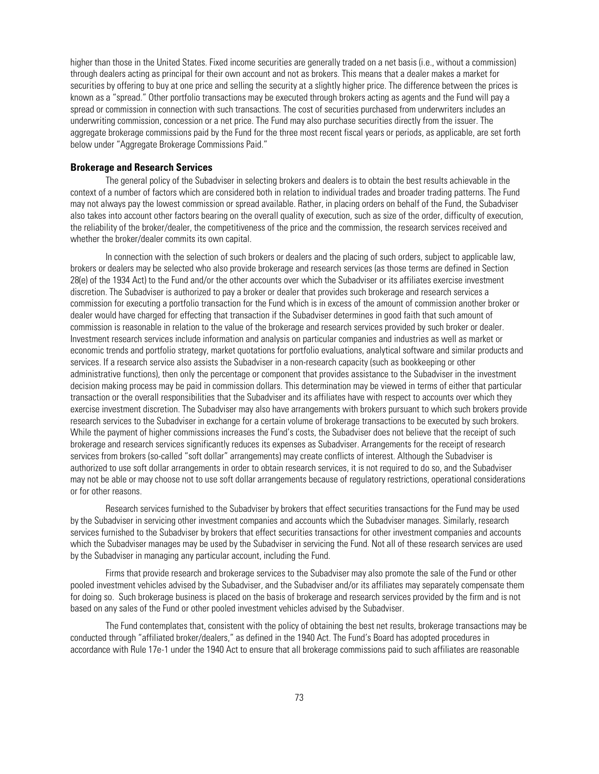higher than those in the United States. Fixed income securities are generally traded on a net basis (i.e., without a commission) through dealers acting as principal for their own account and not as brokers. This means that a dealer makes a market for securities by offering to buy at one price and selling the security at a slightly higher price. The difference between the prices is known as a "spread." Other portfolio transactions may be executed through brokers acting as agents and the Fund will pay a spread or commission in connection with such transactions. The cost of securities purchased from underwriters includes an underwriting commission, concession or a net price. The Fund may also purchase securities directly from the issuer. The aggregate brokerage commissions paid by the Fund for the three most recent fiscal years or periods, as applicable, are set forth below under "Aggregate Brokerage Commissions Paid."

#### **Brokerage and Research Services**

 The general policy of the Subadviser in selecting brokers and dealers is to obtain the best results achievable in the context of a number of factors which are considered both in relation to individual trades and broader trading patterns. The Fund may not always pay the lowest commission or spread available. Rather, in placing orders on behalf of the Fund, the Subadviser also takes into account other factors bearing on the overall quality of execution, such as size of the order, difficulty of execution, the reliability of the broker/dealer, the competitiveness of the price and the commission, the research services received and whether the broker/dealer commits its own capital.

 In connection with the selection of such brokers or dealers and the placing of such orders, subject to applicable law, brokers or dealers may be selected who also provide brokerage and research services (as those terms are defined in Section 28(e) of the 1934 Act) to the Fund and/or the other accounts over which the Subadviser or its affiliates exercise investment discretion. The Subadviser is authorized to pay a broker or dealer that provides such brokerage and research services a commission for executing a portfolio transaction for the Fund which is in excess of the amount of commission another broker or dealer would have charged for effecting that transaction if the Subadviser determines in good faith that such amount of commission is reasonable in relation to the value of the brokerage and research services provided by such broker or dealer. Investment research services include information and analysis on particular companies and industries as well as market or economic trends and portfolio strategy, market quotations for portfolio evaluations, analytical software and similar products and services. If a research service also assists the Subadviser in a non-research capacity (such as bookkeeping or other administrative functions), then only the percentage or component that provides assistance to the Subadviser in the investment decision making process may be paid in commission dollars. This determination may be viewed in terms of either that particular transaction or the overall responsibilities that the Subadviser and its affiliates have with respect to accounts over which they exercise investment discretion. The Subadviser may also have arrangements with brokers pursuant to which such brokers provide research services to the Subadviser in exchange for a certain volume of brokerage transactions to be executed by such brokers. While the payment of higher commissions increases the Fund's costs, the Subadviser does not believe that the receipt of such brokerage and research services significantly reduces its expenses as Subadviser. Arrangements for the receipt of research services from brokers (so-called "soft dollar" arrangements) may create conflicts of interest. Although the Subadviser is authorized to use soft dollar arrangements in order to obtain research services, it is not required to do so, and the Subadviser may not be able or may choose not to use soft dollar arrangements because of regulatory restrictions, operational considerations or for other reasons.

 Research services furnished to the Subadviser by brokers that effect securities transactions for the Fund may be used by the Subadviser in servicing other investment companies and accounts which the Subadviser manages. Similarly, research services furnished to the Subadviser by brokers that effect securities transactions for other investment companies and accounts which the Subadviser manages may be used by the Subadviser in servicing the Fund. Not all of these research services are used by the Subadviser in managing any particular account, including the Fund.

 Firms that provide research and brokerage services to the Subadviser may also promote the sale of the Fund or other pooled investment vehicles advised by the Subadviser, and the Subadviser and/or its affiliates may separately compensate them for doing so. Such brokerage business is placed on the basis of brokerage and research services provided by the firm and is not based on any sales of the Fund or other pooled investment vehicles advised by the Subadviser.

 The Fund contemplates that, consistent with the policy of obtaining the best net results, brokerage transactions may be conducted through "affiliated broker/dealers," as defined in the 1940 Act. The Fund's Board has adopted procedures in accordance with Rule 17e-1 under the 1940 Act to ensure that all brokerage commissions paid to such affiliates are reasonable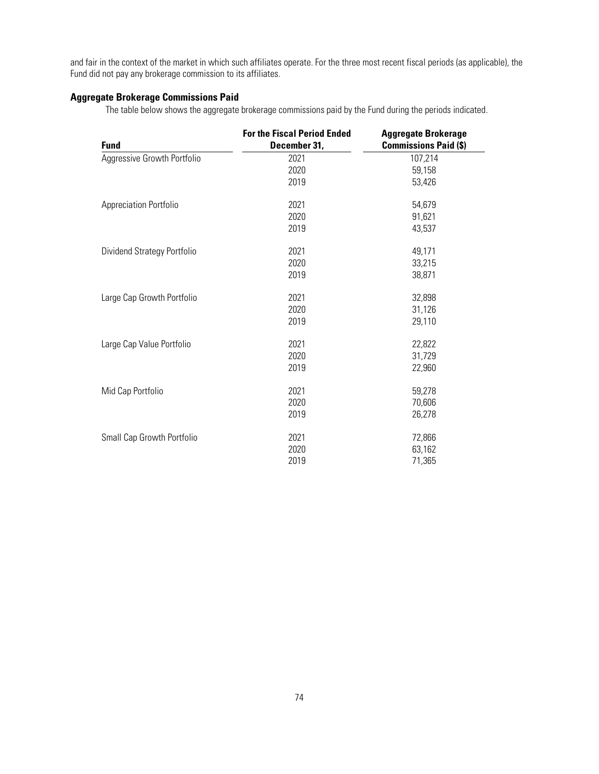and fair in the context of the market in which such affiliates operate. For the three most recent fiscal periods (as applicable), the Fund did not pay any brokerage commission to its affiliates.

# **Aggregate Brokerage Commissions Paid**

The table below shows the aggregate brokerage commissions paid by the Fund during the periods indicated.

| <b>Fund</b>                   | <b>For the Fiscal Period Ended</b><br>December 31, | <b>Aggregate Brokerage</b><br><b>Commissions Paid (\$)</b> |
|-------------------------------|----------------------------------------------------|------------------------------------------------------------|
| Aggressive Growth Portfolio   | 2021                                               | 107,214                                                    |
|                               | 2020                                               | 59,158                                                     |
|                               | 2019                                               | 53,426                                                     |
| <b>Appreciation Portfolio</b> | 2021                                               | 54,679                                                     |
|                               | 2020                                               | 91,621                                                     |
|                               | 2019                                               | 43,537                                                     |
| Dividend Strategy Portfolio   | 2021                                               | 49,171                                                     |
|                               | 2020                                               | 33,215                                                     |
|                               | 2019                                               | 38,871                                                     |
| Large Cap Growth Portfolio    | 2021                                               | 32,898                                                     |
|                               | 2020                                               | 31,126                                                     |
|                               | 2019                                               | 29,110                                                     |
| Large Cap Value Portfolio     | 2021                                               | 22,822                                                     |
|                               | 2020                                               | 31,729                                                     |
|                               | 2019                                               | 22,960                                                     |
| Mid Cap Portfolio             | 2021                                               | 59,278                                                     |
|                               | 2020                                               | 70,606                                                     |
|                               | 2019                                               | 26,278                                                     |
| Small Cap Growth Portfolio    | 2021                                               | 72,866                                                     |
|                               | 2020                                               | 63,162                                                     |
|                               | 2019                                               | 71,365                                                     |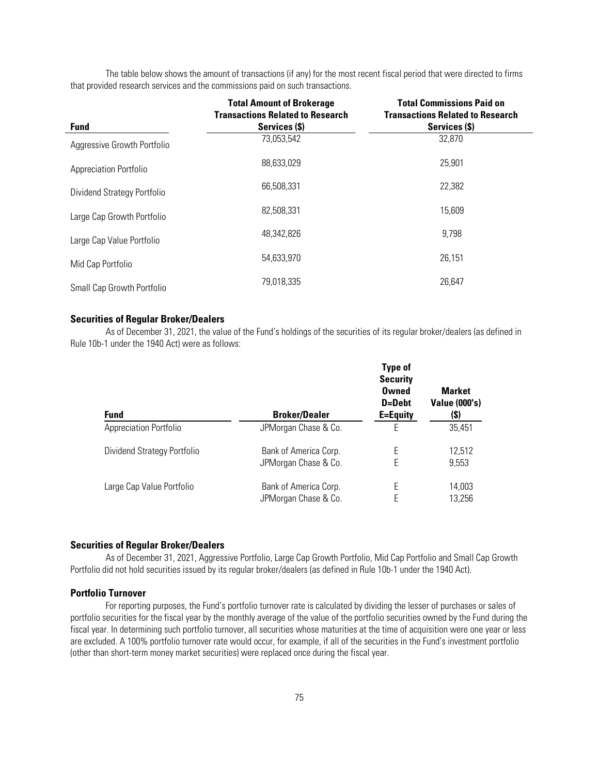The table below shows the amount of transactions (if any) for the most recent fiscal period that were directed to firms that provided research services and the commissions paid on such transactions.

| <b>Fund</b>                   | <b>Total Amount of Brokerage</b><br><b>Transactions Related to Research</b><br>Services (\$) | <b>Total Commissions Paid on</b><br><b>Transactions Related to Research</b><br>Services (\$) |
|-------------------------------|----------------------------------------------------------------------------------------------|----------------------------------------------------------------------------------------------|
| Aggressive Growth Portfolio   | 73,053,542                                                                                   | 32,870                                                                                       |
| <b>Appreciation Portfolio</b> | 88,633,029                                                                                   | 25.901                                                                                       |
| Dividend Strategy Portfolio   | 66,508,331                                                                                   | 22,382                                                                                       |
| Large Cap Growth Portfolio    | 82,508,331                                                                                   | 15.609                                                                                       |
| Large Cap Value Portfolio     | 48,342,826                                                                                   | 9,798                                                                                        |
| Mid Cap Portfolio             | 54,633,970                                                                                   | 26,151                                                                                       |
| Small Cap Growth Portfolio    | 79,018,335                                                                                   | 26.647                                                                                       |

# **Securities of Regular Broker/Dealers**

As of December 31, 2021, the value of the Fund's holdings of the securities of its regular broker/dealers (as defined in Rule 10b-1 under the 1940 Act) were as follows:

| <b>Fund</b>                   | <b>Broker/Dealer</b>  | <b>Type of</b><br><b>Security</b><br><b>Owned</b><br>$D = Debt$<br><b>E=Equity</b> | <b>Market</b><br><b>Value (000's)</b><br>(\$) |
|-------------------------------|-----------------------|------------------------------------------------------------------------------------|-----------------------------------------------|
| <b>Appreciation Portfolio</b> | JPMorgan Chase & Co.  | Е                                                                                  | 35,451                                        |
| Dividend Strategy Portfolio   | Bank of America Corp. | Е                                                                                  | 12.512                                        |
|                               | JPMorgan Chase & Co.  | E                                                                                  | 9,553                                         |
| Large Cap Value Portfolio     | Bank of America Corp. | E                                                                                  | 14.003                                        |
|                               | JPMorgan Chase & Co.  | E                                                                                  | 13,256                                        |

#### **Securities of Regular Broker/Dealers**

As of December 31, 2021, Aggressive Portfolio, Large Cap Growth Portfolio, Mid Cap Portfolio and Small Cap Growth Portfolio did not hold securities issued by its regular broker/dealers (as defined in Rule 10b-1 under the 1940 Act).

#### **Portfolio Turnover**

 For reporting purposes, the Fund's portfolio turnover rate is calculated by dividing the lesser of purchases or sales of portfolio securities for the fiscal year by the monthly average of the value of the portfolio securities owned by the Fund during the fiscal year. In determining such portfolio turnover, all securities whose maturities at the time of acquisition were one year or less are excluded. A 100% portfolio turnover rate would occur, for example, if all of the securities in the Fund's investment portfolio (other than short-term money market securities) were replaced once during the fiscal year.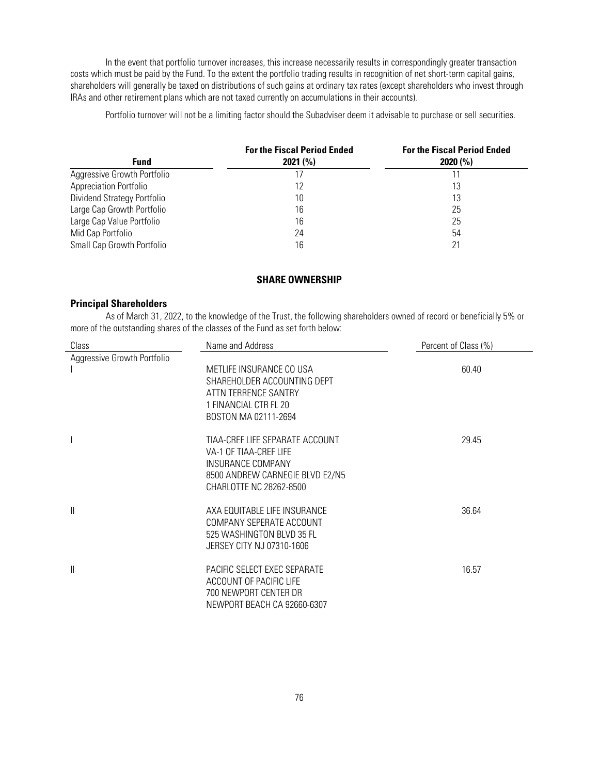In the event that portfolio turnover increases, this increase necessarily results in correspondingly greater transaction costs which must be paid by the Fund. To the extent the portfolio trading results in recognition of net short-term capital gains, shareholders will generally be taxed on distributions of such gains at ordinary tax rates (except shareholders who invest through IRAs and other retirement plans which are not taxed currently on accumulations in their accounts).

Portfolio turnover will not be a limiting factor should the Subadviser deem it advisable to purchase or sell securities.

| Fund                          | <b>For the Fiscal Period Ended</b><br>$2021$ (%) | <b>For the Fiscal Period Ended</b><br>$2020\,(%)$ |
|-------------------------------|--------------------------------------------------|---------------------------------------------------|
| Aggressive Growth Portfolio   |                                                  |                                                   |
| <b>Appreciation Portfolio</b> | 12                                               | 13                                                |
| Dividend Strategy Portfolio   | 10                                               | 13                                                |
| Large Cap Growth Portfolio    | 16                                               | 25                                                |
| Large Cap Value Portfolio     | 16                                               | 25                                                |
| Mid Cap Portfolio             | 24                                               | 54                                                |
| Small Cap Growth Portfolio    | 16                                               |                                                   |

# **SHARE OWNERSHIP**

# **Principal Shareholders**

As of March 31, 2022, to the knowledge of the Trust, the following shareholders owned of record or beneficially 5% or more of the outstanding shares of the classes of the Fund as set forth below:

| Class                       | Name and Address                | Percent of Class (%) |
|-----------------------------|---------------------------------|----------------------|
| Aggressive Growth Portfolio |                                 |                      |
|                             | METLIFE INSURANCE CO USA        | 60.40                |
|                             | SHAREHOLDER ACCOUNTING DEPT     |                      |
|                             | ATTN TERRENCE SANTRY            |                      |
|                             | 1 FINANCIAL CTR FL 20           |                      |
|                             | BOSTON MA 02111-2694            |                      |
|                             | TIAA-CREF LIFE SEPARATE ACCOUNT | 29.45                |
|                             | VA-1 OF TIAA-CREF LIFE          |                      |
|                             | INSURANCE COMPANY               |                      |
|                             | 8500 ANDREW CARNEGIE BLVD E2/N5 |                      |
|                             | CHARLOTTE NC 28262-8500         |                      |
| $\mathbf{  }$               | AXA EQUITABLE LIFE INSURANCE    | 36.64                |
|                             | COMPANY SEPERATE ACCOUNT        |                      |
|                             | 525 WASHINGTON BLVD 35 FL       |                      |
|                             | JERSEY CITY NJ 07310-1606       |                      |
| $\mathbf{  }$               | PACIFIC SELECT EXEC SEPARATE    | 16.57                |
|                             | ACCOUNT OF PACIFIC LIFE         |                      |
|                             | 700 NEWPORT CENTER DR           |                      |
|                             | NEWPORT BEACH CA 92660-6307     |                      |
|                             |                                 |                      |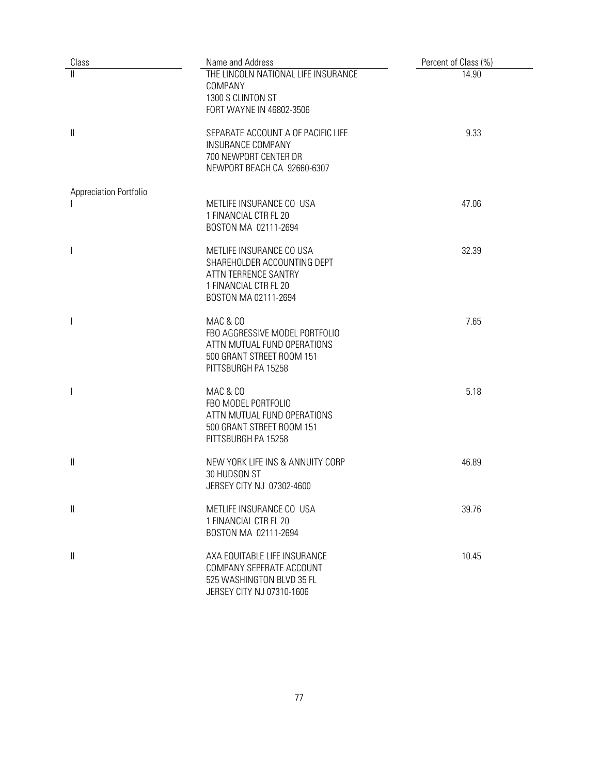| Class                         | Name and Address                                                                                                                 | Percent of Class (%) |
|-------------------------------|----------------------------------------------------------------------------------------------------------------------------------|----------------------|
| $\mathsf{II}$                 | THE LINCOLN NATIONAL LIFE INSURANCE<br>COMPANY<br>1300 S CLINTON ST<br>FORT WAYNE IN 46802-3506                                  | 14.90                |
| $\mathbb{I}$                  | SEPARATE ACCOUNT A OF PACIFIC LIFE<br>INSURANCE COMPANY<br>700 NEWPORT CENTER DR<br>NEWPORT BEACH CA 92660-6307                  | 9.33                 |
| <b>Appreciation Portfolio</b> |                                                                                                                                  |                      |
|                               | METLIFE INSURANCE CO USA<br>1 FINANCIAL CTR FL 20<br>BOSTON MA 02111-2694                                                        | 47.06                |
| $\overline{1}$                | METLIFE INSURANCE CO USA<br>SHAREHOLDER ACCOUNTING DEPT<br>ATTN TERRENCE SANTRY<br>1 FINANCIAL CTR FL 20<br>BOSTON MA 02111-2694 | 32.39                |
| $\overline{1}$                | MAC & CO<br>FBO AGGRESSIVE MODEL PORTFOLIO<br>ATTN MUTUAL FUND OPERATIONS<br>500 GRANT STREET ROOM 151<br>PITTSBURGH PA 15258    | 7.65                 |
| $\overline{\phantom{a}}$      | MAC & CO<br>FBO MODEL PORTFOLIO<br>ATTN MUTUAL FUND OPERATIONS<br>500 GRANT STREET ROOM 151<br>PITTSBURGH PA 15258               | 5.18                 |
| $\parallel$                   | NEW YORK LIFE INS & ANNUITY CORP<br>30 HUDSON ST<br>JERSEY CITY NJ 07302-4600                                                    | 46.89                |
| $\, \parallel$                | METLIFE INSURANCE CO USA<br>1 FINANCIAL CTR FL 20<br>BOSTON MA 02111-2694                                                        | 39.76                |
| $\mathbf{  }$                 | AXA EQUITABLE LIFE INSURANCE<br>COMPANY SEPERATE ACCOUNT<br>525 WASHINGTON BLVD 35 FL<br>JERSEY CITY NJ 07310-1606               | 10.45                |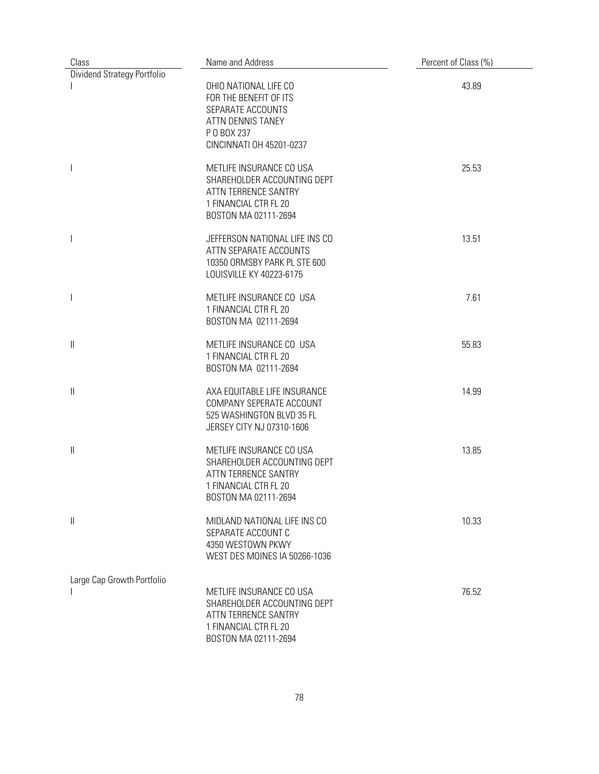| Class                       | Name and Address                                                                                                                     | Percent of Class (%) |
|-----------------------------|--------------------------------------------------------------------------------------------------------------------------------------|----------------------|
| Dividend Strategy Portfolio | OHIO NATIONAL LIFE CO<br>FOR THE BENEFIT OF ITS<br>SEPARATE ACCOUNTS<br>ATTN DENNIS TANEY<br>P 0 BOX 237<br>CINCINNATI OH 45201-0237 | 43.89                |
| $\mathbf{I}$                | METLIFE INSURANCE CO USA<br>SHAREHOLDER ACCOUNTING DEPT<br>ATTN TERRENCE SANTRY<br>1 FINANCIAL CTR FL 20<br>BOSTON MA 02111-2694     | 25.53                |
| $\overline{\phantom{a}}$    | JEFFERSON NATIONAL LIFE INS CO<br>ATTN SEPARATE ACCOUNTS<br>10350 ORMSBY PARK PL STE 600<br>LOUISVILLE KY 40223-6175                 | 13.51                |
| $\overline{1}$              | METLIFE INSURANCE CO USA<br>1 FINANCIAL CTR FL 20<br>BOSTON MA 02111-2694                                                            | 7.61                 |
| $\mathbb{I}$                | METLIFE INSURANCE CO USA<br>1 FINANCIAL CTR FL 20<br>BOSTON MA 02111-2694                                                            | 55.83                |
| $\mathbb{I}$                | AXA EQUITABLE LIFE INSURANCE<br>COMPANY SEPERATE ACCOUNT<br>525 WASHINGTON BLVD 35 FL<br>JERSEY CITY NJ 07310-1606                   | 14.99                |
| $\mathbb{I}$                | METLIFE INSURANCE CO USA<br>SHAREHOLDER ACCOUNTING DEPT<br>ATTN TERRENCE SANTRY<br>1 FINANCIAL CTR FL 20<br>BOSTON MA 02111-2694     | 13.85                |
| $\mathbb{I}$                | MIDLAND NATIONAL LIFE INS CO<br>SEPARATE ACCOUNT C<br>4350 WESTOWN PKWY<br>WEST DES MOINES IA 50266-1036                             | 10.33                |
| Large Cap Growth Portfolio  | METLIFE INSURANCE CO USA<br>SHAREHOLDER ACCOUNTING DEPT<br>ATTN TERRENCE SANTRY<br>1 FINANCIAL CTR FL 20<br>BOSTON MA 02111-2694     | 76.52                |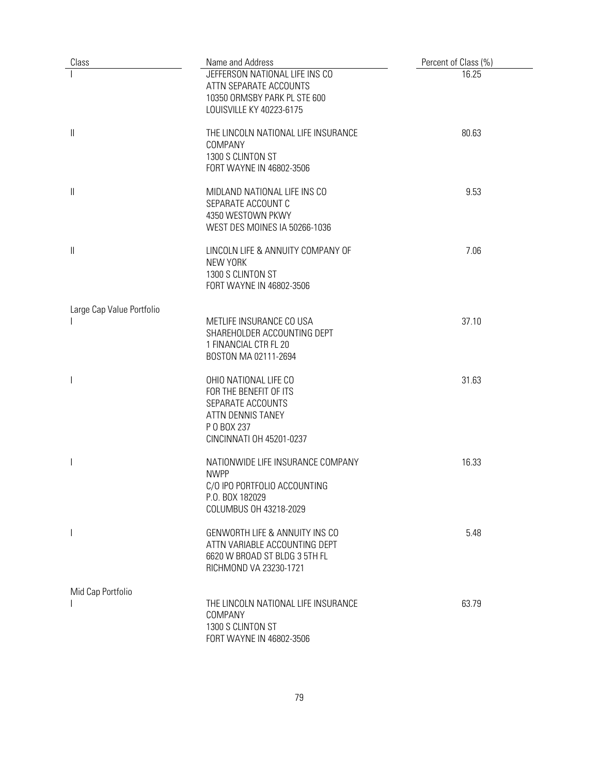| Class                     | Name and Address                                                                                                                      | Percent of Class (%) |
|---------------------------|---------------------------------------------------------------------------------------------------------------------------------------|----------------------|
|                           | JEFFERSON NATIONAL LIFE INS CO<br>ATTN SEPARATE ACCOUNTS<br>10350 ORMSBY PARK PL STE 600<br>LOUISVILLE KY 40223-6175                  | 16.25                |
| Ш                         | THE LINCOLN NATIONAL LIFE INSURANCE<br>COMPANY<br>1300 S CLINTON ST<br>FORT WAYNE IN 46802-3506                                       | 80.63                |
| Ш                         | MIDLAND NATIONAL LIFE INS CO<br>SEPARATE ACCOUNT C<br>4350 WESTOWN PKWY<br>WEST DES MOINES IA 50266-1036                              | 9.53                 |
| $\mathbb{I}$              | LINCOLN LIFE & ANNUITY COMPANY OF<br>NEW YORK<br>1300 S CLINTON ST<br>FORT WAYNE IN 46802-3506                                        | 7.06                 |
| Large Cap Value Portfolio | METLIFE INSURANCE CO USA<br>SHAREHOLDER ACCOUNTING DEPT<br>1 FINANCIAL CTR FL 20<br>BOSTON MA 02111-2694                              | 37.10                |
|                           | OHIO NATIONAL LIFE CO<br>FOR THE BENEFIT OF ITS<br>SEPARATE ACCOUNTS<br>ATTN DENNIS TANEY<br>P 0 BOX 237<br>CINCINNATI OH 45201-0237  | 31.63                |
|                           | NATIONWIDE LIFE INSURANCE COMPANY<br><b>NWPP</b><br>C/O IPO PORTFOLIO ACCOUNTING<br>P.O. BOX 182029<br>COLUMBUS OH 43218-2029         | 16.33                |
|                           | <b>GENWORTH LIFE &amp; ANNUITY INS CO</b><br>ATTN VARIABLE ACCOUNTING DEPT<br>6620 W BROAD ST BLDG 3 5TH FL<br>RICHMOND VA 23230-1721 | 5.48                 |
| Mid Cap Portfolio         | THE LINCOLN NATIONAL LIFE INSURANCE<br>COMPANY<br>1300 S CLINTON ST<br>FORT WAYNE IN 46802-3506                                       | 63.79                |

L,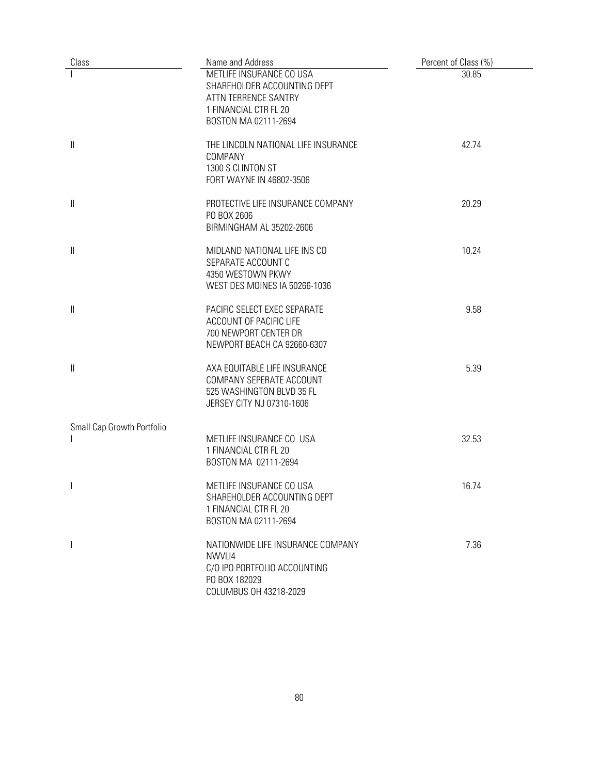| Class                      | Name and Address                                                                                                       | Percent of Class (%) |
|----------------------------|------------------------------------------------------------------------------------------------------------------------|----------------------|
|                            | METLIFE INSURANCE CO USA<br>SHAREHOLDER ACCOUNTING DEPT<br>ATTN TERRENCE SANTRY                                        | 30.85                |
|                            | 1 FINANCIAL CTR FL 20<br>BOSTON MA 02111-2694                                                                          |                      |
| $\vert\vert$               | THE LINCOLN NATIONAL LIFE INSURANCE<br>COMPANY<br>1300 S CLINTON ST<br>FORT WAYNE IN 46802-3506                        | 42.74                |
| $\vert\vert$               | PROTECTIVE LIFE INSURANCE COMPANY<br>PO BOX 2606<br>BIRMINGHAM AL 35202-2606                                           | 20.29                |
| $\vert\vert$               | MIDLAND NATIONAL LIFE INS CO<br>SEPARATE ACCOUNT C<br>4350 WESTOWN PKWY<br>WEST DES MOINES IA 50266-1036               | 10.24                |
| $\vert\vert$               | PACIFIC SELECT EXEC SEPARATE<br>ACCOUNT OF PACIFIC LIFE<br>700 NEWPORT CENTER DR<br>NEWPORT BEACH CA 92660-6307        | 9.58                 |
| $\vert\vert$               | AXA EQUITABLE LIFE INSURANCE<br>COMPANY SEPERATE ACCOUNT<br>525 WASHINGTON BLVD 35 FL<br>JERSEY CITY NJ 07310-1606     | 5.39                 |
| Small Cap Growth Portfolio | METLIFE INSURANCE CO USA<br>1 FINANCIAL CTR FL 20<br>BOSTON MA 02111-2694                                              | 32.53                |
|                            | METLIFE INSURANCE CO USA<br>SHAREHOLDER ACCOUNTING DEPT<br>1 FINANCIAL CTR FL 20<br>BOSTON MA 02111-2694               | 16.74                |
|                            | NATIONWIDE LIFE INSURANCE COMPANY<br>NWVLI4<br>C/O IPO PORTFOLIO ACCOUNTING<br>PO BOX 182029<br>COLUMBUS OH 43218-2029 | 7.36                 |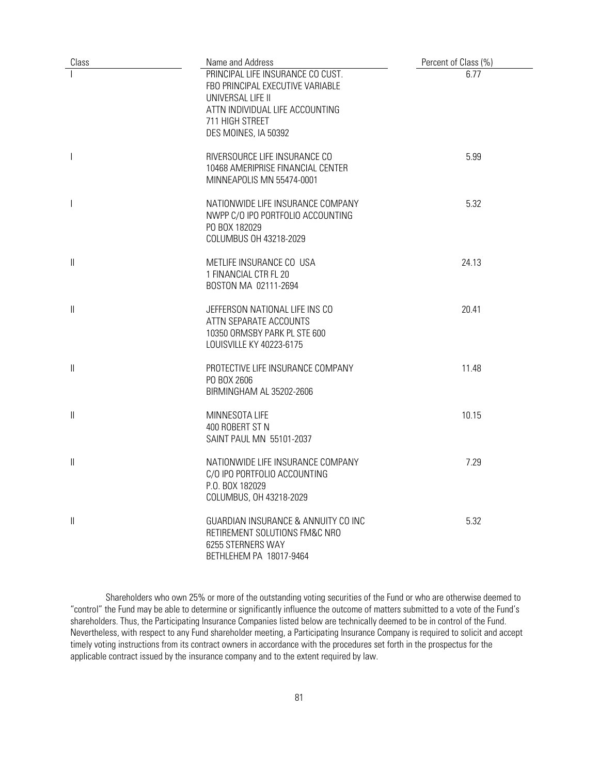| Class                                 | Name and Address                                                                                                                                 | Percent of Class (%) |
|---------------------------------------|--------------------------------------------------------------------------------------------------------------------------------------------------|----------------------|
|                                       | PRINCIPAL LIFE INSURANCE CO CUST.<br>FBO PRINCIPAL EXECUTIVE VARIABLE<br>UNIVERSAL LIFE II<br>ATTN INDIVIDUAL LIFE ACCOUNTING<br>711 HIGH STREET | 6.77                 |
|                                       | DES MOINES, IA 50392                                                                                                                             |                      |
| $\mathbf{I}$                          | RIVERSOURCE LIFE INSURANCE CO<br>10468 AMERIPRISE FINANCIAL CENTER<br>MINNEAPOLIS MN 55474-0001                                                  | 5.99                 |
| $\overline{1}$                        | NATIONWIDE LIFE INSURANCE COMPANY<br>NWPP C/O IPO PORTFOLIO ACCOUNTING<br>PO BOX 182029<br>COLUMBUS OH 43218-2029                                | 5.32                 |
| $\mathbf{  }$                         | METLIFE INSURANCE CO USA<br>1 FINANCIAL CTR FL 20<br>BOSTON MA 02111-2694                                                                        | 24.13                |
| $\mathbf{H}$                          | JEFFERSON NATIONAL LIFE INS CO<br>ATTN SEPARATE ACCOUNTS<br>10350 ORMSBY PARK PL STE 600<br>LOUISVILLE KY 40223-6175                             | 20.41                |
| $\mathbf{  }$                         | PROTECTIVE LIFE INSURANCE COMPANY<br>PO BOX 2606<br>BIRMINGHAM AL 35202-2606                                                                     | 11.48                |
| $\mathbb{I}$                          | MINNESOTA LIFE<br>400 ROBERT ST N<br>SAINT PAUL MN 55101-2037                                                                                    | 10.15                |
| $\mathbf{  }$                         | NATIONWIDE LIFE INSURANCE COMPANY<br>C/O IPO PORTFOLIO ACCOUNTING<br>P.O. BOX 182029<br>COLUMBUS, OH 43218-2029                                  | 7.29                 |
| $\begin{array}{c} \hline \end{array}$ | GUARDIAN INSURANCE & ANNUITY CO INC<br>RETIREMENT SOLUTIONS FM&C NRO<br>6255 STERNERS WAY<br>BETHLEHEM PA 18017-9464                             | 5.32                 |

Shareholders who own 25% or more of the outstanding voting securities of the Fund or who are otherwise deemed to "control" the Fund may be able to determine or significantly influence the outcome of matters submitted to a vote of the Fund's shareholders. Thus, the Participating Insurance Companies listed below are technically deemed to be in control of the Fund. Nevertheless, with respect to any Fund shareholder meeting, a Participating Insurance Company is required to solicit and accept timely voting instructions from its contract owners in accordance with the procedures set forth in the prospectus for the applicable contract issued by the insurance company and to the extent required by law.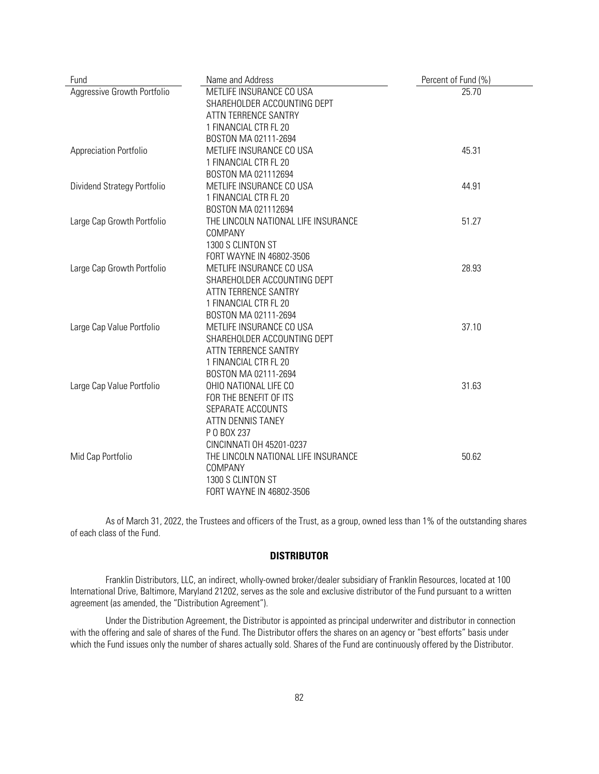| Fund                          | Name and Address                    | Percent of Fund (%) |
|-------------------------------|-------------------------------------|---------------------|
| Aggressive Growth Portfolio   | METLIFE INSURANCE CO USA            | 25.70               |
|                               | SHAREHOLDER ACCOUNTING DEPT         |                     |
|                               | ATTN TERRENCE SANTRY                |                     |
|                               | 1 FINANCIAL CTR FL 20               |                     |
|                               | BOSTON MA 02111-2694                |                     |
| <b>Appreciation Portfolio</b> | METLIFE INSURANCE CO USA            | 45.31               |
|                               | 1 FINANCIAL CTR FL 20               |                     |
|                               | BOSTON MA 021112694                 |                     |
| Dividend Strategy Portfolio   | METLIFE INSURANCE CO USA            | 44.91               |
|                               | 1 FINANCIAL CTR FL 20               |                     |
|                               | BOSTON MA 021112694                 |                     |
| Large Cap Growth Portfolio    | THE LINCOLN NATIONAL LIFE INSURANCE | 51.27               |
|                               | COMPANY                             |                     |
|                               | 1300 S CLINTON ST                   |                     |
|                               | FORT WAYNE IN 46802-3506            |                     |
| Large Cap Growth Portfolio    | METLIFE INSURANCE CO USA            | 28.93               |
|                               | SHAREHOLDER ACCOUNTING DEPT         |                     |
|                               | ATTN TERRENCE SANTRY                |                     |
|                               | 1 FINANCIAL CTR FL 20               |                     |
|                               | BOSTON MA 02111-2694                |                     |
| Large Cap Value Portfolio     | METLIFE INSURANCE CO USA            | 37.10               |
|                               | SHAREHOLDER ACCOUNTING DEPT         |                     |
|                               | ATTN TERRENCE SANTRY                |                     |
|                               | 1 FINANCIAL CTR FL 20               |                     |
|                               | BOSTON MA 02111-2694                |                     |
| Large Cap Value Portfolio     | OHIO NATIONAL LIFE CO               | 31.63               |
|                               | FOR THE BENEFIT OF ITS              |                     |
|                               | SEPARATE ACCOUNTS                   |                     |
|                               | ATTN DENNIS TANEY                   |                     |
|                               | P 0 BOX 237                         |                     |
|                               | CINCINNATI OH 45201-0237            |                     |
| Mid Cap Portfolio             | THE LINCOLN NATIONAL LIFE INSURANCE | 50.62               |
|                               | COMPANY                             |                     |
|                               | 1300 S CLINTON ST                   |                     |
|                               | FORT WAYNE IN 46802-3506            |                     |

 As of March 31, 2022, the Trustees and officers of the Trust, as a group, owned less than 1% of the outstanding shares of each class of the Fund.

# **DISTRIBUTOR**

 Franklin Distributors, LLC, an indirect, wholly-owned broker/dealer subsidiary of Franklin Resources, located at 100 International Drive, Baltimore, Maryland 21202, serves as the sole and exclusive distributor of the Fund pursuant to a written agreement (as amended, the "Distribution Agreement").

 Under the Distribution Agreement, the Distributor is appointed as principal underwriter and distributor in connection with the offering and sale of shares of the Fund. The Distributor offers the shares on an agency or "best efforts" basis under which the Fund issues only the number of shares actually sold. Shares of the Fund are continuously offered by the Distributor.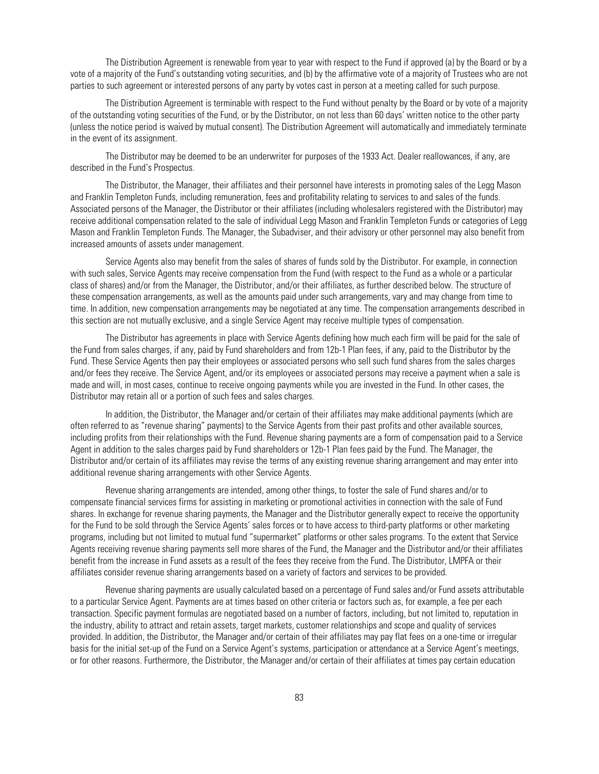The Distribution Agreement is renewable from year to year with respect to the Fund if approved (a) by the Board or by a vote of a majority of the Fund's outstanding voting securities, and (b) by the affirmative vote of a majority of Trustees who are not parties to such agreement or interested persons of any party by votes cast in person at a meeting called for such purpose.

 The Distribution Agreement is terminable with respect to the Fund without penalty by the Board or by vote of a majority of the outstanding voting securities of the Fund, or by the Distributor, on not less than 60 days' written notice to the other party (unless the notice period is waived by mutual consent). The Distribution Agreement will automatically and immediately terminate in the event of its assignment.

 The Distributor may be deemed to be an underwriter for purposes of the 1933 Act. Dealer reallowances, if any, are described in the Fund's Prospectus.

 The Distributor, the Manager, their affiliates and their personnel have interests in promoting sales of the Legg Mason and Franklin Templeton Funds, including remuneration, fees and profitability relating to services to and sales of the funds. Associated persons of the Manager, the Distributor or their affiliates (including wholesalers registered with the Distributor) may receive additional compensation related to the sale of individual Legg Mason and Franklin Templeton Funds or categories of Legg Mason and Franklin Templeton Funds. The Manager, the Subadviser, and their advisory or other personnel may also benefit from increased amounts of assets under management.

 Service Agents also may benefit from the sales of shares of funds sold by the Distributor. For example, in connection with such sales, Service Agents may receive compensation from the Fund (with respect to the Fund as a whole or a particular class of shares) and/or from the Manager, the Distributor, and/or their affiliates, as further described below. The structure of these compensation arrangements, as well as the amounts paid under such arrangements, vary and may change from time to time. In addition, new compensation arrangements may be negotiated at any time. The compensation arrangements described in this section are not mutually exclusive, and a single Service Agent may receive multiple types of compensation.

 The Distributor has agreements in place with Service Agents defining how much each firm will be paid for the sale of the Fund from sales charges, if any, paid by Fund shareholders and from 12b-1 Plan fees, if any, paid to the Distributor by the Fund. These Service Agents then pay their employees or associated persons who sell such fund shares from the sales charges and/or fees they receive. The Service Agent, and/or its employees or associated persons may receive a payment when a sale is made and will, in most cases, continue to receive ongoing payments while you are invested in the Fund. In other cases, the Distributor may retain all or a portion of such fees and sales charges.

 In addition, the Distributor, the Manager and/or certain of their affiliates may make additional payments (which are often referred to as "revenue sharing" payments) to the Service Agents from their past profits and other available sources, including profits from their relationships with the Fund. Revenue sharing payments are a form of compensation paid to a Service Agent in addition to the sales charges paid by Fund shareholders or 12b-1 Plan fees paid by the Fund. The Manager, the Distributor and/or certain of its affiliates may revise the terms of any existing revenue sharing arrangement and may enter into additional revenue sharing arrangements with other Service Agents.

 Revenue sharing arrangements are intended, among other things, to foster the sale of Fund shares and/or to compensate financial services firms for assisting in marketing or promotional activities in connection with the sale of Fund shares. In exchange for revenue sharing payments, the Manager and the Distributor generally expect to receive the opportunity for the Fund to be sold through the Service Agents' sales forces or to have access to third-party platforms or other marketing programs, including but not limited to mutual fund "supermarket" platforms or other sales programs. To the extent that Service Agents receiving revenue sharing payments sell more shares of the Fund, the Manager and the Distributor and/or their affiliates benefit from the increase in Fund assets as a result of the fees they receive from the Fund. The Distributor, LMPFA or their affiliates consider revenue sharing arrangements based on a variety of factors and services to be provided.

 Revenue sharing payments are usually calculated based on a percentage of Fund sales and/or Fund assets attributable to a particular Service Agent. Payments are at times based on other criteria or factors such as, for example, a fee per each transaction. Specific payment formulas are negotiated based on a number of factors, including, but not limited to, reputation in the industry, ability to attract and retain assets, target markets, customer relationships and scope and quality of services provided. In addition, the Distributor, the Manager and/or certain of their affiliates may pay flat fees on a one-time or irregular basis for the initial set-up of the Fund on a Service Agent's systems, participation or attendance at a Service Agent's meetings, or for other reasons. Furthermore, the Distributor, the Manager and/or certain of their affiliates at times pay certain education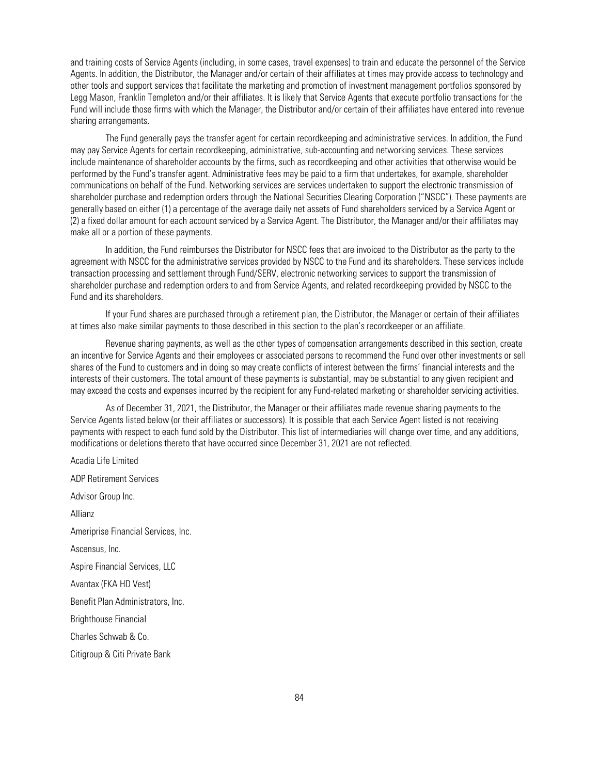and training costs of Service Agents (including, in some cases, travel expenses) to train and educate the personnel of the Service Agents. In addition, the Distributor, the Manager and/or certain of their affiliates at times may provide access to technology and other tools and support services that facilitate the marketing and promotion of investment management portfolios sponsored by Legg Mason, Franklin Templeton and/or their affiliates. It is likely that Service Agents that execute portfolio transactions for the Fund will include those firms with which the Manager, the Distributor and/or certain of their affiliates have entered into revenue sharing arrangements.

 The Fund generally pays the transfer agent for certain recordkeeping and administrative services. In addition, the Fund may pay Service Agents for certain recordkeeping, administrative, sub-accounting and networking services. These services include maintenance of shareholder accounts by the firms, such as recordkeeping and other activities that otherwise would be performed by the Fund's transfer agent. Administrative fees may be paid to a firm that undertakes, for example, shareholder communications on behalf of the Fund. Networking services are services undertaken to support the electronic transmission of shareholder purchase and redemption orders through the National Securities Clearing Corporation ("NSCC"). These payments are generally based on either (1) a percentage of the average daily net assets of Fund shareholders serviced by a Service Agent or (2) a fixed dollar amount for each account serviced by a Service Agent. The Distributor, the Manager and/or their affiliates may make all or a portion of these payments.

 In addition, the Fund reimburses the Distributor for NSCC fees that are invoiced to the Distributor as the party to the agreement with NSCC for the administrative services provided by NSCC to the Fund and its shareholders. These services include transaction processing and settlement through Fund/SERV, electronic networking services to support the transmission of shareholder purchase and redemption orders to and from Service Agents, and related recordkeeping provided by NSCC to the Fund and its shareholders.

 If your Fund shares are purchased through a retirement plan, the Distributor, the Manager or certain of their affiliates at times also make similar payments to those described in this section to the plan's recordkeeper or an affiliate.

 Revenue sharing payments, as well as the other types of compensation arrangements described in this section, create an incentive for Service Agents and their employees or associated persons to recommend the Fund over other investments or sell shares of the Fund to customers and in doing so may create conflicts of interest between the firms' financial interests and the interests of their customers. The total amount of these payments is substantial, may be substantial to any given recipient and may exceed the costs and expenses incurred by the recipient for any Fund-related marketing or shareholder servicing activities.

 As of December 31, 2021, the Distributor, the Manager or their affiliates made revenue sharing payments to the Service Agents listed below (or their affiliates or successors). It is possible that each Service Agent listed is not receiving payments with respect to each fund sold by the Distributor. This list of intermediaries will change over time, and any additions, modifications or deletions thereto that have occurred since December 31, 2021 are not reflected.

Acadia Life Limited ADP Retirement Services Advisor Group Inc. Allianz Ameriprise Financial Services, Inc. Ascensus, Inc. Aspire Financial Services, LLC Avantax (FKA HD Vest) Benefit Plan Administrators, Inc. Brighthouse Financial Charles Schwab & Co. Citigroup & Citi Private Bank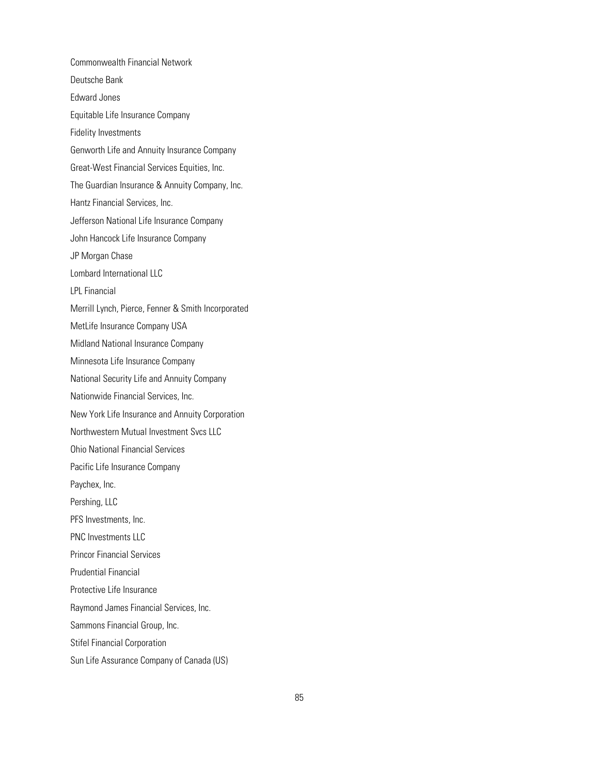Commonwealth Financial Network Deutsche Bank Edward Jones Equitable Life Insurance Company Fidelity Investments Genworth Life and Annuity Insurance Company Great-West Financial Services Equities, Inc. The Guardian Insurance & Annuity Company, Inc. Hantz Financial Services, Inc. Jefferson National Life Insurance Company John Hancock Life Insurance Company JP Morgan Chase Lombard International LLC LPL Financial Merrill Lynch, Pierce, Fenner & Smith Incorporated MetLife Insurance Company USA Midland National Insurance Company Minnesota Life Insurance Company National Security Life and Annuity Company Nationwide Financial Services, Inc. New York Life Insurance and Annuity Corporation Northwestern Mutual Investment Svcs LLC Ohio National Financial Services Pacific Life Insurance Company Paychex, Inc. Pershing, LLC PFS Investments, Inc. PNC Investments LLC Princor Financial Services Prudential Financial Protective Life Insurance Raymond James Financial Services, Inc. Sammons Financial Group, Inc. Stifel Financial Corporation Sun Life Assurance Company of Canada (US)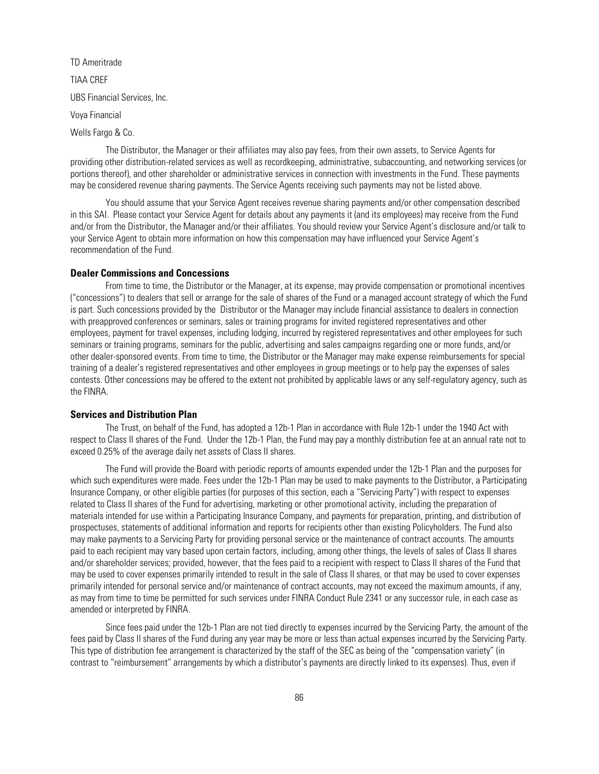TD Ameritrade TIAA CREF UBS Financial Services, Inc. Voya Financial Wells Fargo & Co.

 The Distributor, the Manager or their affiliates may also pay fees, from their own assets, to Service Agents for providing other distribution-related services as well as recordkeeping, administrative, subaccounting, and networking services (or portions thereof), and other shareholder or administrative services in connection with investments in the Fund. These payments may be considered revenue sharing payments. The Service Agents receiving such payments may not be listed above.

 You should assume that your Service Agent receives revenue sharing payments and/or other compensation described in this SAI. Please contact your Service Agent for details about any payments it (and its employees) may receive from the Fund and/or from the Distributor, the Manager and/or their affiliates. You should review your Service Agent's disclosure and/or talk to your Service Agent to obtain more information on how this compensation may have influenced your Service Agent's recommendation of the Fund.

### **Dealer Commissions and Concessions**

 From time to time, the Distributor or the Manager, at its expense, may provide compensation or promotional incentives ("concessions") to dealers that sell or arrange for the sale of shares of the Fund or a managed account strategy of which the Fund is part. Such concessions provided by the Distributor or the Manager may include financial assistance to dealers in connection with preapproved conferences or seminars, sales or training programs for invited registered representatives and other employees, payment for travel expenses, including lodging, incurred by registered representatives and other employees for such seminars or training programs, seminars for the public, advertising and sales campaigns regarding one or more funds, and/or other dealer-sponsored events. From time to time, the Distributor or the Manager may make expense reimbursements for special training of a dealer's registered representatives and other employees in group meetings or to help pay the expenses of sales contests. Other concessions may be offered to the extent not prohibited by applicable laws or any self-regulatory agency, such as the FINRA.

#### **Services and Distribution Plan**

 The Trust, on behalf of the Fund, has adopted a 12b-1 Plan in accordance with Rule 12b-1 under the 1940 Act with respect to Class II shares of the Fund. Under the 12b-1 Plan, the Fund may pay a monthly distribution fee at an annual rate not to exceed 0.25% of the average daily net assets of Class II shares.

 The Fund will provide the Board with periodic reports of amounts expended under the 12b-1 Plan and the purposes for which such expenditures were made. Fees under the 12b-1 Plan may be used to make payments to the Distributor, a Participating Insurance Company, or other eligible parties (for purposes of this section, each a "Servicing Party") with respect to expenses related to Class II shares of the Fund for advertising, marketing or other promotional activity, including the preparation of materials intended for use within a Participating Insurance Company, and payments for preparation, printing, and distribution of prospectuses, statements of additional information and reports for recipients other than existing Policyholders. The Fund also may make payments to a Servicing Party for providing personal service or the maintenance of contract accounts. The amounts paid to each recipient may vary based upon certain factors, including, among other things, the levels of sales of Class II shares and/or shareholder services; provided, however, that the fees paid to a recipient with respect to Class II shares of the Fund that may be used to cover expenses primarily intended to result in the sale of Class II shares, or that may be used to cover expenses primarily intended for personal service and/or maintenance of contract accounts, may not exceed the maximum amounts, if any, as may from time to time be permitted for such services under FINRA Conduct Rule 2341 or any successor rule, in each case as amended or interpreted by FINRA.

 Since fees paid under the 12b-1 Plan are not tied directly to expenses incurred by the Servicing Party, the amount of the fees paid by Class II shares of the Fund during any year may be more or less than actual expenses incurred by the Servicing Party. This type of distribution fee arrangement is characterized by the staff of the SEC as being of the "compensation variety" (in contrast to "reimbursement" arrangements by which a distributor's payments are directly linked to its expenses). Thus, even if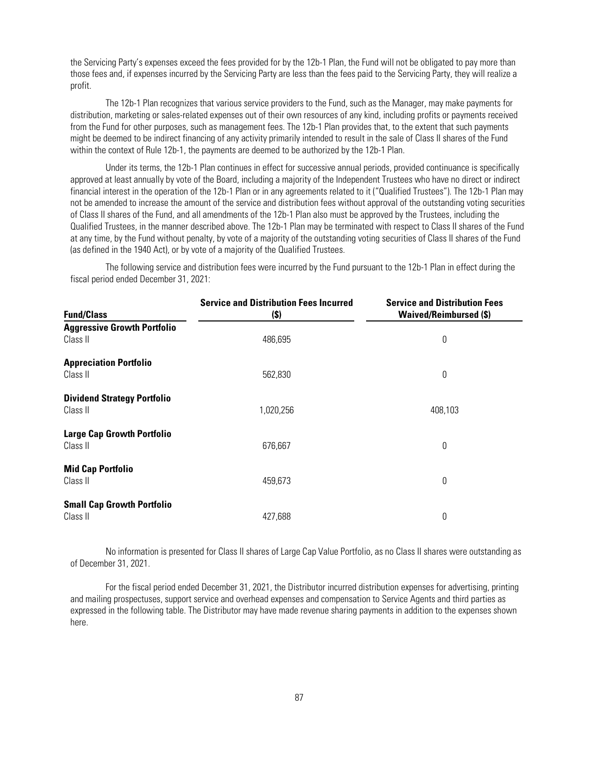the Servicing Party's expenses exceed the fees provided for by the 12b-1 Plan, the Fund will not be obligated to pay more than those fees and, if expenses incurred by the Servicing Party are less than the fees paid to the Servicing Party, they will realize a profit.

 The 12b-1 Plan recognizes that various service providers to the Fund, such as the Manager, may make payments for distribution, marketing or sales-related expenses out of their own resources of any kind, including profits or payments received from the Fund for other purposes, such as management fees. The 12b-1 Plan provides that, to the extent that such payments might be deemed to be indirect financing of any activity primarily intended to result in the sale of Class II shares of the Fund within the context of Rule 12b-1, the payments are deemed to be authorized by the 12b-1 Plan.

 Under its terms, the 12b-1 Plan continues in effect for successive annual periods, provided continuance is specifically approved at least annually by vote of the Board, including a majority of the Independent Trustees who have no direct or indirect financial interest in the operation of the 12b-1 Plan or in any agreements related to it ("Qualified Trustees"). The 12b-1 Plan may not be amended to increase the amount of the service and distribution fees without approval of the outstanding voting securities of Class II shares of the Fund, and all amendments of the 12b-1 Plan also must be approved by the Trustees, including the Qualified Trustees, in the manner described above. The 12b-1 Plan may be terminated with respect to Class II shares of the Fund at any time, by the Fund without penalty, by vote of a majority of the outstanding voting securities of Class II shares of the Fund (as defined in the 1940 Act), or by vote of a majority of the Qualified Trustees.

 The following service and distribution fees were incurred by the Fund pursuant to the 12b-1 Plan in effect during the fiscal period ended December 31, 2021:

| <b>Fund/Class</b>                              | <b>Service and Distribution Fees Incurred</b><br>(\$) | <b>Service and Distribution Fees</b><br><b>Waived/Reimbursed (\$)</b> |
|------------------------------------------------|-------------------------------------------------------|-----------------------------------------------------------------------|
| <b>Aggressive Growth Portfolio</b><br>Class II | 486,695                                               | 0                                                                     |
| <b>Appreciation Portfolio</b><br>Class II      | 562,830                                               | 0                                                                     |
| <b>Dividend Strategy Portfolio</b><br>Class II | 1,020,256                                             | 408,103                                                               |
| <b>Large Cap Growth Portfolio</b><br>Class II  | 676.667                                               | 0                                                                     |
| <b>Mid Cap Portfolio</b><br>Class II           | 459,673                                               | 0                                                                     |
| <b>Small Cap Growth Portfolio</b><br>Class II  | 427,688                                               | 0                                                                     |

No information is presented for Class II shares of Large Cap Value Portfolio, as no Class II shares were outstanding as of December 31, 2021.

 For the fiscal period ended December 31, 2021, the Distributor incurred distribution expenses for advertising, printing and mailing prospectuses, support service and overhead expenses and compensation to Service Agents and third parties as expressed in the following table. The Distributor may have made revenue sharing payments in addition to the expenses shown here.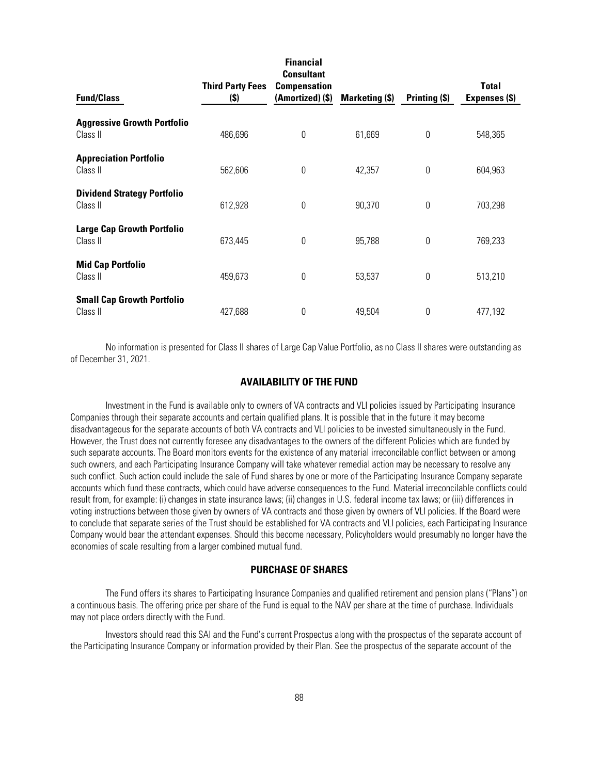| <b>Fund/Class</b>                              | <b>Third Party Fees</b><br>(\$) | <b>Financial</b><br><b>Consultant</b><br><b>Compensation</b><br>(Amortized) (\$) | <b>Marketing (\$)</b> | Printing (\$) | <b>Total</b><br>Expenses (\$) |
|------------------------------------------------|---------------------------------|----------------------------------------------------------------------------------|-----------------------|---------------|-------------------------------|
| <b>Aggressive Growth Portfolio</b><br>Class II | 486,696                         | 0                                                                                | 61,669                | 0             | 548,365                       |
| <b>Appreciation Portfolio</b><br>Class II      | 562,606                         | 0                                                                                | 42,357                | $\mathbf 0$   | 604,963                       |
| <b>Dividend Strategy Portfolio</b><br>Class II | 612,928                         | 0                                                                                | 90,370                | $\mathbf 0$   | 703,298                       |
| <b>Large Cap Growth Portfolio</b><br>Class II  | 673,445                         | 0                                                                                | 95,788                | 0             | 769,233                       |
| <b>Mid Cap Portfolio</b><br>Class II           | 459,673                         | 0                                                                                | 53,537                | $\theta$      | 513,210                       |
| <b>Small Cap Growth Portfolio</b><br>Class II  | 427,688                         | 0                                                                                | 49,504                | $\theta$      | 477,192                       |

No information is presented for Class II shares of Large Cap Value Portfolio, as no Class II shares were outstanding as of December 31, 2021.

#### **AVAILABILITY OF THE FUND**

Investment in the Fund is available only to owners of VA contracts and VLI policies issued by Participating Insurance Companies through their separate accounts and certain qualified plans. It is possible that in the future it may become disadvantageous for the separate accounts of both VA contracts and VLI policies to be invested simultaneously in the Fund. However, the Trust does not currently foresee any disadvantages to the owners of the different Policies which are funded by such separate accounts. The Board monitors events for the existence of any material irreconcilable conflict between or among such owners, and each Participating Insurance Company will take whatever remedial action may be necessary to resolve any such conflict. Such action could include the sale of Fund shares by one or more of the Participating Insurance Company separate accounts which fund these contracts, which could have adverse consequences to the Fund. Material irreconcilable conflicts could result from, for example: (i) changes in state insurance laws; (ii) changes in U.S. federal income tax laws; or (iii) differences in voting instructions between those given by owners of VA contracts and those given by owners of VLI policies. If the Board were to conclude that separate series of the Trust should be established for VA contracts and VLI policies, each Participating Insurance Company would bear the attendant expenses. Should this become necessary, Policyholders would presumably no longer have the economies of scale resulting from a larger combined mutual fund.

# **PURCHASE OF SHARES**

The Fund offers its shares to Participating Insurance Companies and qualified retirement and pension plans ("Plans") on a continuous basis. The offering price per share of the Fund is equal to the NAV per share at the time of purchase. Individuals may not place orders directly with the Fund.

Investors should read this SAI and the Fund's current Prospectus along with the prospectus of the separate account of the Participating Insurance Company or information provided by their Plan. See the prospectus of the separate account of the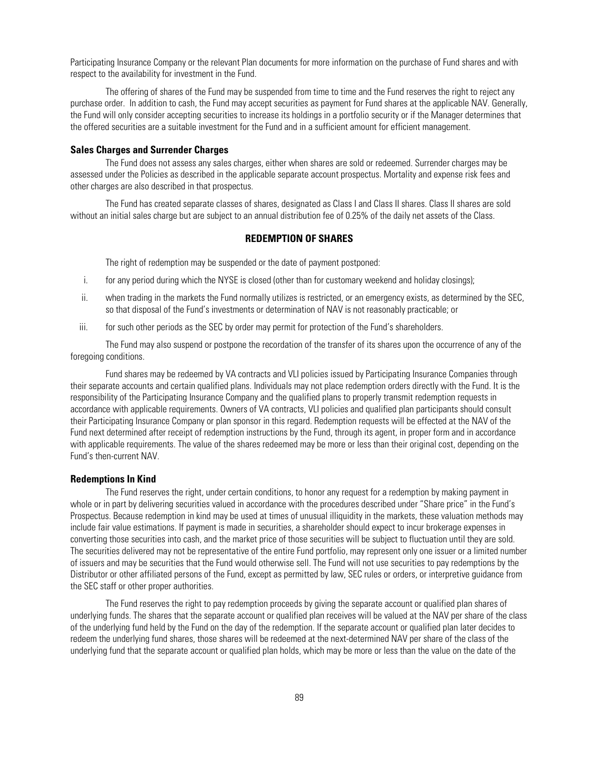Participating Insurance Company or the relevant Plan documents for more information on the purchase of Fund shares and with respect to the availability for investment in the Fund.

The offering of shares of the Fund may be suspended from time to time and the Fund reserves the right to reject any purchase order. In addition to cash, the Fund may accept securities as payment for Fund shares at the applicable NAV. Generally, the Fund will only consider accepting securities to increase its holdings in a portfolio security or if the Manager determines that the offered securities are a suitable investment for the Fund and in a sufficient amount for efficient management.

#### **Sales Charges and Surrender Charges**

The Fund does not assess any sales charges, either when shares are sold or redeemed. Surrender charges may be assessed under the Policies as described in the applicable separate account prospectus. Mortality and expense risk fees and other charges are also described in that prospectus.

The Fund has created separate classes of shares, designated as Class I and Class II shares. Class II shares are sold without an initial sales charge but are subject to an annual distribution fee of 0.25% of the daily net assets of the Class.

# **REDEMPTION OF SHARES**

The right of redemption may be suspended or the date of payment postponed:

- i. for any period during which the NYSE is closed (other than for customary weekend and holiday closings);
- ii. when trading in the markets the Fund normally utilizes is restricted, or an emergency exists, as determined by the SEC, so that disposal of the Fund's investments or determination of NAV is not reasonably practicable; or
- iii. for such other periods as the SEC by order may permit for protection of the Fund's shareholders.

The Fund may also suspend or postpone the recordation of the transfer of its shares upon the occurrence of any of the foregoing conditions.

Fund shares may be redeemed by VA contracts and VLI policies issued by Participating Insurance Companies through their separate accounts and certain qualified plans. Individuals may not place redemption orders directly with the Fund. It is the responsibility of the Participating Insurance Company and the qualified plans to properly transmit redemption requests in accordance with applicable requirements. Owners of VA contracts, VLI policies and qualified plan participants should consult their Participating Insurance Company or plan sponsor in this regard. Redemption requests will be effected at the NAV of the Fund next determined after receipt of redemption instructions by the Fund, through its agent, in proper form and in accordance with applicable requirements. The value of the shares redeemed may be more or less than their original cost, depending on the Fund's then-current NAV.

# **Redemptions In Kind**

The Fund reserves the right, under certain conditions, to honor any request for a redemption by making payment in whole or in part by delivering securities valued in accordance with the procedures described under "Share price" in the Fund's Prospectus. Because redemption in kind may be used at times of unusual illiquidity in the markets, these valuation methods may include fair value estimations. If payment is made in securities, a shareholder should expect to incur brokerage expenses in converting those securities into cash, and the market price of those securities will be subject to fluctuation until they are sold. The securities delivered may not be representative of the entire Fund portfolio, may represent only one issuer or a limited number of issuers and may be securities that the Fund would otherwise sell. The Fund will not use securities to pay redemptions by the Distributor or other affiliated persons of the Fund, except as permitted by law, SEC rules or orders, or interpretive guidance from the SEC staff or other proper authorities.

The Fund reserves the right to pay redemption proceeds by giving the separate account or qualified plan shares of underlying funds. The shares that the separate account or qualified plan receives will be valued at the NAV per share of the class of the underlying fund held by the Fund on the day of the redemption. If the separate account or qualified plan later decides to redeem the underlying fund shares, those shares will be redeemed at the next-determined NAV per share of the class of the underlying fund that the separate account or qualified plan holds, which may be more or less than the value on the date of the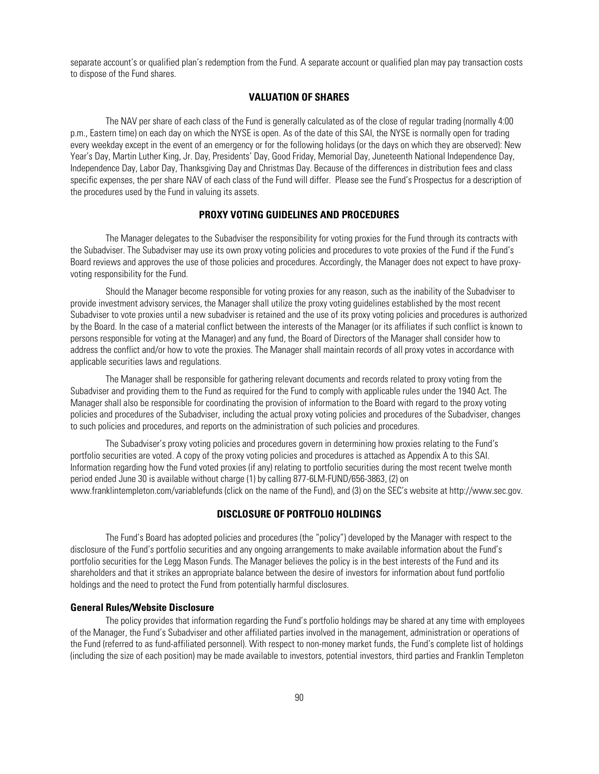separate account's or qualified plan's redemption from the Fund. A separate account or qualified plan may pay transaction costs to dispose of the Fund shares.

# **VALUATION OF SHARES**

The NAV per share of each class of the Fund is generally calculated as of the close of regular trading (normally 4:00 p.m., Eastern time) on each day on which the NYSE is open. As of the date of this SAI, the NYSE is normally open for trading every weekday except in the event of an emergency or for the following holidays (or the days on which they are observed): New Year's Day, Martin Luther King, Jr. Day, Presidents' Day, Good Friday, Memorial Day, Juneteenth National Independence Day, Independence Day, Labor Day, Thanksgiving Day and Christmas Day. Because of the differences in distribution fees and class specific expenses, the per share NAV of each class of the Fund will differ. Please see the Fund's Prospectus for a description of the procedures used by the Fund in valuing its assets.

# **PROXY VOTING GUIDELINES AND PROCEDURES**

The Manager delegates to the Subadviser the responsibility for voting proxies for the Fund through its contracts with the Subadviser. The Subadviser may use its own proxy voting policies and procedures to vote proxies of the Fund if the Fund's Board reviews and approves the use of those policies and procedures. Accordingly, the Manager does not expect to have proxyvoting responsibility for the Fund.

Should the Manager become responsible for voting proxies for any reason, such as the inability of the Subadviser to provide investment advisory services, the Manager shall utilize the proxy voting guidelines established by the most recent Subadviser to vote proxies until a new subadviser is retained and the use of its proxy voting policies and procedures is authorized by the Board. In the case of a material conflict between the interests of the Manager (or its affiliates if such conflict is known to persons responsible for voting at the Manager) and any fund, the Board of Directors of the Manager shall consider how to address the conflict and/or how to vote the proxies. The Manager shall maintain records of all proxy votes in accordance with applicable securities laws and regulations.

The Manager shall be responsible for gathering relevant documents and records related to proxy voting from the Subadviser and providing them to the Fund as required for the Fund to comply with applicable rules under the 1940 Act. The Manager shall also be responsible for coordinating the provision of information to the Board with regard to the proxy voting policies and procedures of the Subadviser, including the actual proxy voting policies and procedures of the Subadviser, changes to such policies and procedures, and reports on the administration of such policies and procedures.

The Subadviser's proxy voting policies and procedures govern in determining how proxies relating to the Fund's portfolio securities are voted. A copy of the proxy voting policies and procedures is attached as Appendix A to this SAI. Information regarding how the Fund voted proxies (if any) relating to portfolio securities during the most recent twelve month period ended June 30 is available without charge (1) by calling 877-6LM-FUND/656-3863, (2) on www.franklintempleton.com/variablefunds (click on the name of the Fund), and (3) on the SEC's website at http://www.sec.gov.

# **DISCLOSURE OF PORTFOLIO HOLDINGS**

The Fund's Board has adopted policies and procedures (the "policy") developed by the Manager with respect to the disclosure of the Fund's portfolio securities and any ongoing arrangements to make available information about the Fund's portfolio securities for the Legg Mason Funds. The Manager believes the policy is in the best interests of the Fund and its shareholders and that it strikes an appropriate balance between the desire of investors for information about fund portfolio holdings and the need to protect the Fund from potentially harmful disclosures.

# **General Rules/Website Disclosure**

The policy provides that information regarding the Fund's portfolio holdings may be shared at any time with employees of the Manager, the Fund's Subadviser and other affiliated parties involved in the management, administration or operations of the Fund (referred to as fund-affiliated personnel). With respect to non-money market funds, the Fund's complete list of holdings (including the size of each position) may be made available to investors, potential investors, third parties and Franklin Templeton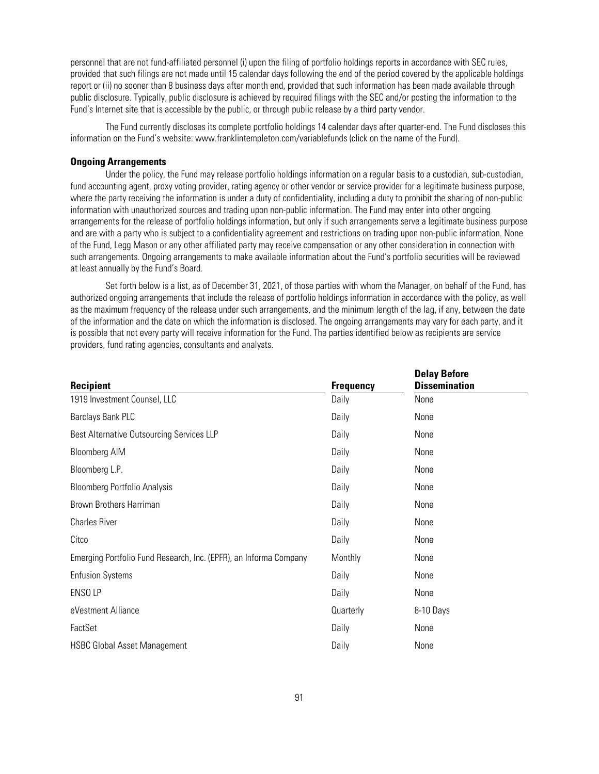personnel that are not fund-affiliated personnel (i) upon the filing of portfolio holdings reports in accordance with SEC rules, provided that such filings are not made until 15 calendar days following the end of the period covered by the applicable holdings report or (ii) no sooner than 8 business days after month end, provided that such information has been made available through public disclosure. Typically, public disclosure is achieved by required filings with the SEC and/or posting the information to the Fund's Internet site that is accessible by the public, or through public release by a third party vendor.

The Fund currently discloses its complete portfolio holdings 14 calendar days after quarter-end. The Fund discloses this information on the Fund's website: www.franklintempleton.com/variablefunds (click on the name of the Fund).

#### **Ongoing Arrangements**

Under the policy, the Fund may release portfolio holdings information on a regular basis to a custodian, sub-custodian, fund accounting agent, proxy voting provider, rating agency or other vendor or service provider for a legitimate business purpose, where the party receiving the information is under a duty of confidentiality, including a duty to prohibit the sharing of non-public information with unauthorized sources and trading upon non-public information. The Fund may enter into other ongoing arrangements for the release of portfolio holdings information, but only if such arrangements serve a legitimate business purpose and are with a party who is subject to a confidentiality agreement and restrictions on trading upon non-public information. None of the Fund, Legg Mason or any other affiliated party may receive compensation or any other consideration in connection with such arrangements. Ongoing arrangements to make available information about the Fund's portfolio securities will be reviewed at least annually by the Fund's Board.

Set forth below is a list, as of December 31, 2021, of those parties with whom the Manager, on behalf of the Fund, has authorized ongoing arrangements that include the release of portfolio holdings information in accordance with the policy, as well as the maximum frequency of the release under such arrangements, and the minimum length of the lag, if any, between the date of the information and the date on which the information is disclosed. The ongoing arrangements may vary for each party, and it is possible that not every party will receive information for the Fund. The parties identified below as recipients are service providers, fund rating agencies, consultants and analysts.

| <b>Recipient</b>                                                  | <b>Frequency</b> | <b>Delay Before</b><br><b>Dissemination</b> |  |
|-------------------------------------------------------------------|------------------|---------------------------------------------|--|
| 1919 Investment Counsel, LLC                                      | Daily            | None                                        |  |
| Barclays Bank PLC                                                 | Daily            | None                                        |  |
| Best Alternative Outsourcing Services LLP                         | Daily            | None                                        |  |
| <b>Bloomberg AIM</b>                                              | Daily            | None                                        |  |
| Bloomberg L.P.                                                    | Daily            | None                                        |  |
| <b>Bloomberg Portfolio Analysis</b>                               | Daily            | None                                        |  |
| Brown Brothers Harriman                                           | Daily            | None                                        |  |
| <b>Charles River</b>                                              | Daily            | None                                        |  |
| Citco                                                             | Daily            | None                                        |  |
| Emerging Portfolio Fund Research, Inc. (EPFR), an Informa Company | Monthly          | None                                        |  |
| <b>Enfusion Systems</b>                                           | Daily            | None                                        |  |
| ENSO LP                                                           | Daily            | None                                        |  |
| eVestment Alliance                                                | Quarterly        | 8-10 Days                                   |  |
| FactSet                                                           | Daily            | None                                        |  |
| <b>HSBC Global Asset Management</b>                               | Daily            | None                                        |  |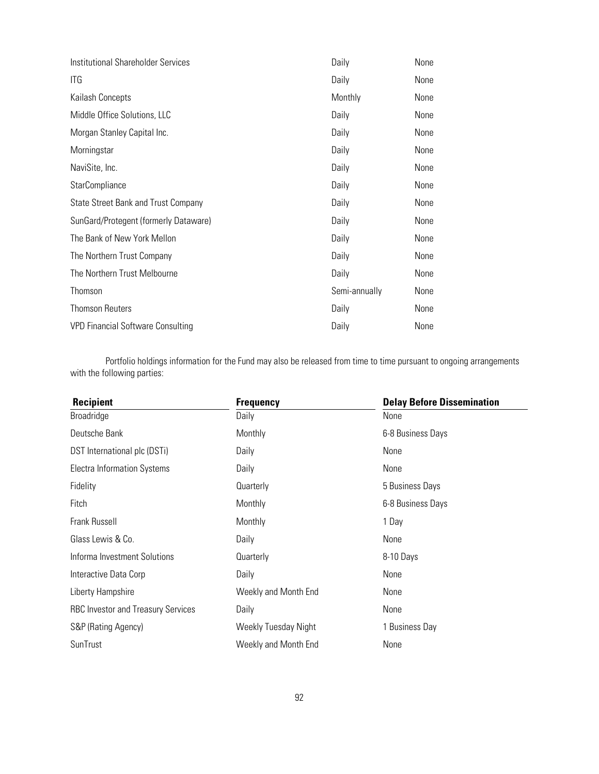| Institutional Shareholder Services         | Daily         | None |
|--------------------------------------------|---------------|------|
| ITG                                        | Daily         | None |
| Kailash Concepts                           | Monthly       | None |
| Middle Office Solutions, LLC               | Daily         | None |
| Morgan Stanley Capital Inc.                | Daily         | None |
| Morningstar                                | Daily         | None |
| NaviSite, Inc.                             | Daily         | None |
| <b>StarCompliance</b>                      | Daily         | None |
| <b>State Street Bank and Trust Company</b> | Daily         | None |
| SunGard/Protegent (formerly Dataware)      | Daily         | None |
| The Bank of New York Mellon                | Daily         | None |
| The Northern Trust Company                 | Daily         | None |
| The Northern Trust Melbourne               | Daily         | None |
| Thomson                                    | Semi-annually | None |
| <b>Thomson Reuters</b>                     | Daily         | None |
| <b>VPD Financial Software Consulting</b>   | Daily         | None |

 Portfolio holdings information for the Fund may also be released from time to time pursuant to ongoing arrangements with the following parties:

| <b>Recipient</b>                          | <b>Frequency</b>     | <b>Delay Before Dissemination</b> |  |
|-------------------------------------------|----------------------|-----------------------------------|--|
| Broadridge                                | Daily                | None                              |  |
| Deutsche Bank                             | Monthly              | 6-8 Business Days                 |  |
| DST International plc (DSTi)              | Daily                | None                              |  |
| <b>Electra Information Systems</b>        | Daily                | None                              |  |
| Fidelity                                  | Quarterly            | 5 Business Days                   |  |
| Fitch                                     | Monthly              | 6-8 Business Days                 |  |
| Frank Russell                             | Monthly              | 1 Day                             |  |
| Glass Lewis & Co.                         | Daily                | None                              |  |
| Informa Investment Solutions              | Quarterly            | 8-10 Days                         |  |
| Interactive Data Corp                     | Daily                | None                              |  |
| Liberty Hampshire                         | Weekly and Month End | None                              |  |
| <b>RBC Investor and Treasury Services</b> | Daily                | None                              |  |
| S&P (Rating Agency)                       | Weekly Tuesday Night | 1 Business Day                    |  |
| SunTrust                                  | Weekly and Month End | None                              |  |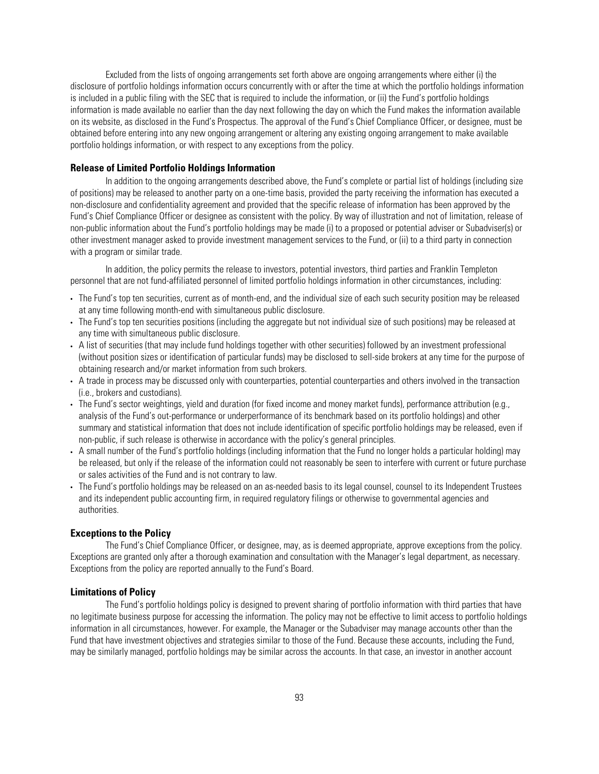Excluded from the lists of ongoing arrangements set forth above are ongoing arrangements where either (i) the disclosure of portfolio holdings information occurs concurrently with or after the time at which the portfolio holdings information is included in a public filing with the SEC that is required to include the information, or (ii) the Fund's portfolio holdings information is made available no earlier than the day next following the day on which the Fund makes the information available on its website, as disclosed in the Fund's Prospectus. The approval of the Fund's Chief Compliance Officer, or designee, must be obtained before entering into any new ongoing arrangement or altering any existing ongoing arrangement to make available portfolio holdings information, or with respect to any exceptions from the policy.

### **Release of Limited Portfolio Holdings Information**

In addition to the ongoing arrangements described above, the Fund's complete or partial list of holdings (including size of positions) may be released to another party on a one-time basis, provided the party receiving the information has executed a non-disclosure and confidentiality agreement and provided that the specific release of information has been approved by the Fund's Chief Compliance Officer or designee as consistent with the policy. By way of illustration and not of limitation, release of non-public information about the Fund's portfolio holdings may be made (i) to a proposed or potential adviser or Subadviser(s) or other investment manager asked to provide investment management services to the Fund, or (ii) to a third party in connection with a program or similar trade.

In addition, the policy permits the release to investors, potential investors, third parties and Franklin Templeton personnel that are not fund-affiliated personnel of limited portfolio holdings information in other circumstances, including:

- The Fund's top ten securities, current as of month-end, and the individual size of each such security position may be released at any time following month-end with simultaneous public disclosure.
- The Fund's top ten securities positions (including the aggregate but not individual size of such positions) may be released at any time with simultaneous public disclosure.
- A list of securities (that may include fund holdings together with other securities) followed by an investment professional (without position sizes or identification of particular funds) may be disclosed to sell-side brokers at any time for the purpose of obtaining research and/or market information from such brokers.
- A trade in process may be discussed only with counterparties, potential counterparties and others involved in the transaction (i.e., brokers and custodians).
- The Fund's sector weightings, yield and duration (for fixed income and money market funds), performance attribution (e.g., analysis of the Fund's out-performance or underperformance of its benchmark based on its portfolio holdings) and other summary and statistical information that does not include identification of specific portfolio holdings may be released, even if non-public, if such release is otherwise in accordance with the policy's general principles.
- A small number of the Fund's portfolio holdings (including information that the Fund no longer holds a particular holding) may be released, but only if the release of the information could not reasonably be seen to interfere with current or future purchase or sales activities of the Fund and is not contrary to law.
- The Fund's portfolio holdings may be released on an as-needed basis to its legal counsel, counsel to its Independent Trustees and its independent public accounting firm, in required regulatory filings or otherwise to governmental agencies and authorities.

#### **Exceptions to the Policy**

The Fund's Chief Compliance Officer, or designee, may, as is deemed appropriate, approve exceptions from the policy. Exceptions are granted only after a thorough examination and consultation with the Manager's legal department, as necessary. Exceptions from the policy are reported annually to the Fund's Board.

#### **Limitations of Policy**

The Fund's portfolio holdings policy is designed to prevent sharing of portfolio information with third parties that have no legitimate business purpose for accessing the information. The policy may not be effective to limit access to portfolio holdings information in all circumstances, however. For example, the Manager or the Subadviser may manage accounts other than the Fund that have investment objectives and strategies similar to those of the Fund. Because these accounts, including the Fund, may be similarly managed, portfolio holdings may be similar across the accounts. In that case, an investor in another account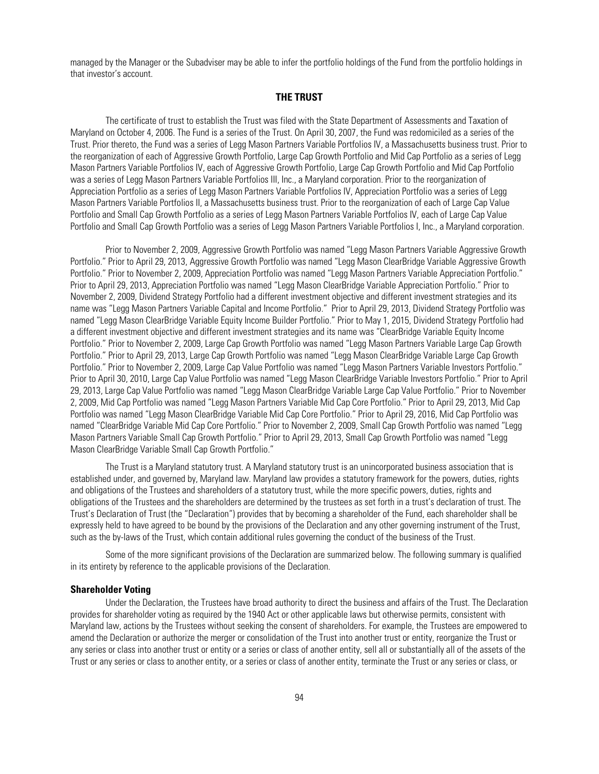managed by the Manager or the Subadviser may be able to infer the portfolio holdings of the Fund from the portfolio holdings in that investor's account.

# **THE TRUST**

The certificate of trust to establish the Trust was filed with the State Department of Assessments and Taxation of Maryland on October 4, 2006. The Fund is a series of the Trust. On April 30, 2007, the Fund was redomiciled as a series of the Trust. Prior thereto, the Fund was a series of Legg Mason Partners Variable Portfolios IV, a Massachusetts business trust. Prior to the reorganization of each of Aggressive Growth Portfolio, Large Cap Growth Portfolio and Mid Cap Portfolio as a series of Legg Mason Partners Variable Portfolios IV, each of Aggressive Growth Portfolio, Large Cap Growth Portfolio and Mid Cap Portfolio was a series of Legg Mason Partners Variable Portfolios III, Inc., a Maryland corporation. Prior to the reorganization of Appreciation Portfolio as a series of Legg Mason Partners Variable Portfolios IV, Appreciation Portfolio was a series of Legg Mason Partners Variable Portfolios II, a Massachusetts business trust. Prior to the reorganization of each of Large Cap Value Portfolio and Small Cap Growth Portfolio as a series of Legg Mason Partners Variable Portfolios IV, each of Large Cap Value Portfolio and Small Cap Growth Portfolio was a series of Legg Mason Partners Variable Portfolios I, Inc., a Maryland corporation.

Prior to November 2, 2009, Aggressive Growth Portfolio was named "Legg Mason Partners Variable Aggressive Growth Portfolio." Prior to April 29, 2013, Aggressive Growth Portfolio was named "Legg Mason ClearBridge Variable Aggressive Growth Portfolio." Prior to November 2, 2009, Appreciation Portfolio was named "Legg Mason Partners Variable Appreciation Portfolio." Prior to April 29, 2013, Appreciation Portfolio was named "Legg Mason ClearBridge Variable Appreciation Portfolio." Prior to November 2, 2009, Dividend Strategy Portfolio had a different investment objective and different investment strategies and its name was "Legg Mason Partners Variable Capital and Income Portfolio." Prior to April 29, 2013, Dividend Strategy Portfolio was named "Legg Mason ClearBridge Variable Equity Income Builder Portfolio." Prior to May 1, 2015, Dividend Strategy Portfolio had a different investment objective and different investment strategies and its name was "ClearBridge Variable Equity Income Portfolio." Prior to November 2, 2009, Large Cap Growth Portfolio was named "Legg Mason Partners Variable Large Cap Growth Portfolio." Prior to April 29, 2013, Large Cap Growth Portfolio was named "Legg Mason ClearBridge Variable Large Cap Growth Portfolio." Prior to November 2, 2009, Large Cap Value Portfolio was named "Legg Mason Partners Variable Investors Portfolio." Prior to April 30, 2010, Large Cap Value Portfolio was named "Legg Mason ClearBridge Variable Investors Portfolio." Prior to April 29, 2013, Large Cap Value Portfolio was named "Legg Mason ClearBridge Variable Large Cap Value Portfolio." Prior to November 2, 2009, Mid Cap Portfolio was named "Legg Mason Partners Variable Mid Cap Core Portfolio." Prior to April 29, 2013, Mid Cap Portfolio was named "Legg Mason ClearBridge Variable Mid Cap Core Portfolio." Prior to April 29, 2016, Mid Cap Portfolio was named "ClearBridge Variable Mid Cap Core Portfolio." Prior to November 2, 2009, Small Cap Growth Portfolio was named "Legg Mason Partners Variable Small Cap Growth Portfolio." Prior to April 29, 2013, Small Cap Growth Portfolio was named "Legg Mason ClearBridge Variable Small Cap Growth Portfolio."

The Trust is a Maryland statutory trust. A Maryland statutory trust is an unincorporated business association that is established under, and governed by, Maryland law. Maryland law provides a statutory framework for the powers, duties, rights and obligations of the Trustees and shareholders of a statutory trust, while the more specific powers, duties, rights and obligations of the Trustees and the shareholders are determined by the trustees as set forth in a trust's declaration of trust. The Trust's Declaration of Trust (the "Declaration") provides that by becoming a shareholder of the Fund, each shareholder shall be expressly held to have agreed to be bound by the provisions of the Declaration and any other governing instrument of the Trust, such as the by-laws of the Trust, which contain additional rules governing the conduct of the business of the Trust.

Some of the more significant provisions of the Declaration are summarized below. The following summary is qualified in its entirety by reference to the applicable provisions of the Declaration.

#### **Shareholder Voting**

Under the Declaration, the Trustees have broad authority to direct the business and affairs of the Trust. The Declaration provides for shareholder voting as required by the 1940 Act or other applicable laws but otherwise permits, consistent with Maryland law, actions by the Trustees without seeking the consent of shareholders. For example, the Trustees are empowered to amend the Declaration or authorize the merger or consolidation of the Trust into another trust or entity, reorganize the Trust or any series or class into another trust or entity or a series or class of another entity, sell all or substantially all of the assets of the Trust or any series or class to another entity, or a series or class of another entity, terminate the Trust or any series or class, or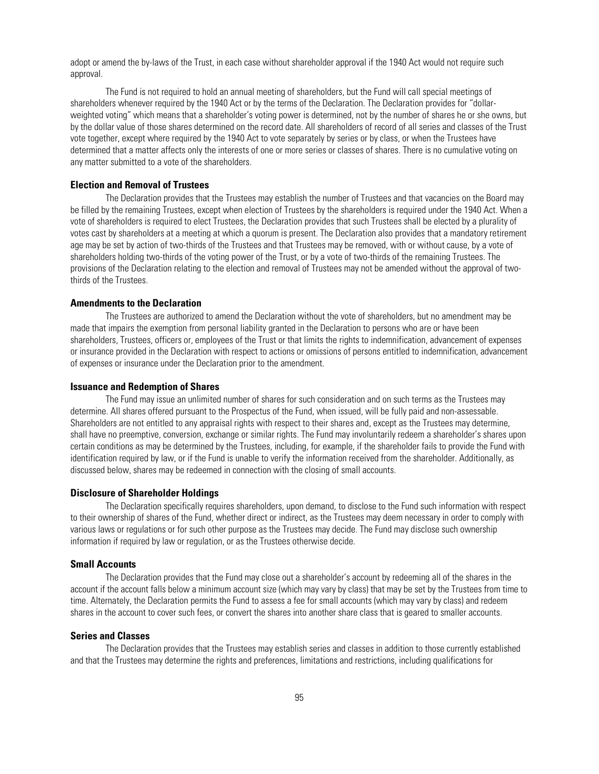adopt or amend the by-laws of the Trust, in each case without shareholder approval if the 1940 Act would not require such approval.

The Fund is not required to hold an annual meeting of shareholders, but the Fund will call special meetings of shareholders whenever required by the 1940 Act or by the terms of the Declaration. The Declaration provides for "dollarweighted voting" which means that a shareholder's voting power is determined, not by the number of shares he or she owns, but by the dollar value of those shares determined on the record date. All shareholders of record of all series and classes of the Trust vote together, except where required by the 1940 Act to vote separately by series or by class, or when the Trustees have determined that a matter affects only the interests of one or more series or classes of shares. There is no cumulative voting on any matter submitted to a vote of the shareholders.

### **Election and Removal of Trustees**

The Declaration provides that the Trustees may establish the number of Trustees and that vacancies on the Board may be filled by the remaining Trustees, except when election of Trustees by the shareholders is required under the 1940 Act. When a vote of shareholders is required to elect Trustees, the Declaration provides that such Trustees shall be elected by a plurality of votes cast by shareholders at a meeting at which a quorum is present. The Declaration also provides that a mandatory retirement age may be set by action of two-thirds of the Trustees and that Trustees may be removed, with or without cause, by a vote of shareholders holding two-thirds of the voting power of the Trust, or by a vote of two-thirds of the remaining Trustees. The provisions of the Declaration relating to the election and removal of Trustees may not be amended without the approval of twothirds of the Trustees.

# **Amendments to the Declaration**

The Trustees are authorized to amend the Declaration without the vote of shareholders, but no amendment may be made that impairs the exemption from personal liability granted in the Declaration to persons who are or have been shareholders, Trustees, officers or, employees of the Trust or that limits the rights to indemnification, advancement of expenses or insurance provided in the Declaration with respect to actions or omissions of persons entitled to indemnification, advancement of expenses or insurance under the Declaration prior to the amendment.

#### **Issuance and Redemption of Shares**

The Fund may issue an unlimited number of shares for such consideration and on such terms as the Trustees may determine. All shares offered pursuant to the Prospectus of the Fund, when issued, will be fully paid and non-assessable. Shareholders are not entitled to any appraisal rights with respect to their shares and, except as the Trustees may determine, shall have no preemptive, conversion, exchange or similar rights. The Fund may involuntarily redeem a shareholder's shares upon certain conditions as may be determined by the Trustees, including, for example, if the shareholder fails to provide the Fund with identification required by law, or if the Fund is unable to verify the information received from the shareholder. Additionally, as discussed below, shares may be redeemed in connection with the closing of small accounts.

#### **Disclosure of Shareholder Holdings**

The Declaration specifically requires shareholders, upon demand, to disclose to the Fund such information with respect to their ownership of shares of the Fund, whether direct or indirect, as the Trustees may deem necessary in order to comply with various laws or regulations or for such other purpose as the Trustees may decide. The Fund may disclose such ownership information if required by law or regulation, or as the Trustees otherwise decide.

### **Small Accounts**

The Declaration provides that the Fund may close out a shareholder's account by redeeming all of the shares in the account if the account falls below a minimum account size (which may vary by class) that may be set by the Trustees from time to time. Alternately, the Declaration permits the Fund to assess a fee for small accounts (which may vary by class) and redeem shares in the account to cover such fees, or convert the shares into another share class that is geared to smaller accounts.

#### **Series and Classes**

The Declaration provides that the Trustees may establish series and classes in addition to those currently established and that the Trustees may determine the rights and preferences, limitations and restrictions, including qualifications for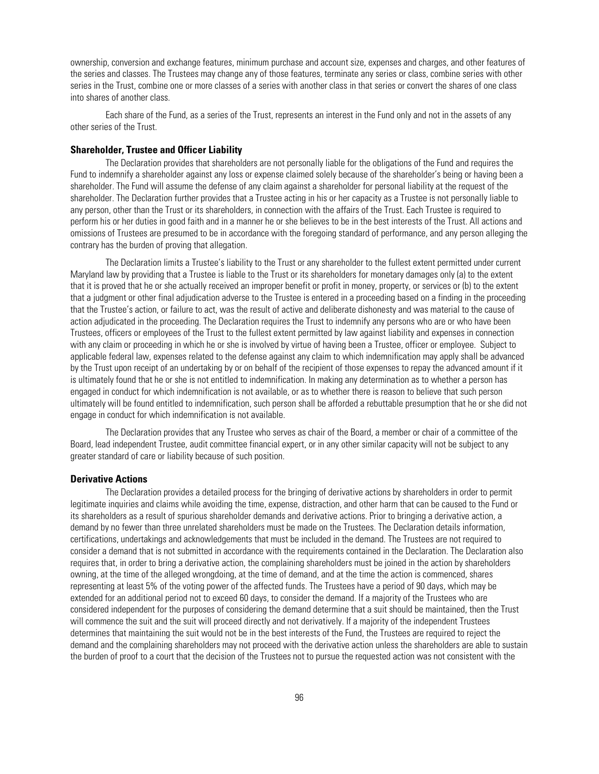ownership, conversion and exchange features, minimum purchase and account size, expenses and charges, and other features of the series and classes. The Trustees may change any of those features, terminate any series or class, combine series with other series in the Trust, combine one or more classes of a series with another class in that series or convert the shares of one class into shares of another class.

Each share of the Fund, as a series of the Trust, represents an interest in the Fund only and not in the assets of any other series of the Trust.

# **Shareholder, Trustee and Officer Liability**

The Declaration provides that shareholders are not personally liable for the obligations of the Fund and requires the Fund to indemnify a shareholder against any loss or expense claimed solely because of the shareholder's being or having been a shareholder. The Fund will assume the defense of any claim against a shareholder for personal liability at the request of the shareholder. The Declaration further provides that a Trustee acting in his or her capacity as a Trustee is not personally liable to any person, other than the Trust or its shareholders, in connection with the affairs of the Trust. Each Trustee is required to perform his or her duties in good faith and in a manner he or she believes to be in the best interests of the Trust. All actions and omissions of Trustees are presumed to be in accordance with the foregoing standard of performance, and any person alleging the contrary has the burden of proving that allegation.

The Declaration limits a Trustee's liability to the Trust or any shareholder to the fullest extent permitted under current Maryland law by providing that a Trustee is liable to the Trust or its shareholders for monetary damages only (a) to the extent that it is proved that he or she actually received an improper benefit or profit in money, property, or services or (b) to the extent that a judgment or other final adjudication adverse to the Trustee is entered in a proceeding based on a finding in the proceeding that the Trustee's action, or failure to act, was the result of active and deliberate dishonesty and was material to the cause of action adjudicated in the proceeding. The Declaration requires the Trust to indemnify any persons who are or who have been Trustees, officers or employees of the Trust to the fullest extent permitted by law against liability and expenses in connection with any claim or proceeding in which he or she is involved by virtue of having been a Trustee, officer or employee. Subject to applicable federal law, expenses related to the defense against any claim to which indemnification may apply shall be advanced by the Trust upon receipt of an undertaking by or on behalf of the recipient of those expenses to repay the advanced amount if it is ultimately found that he or she is not entitled to indemnification. In making any determination as to whether a person has engaged in conduct for which indemnification is not available, or as to whether there is reason to believe that such person ultimately will be found entitled to indemnification, such person shall be afforded a rebuttable presumption that he or she did not engage in conduct for which indemnification is not available.

The Declaration provides that any Trustee who serves as chair of the Board, a member or chair of a committee of the Board, lead independent Trustee, audit committee financial expert, or in any other similar capacity will not be subject to any greater standard of care or liability because of such position.

#### **Derivative Actions**

The Declaration provides a detailed process for the bringing of derivative actions by shareholders in order to permit legitimate inquiries and claims while avoiding the time, expense, distraction, and other harm that can be caused to the Fund or its shareholders as a result of spurious shareholder demands and derivative actions. Prior to bringing a derivative action, a demand by no fewer than three unrelated shareholders must be made on the Trustees. The Declaration details information, certifications, undertakings and acknowledgements that must be included in the demand. The Trustees are not required to consider a demand that is not submitted in accordance with the requirements contained in the Declaration. The Declaration also requires that, in order to bring a derivative action, the complaining shareholders must be joined in the action by shareholders owning, at the time of the alleged wrongdoing, at the time of demand, and at the time the action is commenced, shares representing at least 5% of the voting power of the affected funds. The Trustees have a period of 90 days, which may be extended for an additional period not to exceed 60 days, to consider the demand. If a majority of the Trustees who are considered independent for the purposes of considering the demand determine that a suit should be maintained, then the Trust will commence the suit and the suit will proceed directly and not derivatively. If a majority of the independent Trustees determines that maintaining the suit would not be in the best interests of the Fund, the Trustees are required to reject the demand and the complaining shareholders may not proceed with the derivative action unless the shareholders are able to sustain the burden of proof to a court that the decision of the Trustees not to pursue the requested action was not consistent with the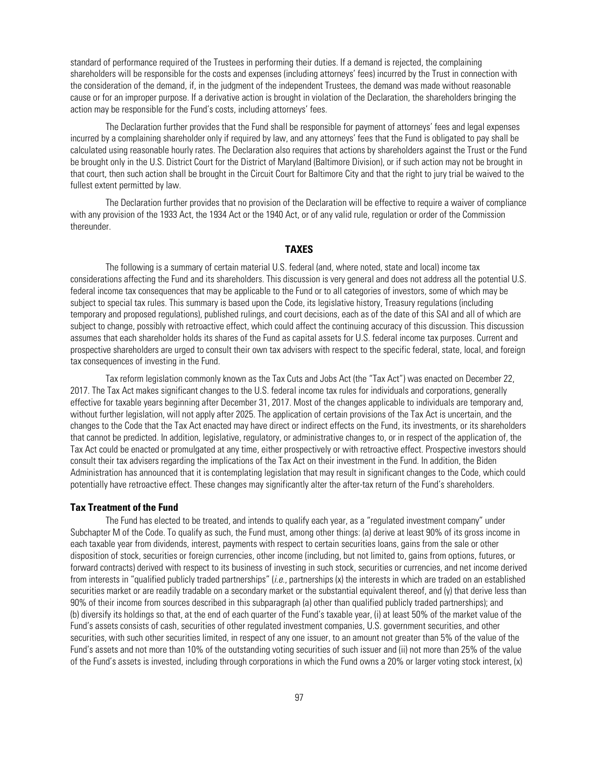standard of performance required of the Trustees in performing their duties. If a demand is rejected, the complaining shareholders will be responsible for the costs and expenses (including attorneys' fees) incurred by the Trust in connection with the consideration of the demand, if, in the judgment of the independent Trustees, the demand was made without reasonable cause or for an improper purpose. If a derivative action is brought in violation of the Declaration, the shareholders bringing the action may be responsible for the Fund's costs, including attorneys' fees.

The Declaration further provides that the Fund shall be responsible for payment of attorneys' fees and legal expenses incurred by a complaining shareholder only if required by law, and any attorneys' fees that the Fund is obligated to pay shall be calculated using reasonable hourly rates. The Declaration also requires that actions by shareholders against the Trust or the Fund be brought only in the U.S. District Court for the District of Maryland (Baltimore Division), or if such action may not be brought in that court, then such action shall be brought in the Circuit Court for Baltimore City and that the right to jury trial be waived to the fullest extent permitted by law.

The Declaration further provides that no provision of the Declaration will be effective to require a waiver of compliance with any provision of the 1933 Act, the 1934 Act or the 1940 Act, or of any valid rule, regulation or order of the Commission thereunder.

### **TAXES**

The following is a summary of certain material U.S. federal (and, where noted, state and local) income tax considerations affecting the Fund and its shareholders. This discussion is very general and does not address all the potential U.S. federal income tax consequences that may be applicable to the Fund or to all categories of investors, some of which may be subject to special tax rules. This summary is based upon the Code, its legislative history, Treasury regulations (including temporary and proposed regulations), published rulings, and court decisions, each as of the date of this SAI and all of which are subject to change, possibly with retroactive effect, which could affect the continuing accuracy of this discussion. This discussion assumes that each shareholder holds its shares of the Fund as capital assets for U.S. federal income tax purposes. Current and prospective shareholders are urged to consult their own tax advisers with respect to the specific federal, state, local, and foreign tax consequences of investing in the Fund.

Tax reform legislation commonly known as the Tax Cuts and Jobs Act (the "Tax Act") was enacted on December 22, 2017. The Tax Act makes significant changes to the U.S. federal income tax rules for individuals and corporations, generally effective for taxable years beginning after December 31, 2017. Most of the changes applicable to individuals are temporary and, without further legislation, will not apply after 2025. The application of certain provisions of the Tax Act is uncertain, and the changes to the Code that the Tax Act enacted may have direct or indirect effects on the Fund, its investments, or its shareholders that cannot be predicted. In addition, legislative, regulatory, or administrative changes to, or in respect of the application of, the Tax Act could be enacted or promulgated at any time, either prospectively or with retroactive effect. Prospective investors should consult their tax advisers regarding the implications of the Tax Act on their investment in the Fund. In addition, the Biden Administration has announced that it is contemplating legislation that may result in significant changes to the Code, which could potentially have retroactive effect. These changes may significantly alter the after-tax return of the Fund's shareholders.

#### **Tax Treatment of the Fund**

The Fund has elected to be treated, and intends to qualify each year, as a "regulated investment company" under Subchapter M of the Code. To qualify as such, the Fund must, among other things: (a) derive at least 90% of its gross income in each taxable year from dividends, interest, payments with respect to certain securities loans, gains from the sale or other disposition of stock, securities or foreign currencies, other income (including, but not limited to, gains from options, futures, or forward contracts) derived with respect to its business of investing in such stock, securities or currencies, and net income derived from interests in "qualified publicly traded partnerships" (i.e., partnerships  $(x)$ ) the interests in which are traded on an established securities market or are readily tradable on a secondary market or the substantial equivalent thereof, and (y) that derive less than 90% of their income from sources described in this subparagraph (a) other than qualified publicly traded partnerships); and (b) diversify its holdings so that, at the end of each quarter of the Fund's taxable year, (i) at least 50% of the market value of the Fund's assets consists of cash, securities of other regulated investment companies, U.S. government securities, and other securities, with such other securities limited, in respect of any one issuer, to an amount not greater than 5% of the value of the Fund's assets and not more than 10% of the outstanding voting securities of such issuer and (ii) not more than 25% of the value of the Fund's assets is invested, including through corporations in which the Fund owns a 20% or larger voting stock interest, (x)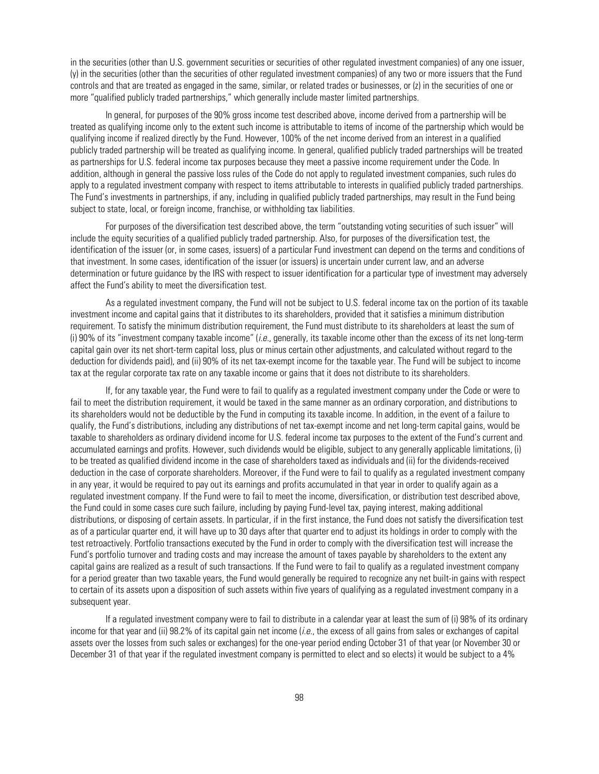in the securities (other than U.S. government securities or securities of other regulated investment companies) of any one issuer, (y) in the securities (other than the securities of other regulated investment companies) of any two or more issuers that the Fund controls and that are treated as engaged in the same, similar, or related trades or businesses, or (z) in the securities of one or more "qualified publicly traded partnerships," which generally include master limited partnerships.

In general, for purposes of the 90% gross income test described above, income derived from a partnership will be treated as qualifying income only to the extent such income is attributable to items of income of the partnership which would be qualifying income if realized directly by the Fund. However, 100% of the net income derived from an interest in a qualified publicly traded partnership will be treated as qualifying income. In general, qualified publicly traded partnerships will be treated as partnerships for U.S. federal income tax purposes because they meet a passive income requirement under the Code. In addition, although in general the passive loss rules of the Code do not apply to regulated investment companies, such rules do apply to a regulated investment company with respect to items attributable to interests in qualified publicly traded partnerships. The Fund's investments in partnerships, if any, including in qualified publicly traded partnerships, may result in the Fund being subject to state, local, or foreign income, franchise, or withholding tax liabilities.

For purposes of the diversification test described above, the term "outstanding voting securities of such issuer" will include the equity securities of a qualified publicly traded partnership. Also, for purposes of the diversification test, the identification of the issuer (or, in some cases, issuers) of a particular Fund investment can depend on the terms and conditions of that investment. In some cases, identification of the issuer (or issuers) is uncertain under current law, and an adverse determination or future guidance by the IRS with respect to issuer identification for a particular type of investment may adversely affect the Fund's ability to meet the diversification test.

As a regulated investment company, the Fund will not be subject to U.S. federal income tax on the portion of its taxable investment income and capital gains that it distributes to its shareholders, provided that it satisfies a minimum distribution requirement. To satisfy the minimum distribution requirement, the Fund must distribute to its shareholders at least the sum of (i) 90% of its "investment company taxable income" (i.e., generally, its taxable income other than the excess of its net long-term capital gain over its net short-term capital loss, plus or minus certain other adjustments, and calculated without regard to the deduction for dividends paid), and (ii) 90% of its net tax-exempt income for the taxable year. The Fund will be subject to income tax at the regular corporate tax rate on any taxable income or gains that it does not distribute to its shareholders.

If, for any taxable year, the Fund were to fail to qualify as a regulated investment company under the Code or were to fail to meet the distribution requirement, it would be taxed in the same manner as an ordinary corporation, and distributions to its shareholders would not be deductible by the Fund in computing its taxable income. In addition, in the event of a failure to qualify, the Fund's distributions, including any distributions of net tax-exempt income and net long-term capital gains, would be taxable to shareholders as ordinary dividend income for U.S. federal income tax purposes to the extent of the Fund's current and accumulated earnings and profits. However, such dividends would be eligible, subject to any generally applicable limitations, (i) to be treated as qualified dividend income in the case of shareholders taxed as individuals and (ii) for the dividends-received deduction in the case of corporate shareholders. Moreover, if the Fund were to fail to qualify as a regulated investment company in any year, it would be required to pay out its earnings and profits accumulated in that year in order to qualify again as a regulated investment company. If the Fund were to fail to meet the income, diversification, or distribution test described above, the Fund could in some cases cure such failure, including by paying Fund-level tax, paying interest, making additional distributions, or disposing of certain assets. In particular, if in the first instance, the Fund does not satisfy the diversification test as of a particular quarter end, it will have up to 30 days after that quarter end to adjust its holdings in order to comply with the test retroactively. Portfolio transactions executed by the Fund in order to comply with the diversification test will increase the Fund's portfolio turnover and trading costs and may increase the amount of taxes payable by shareholders to the extent any capital gains are realized as a result of such transactions. If the Fund were to fail to qualify as a regulated investment company for a period greater than two taxable years, the Fund would generally be required to recognize any net built-in gains with respect to certain of its assets upon a disposition of such assets within five years of qualifying as a regulated investment company in a subsequent year.

If a regulated investment company were to fail to distribute in a calendar year at least the sum of (i) 98% of its ordinary income for that year and (ii) 98.2% of its capital gain net income  $(i.e.,$  the excess of all gains from sales or exchanges of capital assets over the losses from such sales or exchanges) for the one-year period ending October 31 of that year (or November 30 or December 31 of that year if the regulated investment company is permitted to elect and so elects) it would be subject to a 4%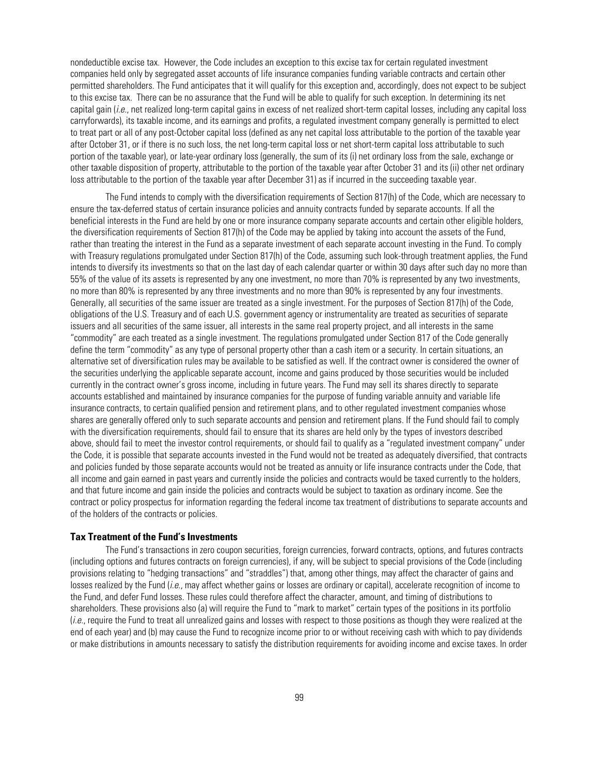nondeductible excise tax. However, the Code includes an exception to this excise tax for certain regulated investment companies held only by segregated asset accounts of life insurance companies funding variable contracts and certain other permitted shareholders. The Fund anticipates that it will qualify for this exception and, accordingly, does not expect to be subject to this excise tax. There can be no assurance that the Fund will be able to qualify for such exception. In determining its net capital gain (i.e., net realized long-term capital gains in excess of net realized short-term capital losses, including any capital loss carryforwards), its taxable income, and its earnings and profits, a regulated investment company generally is permitted to elect to treat part or all of any post-October capital loss (defined as any net capital loss attributable to the portion of the taxable year after October 31, or if there is no such loss, the net long-term capital loss or net short-term capital loss attributable to such portion of the taxable year), or late-year ordinary loss (generally, the sum of its (i) net ordinary loss from the sale, exchange or other taxable disposition of property, attributable to the portion of the taxable year after October 31 and its (ii) other net ordinary loss attributable to the portion of the taxable year after December 31) as if incurred in the succeeding taxable year.

The Fund intends to comply with the diversification requirements of Section 817(h) of the Code, which are necessary to ensure the tax-deferred status of certain insurance policies and annuity contracts funded by separate accounts. If all the beneficial interests in the Fund are held by one or more insurance company separate accounts and certain other eligible holders, the diversification requirements of Section 817(h) of the Code may be applied by taking into account the assets of the Fund, rather than treating the interest in the Fund as a separate investment of each separate account investing in the Fund. To comply with Treasury regulations promulgated under Section 817(h) of the Code, assuming such look-through treatment applies, the Fund intends to diversify its investments so that on the last day of each calendar quarter or within 30 days after such day no more than 55% of the value of its assets is represented by any one investment, no more than 70% is represented by any two investments, no more than 80% is represented by any three investments and no more than 90% is represented by any four investments. Generally, all securities of the same issuer are treated as a single investment. For the purposes of Section 817(h) of the Code, obligations of the U.S. Treasury and of each U.S. government agency or instrumentality are treated as securities of separate issuers and all securities of the same issuer, all interests in the same real property project, and all interests in the same "commodity" are each treated as a single investment. The regulations promulgated under Section 817 of the Code generally define the term "commodity" as any type of personal property other than a cash item or a security. In certain situations, an alternative set of diversification rules may be available to be satisfied as well. If the contract owner is considered the owner of the securities underlying the applicable separate account, income and gains produced by those securities would be included currently in the contract owner's gross income, including in future years. The Fund may sell its shares directly to separate accounts established and maintained by insurance companies for the purpose of funding variable annuity and variable life insurance contracts, to certain qualified pension and retirement plans, and to other regulated investment companies whose shares are generally offered only to such separate accounts and pension and retirement plans. If the Fund should fail to comply with the diversification requirements, should fail to ensure that its shares are held only by the types of investors described above, should fail to meet the investor control requirements, or should fail to qualify as a "regulated investment company" under the Code, it is possible that separate accounts invested in the Fund would not be treated as adequately diversified, that contracts and policies funded by those separate accounts would not be treated as annuity or life insurance contracts under the Code, that all income and gain earned in past years and currently inside the policies and contracts would be taxed currently to the holders, and that future income and gain inside the policies and contracts would be subject to taxation as ordinary income. See the contract or policy prospectus for information regarding the federal income tax treatment of distributions to separate accounts and of the holders of the contracts or policies.

# **Tax Treatment of the Fund's Investments**

The Fund's transactions in zero coupon securities, foreign currencies, forward contracts, options, and futures contracts (including options and futures contracts on foreign currencies), if any, will be subject to special provisions of the Code (including provisions relating to "hedging transactions" and "straddles") that, among other things, may affect the character of gains and losses realized by the Fund (i.e., may affect whether gains or losses are ordinary or capital), accelerate recognition of income to the Fund, and defer Fund losses. These rules could therefore affect the character, amount, and timing of distributions to shareholders. These provisions also (a) will require the Fund to "mark to market" certain types of the positions in its portfolio (*i.e.*, require the Fund to treat all unrealized gains and losses with respect to those positions as though they were realized at the end of each year) and (b) may cause the Fund to recognize income prior to or without receiving cash with which to pay dividends or make distributions in amounts necessary to satisfy the distribution requirements for avoiding income and excise taxes. In order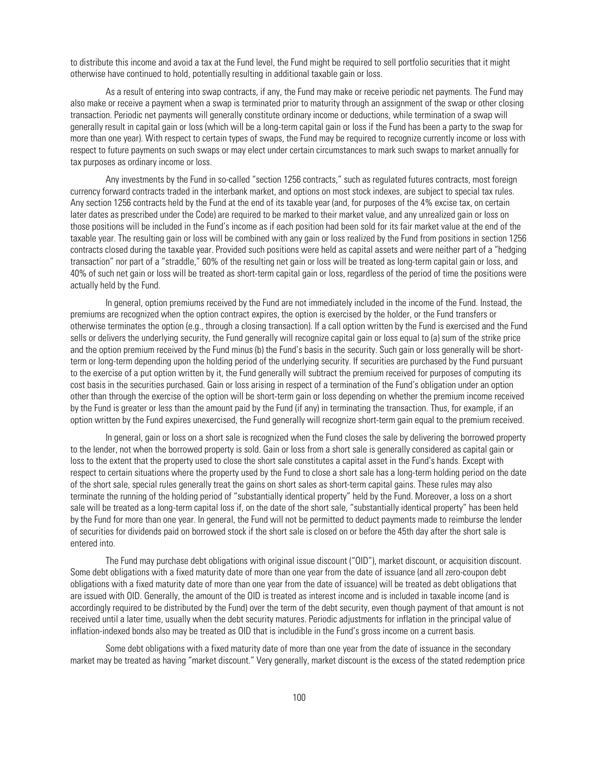to distribute this income and avoid a tax at the Fund level, the Fund might be required to sell portfolio securities that it might otherwise have continued to hold, potentially resulting in additional taxable gain or loss.

As a result of entering into swap contracts, if any, the Fund may make or receive periodic net payments. The Fund may also make or receive a payment when a swap is terminated prior to maturity through an assignment of the swap or other closing transaction. Periodic net payments will generally constitute ordinary income or deductions, while termination of a swap will generally result in capital gain or loss (which will be a long-term capital gain or loss if the Fund has been a party to the swap for more than one year). With respect to certain types of swaps, the Fund may be required to recognize currently income or loss with respect to future payments on such swaps or may elect under certain circumstances to mark such swaps to market annually for tax purposes as ordinary income or loss.

Any investments by the Fund in so-called "section 1256 contracts," such as regulated futures contracts, most foreign currency forward contracts traded in the interbank market, and options on most stock indexes, are subject to special tax rules. Any section 1256 contracts held by the Fund at the end of its taxable year (and, for purposes of the 4% excise tax, on certain later dates as prescribed under the Code) are required to be marked to their market value, and any unrealized gain or loss on those positions will be included in the Fund's income as if each position had been sold for its fair market value at the end of the taxable year. The resulting gain or loss will be combined with any gain or loss realized by the Fund from positions in section 1256 contracts closed during the taxable year. Provided such positions were held as capital assets and were neither part of a "hedging transaction" nor part of a "straddle," 60% of the resulting net gain or loss will be treated as long-term capital gain or loss, and 40% of such net gain or loss will be treated as short-term capital gain or loss, regardless of the period of time the positions were actually held by the Fund.

In general, option premiums received by the Fund are not immediately included in the income of the Fund. Instead, the premiums are recognized when the option contract expires, the option is exercised by the holder, or the Fund transfers or otherwise terminates the option (e.g., through a closing transaction). If a call option written by the Fund is exercised and the Fund sells or delivers the underlying security, the Fund generally will recognize capital gain or loss equal to (a) sum of the strike price and the option premium received by the Fund minus (b) the Fund's basis in the security. Such gain or loss generally will be shortterm or long-term depending upon the holding period of the underlying security. If securities are purchased by the Fund pursuant to the exercise of a put option written by it, the Fund generally will subtract the premium received for purposes of computing its cost basis in the securities purchased. Gain or loss arising in respect of a termination of the Fund's obligation under an option other than through the exercise of the option will be short-term gain or loss depending on whether the premium income received by the Fund is greater or less than the amount paid by the Fund (if any) in terminating the transaction. Thus, for example, if an option written by the Fund expires unexercised, the Fund generally will recognize short-term gain equal to the premium received.

In general, gain or loss on a short sale is recognized when the Fund closes the sale by delivering the borrowed property to the lender, not when the borrowed property is sold. Gain or loss from a short sale is generally considered as capital gain or loss to the extent that the property used to close the short sale constitutes a capital asset in the Fund's hands. Except with respect to certain situations where the property used by the Fund to close a short sale has a long-term holding period on the date of the short sale, special rules generally treat the gains on short sales as short-term capital gains. These rules may also terminate the running of the holding period of "substantially identical property" held by the Fund. Moreover, a loss on a short sale will be treated as a long-term capital loss if, on the date of the short sale, "substantially identical property" has been held by the Fund for more than one year. In general, the Fund will not be permitted to deduct payments made to reimburse the lender of securities for dividends paid on borrowed stock if the short sale is closed on or before the 45th day after the short sale is entered into.

The Fund may purchase debt obligations with original issue discount ("OID"), market discount, or acquisition discount. Some debt obligations with a fixed maturity date of more than one year from the date of issuance (and all zero-coupon debt obligations with a fixed maturity date of more than one year from the date of issuance) will be treated as debt obligations that are issued with OID. Generally, the amount of the OID is treated as interest income and is included in taxable income (and is accordingly required to be distributed by the Fund) over the term of the debt security, even though payment of that amount is not received until a later time, usually when the debt security matures. Periodic adjustments for inflation in the principal value of inflation-indexed bonds also may be treated as OID that is includible in the Fund's gross income on a current basis.

Some debt obligations with a fixed maturity date of more than one year from the date of issuance in the secondary market may be treated as having "market discount." Very generally, market discount is the excess of the stated redemption price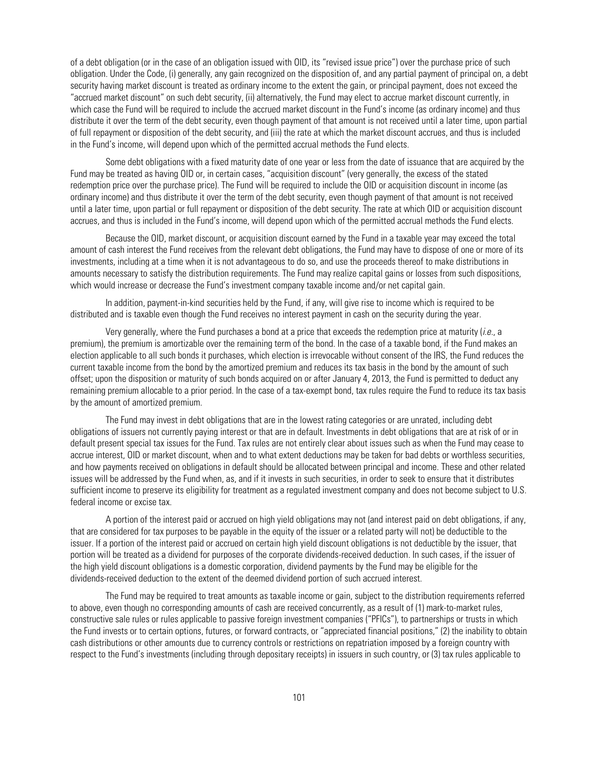of a debt obligation (or in the case of an obligation issued with OID, its "revised issue price") over the purchase price of such obligation. Under the Code, (i) generally, any gain recognized on the disposition of, and any partial payment of principal on, a debt security having market discount is treated as ordinary income to the extent the gain, or principal payment, does not exceed the "accrued market discount" on such debt security, (ii) alternatively, the Fund may elect to accrue market discount currently, in which case the Fund will be required to include the accrued market discount in the Fund's income (as ordinary income) and thus distribute it over the term of the debt security, even though payment of that amount is not received until a later time, upon partial of full repayment or disposition of the debt security, and (iii) the rate at which the market discount accrues, and thus is included in the Fund's income, will depend upon which of the permitted accrual methods the Fund elects.

Some debt obligations with a fixed maturity date of one year or less from the date of issuance that are acquired by the Fund may be treated as having OID or, in certain cases, "acquisition discount" (very generally, the excess of the stated redemption price over the purchase price). The Fund will be required to include the OID or acquisition discount in income (as ordinary income) and thus distribute it over the term of the debt security, even though payment of that amount is not received until a later time, upon partial or full repayment or disposition of the debt security. The rate at which OID or acquisition discount accrues, and thus is included in the Fund's income, will depend upon which of the permitted accrual methods the Fund elects.

Because the OID, market discount, or acquisition discount earned by the Fund in a taxable year may exceed the total amount of cash interest the Fund receives from the relevant debt obligations, the Fund may have to dispose of one or more of its investments, including at a time when it is not advantageous to do so, and use the proceeds thereof to make distributions in amounts necessary to satisfy the distribution requirements. The Fund may realize capital gains or losses from such dispositions, which would increase or decrease the Fund's investment company taxable income and/or net capital gain.

In addition, payment-in-kind securities held by the Fund, if any, will give rise to income which is required to be distributed and is taxable even though the Fund receives no interest payment in cash on the security during the year.

Very generally, where the Fund purchases a bond at a price that exceeds the redemption price at maturity (i.e., a premium), the premium is amortizable over the remaining term of the bond. In the case of a taxable bond, if the Fund makes an election applicable to all such bonds it purchases, which election is irrevocable without consent of the IRS, the Fund reduces the current taxable income from the bond by the amortized premium and reduces its tax basis in the bond by the amount of such offset; upon the disposition or maturity of such bonds acquired on or after January 4, 2013, the Fund is permitted to deduct any remaining premium allocable to a prior period. In the case of a tax-exempt bond, tax rules require the Fund to reduce its tax basis by the amount of amortized premium.

The Fund may invest in debt obligations that are in the lowest rating categories or are unrated, including debt obligations of issuers not currently paying interest or that are in default. Investments in debt obligations that are at risk of or in default present special tax issues for the Fund. Tax rules are not entirely clear about issues such as when the Fund may cease to accrue interest, OID or market discount, when and to what extent deductions may be taken for bad debts or worthless securities, and how payments received on obligations in default should be allocated between principal and income. These and other related issues will be addressed by the Fund when, as, and if it invests in such securities, in order to seek to ensure that it distributes sufficient income to preserve its eligibility for treatment as a regulated investment company and does not become subject to U.S. federal income or excise tax.

A portion of the interest paid or accrued on high yield obligations may not (and interest paid on debt obligations, if any, that are considered for tax purposes to be payable in the equity of the issuer or a related party will not) be deductible to the issuer. If a portion of the interest paid or accrued on certain high yield discount obligations is not deductible by the issuer, that portion will be treated as a dividend for purposes of the corporate dividends-received deduction. In such cases, if the issuer of the high yield discount obligations is a domestic corporation, dividend payments by the Fund may be eligible for the dividends-received deduction to the extent of the deemed dividend portion of such accrued interest.

The Fund may be required to treat amounts as taxable income or gain, subject to the distribution requirements referred to above, even though no corresponding amounts of cash are received concurrently, as a result of (1) mark-to-market rules, constructive sale rules or rules applicable to passive foreign investment companies ("PFICs"), to partnerships or trusts in which the Fund invests or to certain options, futures, or forward contracts, or "appreciated financial positions," (2) the inability to obtain cash distributions or other amounts due to currency controls or restrictions on repatriation imposed by a foreign country with respect to the Fund's investments (including through depositary receipts) in issuers in such country, or (3) tax rules applicable to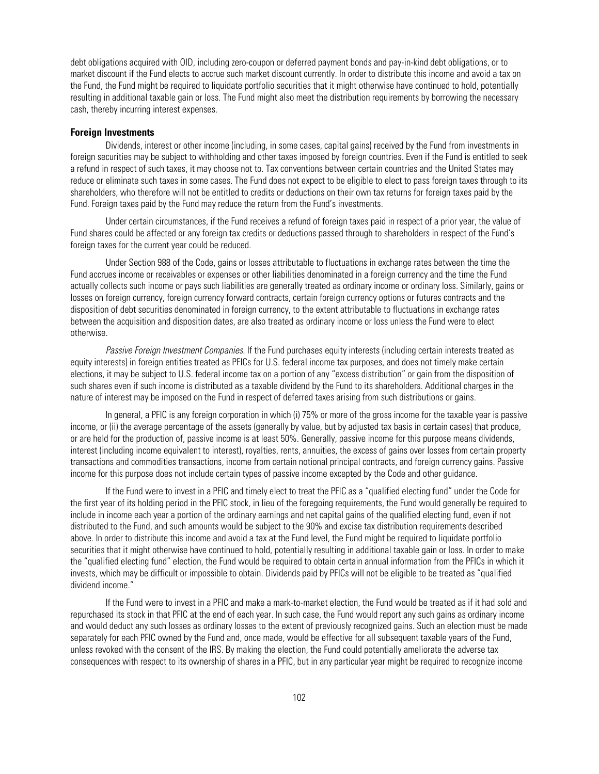debt obligations acquired with OID, including zero-coupon or deferred payment bonds and pay-in-kind debt obligations, or to market discount if the Fund elects to accrue such market discount currently. In order to distribute this income and avoid a tax on the Fund, the Fund might be required to liquidate portfolio securities that it might otherwise have continued to hold, potentially resulting in additional taxable gain or loss. The Fund might also meet the distribution requirements by borrowing the necessary cash, thereby incurring interest expenses.

### **Foreign Investments**

Dividends, interest or other income (including, in some cases, capital gains) received by the Fund from investments in foreign securities may be subject to withholding and other taxes imposed by foreign countries. Even if the Fund is entitled to seek a refund in respect of such taxes, it may choose not to. Tax conventions between certain countries and the United States may reduce or eliminate such taxes in some cases. The Fund does not expect to be eligible to elect to pass foreign taxes through to its shareholders, who therefore will not be entitled to credits or deductions on their own tax returns for foreign taxes paid by the Fund. Foreign taxes paid by the Fund may reduce the return from the Fund's investments.

Under certain circumstances, if the Fund receives a refund of foreign taxes paid in respect of a prior year, the value of Fund shares could be affected or any foreign tax credits or deductions passed through to shareholders in respect of the Fund's foreign taxes for the current year could be reduced.

Under Section 988 of the Code, gains or losses attributable to fluctuations in exchange rates between the time the Fund accrues income or receivables or expenses or other liabilities denominated in a foreign currency and the time the Fund actually collects such income or pays such liabilities are generally treated as ordinary income or ordinary loss. Similarly, gains or losses on foreign currency, foreign currency forward contracts, certain foreign currency options or futures contracts and the disposition of debt securities denominated in foreign currency, to the extent attributable to fluctuations in exchange rates between the acquisition and disposition dates, are also treated as ordinary income or loss unless the Fund were to elect otherwise.

Passive Foreign Investment Companies. If the Fund purchases equity interests (including certain interests treated as equity interests) in foreign entities treated as PFICs for U.S. federal income tax purposes, and does not timely make certain elections, it may be subject to U.S. federal income tax on a portion of any "excess distribution" or gain from the disposition of such shares even if such income is distributed as a taxable dividend by the Fund to its shareholders. Additional charges in the nature of interest may be imposed on the Fund in respect of deferred taxes arising from such distributions or gains.

In general, a PFIC is any foreign corporation in which (i) 75% or more of the gross income for the taxable year is passive income, or (ii) the average percentage of the assets (generally by value, but by adjusted tax basis in certain cases) that produce, or are held for the production of, passive income is at least 50%. Generally, passive income for this purpose means dividends, interest (including income equivalent to interest), royalties, rents, annuities, the excess of gains over losses from certain property transactions and commodities transactions, income from certain notional principal contracts, and foreign currency gains. Passive income for this purpose does not include certain types of passive income excepted by the Code and other guidance.

If the Fund were to invest in a PFIC and timely elect to treat the PFIC as a "qualified electing fund" under the Code for the first year of its holding period in the PFIC stock, in lieu of the foregoing requirements, the Fund would generally be required to include in income each year a portion of the ordinary earnings and net capital gains of the qualified electing fund, even if not distributed to the Fund, and such amounts would be subject to the 90% and excise tax distribution requirements described above. In order to distribute this income and avoid a tax at the Fund level, the Fund might be required to liquidate portfolio securities that it might otherwise have continued to hold, potentially resulting in additional taxable gain or loss. In order to make the "qualified electing fund" election, the Fund would be required to obtain certain annual information from the PFICs in which it invests, which may be difficult or impossible to obtain. Dividends paid by PFICs will not be eligible to be treated as "qualified dividend income."

If the Fund were to invest in a PFIC and make a mark-to-market election, the Fund would be treated as if it had sold and repurchased its stock in that PFIC at the end of each year. In such case, the Fund would report any such gains as ordinary income and would deduct any such losses as ordinary losses to the extent of previously recognized gains. Such an election must be made separately for each PFIC owned by the Fund and, once made, would be effective for all subsequent taxable years of the Fund, unless revoked with the consent of the IRS. By making the election, the Fund could potentially ameliorate the adverse tax consequences with respect to its ownership of shares in a PFIC, but in any particular year might be required to recognize income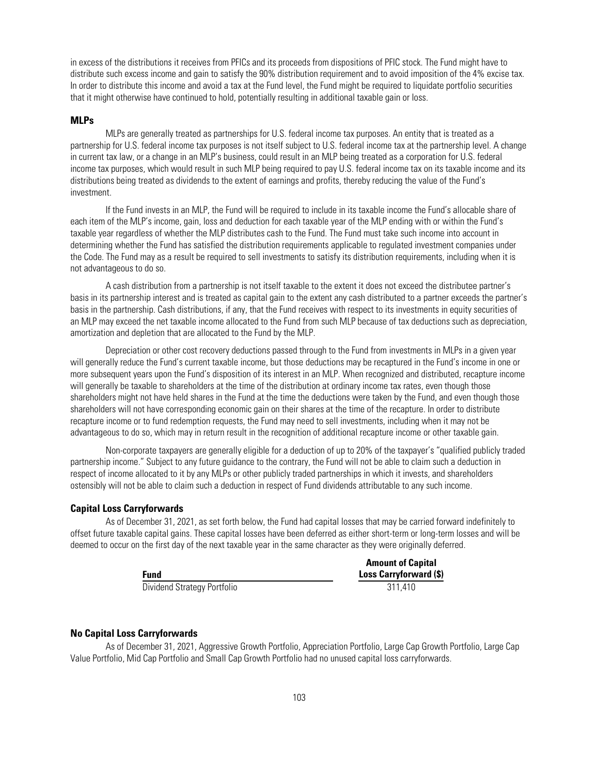in excess of the distributions it receives from PFICs and its proceeds from dispositions of PFIC stock. The Fund might have to distribute such excess income and gain to satisfy the 90% distribution requirement and to avoid imposition of the 4% excise tax. In order to distribute this income and avoid a tax at the Fund level, the Fund might be required to liquidate portfolio securities that it might otherwise have continued to hold, potentially resulting in additional taxable gain or loss.

# **MLPs**

MLPs are generally treated as partnerships for U.S. federal income tax purposes. An entity that is treated as a partnership for U.S. federal income tax purposes is not itself subject to U.S. federal income tax at the partnership level. A change in current tax law, or a change in an MLP's business, could result in an MLP being treated as a corporation for U.S. federal income tax purposes, which would result in such MLP being required to pay U.S. federal income tax on its taxable income and its distributions being treated as dividends to the extent of earnings and profits, thereby reducing the value of the Fund's investment.

If the Fund invests in an MLP, the Fund will be required to include in its taxable income the Fund's allocable share of each item of the MLP's income, gain, loss and deduction for each taxable year of the MLP ending with or within the Fund's taxable year regardless of whether the MLP distributes cash to the Fund. The Fund must take such income into account in determining whether the Fund has satisfied the distribution requirements applicable to regulated investment companies under the Code. The Fund may as a result be required to sell investments to satisfy its distribution requirements, including when it is not advantageous to do so.

A cash distribution from a partnership is not itself taxable to the extent it does not exceed the distributee partner's basis in its partnership interest and is treated as capital gain to the extent any cash distributed to a partner exceeds the partner's basis in the partnership. Cash distributions, if any, that the Fund receives with respect to its investments in equity securities of an MLP may exceed the net taxable income allocated to the Fund from such MLP because of tax deductions such as depreciation, amortization and depletion that are allocated to the Fund by the MLP.

Depreciation or other cost recovery deductions passed through to the Fund from investments in MLPs in a given year will generally reduce the Fund's current taxable income, but those deductions may be recaptured in the Fund's income in one or more subsequent years upon the Fund's disposition of its interest in an MLP. When recognized and distributed, recapture income will generally be taxable to shareholders at the time of the distribution at ordinary income tax rates, even though those shareholders might not have held shares in the Fund at the time the deductions were taken by the Fund, and even though those shareholders will not have corresponding economic gain on their shares at the time of the recapture. In order to distribute recapture income or to fund redemption requests, the Fund may need to sell investments, including when it may not be advantageous to do so, which may in return result in the recognition of additional recapture income or other taxable gain.

Non-corporate taxpayers are generally eligible for a deduction of up to 20% of the taxpayer's "qualified publicly traded partnership income." Subject to any future guidance to the contrary, the Fund will not be able to claim such a deduction in respect of income allocated to it by any MLPs or other publicly traded partnerships in which it invests, and shareholders ostensibly will not be able to claim such a deduction in respect of Fund dividends attributable to any such income.

# **Capital Loss Carryforwards**

As of December 31, 2021, as set forth below, the Fund had capital losses that may be carried forward indefinitely to offset future taxable capital gains. These capital losses have been deferred as either short-term or long-term losses and will be deemed to occur on the first day of the next taxable year in the same character as they were originally deferred.

**Amount of Capital** 

|                             | Allioulit of Capital          |  |
|-----------------------------|-------------------------------|--|
| Fund                        | <b>Loss Carryforward (\$)</b> |  |
| Dividend Strategy Portfolio | 311.410                       |  |

### **No Capital Loss Carryforwards**

As of December 31, 2021, Aggressive Growth Portfolio, Appreciation Portfolio, Large Cap Growth Portfolio, Large Cap Value Portfolio, Mid Cap Portfolio and Small Cap Growth Portfolio had no unused capital loss carryforwards.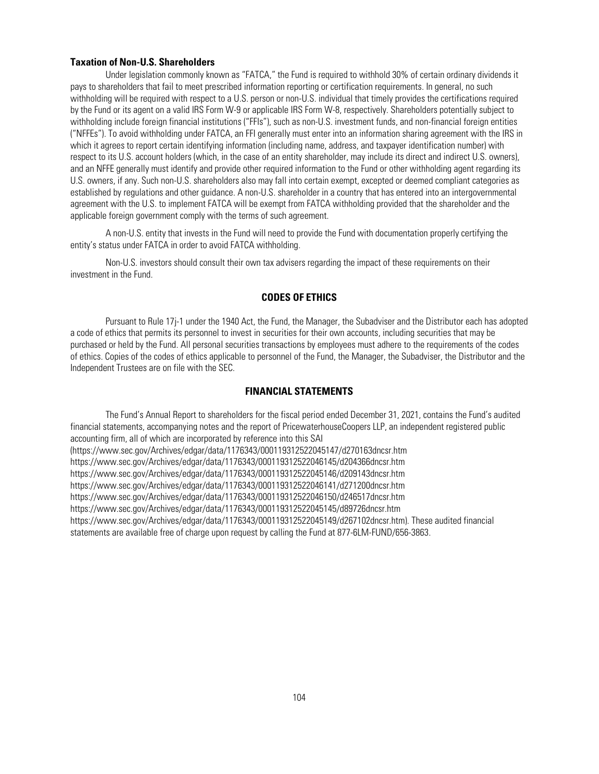# **Taxation of Non-U.S. Shareholders**

Under legislation commonly known as "FATCA," the Fund is required to withhold 30% of certain ordinary dividends it pays to shareholders that fail to meet prescribed information reporting or certification requirements. In general, no such withholding will be required with respect to a U.S. person or non-U.S. individual that timely provides the certifications required by the Fund or its agent on a valid IRS Form W-9 or applicable IRS Form W-8, respectively. Shareholders potentially subject to withholding include foreign financial institutions ("FFIs"), such as non-U.S. investment funds, and non-financial foreign entities ("NFFEs"). To avoid withholding under FATCA, an FFI generally must enter into an information sharing agreement with the IRS in which it agrees to report certain identifying information (including name, address, and taxpayer identification number) with respect to its U.S. account holders (which, in the case of an entity shareholder, may include its direct and indirect U.S. owners), and an NFFE generally must identify and provide other required information to the Fund or other withholding agent regarding its U.S. owners, if any. Such non-U.S. shareholders also may fall into certain exempt, excepted or deemed compliant categories as established by regulations and other guidance. A non-U.S. shareholder in a country that has entered into an intergovernmental agreement with the U.S. to implement FATCA will be exempt from FATCA withholding provided that the shareholder and the applicable foreign government comply with the terms of such agreement.

A non-U.S. entity that invests in the Fund will need to provide the Fund with documentation properly certifying the entity's status under FATCA in order to avoid FATCA withholding.

Non-U.S. investors should consult their own tax advisers regarding the impact of these requirements on their investment in the Fund.

# **CODES OF ETHICS**

Pursuant to Rule 17j-1 under the 1940 Act, the Fund, the Manager, the Subadviser and the Distributor each has adopted a code of ethics that permits its personnel to invest in securities for their own accounts, including securities that may be purchased or held by the Fund. All personal securities transactions by employees must adhere to the requirements of the codes of ethics. Copies of the codes of ethics applicable to personnel of the Fund, the Manager, the Subadviser, the Distributor and the Independent Trustees are on file with the SEC.

### **FINANCIAL STATEMENTS**

The Fund's Annual Report to shareholders for the fiscal period ended December 31, 2021, contains the Fund's audited financial statements, accompanying notes and the report of PricewaterhouseCoopers LLP, an independent registered public accounting firm, all of which are incorporated by reference into this SAI (https://www.sec.gov/Archives/edgar/data/1176343/000119312522045147/d270163dncsr.htm https://www.sec.gov/Archives/edgar/data/1176343/000119312522046145/d204366dncsr.htm https://www.sec.gov/Archives/edgar/data/1176343/000119312522045146/d209143dncsr.htm https://www.sec.gov/Archives/edgar/data/1176343/000119312522046141/d271200dncsr.htm https://www.sec.gov/Archives/edgar/data/1176343/000119312522046150/d246517dncsr.htm https://www.sec.gov/Archives/edgar/data/1176343/000119312522045145/d89726dncsr.htm https://www.sec.gov/Archives/edgar/data/1176343/000119312522045149/d267102dncsr.htm). These audited financial statements are available free of charge upon request by calling the Fund at 877-6LM-FUND/656-3863.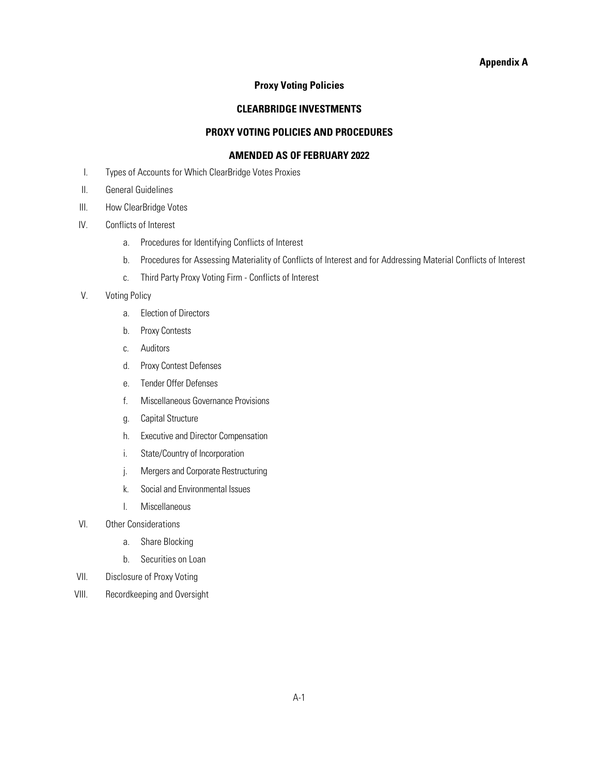# **Appendix A**

# **Proxy Voting Policies**

# **CLEARBRIDGE INVESTMENTS**

# **PROXY VOTING POLICIES AND PROCEDURES**

# **AMENDED AS OF FEBRUARY 2022**

- I. Types of Accounts for Which ClearBridge Votes Proxies
- II. General Guidelines
- III. How ClearBridge Votes
- IV. Conflicts of Interest
	- a. Procedures for Identifying Conflicts of Interest
	- b. Procedures for Assessing Materiality of Conflicts of Interest and for Addressing Material Conflicts of Interest
	- c. Third Party Proxy Voting Firm Conflicts of Interest

## V. Voting Policy

- a. Election of Directors
- b. Proxy Contests
- c. Auditors
- d. Proxy Contest Defenses
- e. Tender Offer Defenses
- f. Miscellaneous Governance Provisions
- g. Capital Structure
- h. Executive and Director Compensation
- i. State/Country of Incorporation
- j. Mergers and Corporate Restructuring
- k. Social and Environmental Issues
- l. Miscellaneous
- VI. Other Considerations
	- a. Share Blocking
	- b. Securities on Loan
- VII. Disclosure of Proxy Voting
- VIII. Recordkeeping and Oversight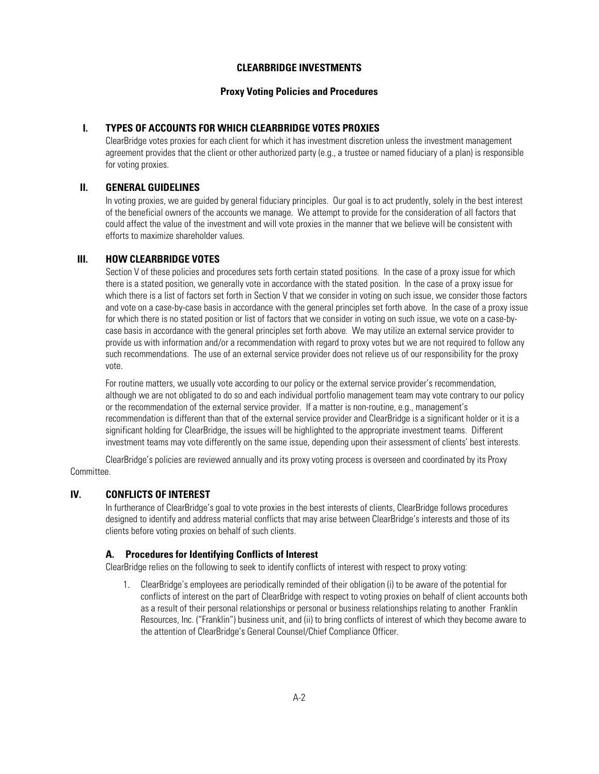# **CLEARBRIDGE INVESTMENTS**

# **Proxy Voting Policies and Procedures**

# **I. TYPES OF ACCOUNTS FOR WHICH CLEARBRIDGE VOTES PROXIES**

ClearBridge votes proxies for each client for which it has investment discretion unless the investment management agreement provides that the client or other authorized party (e.g., a trustee or named fiduciary of a plan) is responsible for voting proxies.

# **II. GENERAL GUIDELINES**

In voting proxies, we are guided by general fiduciary principles. Our goal is to act prudently, solely in the best interest of the beneficial owners of the accounts we manage. We attempt to provide for the consideration of all factors that could affect the value of the investment and will vote proxies in the manner that we believe will be consistent with efforts to maximize shareholder values.

# **III. HOW CLEARBRIDGE VOTES**

Section V of these policies and procedures sets forth certain stated positions. In the case of a proxy issue for which there is a stated position, we generally vote in accordance with the stated position. In the case of a proxy issue for which there is a list of factors set forth in Section V that we consider in voting on such issue, we consider those factors and vote on a case-by-case basis in accordance with the general principles set forth above. In the case of a proxy issue for which there is no stated position or list of factors that we consider in voting on such issue, we vote on a case-bycase basis in accordance with the general principles set forth above. We may utilize an external service provider to provide us with information and/or a recommendation with regard to proxy votes but we are not required to follow any such recommendations. The use of an external service provider does not relieve us of our responsibility for the proxy vote.

For routine matters, we usually vote according to our policy or the external service provider's recommendation, although we are not obligated to do so and each individual portfolio management team may vote contrary to our policy or the recommendation of the external service provider. If a matter is non-routine, e.g., management's recommendation is different than that of the external service provider and ClearBridge is a significant holder or it is a significant holding for ClearBridge, the issues will be highlighted to the appropriate investment teams. Different investment teams may vote differently on the same issue, depending upon their assessment of clients' best interests.

ClearBridge's policies are reviewed annually and its proxy voting process is overseen and coordinated by its Proxy Committee.

# **IV. CONFLICTS OF INTEREST**

In furtherance of ClearBridge's goal to vote proxies in the best interests of clients, ClearBridge follows procedures designed to identify and address material conflicts that may arise between ClearBridge's interests and those of its clients before voting proxies on behalf of such clients.

# **A. Procedures for Identifying Conflicts of Interest**

ClearBridge relies on the following to seek to identify conflicts of interest with respect to proxy voting:

1. ClearBridge's employees are periodically reminded of their obligation (i) to be aware of the potential for conflicts of interest on the part of ClearBridge with respect to voting proxies on behalf of client accounts both as a result of their personal relationships or personal or business relationships relating to another Franklin Resources, Inc. ("Franklin") business unit, and (ii) to bring conflicts of interest of which they become aware to the attention of ClearBridge's General Counsel/Chief Compliance Officer.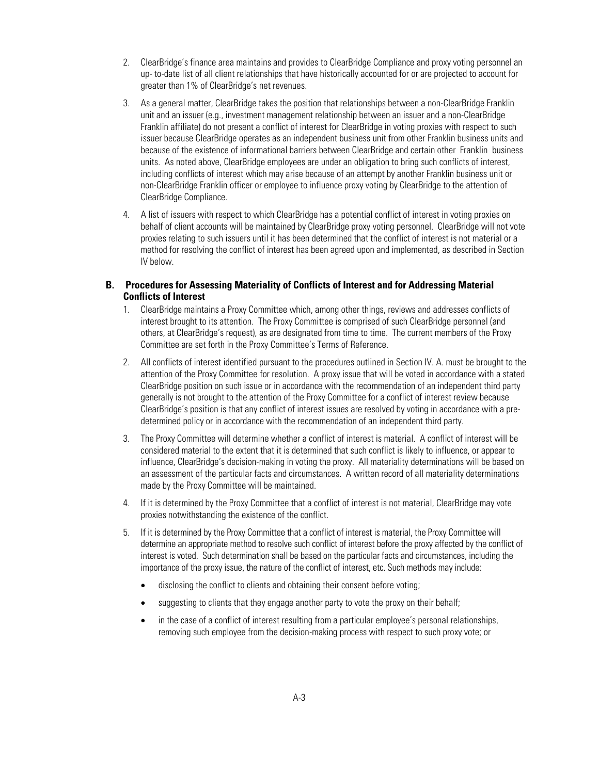- 2. ClearBridge's finance area maintains and provides to ClearBridge Compliance and proxy voting personnel an up- to-date list of all client relationships that have historically accounted for or are projected to account for greater than 1% of ClearBridge's net revenues.
- 3. As a general matter, ClearBridge takes the position that relationships between a non-ClearBridge Franklin unit and an issuer (e.g., investment management relationship between an issuer and a non-ClearBridge Franklin affiliate) do not present a conflict of interest for ClearBridge in voting proxies with respect to such issuer because ClearBridge operates as an independent business unit from other Franklin business units and because of the existence of informational barriers between ClearBridge and certain other Franklin business units. As noted above, ClearBridge employees are under an obligation to bring such conflicts of interest, including conflicts of interest which may arise because of an attempt by another Franklin business unit or non-ClearBridge Franklin officer or employee to influence proxy voting by ClearBridge to the attention of ClearBridge Compliance.
- 4. A list of issuers with respect to which ClearBridge has a potential conflict of interest in voting proxies on behalf of client accounts will be maintained by ClearBridge proxy voting personnel. ClearBridge will not vote proxies relating to such issuers until it has been determined that the conflict of interest is not material or a method for resolving the conflict of interest has been agreed upon and implemented, as described in Section IV below.

# **B. Procedures for Assessing Materiality of Conflicts of Interest and for Addressing Material Conflicts of Interest**

- 1. ClearBridge maintains a Proxy Committee which, among other things, reviews and addresses conflicts of interest brought to its attention. The Proxy Committee is comprised of such ClearBridge personnel (and others, at ClearBridge's request), as are designated from time to time. The current members of the Proxy Committee are set forth in the Proxy Committee's Terms of Reference.
- 2. All conflicts of interest identified pursuant to the procedures outlined in Section IV. A. must be brought to the attention of the Proxy Committee for resolution. A proxy issue that will be voted in accordance with a stated ClearBridge position on such issue or in accordance with the recommendation of an independent third party generally is not brought to the attention of the Proxy Committee for a conflict of interest review because ClearBridge's position is that any conflict of interest issues are resolved by voting in accordance with a predetermined policy or in accordance with the recommendation of an independent third party.
- 3. The Proxy Committee will determine whether a conflict of interest is material. A conflict of interest will be considered material to the extent that it is determined that such conflict is likely to influence, or appear to influence, ClearBridge's decision-making in voting the proxy. All materiality determinations will be based on an assessment of the particular facts and circumstances. A written record of all materiality determinations made by the Proxy Committee will be maintained.
- 4. If it is determined by the Proxy Committee that a conflict of interest is not material, ClearBridge may vote proxies notwithstanding the existence of the conflict.
- 5. If it is determined by the Proxy Committee that a conflict of interest is material, the Proxy Committee will determine an appropriate method to resolve such conflict of interest before the proxy affected by the conflict of interest is voted. Such determination shall be based on the particular facts and circumstances, including the importance of the proxy issue, the nature of the conflict of interest, etc. Such methods may include:
	- disclosing the conflict to clients and obtaining their consent before voting;
	- suggesting to clients that they engage another party to vote the proxy on their behalf;
	- in the case of a conflict of interest resulting from a particular employee's personal relationships, removing such employee from the decision-making process with respect to such proxy vote; or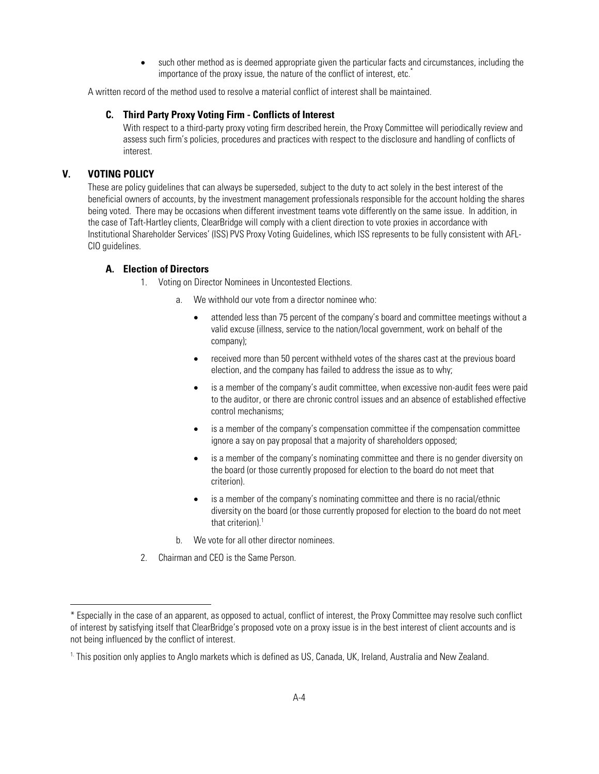such other method as is deemed appropriate given the particular facts and circumstances, including the importance of the proxy issue, the nature of the conflict of interest, etc. $\tilde{ }$ 

A written record of the method used to resolve a material conflict of interest shall be maintained.

# **C. Third Party Proxy Voting Firm - Conflicts of Interest**

With respect to a third-party proxy voting firm described herein, the Proxy Committee will periodically review and assess such firm's policies, procedures and practices with respect to the disclosure and handling of conflicts of interest.

# **V. VOTING POLICY**

 $\overline{a}$ 

These are policy guidelines that can always be superseded, subject to the duty to act solely in the best interest of the beneficial owners of accounts, by the investment management professionals responsible for the account holding the shares being voted. There may be occasions when different investment teams vote differently on the same issue. In addition, in the case of Taft-Hartley clients, ClearBridge will comply with a client direction to vote proxies in accordance with Institutional Shareholder Services' (ISS) PVS Proxy Voting Guidelines, which ISS represents to be fully consistent with AFL-CIO guidelines.

# **A. Election of Directors**

- 1. Voting on Director Nominees in Uncontested Elections.
	- a. We withhold our vote from a director nominee who:
		- attended less than 75 percent of the company's board and committee meetings without a valid excuse (illness, service to the nation/local government, work on behalf of the company);
		- received more than 50 percent withheld votes of the shares cast at the previous board election, and the company has failed to address the issue as to why;
		- is a member of the company's audit committee, when excessive non-audit fees were paid to the auditor, or there are chronic control issues and an absence of established effective control mechanisms;
		- is a member of the company's compensation committee if the compensation committee ignore a say on pay proposal that a majority of shareholders opposed;
		- is a member of the company's nominating committee and there is no gender diversity on the board (or those currently proposed for election to the board do not meet that criterion).
		- is a member of the company's nominating committee and there is no racial/ethnic diversity on the board (or those currently proposed for election to the board do not meet that criterion).<sup>1</sup>
	- b. We vote for all other director nominees.
- 2. Chairman and CEO is the Same Person.

<sup>\*</sup> Especially in the case of an apparent, as opposed to actual, conflict of interest, the Proxy Committee may resolve such conflict of interest by satisfying itself that ClearBridge's proposed vote on a proxy issue is in the best interest of client accounts and is not being influenced by the conflict of interest.

<sup>1.</sup> This position only applies to Anglo markets which is defined as US, Canada, UK, Ireland, Australia and New Zealand.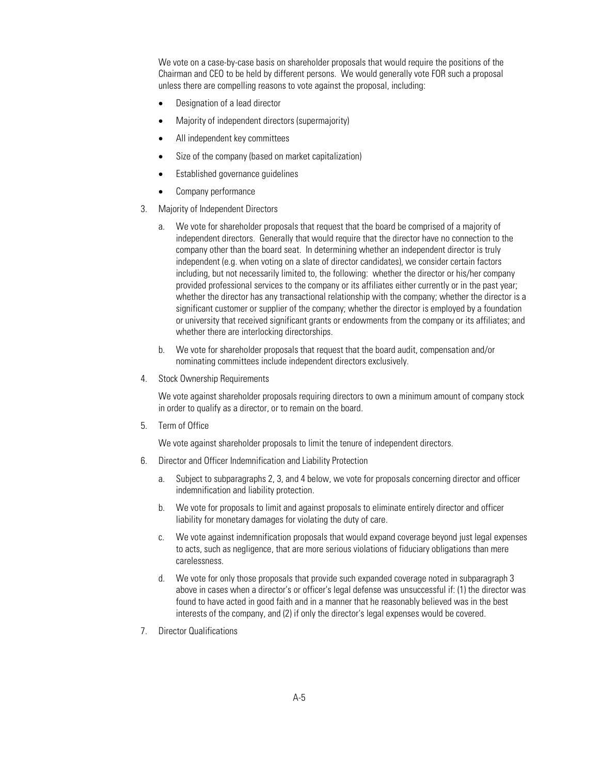We vote on a case-by-case basis on shareholder proposals that would require the positions of the Chairman and CEO to be held by different persons. We would generally vote FOR such a proposal unless there are compelling reasons to vote against the proposal, including:

- Designation of a lead director
- Majority of independent directors (supermajority)
- All independent key committees
- Size of the company (based on market capitalization)
- Established governance guidelines
- Company performance
- 3. Majority of Independent Directors
	- a. We vote for shareholder proposals that request that the board be comprised of a majority of independent directors. Generally that would require that the director have no connection to the company other than the board seat. In determining whether an independent director is truly independent (e.g. when voting on a slate of director candidates), we consider certain factors including, but not necessarily limited to, the following: whether the director or his/her company provided professional services to the company or its affiliates either currently or in the past year; whether the director has any transactional relationship with the company; whether the director is a significant customer or supplier of the company; whether the director is employed by a foundation or university that received significant grants or endowments from the company or its affiliates; and whether there are interlocking directorships.
	- b. We vote for shareholder proposals that request that the board audit, compensation and/or nominating committees include independent directors exclusively.
- 4. Stock Ownership Requirements

We vote against shareholder proposals requiring directors to own a minimum amount of company stock in order to qualify as a director, or to remain on the board.

5. Term of Office

We vote against shareholder proposals to limit the tenure of independent directors.

- 6. Director and Officer Indemnification and Liability Protection
	- a. Subject to subparagraphs 2, 3, and 4 below, we vote for proposals concerning director and officer indemnification and liability protection.
	- b. We vote for proposals to limit and against proposals to eliminate entirely director and officer liability for monetary damages for violating the duty of care.
	- c. We vote against indemnification proposals that would expand coverage beyond just legal expenses to acts, such as negligence, that are more serious violations of fiduciary obligations than mere carelessness.
	- d. We vote for only those proposals that provide such expanded coverage noted in subparagraph 3 above in cases when a director's or officer's legal defense was unsuccessful if: (1) the director was found to have acted in good faith and in a manner that he reasonably believed was in the best interests of the company, and (2) if only the director's legal expenses would be covered.
- 7. Director Qualifications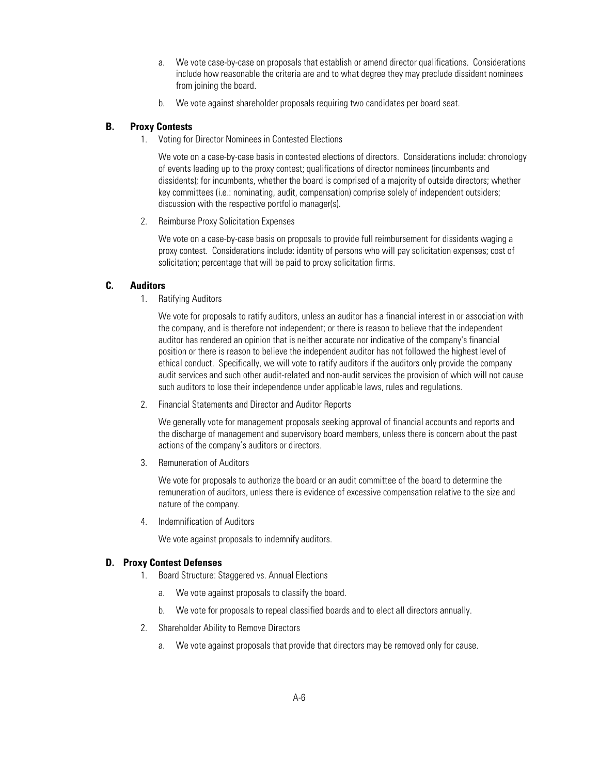- a. We vote case-by-case on proposals that establish or amend director qualifications. Considerations include how reasonable the criteria are and to what degree they may preclude dissident nominees from joining the board.
- b. We vote against shareholder proposals requiring two candidates per board seat.

# **B. Proxy Contests**

1. Voting for Director Nominees in Contested Elections

We vote on a case-by-case basis in contested elections of directors. Considerations include: chronology of events leading up to the proxy contest; qualifications of director nominees (incumbents and dissidents); for incumbents, whether the board is comprised of a majority of outside directors; whether key committees (i.e.: nominating, audit, compensation) comprise solely of independent outsiders; discussion with the respective portfolio manager(s).

2. Reimburse Proxy Solicitation Expenses

We vote on a case-by-case basis on proposals to provide full reimbursement for dissidents waging a proxy contest. Considerations include: identity of persons who will pay solicitation expenses; cost of solicitation; percentage that will be paid to proxy solicitation firms.

# **C. Auditors**

1. Ratifying Auditors

We vote for proposals to ratify auditors, unless an auditor has a financial interest in or association with the company, and is therefore not independent; or there is reason to believe that the independent auditor has rendered an opinion that is neither accurate nor indicative of the company's financial position or there is reason to believe the independent auditor has not followed the highest level of ethical conduct. Specifically, we will vote to ratify auditors if the auditors only provide the company audit services and such other audit-related and non-audit services the provision of which will not cause such auditors to lose their independence under applicable laws, rules and regulations.

2. Financial Statements and Director and Auditor Reports

We generally vote for management proposals seeking approval of financial accounts and reports and the discharge of management and supervisory board members, unless there is concern about the past actions of the company's auditors or directors.

3. Remuneration of Auditors

We vote for proposals to authorize the board or an audit committee of the board to determine the remuneration of auditors, unless there is evidence of excessive compensation relative to the size and nature of the company.

4. Indemnification of Auditors

We vote against proposals to indemnify auditors.

## **D. Proxy Contest Defenses**

- 1. Board Structure: Staggered vs. Annual Elections
	- a. We vote against proposals to classify the board.
	- b. We vote for proposals to repeal classified boards and to elect all directors annually.
- 2. Shareholder Ability to Remove Directors
	- a. We vote against proposals that provide that directors may be removed only for cause.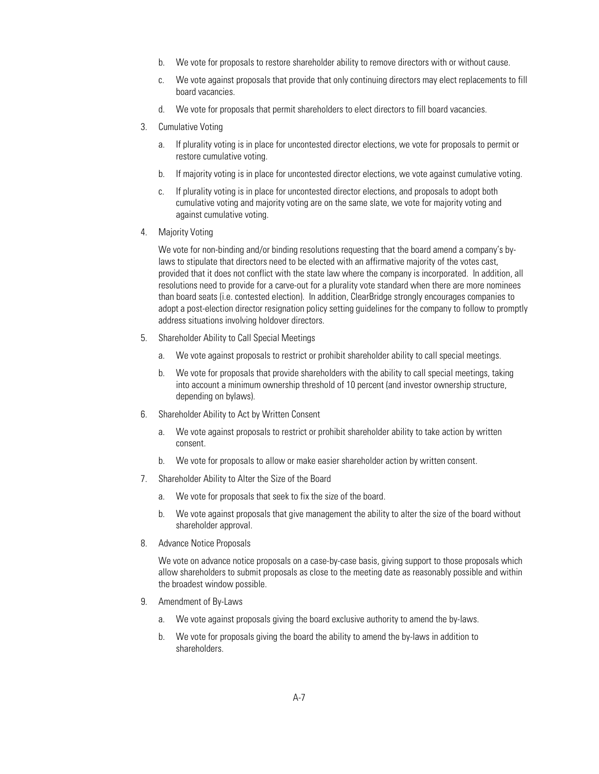- b. We vote for proposals to restore shareholder ability to remove directors with or without cause.
- c. We vote against proposals that provide that only continuing directors may elect replacements to fill board vacancies.
- d. We vote for proposals that permit shareholders to elect directors to fill board vacancies.
- 3. Cumulative Voting
	- a. If plurality voting is in place for uncontested director elections, we vote for proposals to permit or restore cumulative voting.
	- b. If majority voting is in place for uncontested director elections, we vote against cumulative voting.
	- c. If plurality voting is in place for uncontested director elections, and proposals to adopt both cumulative voting and majority voting are on the same slate, we vote for majority voting and against cumulative voting.
- 4. Majority Voting

We vote for non-binding and/or binding resolutions requesting that the board amend a company's bylaws to stipulate that directors need to be elected with an affirmative majority of the votes cast, provided that it does not conflict with the state law where the company is incorporated. In addition, all resolutions need to provide for a carve-out for a plurality vote standard when there are more nominees than board seats (i.e. contested election). In addition, ClearBridge strongly encourages companies to adopt a post-election director resignation policy setting guidelines for the company to follow to promptly address situations involving holdover directors.

- 5. Shareholder Ability to Call Special Meetings
	- a. We vote against proposals to restrict or prohibit shareholder ability to call special meetings.
	- b. We vote for proposals that provide shareholders with the ability to call special meetings, taking into account a minimum ownership threshold of 10 percent (and investor ownership structure, depending on bylaws).
- 6. Shareholder Ability to Act by Written Consent
	- a. We vote against proposals to restrict or prohibit shareholder ability to take action by written consent.
	- b. We vote for proposals to allow or make easier shareholder action by written consent.
- 7. Shareholder Ability to Alter the Size of the Board
	- a. We vote for proposals that seek to fix the size of the board.
	- b. We vote against proposals that give management the ability to alter the size of the board without shareholder approval.
- 8. Advance Notice Proposals

We vote on advance notice proposals on a case-by-case basis, giving support to those proposals which allow shareholders to submit proposals as close to the meeting date as reasonably possible and within the broadest window possible.

- 9. Amendment of By-Laws
	- a. We vote against proposals giving the board exclusive authority to amend the by-laws.
	- b. We vote for proposals giving the board the ability to amend the by-laws in addition to shareholders.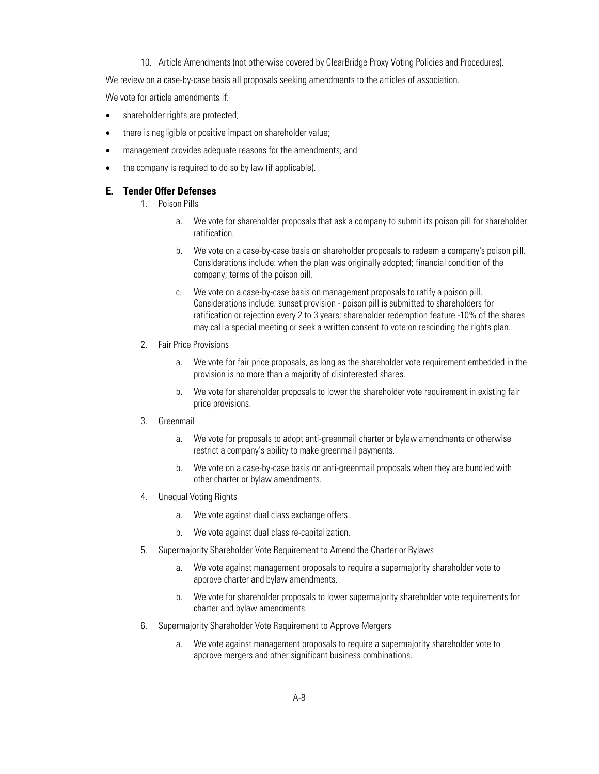10. Article Amendments (not otherwise covered by ClearBridge Proxy Voting Policies and Procedures).

We review on a case-by-case basis all proposals seeking amendments to the articles of association.

We vote for article amendments if:

- shareholder rights are protected;
- there is negligible or positive impact on shareholder value;
- management provides adequate reasons for the amendments; and
- the company is required to do so by law (if applicable).

### **E. Tender Offer Defenses**

- 1. Poison Pills
	- a. We vote for shareholder proposals that ask a company to submit its poison pill for shareholder ratification.
	- b. We vote on a case-by-case basis on shareholder proposals to redeem a company's poison pill. Considerations include: when the plan was originally adopted; financial condition of the company; terms of the poison pill.
	- c. We vote on a case-by-case basis on management proposals to ratify a poison pill. Considerations include: sunset provision - poison pill is submitted to shareholders for ratification or rejection every 2 to 3 years; shareholder redemption feature -10% of the shares may call a special meeting or seek a written consent to vote on rescinding the rights plan.
- 2. Fair Price Provisions
	- a. We vote for fair price proposals, as long as the shareholder vote requirement embedded in the provision is no more than a majority of disinterested shares.
	- b. We vote for shareholder proposals to lower the shareholder vote requirement in existing fair price provisions.
- 3. Greenmail
	- a. We vote for proposals to adopt anti-greenmail charter or bylaw amendments or otherwise restrict a company's ability to make greenmail payments.
	- b. We vote on a case-by-case basis on anti-greenmail proposals when they are bundled with other charter or bylaw amendments.
- 4. Unequal Voting Rights
	- a. We vote against dual class exchange offers.
	- b. We vote against dual class re-capitalization.
- 5. Supermajority Shareholder Vote Requirement to Amend the Charter or Bylaws
	- a. We vote against management proposals to require a supermajority shareholder vote to approve charter and bylaw amendments.
	- b. We vote for shareholder proposals to lower supermajority shareholder vote requirements for charter and bylaw amendments.
- 6. Supermajority Shareholder Vote Requirement to Approve Mergers
	- a. We vote against management proposals to require a supermajority shareholder vote to approve mergers and other significant business combinations.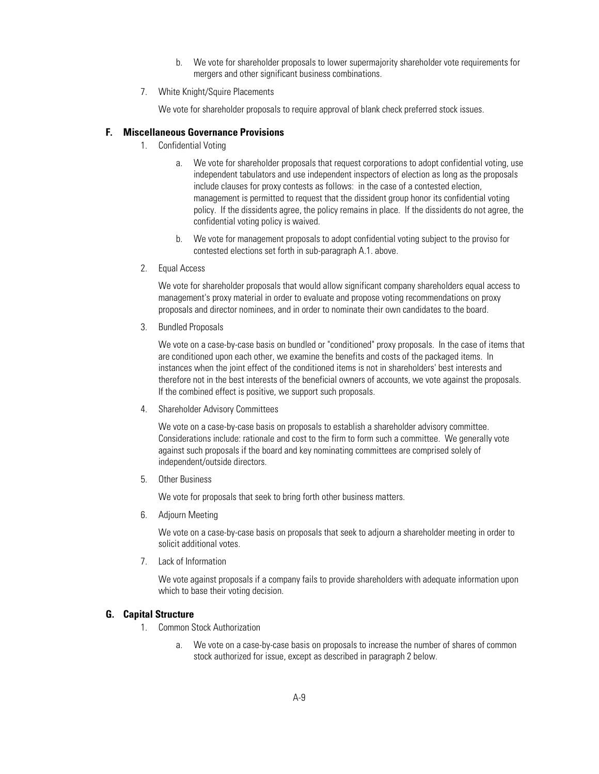- b. We vote for shareholder proposals to lower supermajority shareholder vote requirements for mergers and other significant business combinations.
- 7. White Knight/Squire Placements

We vote for shareholder proposals to require approval of blank check preferred stock issues.

## **F. Miscellaneous Governance Provisions**

- 1. Confidential Voting
	- a. We vote for shareholder proposals that request corporations to adopt confidential voting, use independent tabulators and use independent inspectors of election as long as the proposals include clauses for proxy contests as follows: in the case of a contested election, management is permitted to request that the dissident group honor its confidential voting policy. If the dissidents agree, the policy remains in place. If the dissidents do not agree, the confidential voting policy is waived.
	- b. We vote for management proposals to adopt confidential voting subject to the proviso for contested elections set forth in sub-paragraph A.1. above.
- 2. Equal Access

We vote for shareholder proposals that would allow significant company shareholders equal access to management's proxy material in order to evaluate and propose voting recommendations on proxy proposals and director nominees, and in order to nominate their own candidates to the board.

3. Bundled Proposals

We vote on a case-by-case basis on bundled or "conditioned" proxy proposals. In the case of items that are conditioned upon each other, we examine the benefits and costs of the packaged items. In instances when the joint effect of the conditioned items is not in shareholders' best interests and therefore not in the best interests of the beneficial owners of accounts, we vote against the proposals. If the combined effect is positive, we support such proposals.

4. Shareholder Advisory Committees

We vote on a case-by-case basis on proposals to establish a shareholder advisory committee. Considerations include: rationale and cost to the firm to form such a committee. We generally vote against such proposals if the board and key nominating committees are comprised solely of independent/outside directors.

5. Other Business

We vote for proposals that seek to bring forth other business matters.

6. Adjourn Meeting

We vote on a case-by-case basis on proposals that seek to adjourn a shareholder meeting in order to solicit additional votes.

7. Lack of Information

We vote against proposals if a company fails to provide shareholders with adequate information upon which to base their voting decision.

## **G. Capital Structure**

- 1. Common Stock Authorization
	- a. We vote on a case-by-case basis on proposals to increase the number of shares of common stock authorized for issue, except as described in paragraph 2 below.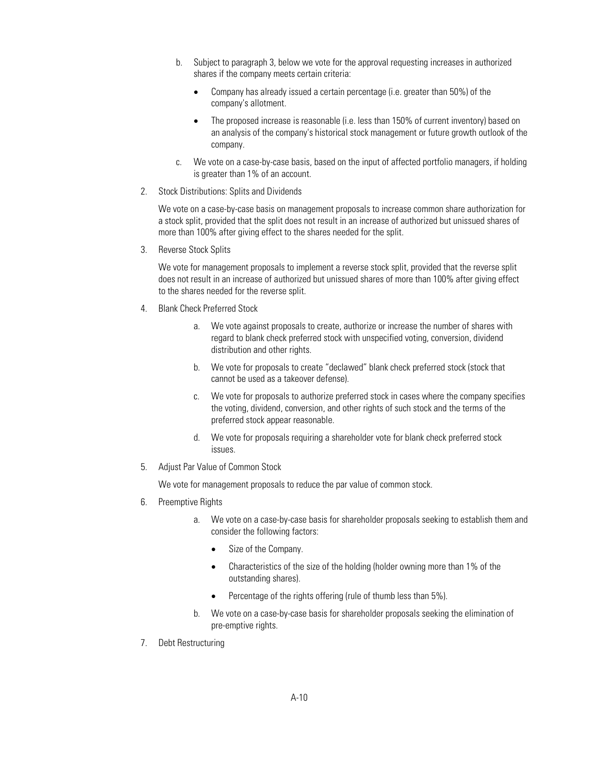- b. Subject to paragraph 3, below we vote for the approval requesting increases in authorized shares if the company meets certain criteria:
	- Company has already issued a certain percentage (i.e. greater than 50%) of the company's allotment.
	- The proposed increase is reasonable (i.e. less than 150% of current inventory) based on an analysis of the company's historical stock management or future growth outlook of the company.
- c. We vote on a case-by-case basis, based on the input of affected portfolio managers, if holding is greater than 1% of an account.
- 2. Stock Distributions: Splits and Dividends

We vote on a case-by-case basis on management proposals to increase common share authorization for a stock split, provided that the split does not result in an increase of authorized but unissued shares of more than 100% after giving effect to the shares needed for the split.

3. Reverse Stock Splits

We vote for management proposals to implement a reverse stock split, provided that the reverse split does not result in an increase of authorized but unissued shares of more than 100% after giving effect to the shares needed for the reverse split.

- 4. Blank Check Preferred Stock
	- a. We vote against proposals to create, authorize or increase the number of shares with regard to blank check preferred stock with unspecified voting, conversion, dividend distribution and other rights.
	- b. We vote for proposals to create "declawed" blank check preferred stock (stock that cannot be used as a takeover defense).
	- c. We vote for proposals to authorize preferred stock in cases where the company specifies the voting, dividend, conversion, and other rights of such stock and the terms of the preferred stock appear reasonable.
	- d. We vote for proposals requiring a shareholder vote for blank check preferred stock issues.
- 5. Adjust Par Value of Common Stock

We vote for management proposals to reduce the par value of common stock.

- 6. Preemptive Rights
	- a. We vote on a case-by-case basis for shareholder proposals seeking to establish them and consider the following factors:
		- Size of the Company.
		- Characteristics of the size of the holding (holder owning more than 1% of the outstanding shares).
		- Percentage of the rights offering (rule of thumb less than 5%).
	- b. We vote on a case-by-case basis for shareholder proposals seeking the elimination of pre-emptive rights.
- 7. Debt Restructuring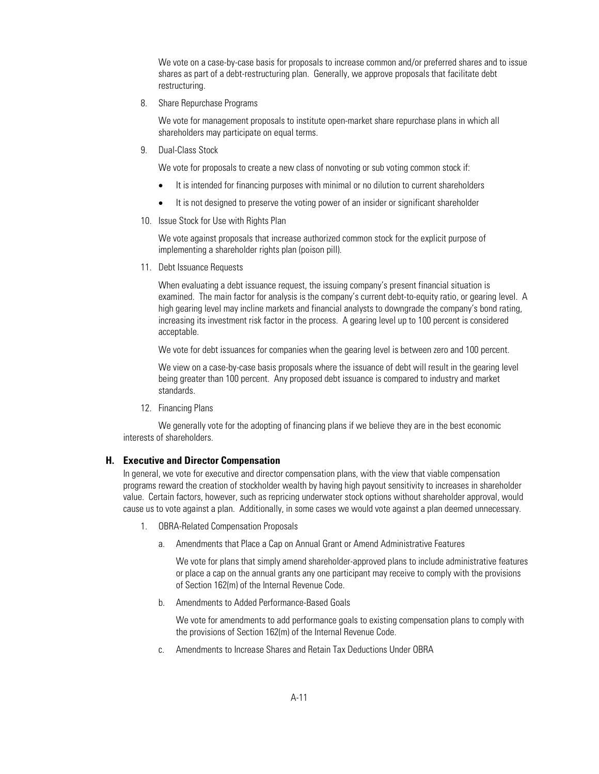We vote on a case-by-case basis for proposals to increase common and/or preferred shares and to issue shares as part of a debt-restructuring plan. Generally, we approve proposals that facilitate debt restructuring.

8. Share Repurchase Programs

We vote for management proposals to institute open-market share repurchase plans in which all shareholders may participate on equal terms.

9. Dual-Class Stock

We vote for proposals to create a new class of nonvoting or sub voting common stock if:

- It is intended for financing purposes with minimal or no dilution to current shareholders
- It is not designed to preserve the voting power of an insider or significant shareholder

### 10. Issue Stock for Use with Rights Plan

We vote against proposals that increase authorized common stock for the explicit purpose of implementing a shareholder rights plan (poison pill).

11. Debt Issuance Requests

When evaluating a debt issuance request, the issuing company's present financial situation is examined. The main factor for analysis is the company's current debt-to-equity ratio, or gearing level. A high gearing level may incline markets and financial analysts to downgrade the company's bond rating, increasing its investment risk factor in the process. A gearing level up to 100 percent is considered acceptable.

We vote for debt issuances for companies when the gearing level is between zero and 100 percent.

We view on a case-by-case basis proposals where the issuance of debt will result in the gearing level being greater than 100 percent. Any proposed debt issuance is compared to industry and market standards.

12. Financing Plans

We generally vote for the adopting of financing plans if we believe they are in the best economic interests of shareholders.

#### **H. Executive and Director Compensation**

In general, we vote for executive and director compensation plans, with the view that viable compensation programs reward the creation of stockholder wealth by having high payout sensitivity to increases in shareholder value. Certain factors, however, such as repricing underwater stock options without shareholder approval, would cause us to vote against a plan. Additionally, in some cases we would vote against a plan deemed unnecessary.

- 1. OBRA-Related Compensation Proposals
	- a. Amendments that Place a Cap on Annual Grant or Amend Administrative Features

We vote for plans that simply amend shareholder-approved plans to include administrative features or place a cap on the annual grants any one participant may receive to comply with the provisions of Section 162(m) of the Internal Revenue Code.

b. Amendments to Added Performance-Based Goals

We vote for amendments to add performance goals to existing compensation plans to comply with the provisions of Section 162(m) of the Internal Revenue Code.

c. Amendments to Increase Shares and Retain Tax Deductions Under OBRA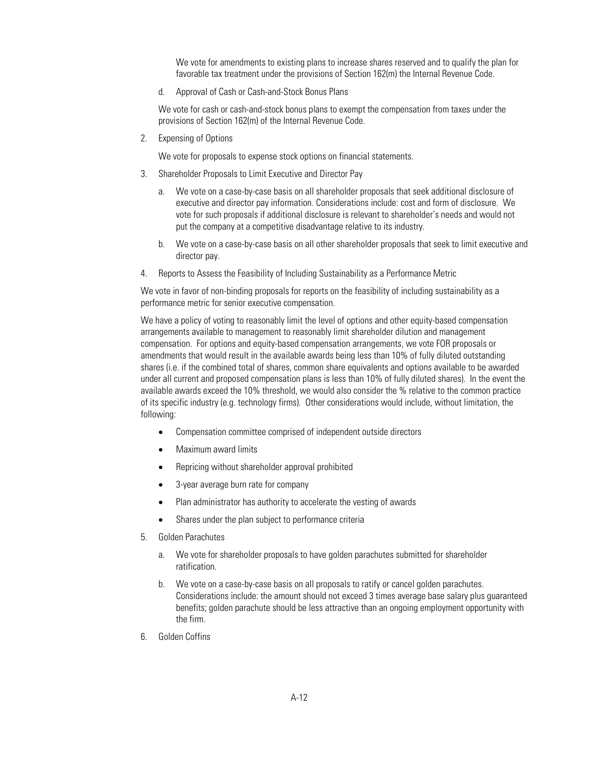We vote for amendments to existing plans to increase shares reserved and to qualify the plan for favorable tax treatment under the provisions of Section 162(m) the Internal Revenue Code.

d. Approval of Cash or Cash-and-Stock Bonus Plans

We vote for cash or cash-and-stock bonus plans to exempt the compensation from taxes under the provisions of Section 162(m) of the Internal Revenue Code.

2. Expensing of Options

We vote for proposals to expense stock options on financial statements.

- 3. Shareholder Proposals to Limit Executive and Director Pay
	- a. We vote on a case-by-case basis on all shareholder proposals that seek additional disclosure of executive and director pay information. Considerations include: cost and form of disclosure. We vote for such proposals if additional disclosure is relevant to shareholder's needs and would not put the company at a competitive disadvantage relative to its industry.
	- b. We vote on a case-by-case basis on all other shareholder proposals that seek to limit executive and director pay.
- 4. Reports to Assess the Feasibility of Including Sustainability as a Performance Metric

We vote in favor of non-binding proposals for reports on the feasibility of including sustainability as a performance metric for senior executive compensation.

We have a policy of voting to reasonably limit the level of options and other equity-based compensation arrangements available to management to reasonably limit shareholder dilution and management compensation. For options and equity-based compensation arrangements, we vote FOR proposals or amendments that would result in the available awards being less than 10% of fully diluted outstanding shares (i.e. if the combined total of shares, common share equivalents and options available to be awarded under all current and proposed compensation plans is less than 10% of fully diluted shares). In the event the available awards exceed the 10% threshold, we would also consider the % relative to the common practice of its specific industry (e.g. technology firms). Other considerations would include, without limitation, the following:

- Compensation committee comprised of independent outside directors
- Maximum award limits
- Repricing without shareholder approval prohibited
- 3-year average burn rate for company
- Plan administrator has authority to accelerate the vesting of awards
- Shares under the plan subject to performance criteria
- 5. Golden Parachutes
	- a. We vote for shareholder proposals to have golden parachutes submitted for shareholder ratification.
	- b. We vote on a case-by-case basis on all proposals to ratify or cancel golden parachutes. Considerations include: the amount should not exceed 3 times average base salary plus guaranteed benefits; golden parachute should be less attractive than an ongoing employment opportunity with the firm.
- 6. Golden Coffins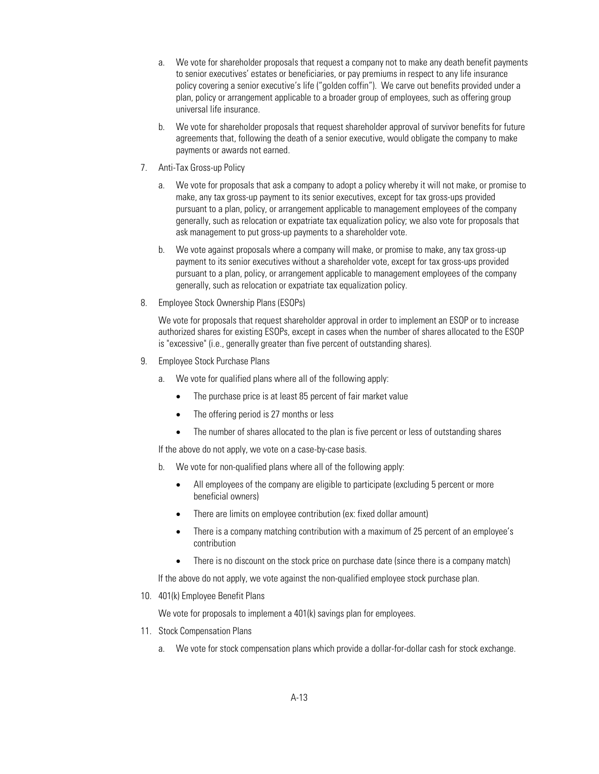- a. We vote for shareholder proposals that request a company not to make any death benefit payments to senior executives' estates or beneficiaries, or pay premiums in respect to any life insurance policy covering a senior executive's life ("golden coffin"). We carve out benefits provided under a plan, policy or arrangement applicable to a broader group of employees, such as offering group universal life insurance.
- b. We vote for shareholder proposals that request shareholder approval of survivor benefits for future agreements that, following the death of a senior executive, would obligate the company to make payments or awards not earned.
- 7. Anti-Tax Gross-up Policy
	- a. We vote for proposals that ask a company to adopt a policy whereby it will not make, or promise to make, any tax gross-up payment to its senior executives, except for tax gross-ups provided pursuant to a plan, policy, or arrangement applicable to management employees of the company generally, such as relocation or expatriate tax equalization policy; we also vote for proposals that ask management to put gross-up payments to a shareholder vote.
	- b. We vote against proposals where a company will make, or promise to make, any tax gross-up payment to its senior executives without a shareholder vote, except for tax gross-ups provided pursuant to a plan, policy, or arrangement applicable to management employees of the company generally, such as relocation or expatriate tax equalization policy.
- 8. Employee Stock Ownership Plans (ESOPs)

We vote for proposals that request shareholder approval in order to implement an ESOP or to increase authorized shares for existing ESOPs, except in cases when the number of shares allocated to the ESOP is "excessive" (i.e., generally greater than five percent of outstanding shares).

- 9. Employee Stock Purchase Plans
	- a. We vote for qualified plans where all of the following apply:
		- The purchase price is at least 85 percent of fair market value
		- The offering period is 27 months or less
		- The number of shares allocated to the plan is five percent or less of outstanding shares

If the above do not apply, we vote on a case-by-case basis.

- b. We vote for non-qualified plans where all of the following apply:
	- All employees of the company are eligible to participate (excluding 5 percent or more beneficial owners)
	- There are limits on employee contribution (ex: fixed dollar amount)
	- There is a company matching contribution with a maximum of 25 percent of an employee's contribution
	- There is no discount on the stock price on purchase date (since there is a company match)

If the above do not apply, we vote against the non-qualified employee stock purchase plan.

10. 401(k) Employee Benefit Plans

We vote for proposals to implement a 401(k) savings plan for employees.

- 11. Stock Compensation Plans
	- a. We vote for stock compensation plans which provide a dollar-for-dollar cash for stock exchange.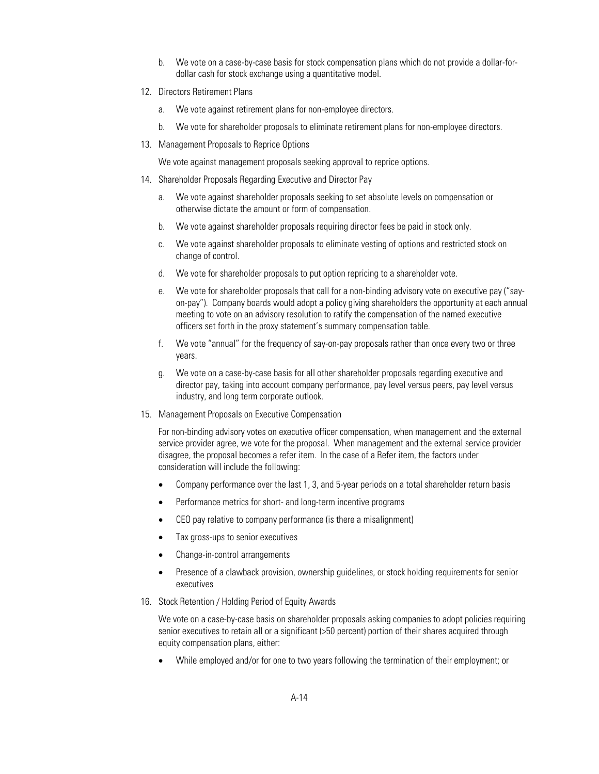- b. We vote on a case-by-case basis for stock compensation plans which do not provide a dollar-fordollar cash for stock exchange using a quantitative model.
- 12. Directors Retirement Plans
	- a. We vote against retirement plans for non-employee directors.
	- b. We vote for shareholder proposals to eliminate retirement plans for non-employee directors.
- 13. Management Proposals to Reprice Options

We vote against management proposals seeking approval to reprice options.

- 14. Shareholder Proposals Regarding Executive and Director Pay
	- a. We vote against shareholder proposals seeking to set absolute levels on compensation or otherwise dictate the amount or form of compensation.
	- b. We vote against shareholder proposals requiring director fees be paid in stock only.
	- c. We vote against shareholder proposals to eliminate vesting of options and restricted stock on change of control.
	- d. We vote for shareholder proposals to put option repricing to a shareholder vote.
	- e. We vote for shareholder proposals that call for a non-binding advisory vote on executive pay ("sayon-pay"). Company boards would adopt a policy giving shareholders the opportunity at each annual meeting to vote on an advisory resolution to ratify the compensation of the named executive officers set forth in the proxy statement's summary compensation table.
	- f. We vote "annual" for the frequency of say-on-pay proposals rather than once every two or three years.
	- We vote on a case-by-case basis for all other shareholder proposals regarding executive and director pay, taking into account company performance, pay level versus peers, pay level versus industry, and long term corporate outlook.
- 15. Management Proposals on Executive Compensation

For non-binding advisory votes on executive officer compensation, when management and the external service provider agree, we vote for the proposal. When management and the external service provider disagree, the proposal becomes a refer item. In the case of a Refer item, the factors under consideration will include the following:

- Company performance over the last 1, 3, and 5-year periods on a total shareholder return basis
- Performance metrics for short- and long-term incentive programs
- CEO pay relative to company performance (is there a misalignment)
- Tax gross-ups to senior executives
- Change-in-control arrangements
- Presence of a clawback provision, ownership guidelines, or stock holding requirements for senior executives
- 16. Stock Retention / Holding Period of Equity Awards

We vote on a case-by-case basis on shareholder proposals asking companies to adopt policies requiring senior executives to retain all or a significant (>50 percent) portion of their shares acquired through equity compensation plans, either:

• While employed and/or for one to two years following the termination of their employment; or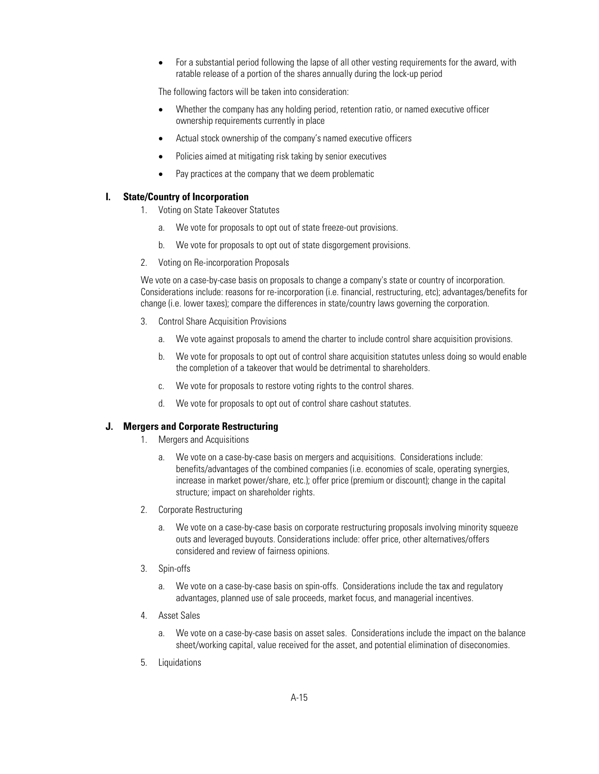• For a substantial period following the lapse of all other vesting requirements for the award, with ratable release of a portion of the shares annually during the lock-up period

The following factors will be taken into consideration:

- Whether the company has any holding period, retention ratio, or named executive officer ownership requirements currently in place
- Actual stock ownership of the company's named executive officers
- Policies aimed at mitigating risk taking by senior executives
- Pay practices at the company that we deem problematic

## **I. State/Country of Incorporation**

- 1. Voting on State Takeover Statutes
	- a. We vote for proposals to opt out of state freeze-out provisions.
	- b. We vote for proposals to opt out of state disgorgement provisions.
- 2. Voting on Re-incorporation Proposals

We vote on a case-by-case basis on proposals to change a company's state or country of incorporation. Considerations include: reasons for re-incorporation (i.e. financial, restructuring, etc); advantages/benefits for change (i.e. lower taxes); compare the differences in state/country laws governing the corporation.

- 3. Control Share Acquisition Provisions
	- a. We vote against proposals to amend the charter to include control share acquisition provisions.
	- b. We vote for proposals to opt out of control share acquisition statutes unless doing so would enable the completion of a takeover that would be detrimental to shareholders.
	- c. We vote for proposals to restore voting rights to the control shares.
	- d. We vote for proposals to opt out of control share cashout statutes.

## **J. Mergers and Corporate Restructuring**

- 1. Mergers and Acquisitions
	- a. We vote on a case-by-case basis on mergers and acquisitions. Considerations include: benefits/advantages of the combined companies (i.e. economies of scale, operating synergies, increase in market power/share, etc.); offer price (premium or discount); change in the capital structure; impact on shareholder rights.
- 2. Corporate Restructuring
	- a. We vote on a case-by-case basis on corporate restructuring proposals involving minority squeeze outs and leveraged buyouts. Considerations include: offer price, other alternatives/offers considered and review of fairness opinions.
- 3. Spin-offs
	- a. We vote on a case-by-case basis on spin-offs. Considerations include the tax and regulatory advantages, planned use of sale proceeds, market focus, and managerial incentives.
- 4. Asset Sales
	- a. We vote on a case-by-case basis on asset sales. Considerations include the impact on the balance sheet/working capital, value received for the asset, and potential elimination of diseconomies.
- 5. Liquidations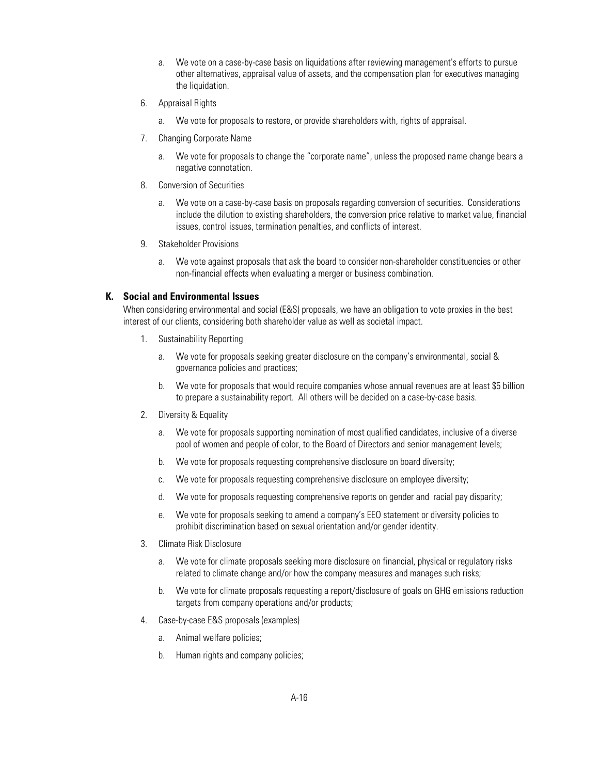- a. We vote on a case-by-case basis on liquidations after reviewing management's efforts to pursue other alternatives, appraisal value of assets, and the compensation plan for executives managing the liquidation.
- 6. Appraisal Rights
	- a. We vote for proposals to restore, or provide shareholders with, rights of appraisal.
- 7. Changing Corporate Name
	- a. We vote for proposals to change the "corporate name", unless the proposed name change bears a negative connotation.
- 8. Conversion of Securities
	- a. We vote on a case-by-case basis on proposals regarding conversion of securities. Considerations include the dilution to existing shareholders, the conversion price relative to market value, financial issues, control issues, termination penalties, and conflicts of interest.
- 9. Stakeholder Provisions
	- a. We vote against proposals that ask the board to consider non-shareholder constituencies or other non-financial effects when evaluating a merger or business combination.

## **K. Social and Environmental Issues**

When considering environmental and social (E&S) proposals, we have an obligation to vote proxies in the best interest of our clients, considering both shareholder value as well as societal impact.

- 1. Sustainability Reporting
	- a. We vote for proposals seeking greater disclosure on the company's environmental, social & governance policies and practices;
	- b. We vote for proposals that would require companies whose annual revenues are at least \$5 billion to prepare a sustainability report. All others will be decided on a case-by-case basis.
- 2. Diversity & Equality
	- a. We vote for proposals supporting nomination of most qualified candidates, inclusive of a diverse pool of women and people of color, to the Board of Directors and senior management levels;
	- b. We vote for proposals requesting comprehensive disclosure on board diversity;
	- c. We vote for proposals requesting comprehensive disclosure on employee diversity;
	- d. We vote for proposals requesting comprehensive reports on gender and racial pay disparity;
	- e. We vote for proposals seeking to amend a company's EEO statement or diversity policies to prohibit discrimination based on sexual orientation and/or gender identity.
- 3. Climate Risk Disclosure
	- We vote for climate proposals seeking more disclosure on financial, physical or regulatory risks related to climate change and/or how the company measures and manages such risks;
	- b. We vote for climate proposals requesting a report/disclosure of goals on GHG emissions reduction targets from company operations and/or products;
- 4. Case-by-case E&S proposals (examples)
	- a. Animal welfare policies;
	- b. Human rights and company policies;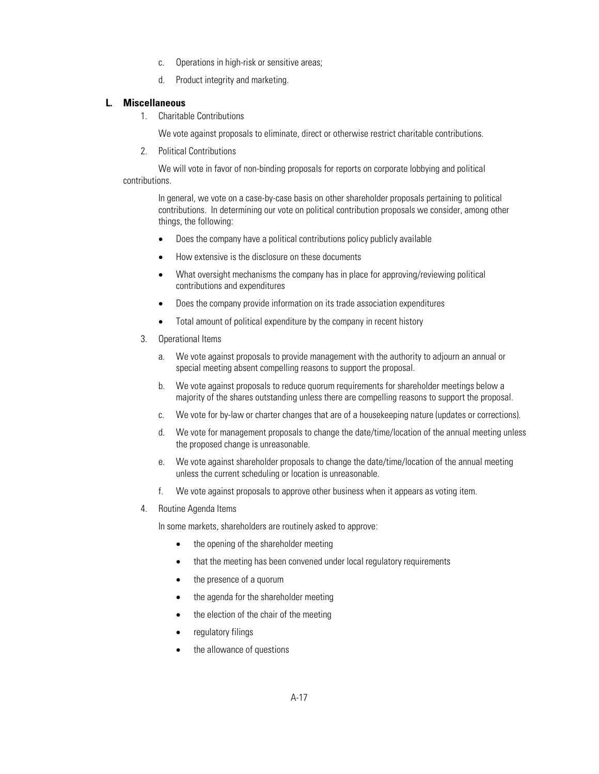- c. Operations in high-risk or sensitive areas;
- d. Product integrity and marketing.

## **L. Miscellaneous**

1. Charitable Contributions

We vote against proposals to eliminate, direct or otherwise restrict charitable contributions.

2. Political Contributions

We will vote in favor of non-binding proposals for reports on corporate lobbying and political contributions.

In general, we vote on a case-by-case basis on other shareholder proposals pertaining to political contributions. In determining our vote on political contribution proposals we consider, among other things, the following:

- Does the company have a political contributions policy publicly available
- How extensive is the disclosure on these documents
- What oversight mechanisms the company has in place for approving/reviewing political contributions and expenditures
- Does the company provide information on its trade association expenditures
- Total amount of political expenditure by the company in recent history
- 3. Operational Items
	- a. We vote against proposals to provide management with the authority to adjourn an annual or special meeting absent compelling reasons to support the proposal.
	- b. We vote against proposals to reduce quorum requirements for shareholder meetings below a majority of the shares outstanding unless there are compelling reasons to support the proposal.
	- c. We vote for by-law or charter changes that are of a housekeeping nature (updates or corrections).
	- d. We vote for management proposals to change the date/time/location of the annual meeting unless the proposed change is unreasonable.
	- e. We vote against shareholder proposals to change the date/time/location of the annual meeting unless the current scheduling or location is unreasonable.
	- f. We vote against proposals to approve other business when it appears as voting item.
- 4. Routine Agenda Items

In some markets, shareholders are routinely asked to approve:

- the opening of the shareholder meeting
- that the meeting has been convened under local regulatory requirements
- the presence of a quorum
- the agenda for the shareholder meeting
- the election of the chair of the meeting
- regulatory filings
- the allowance of questions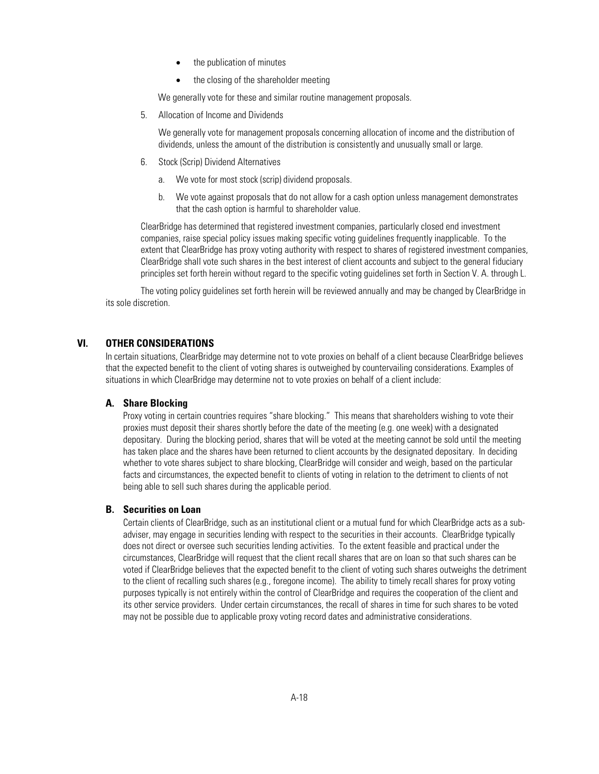- the publication of minutes
- the closing of the shareholder meeting

We generally vote for these and similar routine management proposals.

5. Allocation of Income and Dividends

We generally vote for management proposals concerning allocation of income and the distribution of dividends, unless the amount of the distribution is consistently and unusually small or large.

- 6. Stock (Scrip) Dividend Alternatives
	- a. We vote for most stock (scrip) dividend proposals.
	- b. We vote against proposals that do not allow for a cash option unless management demonstrates that the cash option is harmful to shareholder value.

ClearBridge has determined that registered investment companies, particularly closed end investment companies, raise special policy issues making specific voting guidelines frequently inapplicable. To the extent that ClearBridge has proxy voting authority with respect to shares of registered investment companies, ClearBridge shall vote such shares in the best interest of client accounts and subject to the general fiduciary principles set forth herein without regard to the specific voting guidelines set forth in Section V. A. through L.

The voting policy guidelines set forth herein will be reviewed annually and may be changed by ClearBridge in its sole discretion.

# **VI. OTHER CONSIDERATIONS**

In certain situations, ClearBridge may determine not to vote proxies on behalf of a client because ClearBridge believes that the expected benefit to the client of voting shares is outweighed by countervailing considerations. Examples of situations in which ClearBridge may determine not to vote proxies on behalf of a client include:

## **A. Share Blocking**

Proxy voting in certain countries requires "share blocking." This means that shareholders wishing to vote their proxies must deposit their shares shortly before the date of the meeting (e.g. one week) with a designated depositary. During the blocking period, shares that will be voted at the meeting cannot be sold until the meeting has taken place and the shares have been returned to client accounts by the designated depositary. In deciding whether to vote shares subject to share blocking, ClearBridge will consider and weigh, based on the particular facts and circumstances, the expected benefit to clients of voting in relation to the detriment to clients of not being able to sell such shares during the applicable period.

## **B. Securities on Loan**

Certain clients of ClearBridge, such as an institutional client or a mutual fund for which ClearBridge acts as a subadviser, may engage in securities lending with respect to the securities in their accounts. ClearBridge typically does not direct or oversee such securities lending activities. To the extent feasible and practical under the circumstances, ClearBridge will request that the client recall shares that are on loan so that such shares can be voted if ClearBridge believes that the expected benefit to the client of voting such shares outweighs the detriment to the client of recalling such shares (e.g., foregone income). The ability to timely recall shares for proxy voting purposes typically is not entirely within the control of ClearBridge and requires the cooperation of the client and its other service providers. Under certain circumstances, the recall of shares in time for such shares to be voted may not be possible due to applicable proxy voting record dates and administrative considerations.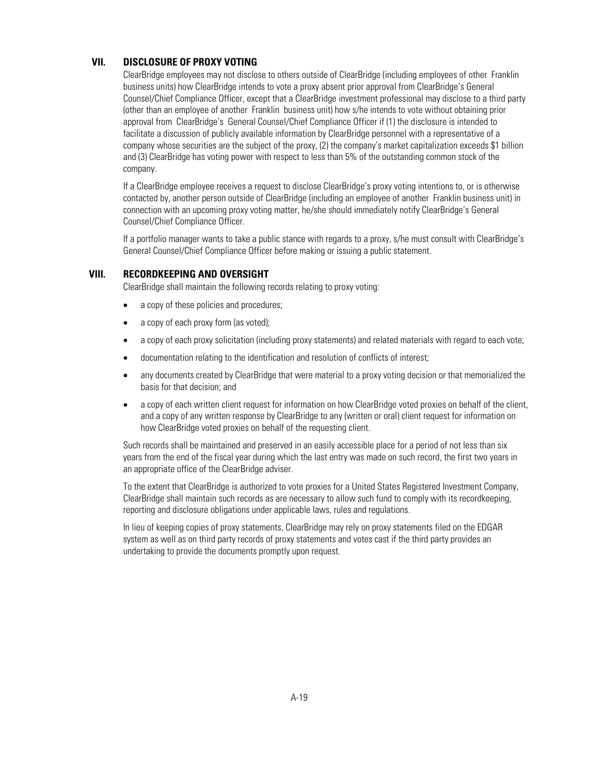# **VII. DISCLOSURE OF PROXY VOTING**

ClearBridge employees may not disclose to others outside of ClearBridge (including employees of other Franklin business units) how ClearBridge intends to vote a proxy absent prior approval from ClearBridge's General Counsel/Chief Compliance Officer, except that a ClearBridge investment professional may disclose to a third party (other than an employee of another Franklin business unit) how s/he intends to vote without obtaining prior approval from ClearBridge's General Counsel/Chief Compliance Officer if (1) the disclosure is intended to facilitate a discussion of publicly available information by ClearBridge personnel with a representative of a company whose securities are the subject of the proxy, (2) the company's market capitalization exceeds \$1 billion and (3) ClearBridge has voting power with respect to less than 5% of the outstanding common stock of the company.

If a ClearBridge employee receives a request to disclose ClearBridge's proxy voting intentions to, or is otherwise contacted by, another person outside of ClearBridge (including an employee of another Franklin business unit) in connection with an upcoming proxy voting matter, he/she should immediately notify ClearBridge's General Counsel/Chief Compliance Officer.

If a portfolio manager wants to take a public stance with regards to a proxy, s/he must consult with ClearBridge's General Counsel/Chief Compliance Officer before making or issuing a public statement.

# **VIII. RECORDKEEPING AND OVERSIGHT**

ClearBridge shall maintain the following records relating to proxy voting:

- a copy of these policies and procedures;
- a copy of each proxy form (as voted);
- a copy of each proxy solicitation (including proxy statements) and related materials with regard to each vote;
- documentation relating to the identification and resolution of conflicts of interest;
- any documents created by ClearBridge that were material to a proxy voting decision or that memorialized the basis for that decision; and
- a copy of each written client request for information on how ClearBridge voted proxies on behalf of the client, and a copy of any written response by ClearBridge to any (written or oral) client request for information on how ClearBridge voted proxies on behalf of the requesting client.

Such records shall be maintained and preserved in an easily accessible place for a period of not less than six years from the end of the fiscal year during which the last entry was made on such record, the first two years in an appropriate office of the ClearBridge adviser.

To the extent that ClearBridge is authorized to vote proxies for a United States Registered Investment Company, ClearBridge shall maintain such records as are necessary to allow such fund to comply with its recordkeeping, reporting and disclosure obligations under applicable laws, rules and regulations.

In lieu of keeping copies of proxy statements, ClearBridge may rely on proxy statements filed on the EDGAR system as well as on third party records of proxy statements and votes cast if the third party provides an undertaking to provide the documents promptly upon request.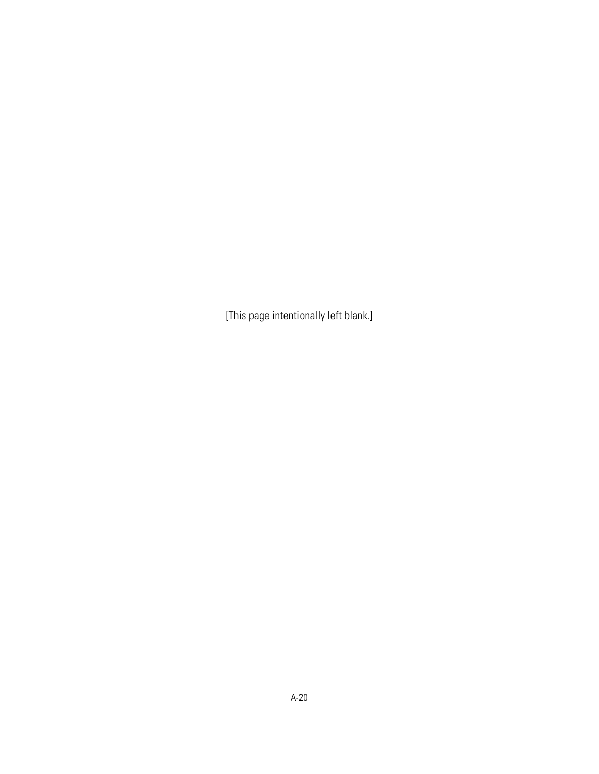[This page intentionally left blank.]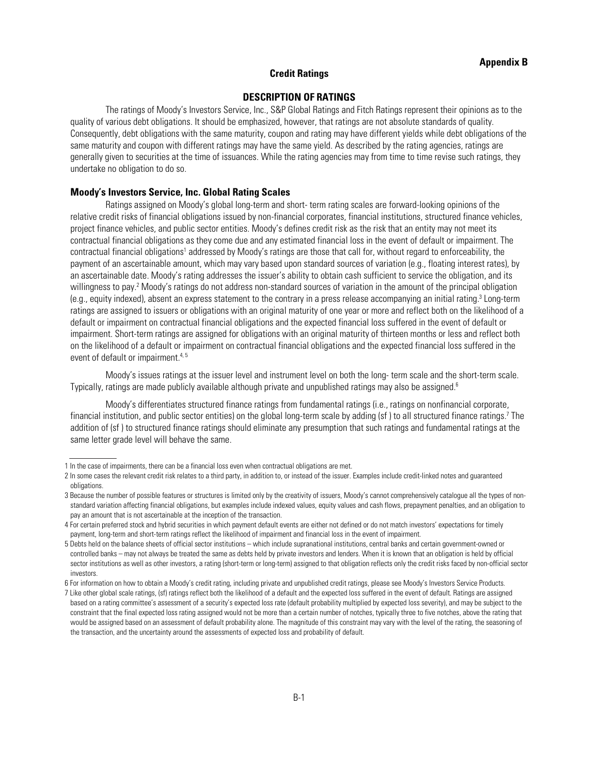#### **Credit Ratings**

# **DESCRIPTION OF RATINGS**

The ratings of Moody's Investors Service, Inc., S&P Global Ratings and Fitch Ratings represent their opinions as to the quality of various debt obligations. It should be emphasized, however, that ratings are not absolute standards of quality. Consequently, debt obligations with the same maturity, coupon and rating may have different yields while debt obligations of the same maturity and coupon with different ratings may have the same yield. As described by the rating agencies, ratings are generally given to securities at the time of issuances. While the rating agencies may from time to time revise such ratings, they undertake no obligation to do so.

### **Moody's Investors Service, Inc. Global Rating Scales**

Ratings assigned on Moody's global long-term and short- term rating scales are forward-looking opinions of the relative credit risks of financial obligations issued by non-financial corporates, financial institutions, structured finance vehicles, project finance vehicles, and public sector entities. Moody's defines credit risk as the risk that an entity may not meet its contractual financial obligations as they come due and any estimated financial loss in the event of default or impairment. The contractual financial obligations<sup>1</sup> addressed by Moody's ratings are those that call for, without regard to enforceability, the payment of an ascertainable amount, which may vary based upon standard sources of variation (e.g., floating interest rates), by an ascertainable date. Moody's rating addresses the issuer's ability to obtain cash sufficient to service the obligation, and its willingness to pay.<sup>2</sup> Moody's ratings do not address non-standard sources of variation in the amount of the principal obligation (e.g., equity indexed), absent an express statement to the contrary in a press release accompanying an initial rating.<sup>3</sup> Long-term ratings are assigned to issuers or obligations with an original maturity of one year or more and reflect both on the likelihood of a default or impairment on contractual financial obligations and the expected financial loss suffered in the event of default or impairment. Short-term ratings are assigned for obligations with an original maturity of thirteen months or less and reflect both on the likelihood of a default or impairment on contractual financial obligations and the expected financial loss suffered in the event of default or impairment.<sup>4, 5</sup>

Moody's issues ratings at the issuer level and instrument level on both the long- term scale and the short-term scale. Typically, ratings are made publicly available although private and unpublished ratings may also be assigned.<sup>6</sup>

Moody's differentiates structured finance ratings from fundamental ratings (i.e., ratings on nonfinancial corporate, financial institution, and public sector entities) on the global long-term scale by adding (sf) to all structured finance ratings.<sup>7</sup> The addition of (sf ) to structured finance ratings should eliminate any presumption that such ratings and fundamental ratings at the same letter grade level will behave the same.

<sup>1</sup> In the case of impairments, there can be a financial loss even when contractual obligations are met.

<sup>2</sup> In some cases the relevant credit risk relates to a third party, in addition to, or instead of the issuer. Examples include credit-linked notes and guaranteed obligations.

<sup>3</sup> Because the number of possible features or structures is limited only by the creativity of issuers, Moody's cannot comprehensively catalogue all the types of nonstandard variation affecting financial obligations, but examples include indexed values, equity values and cash flows, prepayment penalties, and an obligation to pay an amount that is not ascertainable at the inception of the transaction.

<sup>4</sup> For certain preferred stock and hybrid securities in which payment default events are either not defined or do not match investors' expectations for timely payment, long-term and short-term ratings reflect the likelihood of impairment and financial loss in the event of impairment.

<sup>5</sup> Debts held on the balance sheets of official sector institutions – which include supranational institutions, central banks and certain government-owned or controlled banks – may not always be treated the same as debts held by private investors and lenders. When it is known that an obligation is held by official sector institutions as well as other investors, a rating (short-term or long-term) assigned to that obligation reflects only the credit risks faced by non-official sector investors.

<sup>6</sup> For information on how to obtain a Moody's credit rating, including private and unpublished credit ratings, please see Moody's Investors Service Products.

<sup>7</sup> Like other global scale ratings, (sf) ratings reflect both the likelihood of a default and the expected loss suffered in the event of default. Ratings are assigned based on a rating committee's assessment of a security's expected loss rate (default probability multiplied by expected loss severity), and may be subject to the constraint that the final expected loss rating assigned would not be more than a certain number of notches, typically three to five notches, above the rating that would be assigned based on an assessment of default probability alone. The magnitude of this constraint may vary with the level of the rating, the seasoning of the transaction, and the uncertainty around the assessments of expected loss and probability of default.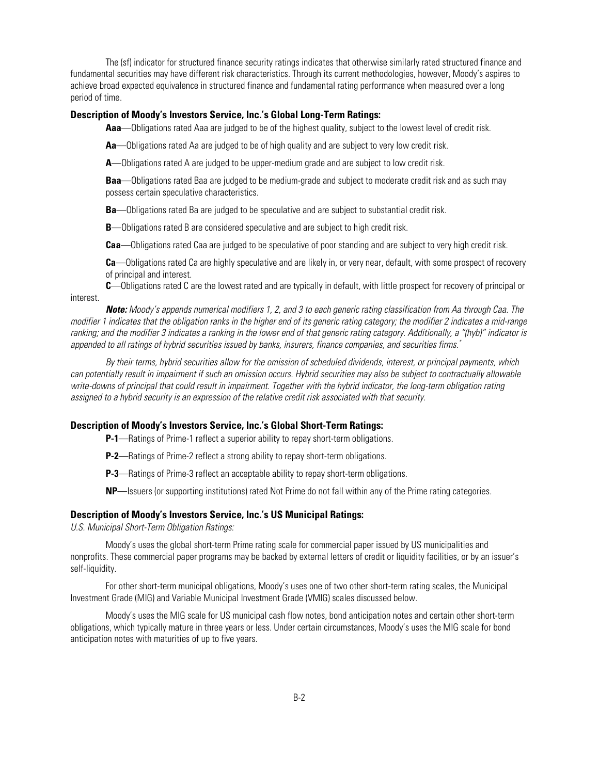The (sf) indicator for structured finance security ratings indicates that otherwise similarly rated structured finance and fundamental securities may have different risk characteristics. Through its current methodologies, however, Moody's aspires to achieve broad expected equivalence in structured finance and fundamental rating performance when measured over a long period of time.

## **Description of Moody's Investors Service, Inc.'s Global Long-Term Ratings:**

**Aaa**—Obligations rated Aaa are judged to be of the highest quality, subject to the lowest level of credit risk.

**Aa**—Obligations rated Aa are judged to be of high quality and are subject to very low credit risk.

**A**—Obligations rated A are judged to be upper-medium grade and are subject to low credit risk.

**Baa**—Obligations rated Baa are judged to be medium-grade and subject to moderate credit risk and as such may possess certain speculative characteristics.

**Ba**—Obligations rated Ba are judged to be speculative and are subject to substantial credit risk.

**B**—Obligations rated B are considered speculative and are subject to high credit risk.

**Caa**—Obligations rated Caa are judged to be speculative of poor standing and are subject to very high credit risk.

**Ca**—Obligations rated Ca are highly speculative and are likely in, or very near, default, with some prospect of recovery of principal and interest.

**C**—Obligations rated C are the lowest rated and are typically in default, with little prospect for recovery of principal or interest.

*Note:* Moody's appends numerical modifiers 1, 2, and 3 to each generic rating classification from Aa through Caa. The modifier 1 indicates that the obligation ranks in the higher end of its generic rating category; the modifier 2 indicates a mid-range ranking; and the modifier 3 indicates a ranking in the lower end of that generic rating category. Additionally, a "(hyb)" indicator is appended to all ratings of hybrid securities issued by banks, insurers, finance companies, and securities firms.\*

By their terms, hybrid securities allow for the omission of scheduled dividends, interest, or principal payments, which can potentially result in impairment if such an omission occurs. Hybrid securities may also be subject to contractually allowable write-downs of principal that could result in impairment. Together with the hybrid indicator, the long-term obligation rating assigned to a hybrid security is an expression of the relative credit risk associated with that security.

## **Description of Moody's Investors Service, Inc.'s Global Short-Term Ratings:**

**P-1**—Ratings of Prime-1 reflect a superior ability to repay short-term obligations.

**P-2**—Ratings of Prime-2 reflect a strong ability to repay short-term obligations.

**P-3**—Ratings of Prime-3 reflect an acceptable ability to repay short-term obligations.

**NP**—Issuers (or supporting institutions) rated Not Prime do not fall within any of the Prime rating categories.

# **Description of Moody's Investors Service, Inc.'s US Municipal Ratings:**

U.S. Municipal Short-Term Obligation Ratings:

 Moody's uses the global short-term Prime rating scale for commercial paper issued by US municipalities and nonprofits. These commercial paper programs may be backed by external letters of credit or liquidity facilities, or by an issuer's self-liquidity.

 For other short-term municipal obligations, Moody's uses one of two other short-term rating scales, the Municipal Investment Grade (MIG) and Variable Municipal Investment Grade (VMIG) scales discussed below.

 Moody's uses the MIG scale for US municipal cash flow notes, bond anticipation notes and certain other short-term obligations, which typically mature in three years or less. Under certain circumstances, Moody's uses the MIG scale for bond anticipation notes with maturities of up to five years.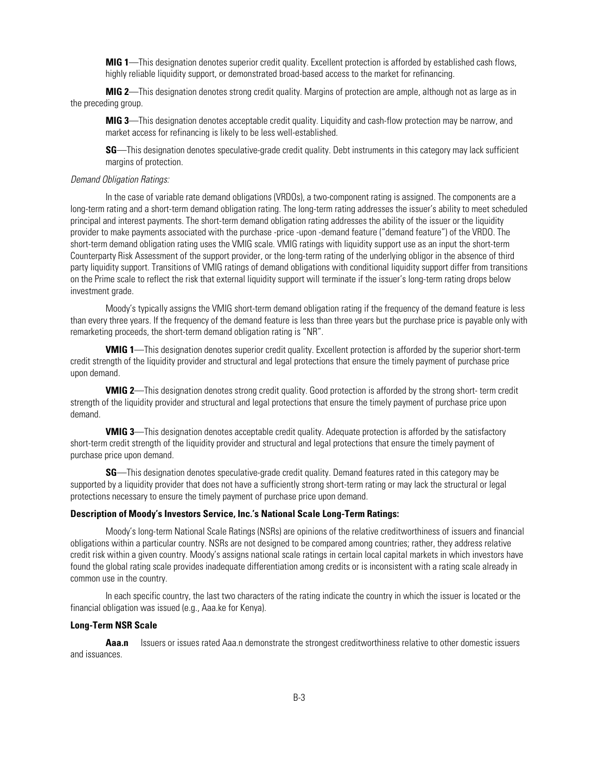**MIG 1**—This designation denotes superior credit quality. Excellent protection is afforded by established cash flows, highly reliable liquidity support, or demonstrated broad-based access to the market for refinancing.

**MIG 2**—This designation denotes strong credit quality. Margins of protection are ample, although not as large as in the preceding group.

**MIG 3**—This designation denotes acceptable credit quality. Liquidity and cash-flow protection may be narrow, and market access for refinancing is likely to be less well-established.

**SG**—This designation denotes speculative-grade credit quality. Debt instruments in this category may lack sufficient margins of protection.

#### Demand Obligation Ratings:

 In the case of variable rate demand obligations (VRDOs), a two-component rating is assigned. The components are a long-term rating and a short-term demand obligation rating. The long-term rating addresses the issuer's ability to meet scheduled principal and interest payments. The short-term demand obligation rating addresses the ability of the issuer or the liquidity provider to make payments associated with the purchase -price -upon -demand feature ("demand feature") of the VRDO. The short-term demand obligation rating uses the VMIG scale. VMIG ratings with liquidity support use as an input the short-term Counterparty Risk Assessment of the support provider, or the long-term rating of the underlying obligor in the absence of third party liquidity support. Transitions of VMIG ratings of demand obligations with conditional liquidity support differ from transitions on the Prime scale to reflect the risk that external liquidity support will terminate if the issuer's long-term rating drops below investment grade.

 Moody's typically assigns the VMIG short-term demand obligation rating if the frequency of the demand feature is less than every three years. If the frequency of the demand feature is less than three years but the purchase price is payable only with remarketing proceeds, the short-term demand obligation rating is "NR".

**VMIG 1**—This designation denotes superior credit quality. Excellent protection is afforded by the superior short-term credit strength of the liquidity provider and structural and legal protections that ensure the timely payment of purchase price upon demand.

**VMIG 2**—This designation denotes strong credit quality. Good protection is afforded by the strong short- term credit strength of the liquidity provider and structural and legal protections that ensure the timely payment of purchase price upon demand.

**VMIG 3—This designation denotes acceptable credit quality. Adequate protection is afforded by the satisfactory** short-term credit strength of the liquidity provider and structural and legal protections that ensure the timely payment of purchase price upon demand.

**SG**—This designation denotes speculative-grade credit quality. Demand features rated in this category may be supported by a liquidity provider that does not have a sufficiently strong short-term rating or may lack the structural or legal protections necessary to ensure the timely payment of purchase price upon demand.

#### **Description of Moody's Investors Service, Inc.'s National Scale Long-Term Ratings:**

 Moody's long-term National Scale Ratings (NSRs) are opinions of the relative creditworthiness of issuers and financial obligations within a particular country. NSRs are not designed to be compared among countries; rather, they address relative credit risk within a given country. Moody's assigns national scale ratings in certain local capital markets in which investors have found the global rating scale provides inadequate differentiation among credits or is inconsistent with a rating scale already in common use in the country.

 In each specific country, the last two characters of the rating indicate the country in which the issuer is located or the financial obligation was issued (e.g., Aaa.ke for Kenya).

### **Long-Term NSR Scale**

Aaa.n Issuers or issues rated Aaa.n demonstrate the strongest creditworthiness relative to other domestic issuers and issuances.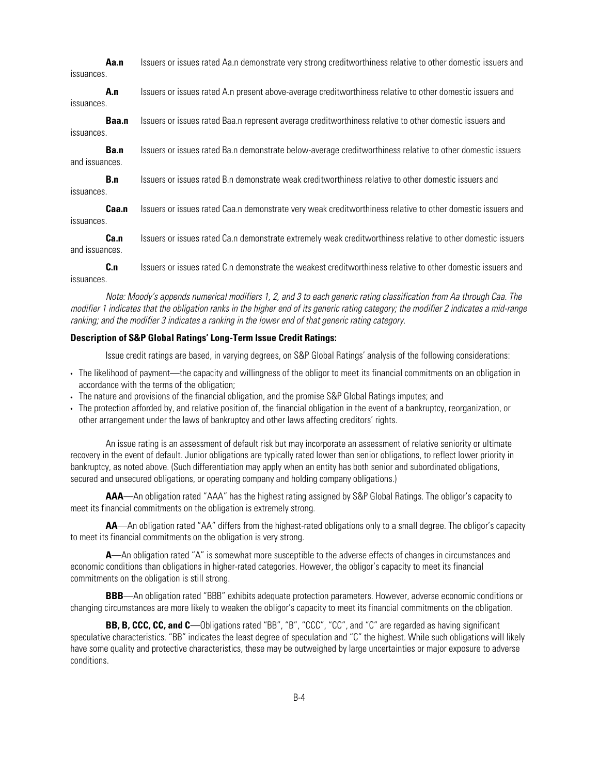| issuances.     | Aa.n  | Issuers or issues rated Aa.n demonstrate very strong creditworthiness relative to other domestic issuers and |
|----------------|-------|--------------------------------------------------------------------------------------------------------------|
| issuances.     | A.n   | Issuers or issues rated A.n present above-average creditworthiness relative to other domestic issuers and    |
| issuances.     | Baa.n | Issuers or issues rated Baa.n represent average creditworthiness relative to other domestic issuers and      |
| and issuances. | Ba.n  | Issuers or issues rated Ba.n demonstrate below-average creditworthiness relative to other domestic issuers   |
| issuances.     | B.n   | Issuers or issues rated B.n demonstrate weak creditworthiness relative to other domestic issuers and         |
| issuances.     | Caa.n | Issuers or issues rated Caa.n demonstrate very weak creditworthiness relative to other domestic issuers and  |
| and issuances. | Ca.n  | Issuers or issues rated Ca.n demonstrate extremely weak creditworthiness relative to other domestic issuers  |
| issuances.     | C.n   | Issuers or issues rated C.n demonstrate the weakest creditworthiness relative to other domestic issuers and  |

Note: Moody's appends numerical modifiers 1, 2, and 3 to each generic rating classification from Aa through Caa. The modifier 1 indicates that the obligation ranks in the higher end of its generic rating category; the modifier 2 indicates a mid-range ranking; and the modifier 3 indicates a ranking in the lower end of that generic rating category.

## **Description of S&P Global Ratings' Long-Term Issue Credit Ratings:**

Issue credit ratings are based, in varying degrees, on S&P Global Ratings' analysis of the following considerations:

- The likelihood of payment—the capacity and willingness of the obligor to meet its financial commitments on an obligation in accordance with the terms of the obligation;
- The nature and provisions of the financial obligation, and the promise S&P Global Ratings imputes; and
- The protection afforded by, and relative position of, the financial obligation in the event of a bankruptcy, reorganization, or other arrangement under the laws of bankruptcy and other laws affecting creditors' rights.

 An issue rating is an assessment of default risk but may incorporate an assessment of relative seniority or ultimate recovery in the event of default. Junior obligations are typically rated lower than senior obligations, to reflect lower priority in bankruptcy, as noted above. (Such differentiation may apply when an entity has both senior and subordinated obligations, secured and unsecured obligations, or operating company and holding company obligations.)

**AAA**—An obligation rated "AAA" has the highest rating assigned by S&P Global Ratings. The obligor's capacity to meet its financial commitments on the obligation is extremely strong.

**AA**—An obligation rated "AA" differs from the highest-rated obligations only to a small degree. The obligor's capacity to meet its financial commitments on the obligation is very strong.

**A**—An obligation rated "A" is somewhat more susceptible to the adverse effects of changes in circumstances and economic conditions than obligations in higher-rated categories. However, the obligor's capacity to meet its financial commitments on the obligation is still strong.

**BBB**—An obligation rated "BBB" exhibits adequate protection parameters. However, adverse economic conditions or changing circumstances are more likely to weaken the obligor's capacity to meet its financial commitments on the obligation.

**BB, B, CCC, CC, and C**—Obligations rated "BB", "B", "CCC", "CC", and "C" are regarded as having significant speculative characteristics. "BB" indicates the least degree of speculation and "C" the highest. While such obligations will likely have some quality and protective characteristics, these may be outweighed by large uncertainties or major exposure to adverse conditions.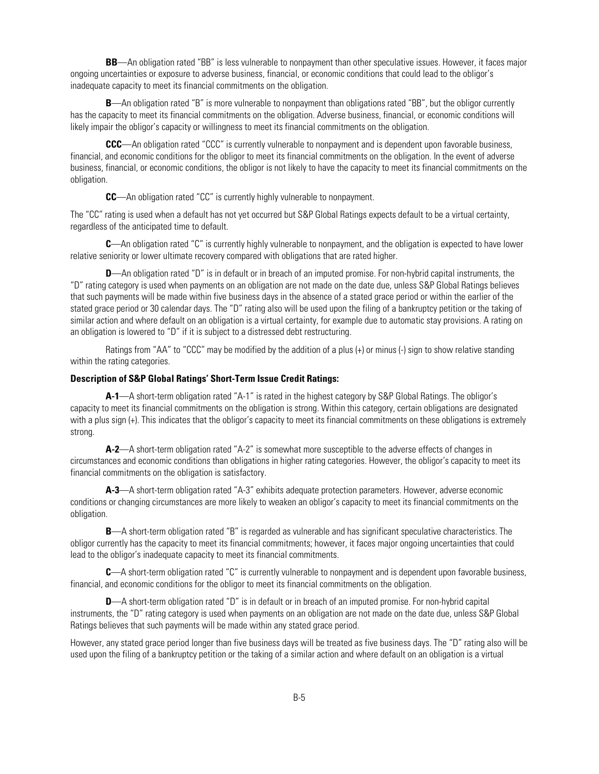**BB**—An obligation rated "BB" is less vulnerable to nonpayment than other speculative issues. However, it faces major ongoing uncertainties or exposure to adverse business, financial, or economic conditions that could lead to the obligor's inadequate capacity to meet its financial commitments on the obligation.

**B**—An obligation rated "B" is more vulnerable to nonpayment than obligations rated "BB", but the obligor currently has the capacity to meet its financial commitments on the obligation. Adverse business, financial, or economic conditions will likely impair the obligor's capacity or willingness to meet its financial commitments on the obligation.

**CCC**—An obligation rated "CCC" is currently vulnerable to nonpayment and is dependent upon favorable business, financial, and economic conditions for the obligor to meet its financial commitments on the obligation. In the event of adverse business, financial, or economic conditions, the obligor is not likely to have the capacity to meet its financial commitments on the obligation.

**CC**—An obligation rated "CC" is currently highly vulnerable to nonpayment.

The "CC" rating is used when a default has not yet occurred but S&P Global Ratings expects default to be a virtual certainty, regardless of the anticipated time to default.

**C**—An obligation rated "C" is currently highly vulnerable to nonpayment, and the obligation is expected to have lower relative seniority or lower ultimate recovery compared with obligations that are rated higher.

**D**—An obligation rated "D" is in default or in breach of an imputed promise. For non-hybrid capital instruments, the "D" rating category is used when payments on an obligation are not made on the date due, unless S&P Global Ratings believes that such payments will be made within five business days in the absence of a stated grace period or within the earlier of the stated grace period or 30 calendar days. The "D" rating also will be used upon the filing of a bankruptcy petition or the taking of similar action and where default on an obligation is a virtual certainty, for example due to automatic stay provisions. A rating on an obligation is lowered to "D" if it is subject to a distressed debt restructuring.

 Ratings from "AA" to "CCC" may be modified by the addition of a plus (+) or minus (-) sign to show relative standing within the rating categories.

## **Description of S&P Global Ratings' Short-Term Issue Credit Ratings:**

**A-1**—A short-term obligation rated "A-1" is rated in the highest category by S&P Global Ratings. The obligor's capacity to meet its financial commitments on the obligation is strong. Within this category, certain obligations are designated with a plus sign (+). This indicates that the obligor's capacity to meet its financial commitments on these obligations is extremely strong.

**A-2**—A short-term obligation rated "A-2" is somewhat more susceptible to the adverse effects of changes in circumstances and economic conditions than obligations in higher rating categories. However, the obligor's capacity to meet its financial commitments on the obligation is satisfactory.

**A-3**—A short-term obligation rated "A-3" exhibits adequate protection parameters. However, adverse economic conditions or changing circumstances are more likely to weaken an obligor's capacity to meet its financial commitments on the obligation.

**B**—A short-term obligation rated "B" is regarded as vulnerable and has significant speculative characteristics. The obligor currently has the capacity to meet its financial commitments; however, it faces major ongoing uncertainties that could lead to the obligor's inadequate capacity to meet its financial commitments.

**C**—A short-term obligation rated "C" is currently vulnerable to nonpayment and is dependent upon favorable business, financial, and economic conditions for the obligor to meet its financial commitments on the obligation.

**D**—A short-term obligation rated "D" is in default or in breach of an imputed promise. For non-hybrid capital instruments, the "D" rating category is used when payments on an obligation are not made on the date due, unless S&P Global Ratings believes that such payments will be made within any stated grace period.

However, any stated grace period longer than five business days will be treated as five business days. The "D" rating also will be used upon the filing of a bankruptcy petition or the taking of a similar action and where default on an obligation is a virtual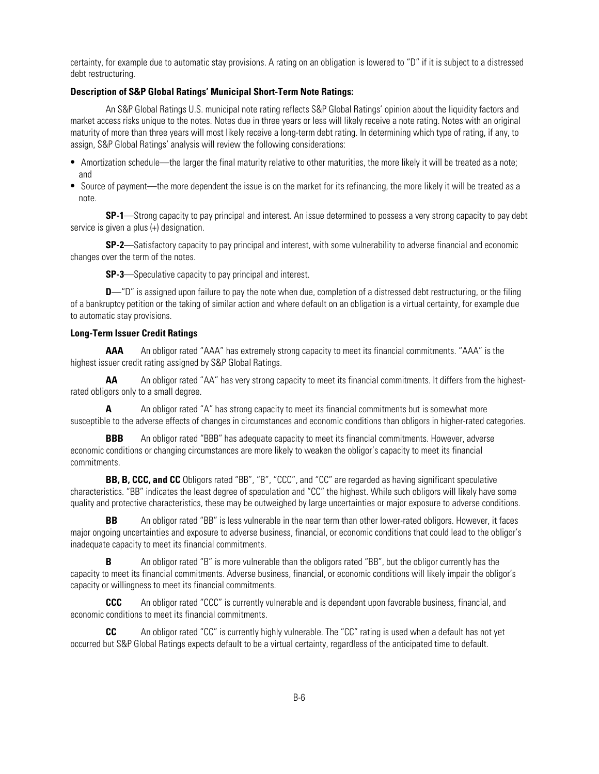certainty, for example due to automatic stay provisions. A rating on an obligation is lowered to "D" if it is subject to a distressed debt restructuring.

## **Description of S&P Global Ratings' Municipal Short-Term Note Ratings:**

 An S&P Global Ratings U.S. municipal note rating reflects S&P Global Ratings' opinion about the liquidity factors and market access risks unique to the notes. Notes due in three years or less will likely receive a note rating. Notes with an original maturity of more than three years will most likely receive a long-term debt rating. In determining which type of rating, if any, to assign, S&P Global Ratings' analysis will review the following considerations:

- Amortization schedule—the larger the final maturity relative to other maturities, the more likely it will be treated as a note; and
- Source of payment—the more dependent the issue is on the market for its refinancing, the more likely it will be treated as a note.

**SP-1**—Strong capacity to pay principal and interest. An issue determined to possess a very strong capacity to pay debt service is given a plus (+) designation.

**SP-2**—Satisfactory capacity to pay principal and interest, with some vulnerability to adverse financial and economic changes over the term of the notes.

**SP-3**—Speculative capacity to pay principal and interest.

**D**—"D" is assigned upon failure to pay the note when due, completion of a distressed debt restructuring, or the filing of a bankruptcy petition or the taking of similar action and where default on an obligation is a virtual certainty, for example due to automatic stay provisions.

## **Long-Term Issuer Credit Ratings**

**AAA** An obligor rated "AAA" has extremely strong capacity to meet its financial commitments. "AAA" is the highest issuer credit rating assigned by S&P Global Ratings.

**AA** An obligor rated "AA" has very strong capacity to meet its financial commitments. It differs from the highestrated obligors only to a small degree.

**A** An obligor rated "A" has strong capacity to meet its financial commitments but is somewhat more susceptible to the adverse effects of changes in circumstances and economic conditions than obligors in higher-rated categories.

**BBB** An obligor rated "BBB" has adequate capacity to meet its financial commitments. However, adverse economic conditions or changing circumstances are more likely to weaken the obligor's capacity to meet its financial commitments.

**BB, B, CCC, and CC** Obligors rated "BB", "B", "CCC", and "CC" are regarded as having significant speculative characteristics. "BB" indicates the least degree of speculation and "CC" the highest. While such obligors will likely have some quality and protective characteristics, these may be outweighed by large uncertainties or major exposure to adverse conditions.

**BB** An obligor rated "BB" is less vulnerable in the near term than other lower-rated obligors. However, it faces major ongoing uncertainties and exposure to adverse business, financial, or economic conditions that could lead to the obligor's inadequate capacity to meet its financial commitments.

**B** An obligor rated "B" is more vulnerable than the obligors rated "BB", but the obligor currently has the capacity to meet its financial commitments. Adverse business, financial, or economic conditions will likely impair the obligor's capacity or willingness to meet its financial commitments.

**CCC** An obligor rated "CCC" is currently vulnerable and is dependent upon favorable business, financial, and economic conditions to meet its financial commitments.

**CC** An obligor rated "CC" is currently highly vulnerable. The "CC" rating is used when a default has not yet occurred but S&P Global Ratings expects default to be a virtual certainty, regardless of the anticipated time to default.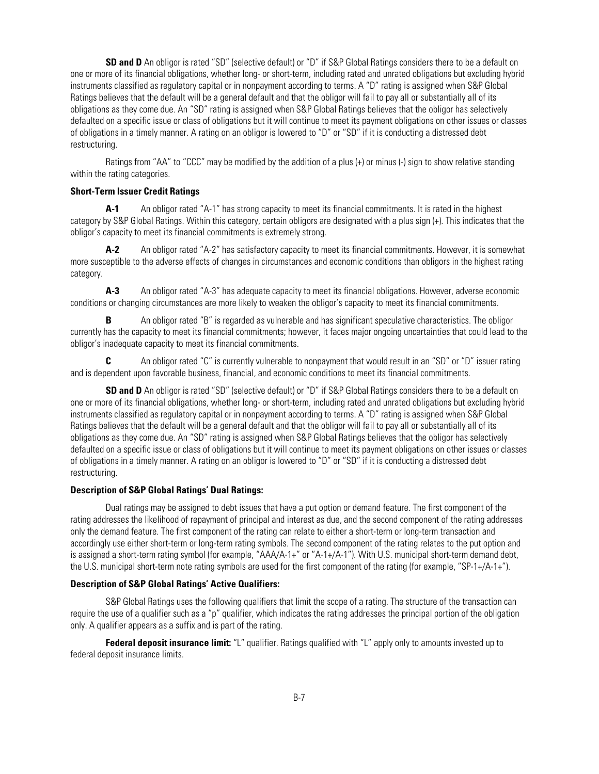**SD and D** An obligor is rated "SD" (selective default) or "D" if S&P Global Ratings considers there to be a default on one or more of its financial obligations, whether long- or short-term, including rated and unrated obligations but excluding hybrid instruments classified as regulatory capital or in nonpayment according to terms. A "D" rating is assigned when S&P Global Ratings believes that the default will be a general default and that the obligor will fail to pay all or substantially all of its obligations as they come due. An "SD" rating is assigned when S&P Global Ratings believes that the obligor has selectively defaulted on a specific issue or class of obligations but it will continue to meet its payment obligations on other issues or classes of obligations in a timely manner. A rating on an obligor is lowered to "D" or "SD" if it is conducting a distressed debt restructuring.

 Ratings from "AA" to "CCC" may be modified by the addition of a plus (+) or minus (-) sign to show relative standing within the rating categories.

#### **Short-Term Issuer Credit Ratings**

**A-1** An obligor rated "A-1" has strong capacity to meet its financial commitments. It is rated in the highest category by S&P Global Ratings. Within this category, certain obligors are designated with a plus sign (+). This indicates that the obligor's capacity to meet its financial commitments is extremely strong.

**A-2** An obligor rated "A-2" has satisfactory capacity to meet its financial commitments. However, it is somewhat more susceptible to the adverse effects of changes in circumstances and economic conditions than obligors in the highest rating category.

**A-3** An obligor rated "A-3" has adequate capacity to meet its financial obligations. However, adverse economic conditions or changing circumstances are more likely to weaken the obligor's capacity to meet its financial commitments.

**B** An obligor rated "B" is regarded as vulnerable and has significant speculative characteristics. The obligor currently has the capacity to meet its financial commitments; however, it faces major ongoing uncertainties that could lead to the obligor's inadequate capacity to meet its financial commitments.

**C** An obligor rated "C" is currently vulnerable to nonpayment that would result in an "SD" or "D" issuer rating and is dependent upon favorable business, financial, and economic conditions to meet its financial commitments.

**SD and D** An obligor is rated "SD" (selective default) or "D" if S&P Global Ratings considers there to be a default on one or more of its financial obligations, whether long- or short-term, including rated and unrated obligations but excluding hybrid instruments classified as regulatory capital or in nonpayment according to terms. A "D" rating is assigned when S&P Global Ratings believes that the default will be a general default and that the obligor will fail to pay all or substantially all of its obligations as they come due. An "SD" rating is assigned when S&P Global Ratings believes that the obligor has selectively defaulted on a specific issue or class of obligations but it will continue to meet its payment obligations on other issues or classes of obligations in a timely manner. A rating on an obligor is lowered to "D" or "SD" if it is conducting a distressed debt restructuring.

#### **Description of S&P Global Ratings' Dual Ratings:**

 Dual ratings may be assigned to debt issues that have a put option or demand feature. The first component of the rating addresses the likelihood of repayment of principal and interest as due, and the second component of the rating addresses only the demand feature. The first component of the rating can relate to either a short-term or long-term transaction and accordingly use either short-term or long-term rating symbols. The second component of the rating relates to the put option and is assigned a short-term rating symbol (for example, "AAA/A-1+" or "A-1+/A-1"). With U.S. municipal short-term demand debt, the U.S. municipal short-term note rating symbols are used for the first component of the rating (for example, "SP-1+/A-1+").

#### **Description of S&P Global Ratings' Active Qualifiers:**

 S&P Global Ratings uses the following qualifiers that limit the scope of a rating. The structure of the transaction can require the use of a qualifier such as a "p" qualifier, which indicates the rating addresses the principal portion of the obligation only. A qualifier appears as a suffix and is part of the rating.

**Federal deposit insurance limit:** "L" qualifier. Ratings qualified with "L" apply only to amounts invested up to federal deposit insurance limits.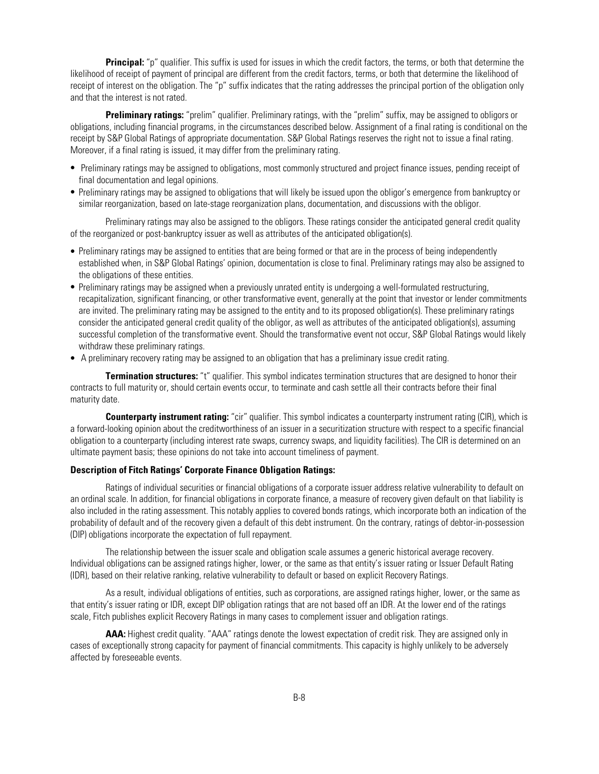**Principal:** "p" qualifier. This suffix is used for issues in which the credit factors, the terms, or both that determine the likelihood of receipt of payment of principal are different from the credit factors, terms, or both that determine the likelihood of receipt of interest on the obligation. The "p" suffix indicates that the rating addresses the principal portion of the obligation only and that the interest is not rated.

**Preliminary ratings:** "prelim" qualifier. Preliminary ratings, with the "prelim" suffix, may be assigned to obligors or obligations, including financial programs, in the circumstances described below. Assignment of a final rating is conditional on the receipt by S&P Global Ratings of appropriate documentation. S&P Global Ratings reserves the right not to issue a final rating. Moreover, if a final rating is issued, it may differ from the preliminary rating.

- Preliminary ratings may be assigned to obligations, most commonly structured and project finance issues, pending receipt of final documentation and legal opinions.
- Preliminary ratings may be assigned to obligations that will likely be issued upon the obligor's emergence from bankruptcy or similar reorganization, based on late-stage reorganization plans, documentation, and discussions with the obligor.

Preliminary ratings may also be assigned to the obligors. These ratings consider the anticipated general credit quality of the reorganized or post-bankruptcy issuer as well as attributes of the anticipated obligation(s).

- Preliminary ratings may be assigned to entities that are being formed or that are in the process of being independently established when, in S&P Global Ratings' opinion, documentation is close to final. Preliminary ratings may also be assigned to the obligations of these entities.
- Preliminary ratings may be assigned when a previously unrated entity is undergoing a well-formulated restructuring, recapitalization, significant financing, or other transformative event, generally at the point that investor or lender commitments are invited. The preliminary rating may be assigned to the entity and to its proposed obligation(s). These preliminary ratings consider the anticipated general credit quality of the obligor, as well as attributes of the anticipated obligation(s), assuming successful completion of the transformative event. Should the transformative event not occur, S&P Global Ratings would likely withdraw these preliminary ratings.
- A preliminary recovery rating may be assigned to an obligation that has a preliminary issue credit rating.

**Termination structures:** "t" qualifier. This symbol indicates termination structures that are designed to honor their contracts to full maturity or, should certain events occur, to terminate and cash settle all their contracts before their final maturity date.

**Counterparty instrument rating:** "cir" qualifier. This symbol indicates a counterparty instrument rating (CIR), which is a forward-looking opinion about the creditworthiness of an issuer in a securitization structure with respect to a specific financial obligation to a counterparty (including interest rate swaps, currency swaps, and liquidity facilities). The CIR is determined on an ultimate payment basis; these opinions do not take into account timeliness of payment.

## **Description of Fitch Ratings' Corporate Finance Obligation Ratings:**

 Ratings of individual securities or financial obligations of a corporate issuer address relative vulnerability to default on an ordinal scale. In addition, for financial obligations in corporate finance, a measure of recovery given default on that liability is also included in the rating assessment. This notably applies to covered bonds ratings, which incorporate both an indication of the probability of default and of the recovery given a default of this debt instrument. On the contrary, ratings of debtor-in-possession (DIP) obligations incorporate the expectation of full repayment.

 The relationship between the issuer scale and obligation scale assumes a generic historical average recovery. Individual obligations can be assigned ratings higher, lower, or the same as that entity's issuer rating or Issuer Default Rating (IDR), based on their relative ranking, relative vulnerability to default or based on explicit Recovery Ratings.

 As a result, individual obligations of entities, such as corporations, are assigned ratings higher, lower, or the same as that entity's issuer rating or IDR, except DIP obligation ratings that are not based off an IDR. At the lower end of the ratings scale, Fitch publishes explicit Recovery Ratings in many cases to complement issuer and obligation ratings.

**AAA:** Highest credit quality. "AAA" ratings denote the lowest expectation of credit risk. They are assigned only in cases of exceptionally strong capacity for payment of financial commitments. This capacity is highly unlikely to be adversely affected by foreseeable events.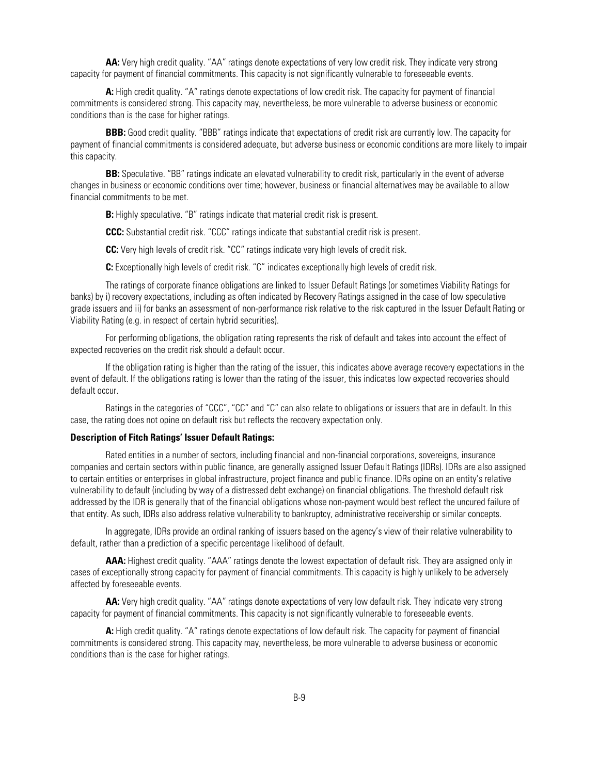**AA:** Very high credit quality. "AA" ratings denote expectations of very low credit risk. They indicate very strong capacity for payment of financial commitments. This capacity is not significantly vulnerable to foreseeable events.

**A:** High credit quality. "A" ratings denote expectations of low credit risk. The capacity for payment of financial commitments is considered strong. This capacity may, nevertheless, be more vulnerable to adverse business or economic conditions than is the case for higher ratings.

**BBB:** Good credit quality. "BBB" ratings indicate that expectations of credit risk are currently low. The capacity for payment of financial commitments is considered adequate, but adverse business or economic conditions are more likely to impair this capacity.

**BB:** Speculative. "BB" ratings indicate an elevated vulnerability to credit risk, particularly in the event of adverse changes in business or economic conditions over time; however, business or financial alternatives may be available to allow financial commitments to be met.

**B:** Highly speculative. "B" ratings indicate that material credit risk is present.

**CCC:** Substantial credit risk. "CCC" ratings indicate that substantial credit risk is present.

**CC:** Very high levels of credit risk. "CC" ratings indicate very high levels of credit risk.

**C:** Exceptionally high levels of credit risk. "C" indicates exceptionally high levels of credit risk.

The ratings of corporate finance obligations are linked to Issuer Default Ratings (or sometimes Viability Ratings for banks) by i) recovery expectations, including as often indicated by Recovery Ratings assigned in the case of low speculative grade issuers and ii) for banks an assessment of non-performance risk relative to the risk captured in the Issuer Default Rating or Viability Rating (e.g. in respect of certain hybrid securities).

For performing obligations, the obligation rating represents the risk of default and takes into account the effect of expected recoveries on the credit risk should a default occur.

If the obligation rating is higher than the rating of the issuer, this indicates above average recovery expectations in the event of default. If the obligations rating is lower than the rating of the issuer, this indicates low expected recoveries should default occur.

Ratings in the categories of "CCC", "CC" and "C" can also relate to obligations or issuers that are in default. In this case, the rating does not opine on default risk but reflects the recovery expectation only.

#### **Description of Fitch Ratings' Issuer Default Ratings:**

 Rated entities in a number of sectors, including financial and non-financial corporations, sovereigns, insurance companies and certain sectors within public finance, are generally assigned Issuer Default Ratings (IDRs). IDRs are also assigned to certain entities or enterprises in global infrastructure, project finance and public finance. IDRs opine on an entity's relative vulnerability to default (including by way of a distressed debt exchange) on financial obligations. The threshold default risk addressed by the IDR is generally that of the financial obligations whose non-payment would best reflect the uncured failure of that entity. As such, IDRs also address relative vulnerability to bankruptcy, administrative receivership or similar concepts.

 In aggregate, IDRs provide an ordinal ranking of issuers based on the agency's view of their relative vulnerability to default, rather than a prediction of a specific percentage likelihood of default.

**AAA:** Highest credit quality. "AAA" ratings denote the lowest expectation of default risk. They are assigned only in cases of exceptionally strong capacity for payment of financial commitments. This capacity is highly unlikely to be adversely affected by foreseeable events.

**AA:** Very high credit quality. "AA" ratings denote expectations of very low default risk. They indicate very strong capacity for payment of financial commitments. This capacity is not significantly vulnerable to foreseeable events.

**A:** High credit quality. "A" ratings denote expectations of low default risk. The capacity for payment of financial commitments is considered strong. This capacity may, nevertheless, be more vulnerable to adverse business or economic conditions than is the case for higher ratings.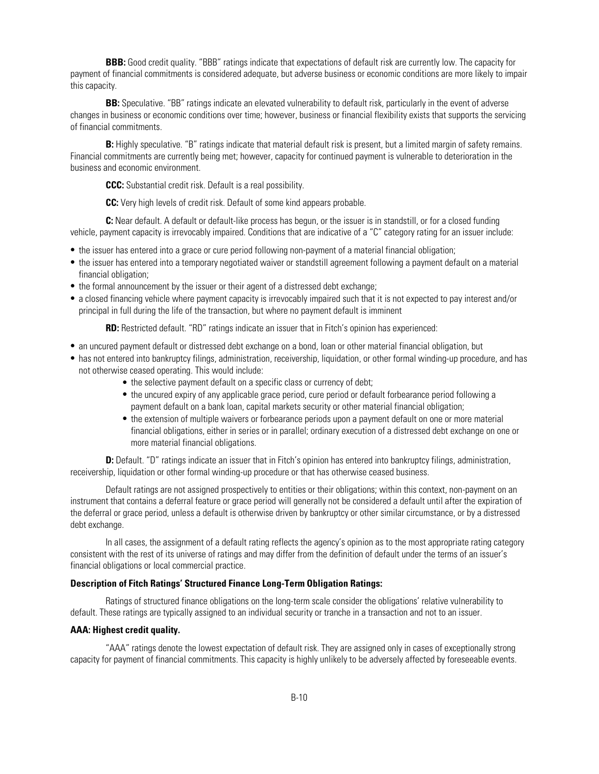**BBB:** Good credit quality. "BBB" ratings indicate that expectations of default risk are currently low. The capacity for payment of financial commitments is considered adequate, but adverse business or economic conditions are more likely to impair this capacity.

**BB:** Speculative. "BB" ratings indicate an elevated vulnerability to default risk, particularly in the event of adverse changes in business or economic conditions over time; however, business or financial flexibility exists that supports the servicing of financial commitments.

**B:** Highly speculative. "B" ratings indicate that material default risk is present, but a limited margin of safety remains. Financial commitments are currently being met; however, capacity for continued payment is vulnerable to deterioration in the business and economic environment.

**CCC:** Substantial credit risk. Default is a real possibility.

**CC:** Very high levels of credit risk. Default of some kind appears probable.

**C:** Near default. A default or default-like process has begun, or the issuer is in standstill, or for a closed funding vehicle, payment capacity is irrevocably impaired. Conditions that are indicative of a "C" category rating for an issuer include:

- the issuer has entered into a grace or cure period following non-payment of a material financial obligation;
- the issuer has entered into a temporary negotiated waiver or standstill agreement following a payment default on a material financial obligation;
- the formal announcement by the issuer or their agent of a distressed debt exchange;
- a closed financing vehicle where payment capacity is irrevocably impaired such that it is not expected to pay interest and/or principal in full during the life of the transaction, but where no payment default is imminent

**RD:** Restricted default. "RD" ratings indicate an issuer that in Fitch's opinion has experienced:

- an uncured payment default or distressed debt exchange on a bond, loan or other material financial obligation, but
- has not entered into bankruptcy filings, administration, receivership, liquidation, or other formal winding-up procedure, and has not otherwise ceased operating. This would include:
	- the selective payment default on a specific class or currency of debt;
	- the uncured expiry of any applicable grace period, cure period or default forbearance period following a payment default on a bank loan, capital markets security or other material financial obligation;
	- the extension of multiple waivers or forbearance periods upon a payment default on one or more material financial obligations, either in series or in parallel; ordinary execution of a distressed debt exchange on one or more material financial obligations.

**D:** Default. "D" ratings indicate an issuer that in Fitch's opinion has entered into bankruptcy filings, administration, receivership, liquidation or other formal winding-up procedure or that has otherwise ceased business.

 Default ratings are not assigned prospectively to entities or their obligations; within this context, non-payment on an instrument that contains a deferral feature or grace period will generally not be considered a default until after the expiration of the deferral or grace period, unless a default is otherwise driven by bankruptcy or other similar circumstance, or by a distressed debt exchange.

 In all cases, the assignment of a default rating reflects the agency's opinion as to the most appropriate rating category consistent with the rest of its universe of ratings and may differ from the definition of default under the terms of an issuer's financial obligations or local commercial practice.

#### **Description of Fitch Ratings' Structured Finance Long-Term Obligation Ratings:**

 Ratings of structured finance obligations on the long-term scale consider the obligations' relative vulnerability to default. These ratings are typically assigned to an individual security or tranche in a transaction and not to an issuer.

#### **AAA: Highest credit quality.**

 "AAA" ratings denote the lowest expectation of default risk. They are assigned only in cases of exceptionally strong capacity for payment of financial commitments. This capacity is highly unlikely to be adversely affected by foreseeable events.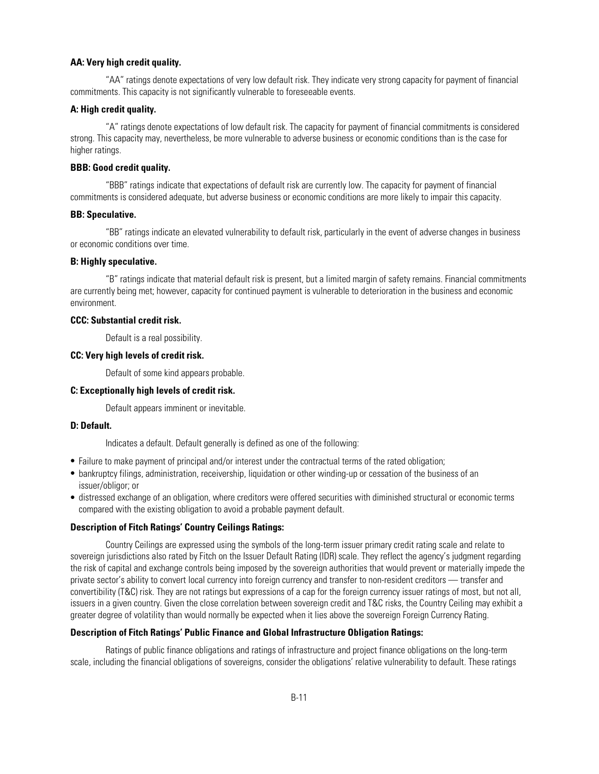## **AA: Very high credit quality.**

 "AA" ratings denote expectations of very low default risk. They indicate very strong capacity for payment of financial commitments. This capacity is not significantly vulnerable to foreseeable events.

#### **A: High credit quality.**

 "A" ratings denote expectations of low default risk. The capacity for payment of financial commitments is considered strong. This capacity may, nevertheless, be more vulnerable to adverse business or economic conditions than is the case for higher ratings.

#### **BBB: Good credit quality.**

 "BBB" ratings indicate that expectations of default risk are currently low. The capacity for payment of financial commitments is considered adequate, but adverse business or economic conditions are more likely to impair this capacity.

### **BB: Speculative.**

 "BB" ratings indicate an elevated vulnerability to default risk, particularly in the event of adverse changes in business or economic conditions over time.

#### **B: Highly speculative.**

 "B" ratings indicate that material default risk is present, but a limited margin of safety remains. Financial commitments are currently being met; however, capacity for continued payment is vulnerable to deterioration in the business and economic environment.

#### **CCC: Substantial credit risk.**

Default is a real possibility.

## **CC: Very high levels of credit risk.**

Default of some kind appears probable.

## **C: Exceptionally high levels of credit risk.**

Default appears imminent or inevitable.

# **D: Default.**

Indicates a default. Default generally is defined as one of the following:

- Failure to make payment of principal and/or interest under the contractual terms of the rated obligation;
- bankruptcy filings, administration, receivership, liquidation or other winding-up or cessation of the business of an issuer/obligor; or
- distressed exchange of an obligation, where creditors were offered securities with diminished structural or economic terms compared with the existing obligation to avoid a probable payment default.

# **Description of Fitch Ratings' Country Ceilings Ratings:**

 Country Ceilings are expressed using the symbols of the long-term issuer primary credit rating scale and relate to sovereign jurisdictions also rated by Fitch on the Issuer Default Rating (IDR) scale. They reflect the agency's judgment regarding the risk of capital and exchange controls being imposed by the sovereign authorities that would prevent or materially impede the private sector's ability to convert local currency into foreign currency and transfer to non-resident creditors — transfer and convertibility (T&C) risk. They are not ratings but expressions of a cap for the foreign currency issuer ratings of most, but not all, issuers in a given country. Given the close correlation between sovereign credit and T&C risks, the Country Ceiling may exhibit a greater degree of volatility than would normally be expected when it lies above the sovereign Foreign Currency Rating.

## **Description of Fitch Ratings' Public Finance and Global Infrastructure Obligation Ratings:**

 Ratings of public finance obligations and ratings of infrastructure and project finance obligations on the long-term scale, including the financial obligations of sovereigns, consider the obligations' relative vulnerability to default. These ratings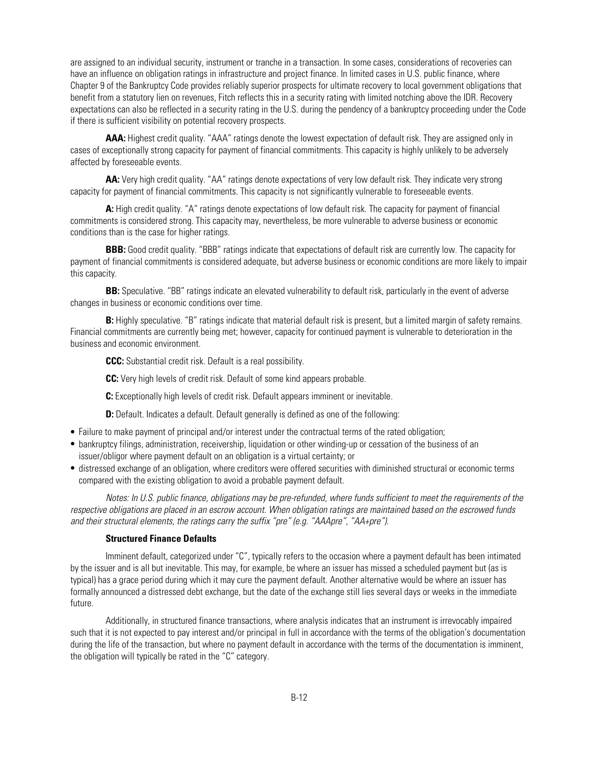are assigned to an individual security, instrument or tranche in a transaction. In some cases, considerations of recoveries can have an influence on obligation ratings in infrastructure and project finance. In limited cases in U.S. public finance, where Chapter 9 of the Bankruptcy Code provides reliably superior prospects for ultimate recovery to local government obligations that benefit from a statutory lien on revenues, Fitch reflects this in a security rating with limited notching above the IDR. Recovery expectations can also be reflected in a security rating in the U.S. during the pendency of a bankruptcy proceeding under the Code if there is sufficient visibility on potential recovery prospects.

**AAA:** Highest credit quality. "AAA" ratings denote the lowest expectation of default risk. They are assigned only in cases of exceptionally strong capacity for payment of financial commitments. This capacity is highly unlikely to be adversely affected by foreseeable events.

**AA:** Very high credit quality. "AA" ratings denote expectations of very low default risk. They indicate very strong capacity for payment of financial commitments. This capacity is not significantly vulnerable to foreseeable events.

**A:** High credit quality. "A" ratings denote expectations of low default risk. The capacity for payment of financial commitments is considered strong. This capacity may, nevertheless, be more vulnerable to adverse business or economic conditions than is the case for higher ratings.

**BBB:** Good credit quality. "BBB" ratings indicate that expectations of default risk are currently low. The capacity for payment of financial commitments is considered adequate, but adverse business or economic conditions are more likely to impair this capacity.

**BB:** Speculative. "BB" ratings indicate an elevated vulnerability to default risk, particularly in the event of adverse changes in business or economic conditions over time.

**B:** Highly speculative. "B" ratings indicate that material default risk is present, but a limited margin of safety remains. Financial commitments are currently being met; however, capacity for continued payment is vulnerable to deterioration in the business and economic environment.

**CCC:** Substantial credit risk. Default is a real possibility.

**CC:** Very high levels of credit risk. Default of some kind appears probable.

**C:** Exceptionally high levels of credit risk. Default appears imminent or inevitable.

**D:** Default. Indicates a default. Default generally is defined as one of the following:

- Failure to make payment of principal and/or interest under the contractual terms of the rated obligation;
- bankruptcy filings, administration, receivership, liquidation or other winding-up or cessation of the business of an issuer/obligor where payment default on an obligation is a virtual certainty; or
- distressed exchange of an obligation, where creditors were offered securities with diminished structural or economic terms compared with the existing obligation to avoid a probable payment default.

Notes: In U.S. public finance, obligations may be pre-refunded, where funds sufficient to meet the requirements of the respective obligations are placed in an escrow account. When obligation ratings are maintained based on the escrowed funds and their structural elements, the ratings carry the suffix "pre" (e.g. "AAApre", "AA+pre").

#### **Structured Finance Defaults**

 Imminent default, categorized under "C", typically refers to the occasion where a payment default has been intimated by the issuer and is all but inevitable. This may, for example, be where an issuer has missed a scheduled payment but (as is typical) has a grace period during which it may cure the payment default. Another alternative would be where an issuer has formally announced a distressed debt exchange, but the date of the exchange still lies several days or weeks in the immediate future.

 Additionally, in structured finance transactions, where analysis indicates that an instrument is irrevocably impaired such that it is not expected to pay interest and/or principal in full in accordance with the terms of the obligation's documentation during the life of the transaction, but where no payment default in accordance with the terms of the documentation is imminent, the obligation will typically be rated in the "C" category.